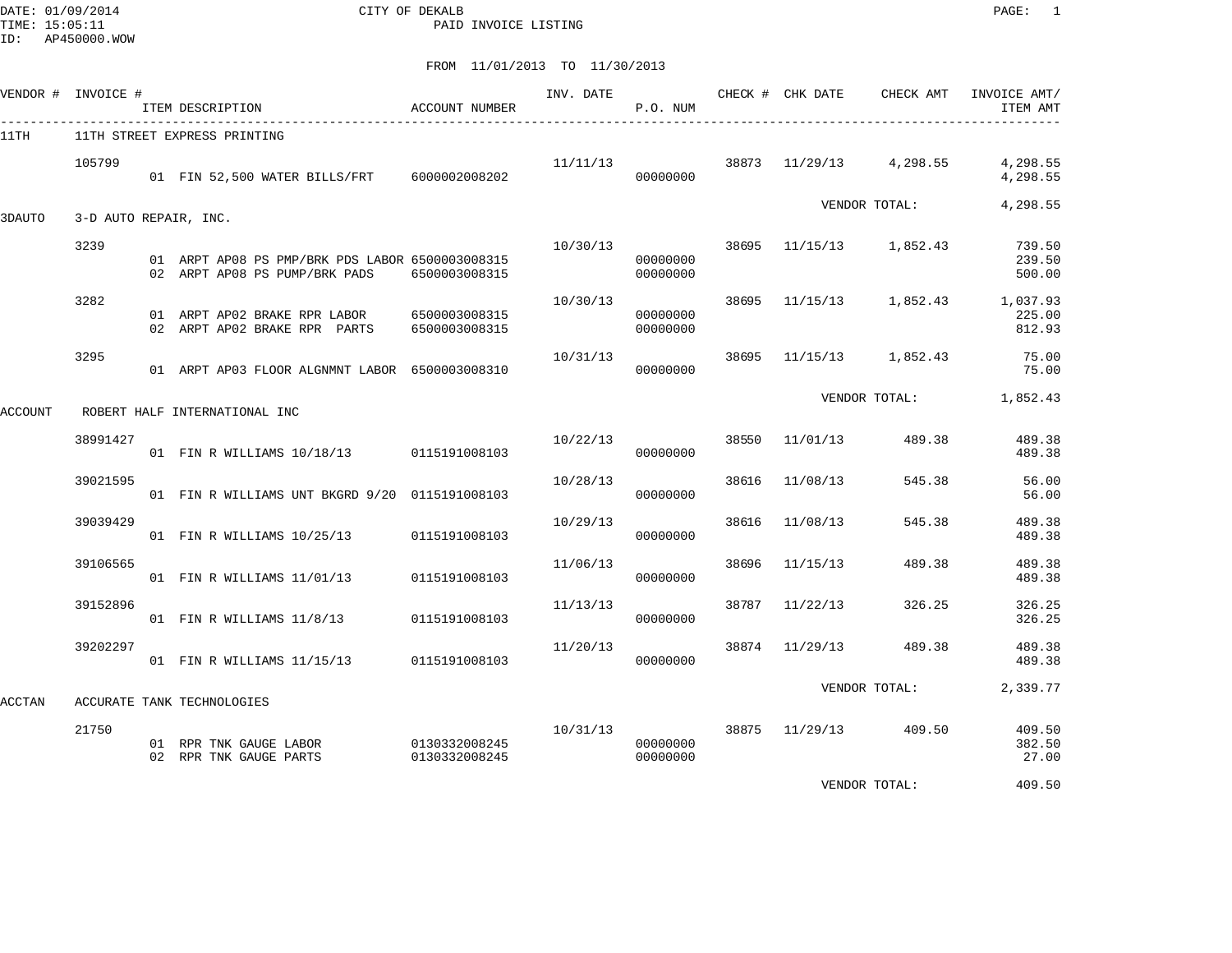DATE: 01/09/2014 CITY OF DEKALB PAGE: 1 TIME: 15:05:11 PAID INVOICE LISTING

|         | VENDOR # INVOICE #    | ITEM DESCRIPTION                                                                 | ACCOUNT NUMBER                 | INV. DATE | P.O. NUM             |       |                | CHECK # CHK DATE CHECK AMT | INVOICE AMT/<br>ITEM AMT                       |
|---------|-----------------------|----------------------------------------------------------------------------------|--------------------------------|-----------|----------------------|-------|----------------|----------------------------|------------------------------------------------|
| 11TH    |                       | 11TH STREET EXPRESS PRINTING                                                     |                                |           |                      |       |                |                            |                                                |
|         | 105799                | 01 FIN 52,500 WATER BILLS/FRT 6000002008202                                      |                                | 11/11/13  | 00000000             |       |                | 38873 11/29/13 4,298.55    | 4,298.55<br>4,298.55                           |
| 3DAUTO  | 3-D AUTO REPAIR, INC. |                                                                                  |                                |           |                      |       |                | VENDOR TOTAL:              | 4,298.55                                       |
|         | 3239                  | 01 ARPT AP08 PS PMP/BRK PDS LABOR 6500003008315<br>02 ARPT AP08 PS PUMP/BRK PADS | 6500003008315                  | 10/30/13  | 00000000<br>00000000 | 38695 |                | 11/15/13 1,852.43          | 739.50<br>239.50<br>500.00                     |
|         | 3282                  | 01 ARPT AP02 BRAKE RPR LABOR<br>02 ARPT AP02 BRAKE RPR PARTS                     | 6500003008315<br>6500003008315 | 10/30/13  | 00000000<br>00000000 | 38695 |                |                            | 11/15/13 1,852.43 1,037.93<br>225.00<br>812.93 |
|         | 3295                  | 01 ARPT AP03 FLOOR ALGNMNT LABOR 6500003008310                                   |                                | 10/31/13  | 00000000             | 38695 | 11/15/13       | 1,852.43                   | 75.00<br>75.00                                 |
| ACCOUNT |                       | ROBERT HALF INTERNATIONAL INC                                                    |                                |           |                      |       |                | VENDOR TOTAL:              | 1,852.43                                       |
|         | 38991427              | 01 FIN R WILLIAMS 10/18/13 0115191008103                                         |                                | 10/22/13  | 00000000             | 38550 | 11/01/13       | 489.38                     | 489.38<br>489.38                               |
|         | 39021595              | 01 FIN R WILLIAMS UNT BKGRD 9/20 0115191008103                                   |                                | 10/28/13  | 00000000             | 38616 | 11/08/13       | 545.38                     | 56.00<br>56.00                                 |
|         | 39039429              | 01 FIN R WILLIAMS 10/25/13                                                       | 0115191008103                  | 10/29/13  | 00000000             | 38616 | 11/08/13       | 545.38                     | 489.38<br>489.38                               |
|         | 39106565              | 01 FIN R WILLIAMS 11/01/13                                                       | 0115191008103                  | 11/06/13  | 00000000             | 38696 | 11/15/13       | 489.38                     | 489.38<br>489.38                               |
|         | 39152896              | 01 FIN R WILLIAMS 11/8/13                                                        | 0115191008103                  | 11/13/13  | 00000000             | 38787 | 11/22/13       | 326.25                     | 326.25<br>326.25                               |
|         | 39202297              | 01 FIN R WILLIAMS 11/15/13                                                       | 0115191008103                  | 11/20/13  | 00000000             |       | 38874 11/29/13 | 489.38                     | 489.38<br>489.38                               |
| ACCTAN  |                       | ACCURATE TANK TECHNOLOGIES                                                       |                                |           |                      |       |                | VENDOR TOTAL:              | 2,339.77                                       |
|         | 21750                 | 01 RPR TNK GAUGE LABOR<br>02 RPR TNK GAUGE PARTS                                 | 0130332008245<br>0130332008245 | 10/31/13  | 00000000<br>00000000 |       |                | 38875 11/29/13 409.50      | 409.50<br>382.50<br>27.00                      |
|         |                       |                                                                                  |                                |           |                      |       |                | VENDOR TOTAL:              | 409.50                                         |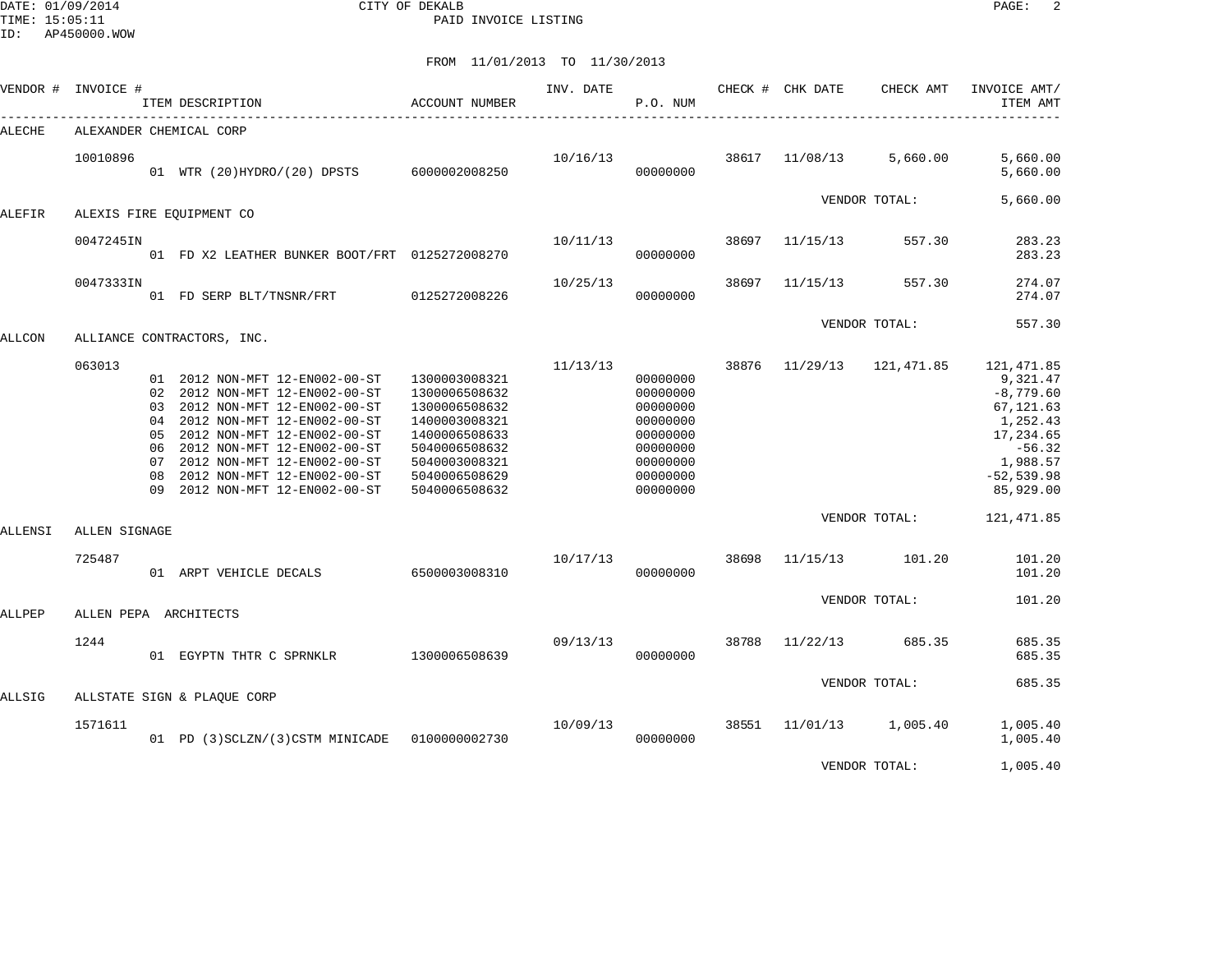DATE: 01/09/2014 CITY OF DEKALB PAGE: 2 PAID INVOICE LISTING

|         | VENDOR # INVOICE # | ITEM DESCRIPTION<br>---------------------------------                                                                                                                                                                                                                                                          | ACCOUNT NUMBER                                                                                                                                        | INV. DATE | P.O. NUM                                                                                                 |       | CHECK # CHK DATE | CHECK AMT         | INVOICE AMT/<br>ITEM AMT                                                                                                          |
|---------|--------------------|----------------------------------------------------------------------------------------------------------------------------------------------------------------------------------------------------------------------------------------------------------------------------------------------------------------|-------------------------------------------------------------------------------------------------------------------------------------------------------|-----------|----------------------------------------------------------------------------------------------------------|-------|------------------|-------------------|-----------------------------------------------------------------------------------------------------------------------------------|
| ALECHE  |                    | ALEXANDER CHEMICAL CORP                                                                                                                                                                                                                                                                                        |                                                                                                                                                       |           |                                                                                                          |       |                  |                   |                                                                                                                                   |
|         | 10010896           | 01 WTR (20)HYDRO/(20) DPSTS 6000002008250                                                                                                                                                                                                                                                                      |                                                                                                                                                       | 10/16/13  | 00000000                                                                                                 | 38617 | 11/08/13         | 5,660.00          | 5,660.00<br>5,660.00                                                                                                              |
| ALEFIR  |                    | ALEXIS FIRE EOUIPMENT CO                                                                                                                                                                                                                                                                                       |                                                                                                                                                       |           |                                                                                                          |       |                  | VENDOR TOTAL:     | 5,660.00                                                                                                                          |
|         | 0047245IN          | 01 FD X2 LEATHER BUNKER BOOT/FRT 0125272008270                                                                                                                                                                                                                                                                 |                                                                                                                                                       | 10/11/13  | 00000000                                                                                                 | 38697 | 11/15/13         | 557.30            | 283.23<br>283.23                                                                                                                  |
|         | 0047333IN          | 01 FD SERP BLT/TNSNR/FRT 0125272008226                                                                                                                                                                                                                                                                         |                                                                                                                                                       | 10/25/13  | 00000000                                                                                                 | 38697 | 11/15/13         | 557.30            | 274.07<br>274.07                                                                                                                  |
| ALLCON  |                    | ALLIANCE CONTRACTORS, INC.                                                                                                                                                                                                                                                                                     |                                                                                                                                                       |           |                                                                                                          |       |                  | VENDOR TOTAL:     | 557.30                                                                                                                            |
|         | 063013             | 01 2012 NON-MFT 12-EN002-00-ST<br>02 2012 NON-MFT 12-EN002-00-ST<br>03 2012 NON-MFT 12-EN002-00-ST<br>04 2012 NON-MFT 12-EN002-00-ST<br>05 2012 NON-MFT 12-EN002-00-ST<br>06 2012 NON-MFT 12-EN002-00-ST<br>07 2012 NON-MFT 12-EN002-00-ST<br>08 2012 NON-MFT 12-EN002-00-ST<br>09 2012 NON-MFT 12-EN002-00-ST | 1300003008321<br>1300006508632<br>1300006508632<br>1400003008321<br>1400006508633<br>5040006508632<br>5040003008321<br>5040006508629<br>5040006508632 | 11/13/13  | 00000000<br>00000000<br>00000000<br>00000000<br>00000000<br>00000000<br>00000000<br>00000000<br>00000000 | 38876 | 11/29/13         | 121,471.85        | 121, 471.85<br>9,321.47<br>$-8,779.60$<br>67,121.63<br>1,252.43<br>17,234.65<br>$-56.32$<br>1,988.57<br>$-52,539.98$<br>85,929.00 |
| ALLENSI | ALLEN SIGNAGE      |                                                                                                                                                                                                                                                                                                                |                                                                                                                                                       |           |                                                                                                          |       |                  | VENDOR TOTAL:     | 121, 471.85                                                                                                                       |
|         | 725487             | 01 ARPT VEHICLE DECALS 6500003008310                                                                                                                                                                                                                                                                           |                                                                                                                                                       | 10/17/13  | 00000000                                                                                                 | 38698 | 11/15/13         | 101.20            | 101.20<br>101.20                                                                                                                  |
| ALLPEP  |                    | ALLEN PEPA ARCHITECTS                                                                                                                                                                                                                                                                                          |                                                                                                                                                       |           |                                                                                                          |       |                  | VENDOR TOTAL:     | 101.20                                                                                                                            |
|         | 1244               | 01 EGYPTN THTR C SPRNKLR 1300006508639                                                                                                                                                                                                                                                                         |                                                                                                                                                       | 09/13/13  | 00000000                                                                                                 | 38788 | 11/22/13         | 685.35            | 685.35<br>685.35                                                                                                                  |
| ALLSIG  |                    | ALLSTATE SIGN & PLAQUE CORP                                                                                                                                                                                                                                                                                    |                                                                                                                                                       |           |                                                                                                          |       |                  | VENDOR TOTAL:     | 685.35                                                                                                                            |
|         | 1571611            | 01 PD (3) SCLZN/(3) CSTM MINICADE  0100000002730                                                                                                                                                                                                                                                               |                                                                                                                                                       | 10/09/13  | 00000000                                                                                                 | 38551 |                  | 11/01/13 1,005.40 | 1,005.40<br>1,005.40                                                                                                              |
|         |                    |                                                                                                                                                                                                                                                                                                                |                                                                                                                                                       |           |                                                                                                          |       |                  | VENDOR TOTAL:     | 1,005.40                                                                                                                          |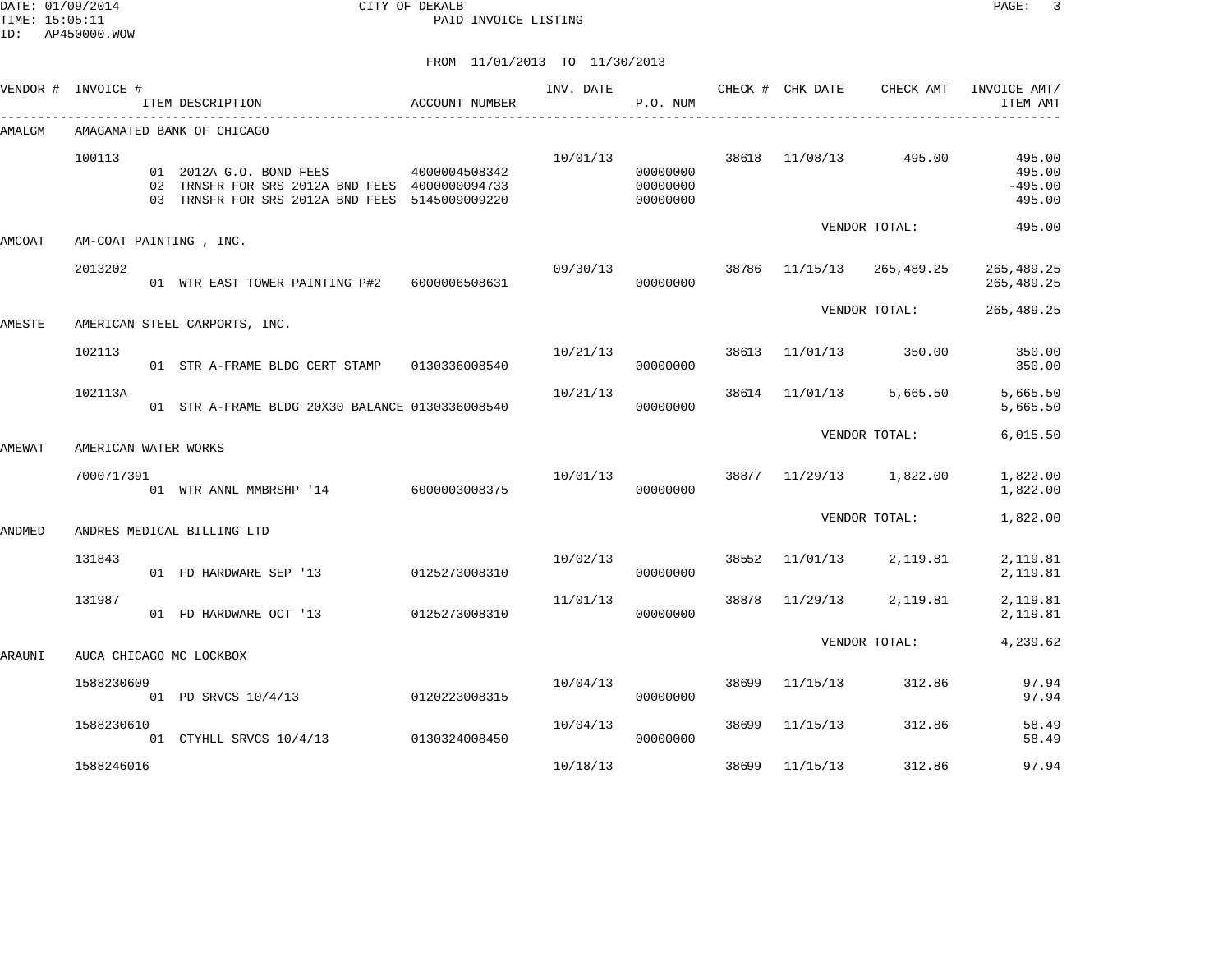DATE: 01/09/2014 CITY OF DEKALB PAGE: 3 PAID INVOICE LISTING

|               | VENDOR # INVOICE #   | ITEM DESCRIPTION                                                                                                                             | ACCOUNT NUMBER | INV. DATE | P.O. NUM                         |       | CHECK # CHK DATE | CHECK AMT     | INVOICE AMT/<br>ITEM AMT                |
|---------------|----------------------|----------------------------------------------------------------------------------------------------------------------------------------------|----------------|-----------|----------------------------------|-------|------------------|---------------|-----------------------------------------|
| AMALGM        |                      | AMAGAMATED BANK OF CHICAGO                                                                                                                   |                |           |                                  |       |                  |               |                                         |
|               | 100113               | 01  2012A  G.O. BOND FEES  4000004508342<br>02 TRNSFR FOR SRS 2012A BND FEES 4000000094733<br>03 TRNSFR FOR SRS 2012A BND FEES 5145009009220 |                | 10/01/13  | 00000000<br>00000000<br>00000000 |       | 38618 11/08/13   | 495.00        | 495.00<br>495.00<br>$-495.00$<br>495.00 |
| AMCOAT        |                      | AM-COAT PAINTING, INC.                                                                                                                       |                |           |                                  |       |                  | VENDOR TOTAL: | 495.00                                  |
|               | 2013202              | 01 WTR EAST TOWER PAINTING P#2 6000006508631                                                                                                 |                | 09/30/13  | 00000000                         | 38786 | 11/15/13         | 265,489.25    | 265, 489. 25<br>265,489.25              |
| AMESTE        |                      |                                                                                                                                              |                |           |                                  |       |                  | VENDOR TOTAL: | 265,489.25                              |
|               | 102113               | AMERICAN STEEL CARPORTS, INC.<br>01 STR A-FRAME BLDG CERT STAMP 0130336008540                                                                |                | 10/21/13  | 00000000                         |       | 38613 11/01/13   | 350.00        | 350.00<br>350.00                        |
|               | 102113A              | 01 STR A-FRAME BLDG 20X30 BALANCE 0130336008540                                                                                              |                | 10/21/13  | 00000000                         | 38614 | 11/01/13         | 5,665.50      | 5,665.50<br>5,665.50                    |
| AMEWAT        | AMERICAN WATER WORKS |                                                                                                                                              |                |           |                                  |       |                  | VENDOR TOTAL: | 6,015.50                                |
|               | 7000717391           | 01 WTR ANNL MMBRSHP '14 6000003008375                                                                                                        |                | 10/01/13  | 00000000                         |       | 38877 11/29/13   | 1,822.00      | 1,822.00<br>1,822.00                    |
| <b>ANDMED</b> |                      | ANDRES MEDICAL BILLING LTD                                                                                                                   |                |           |                                  |       |                  | VENDOR TOTAL: | 1,822.00                                |
|               | 131843               | 01 FD HARDWARE SEP '13                                                                                                                       | 0125273008310  | 10/02/13  | 00000000                         | 38552 | 11/01/13         | 2,119.81      | 2,119.81<br>2,119.81                    |
|               | 131987               | 01 FD HARDWARE OCT '13                                                                                                                       | 0125273008310  | 11/01/13  | 00000000                         | 38878 | 11/29/13         | 2,119.81      | 2,119.81<br>2,119.81                    |
| ARAUNI        |                      | AUCA CHICAGO MC LOCKBOX                                                                                                                      |                |           |                                  |       |                  | VENDOR TOTAL: | 4,239.62                                |
|               | 1588230609           | 01 PD SRVCS 10/4/13 0120223008315                                                                                                            |                | 10/04/13  | 00000000                         |       | 38699 11/15/13   | 312.86        | 97.94<br>97.94                          |
|               | 1588230610           | 01 CTYHLL SRVCS 10/4/13 0130324008450                                                                                                        |                | 10/04/13  | 00000000                         | 38699 | 11/15/13         | 312.86        | 58.49<br>58.49                          |
|               | 1588246016           |                                                                                                                                              |                | 10/18/13  |                                  | 38699 | 11/15/13         | 312.86        | 97.94                                   |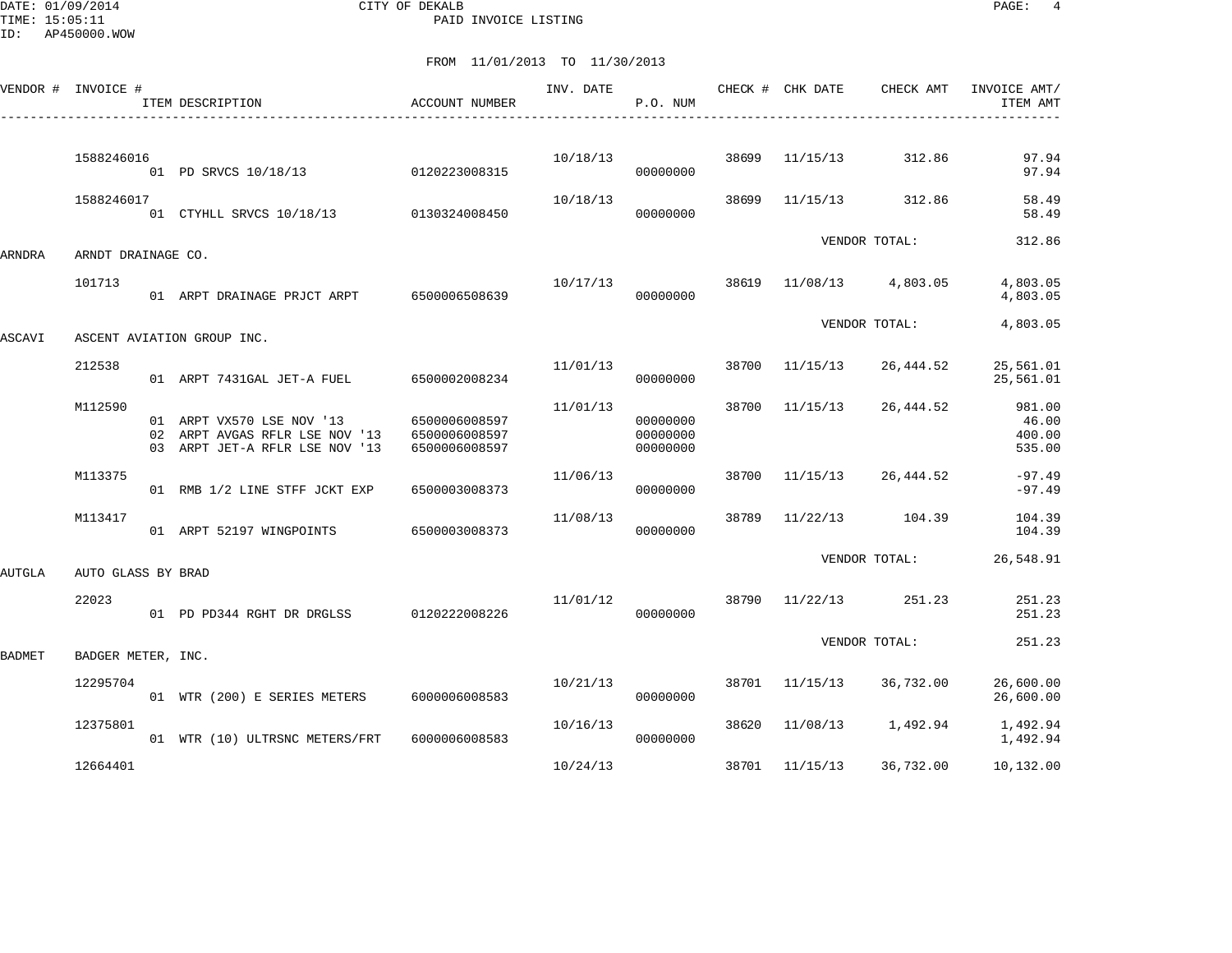DATE: 01/09/2014 CITY OF DEKALB PAGE: 4 PAID INVOICE LISTING

|               | VENDOR # INVOICE # | ITEM DESCRIPTION                                                                              | ACCOUNT NUMBER                                  | INV. DATE | P.O. NUM                         |       | CHECK # CHK DATE | CHECK AMT     | INVOICE AMT/<br>ITEM AMT            |
|---------------|--------------------|-----------------------------------------------------------------------------------------------|-------------------------------------------------|-----------|----------------------------------|-------|------------------|---------------|-------------------------------------|
|               | 1588246016         | 01 PD SRVCS 10/18/13                                                                          | 0120223008315                                   | 10/18/13  | 00000000                         | 38699 | 11/15/13         | 312.86        | 97.94<br>97.94                      |
|               | 1588246017         | 01 CTYHLL SRVCS 10/18/13 0130324008450                                                        |                                                 | 10/18/13  | 00000000                         | 38699 | 11/15/13         | 312.86        | 58.49<br>58.49                      |
| ARNDRA        | ARNDT DRAINAGE CO. |                                                                                               |                                                 |           |                                  |       |                  | VENDOR TOTAL: | 312.86                              |
|               | 101713             | 01 ARPT DRAINAGE PRJCT ARPT                                                                   | 6500006508639                                   | 10/17/13  | 00000000                         | 38619 | 11/08/13         | 4,803.05      | 4,803.05<br>4,803.05                |
| ASCAVI        |                    | ASCENT AVIATION GROUP INC.                                                                    |                                                 |           |                                  |       |                  | VENDOR TOTAL: | 4,803.05                            |
|               | 212538             | 01 ARPT 7431GAL JET-A FUEL                                                                    | 6500002008234                                   | 11/01/13  | 00000000                         | 38700 | 11/15/13         | 26,444.52     | 25,561.01<br>25,561.01              |
|               | M112590            | 01 ARPT VX570 LSE NOV '13<br>02 ARPT AVGAS RFLR LSE NOV '13<br>03 ARPT JET-A RFLR LSE NOV '13 | 6500006008597<br>6500006008597<br>6500006008597 | 11/01/13  | 00000000<br>00000000<br>00000000 | 38700 | 11/15/13         | 26,444.52     | 981.00<br>46.00<br>400.00<br>535.00 |
|               | M113375            | 01 RMB 1/2 LINE STFF JCKT EXP                                                                 | 6500003008373                                   | 11/06/13  | 00000000                         | 38700 | 11/15/13         | 26,444.52     | $-97.49$<br>$-97.49$                |
|               | M113417            | 01 ARPT 52197 WINGPOINTS 6500003008373                                                        |                                                 | 11/08/13  | 00000000                         | 38789 | 11/22/13         | 104.39        | 104.39<br>104.39                    |
| AUTGLA        | AUTO GLASS BY BRAD |                                                                                               |                                                 |           |                                  |       |                  | VENDOR TOTAL: | 26,548.91                           |
|               | 22023              | 01 PD PD344 RGHT DR DRGLSS                                                                    | 0120222008226                                   | 11/01/12  | 00000000                         | 38790 | 11/22/13         | 251.23        | 251.23<br>251.23                    |
| <b>BADMET</b> | BADGER METER, INC. |                                                                                               |                                                 |           |                                  |       |                  | VENDOR TOTAL: | 251.23                              |
|               | 12295704           | 01 WTR (200) E SERIES METERS                                                                  | 6000006008583                                   | 10/21/13  | 00000000                         | 38701 | 11/15/13         | 36,732.00     | 26,600.00<br>26,600.00              |
|               | 12375801           | 01 WTR (10) ULTRSNC METERS/FRT                                                                | 6000006008583                                   | 10/16/13  | 00000000                         | 38620 | 11/08/13         | 1,492.94      | 1,492.94<br>1,492.94                |
|               | 12664401           |                                                                                               |                                                 | 10/24/13  |                                  | 38701 | 11/15/13         | 36,732.00     | 10,132.00                           |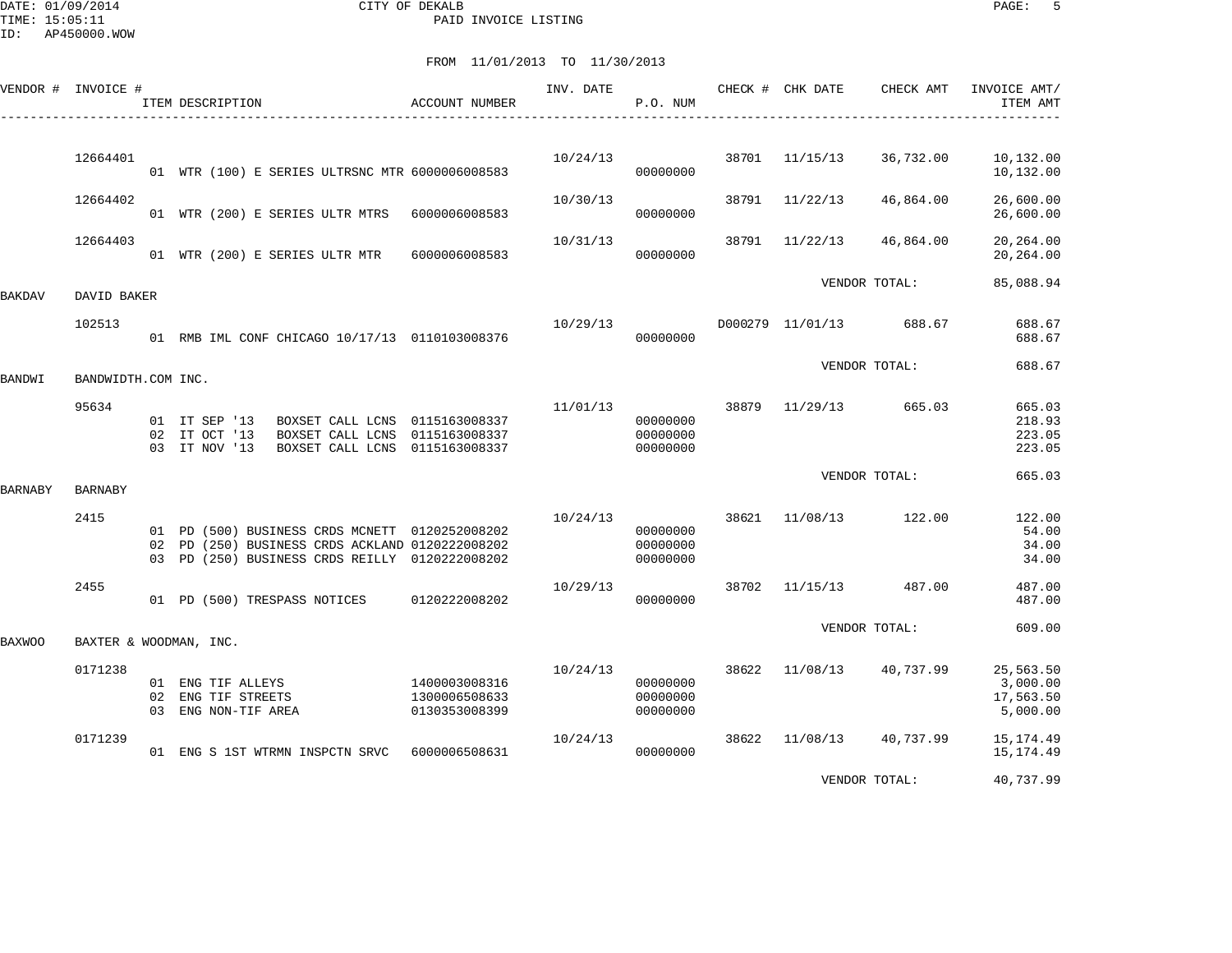DATE: 01/09/2014 CITY OF DEKALB PAGE: 5 PAID INVOICE LISTING

|                | VENDOR # INVOICE # | ITEM DESCRIPTION                                                                                                                                      | <b>ACCOUNT NUMBER</b>                           | INV. DATE | P.O. NUM                         |       | CHECK # CHK DATE        | CHECK AMT     | INVOICE AMT/<br>ITEM AMT                       |
|----------------|--------------------|-------------------------------------------------------------------------------------------------------------------------------------------------------|-------------------------------------------------|-----------|----------------------------------|-------|-------------------------|---------------|------------------------------------------------|
|                |                    |                                                                                                                                                       |                                                 |           |                                  |       |                         |               |                                                |
|                | 12664401           | 01 WTR (100) E SERIES ULTRSNC MTR 6000006008583                                                                                                       |                                                 | 10/24/13  | 00000000                         | 38701 | 11/15/13                | 36,732.00     | 10,132.00<br>10,132.00                         |
|                | 12664402           | 01 WTR (200) E SERIES ULTR MTRS                                                                                                                       | 6000006008583                                   | 10/30/13  | 00000000                         | 38791 | 11/22/13                | 46,864.00     | 26,600.00<br>26,600.00                         |
|                | 12664403           | 01 WTR (200) E SERIES ULTR MTR                                                                                                                        | 6000006008583                                   | 10/31/13  | 00000000                         |       | 38791 11/22/13          | 46,864.00     | 20,264.00<br>20,264.00                         |
| BAKDAV         | DAVID BAKER        |                                                                                                                                                       |                                                 |           |                                  |       |                         | VENDOR TOTAL: | 85,088.94                                      |
|                | 102513             | 01 RMB IML CONF CHICAGO 10/17/13 0110103008376                                                                                                        |                                                 | 10/29/13  | 00000000                         |       | D000279 11/01/13 688.67 |               | 688.67<br>688.67                               |
| BANDWI         | BANDWIDTH.COM INC. |                                                                                                                                                       |                                                 |           |                                  |       |                         | VENDOR TOTAL: | 688.67                                         |
|                | 95634              | BOXSET CALL LCNS 0115163008337<br>01 IT SEP '13<br>BOXSET CALL LCNS 0115163008337<br>02 IT OCT '13<br>03 IT NOV '13<br>BOXSET CALL LCNS 0115163008337 |                                                 | 11/01/13  | 00000000<br>00000000<br>00000000 | 38879 | 11/29/13 665.03         |               | 665.03<br>218.93<br>223.05<br>223.05           |
| <b>BARNABY</b> | <b>BARNABY</b>     |                                                                                                                                                       |                                                 |           |                                  |       |                         | VENDOR TOTAL: | 665.03                                         |
|                | 2415               | 01 PD (500) BUSINESS CRDS MCNETT 0120252008202<br>02 PD (250) BUSINESS CRDS ACKLAND 0120222008202<br>03 PD (250) BUSINESS CRDS REILLY 0120222008202   |                                                 | 10/24/13  | 00000000<br>00000000<br>00000000 | 38621 | 11/08/13                | 122.00        | 122.00<br>54.00<br>34.00<br>34.00              |
|                | 2455               | 01 PD (500) TRESPASS NOTICES                                                                                                                          | 0120222008202                                   | 10/29/13  | 00000000                         |       | 38702 11/15/13 487.00   |               | 487.00<br>487.00                               |
| <b>BAXWOO</b>  |                    | BAXTER & WOODMAN, INC.                                                                                                                                |                                                 |           |                                  |       |                         | VENDOR TOTAL: | 609.00                                         |
|                | 0171238            | 01 ENG TIF ALLEYS<br>02 ENG TIF STREETS<br>03 ENG NON-TIF AREA                                                                                        | 1400003008316<br>1300006508633<br>0130353008399 | 10/24/13  | 00000000<br>00000000<br>00000000 | 38622 | 11/08/13                | 40,737.99     | 25,563.50<br>3,000.00<br>17,563.50<br>5,000.00 |
|                | 0171239            | 01 ENG S 1ST WTRMN INSPCTN SRVC                                                                                                                       | 6000006508631                                   | 10/24/13  | 00000000                         | 38622 | 11/08/13 40,737.99      |               | 15,174.49<br>15,174.49                         |
|                |                    |                                                                                                                                                       |                                                 |           |                                  |       |                         | VENDOR TOTAL: | 40,737.99                                      |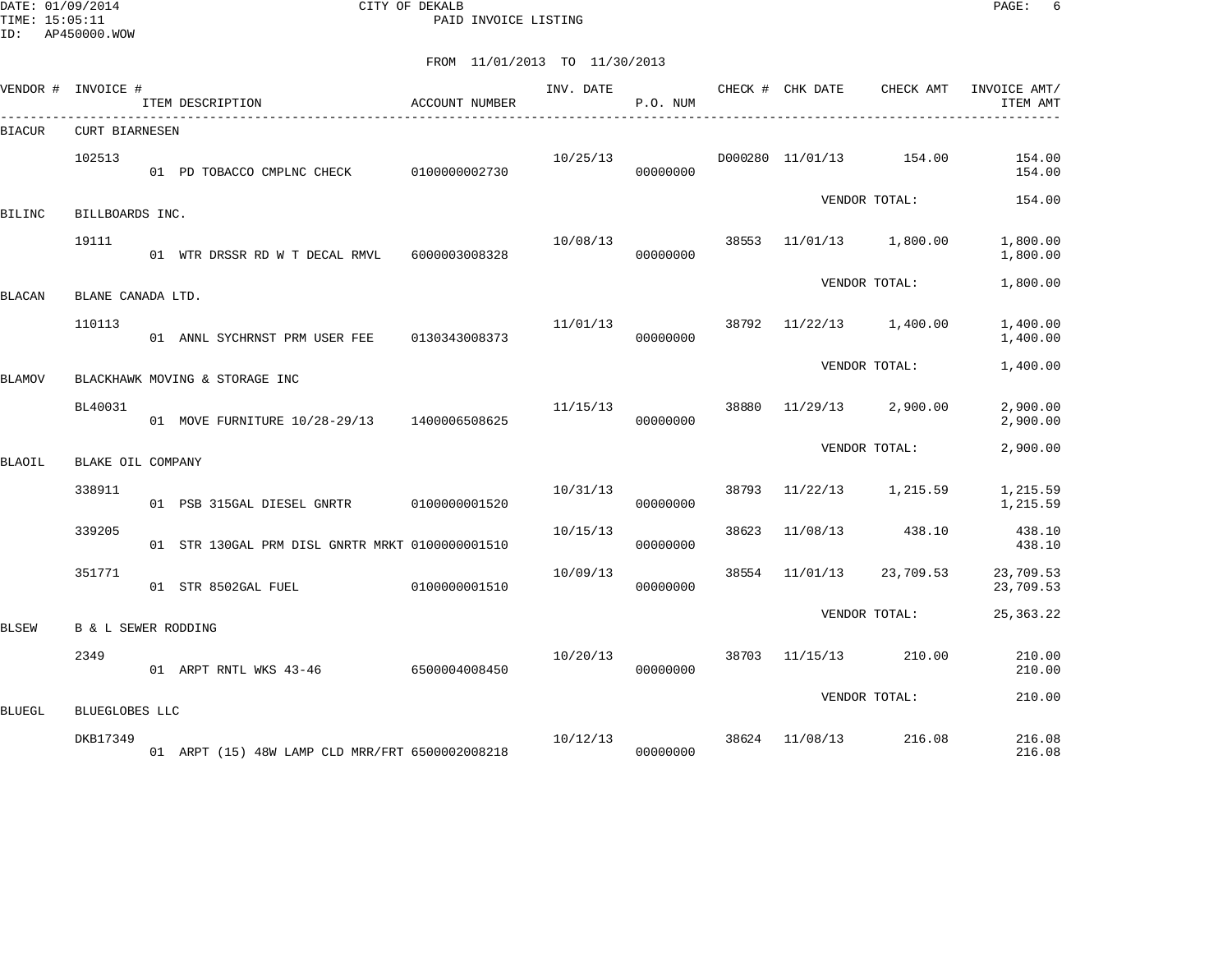DATE: 01/09/2014 CITY OF DEKALB PAGE: 6 PAID INVOICE LISTING

| VENDOR # INVOICE # |                                | ITEM DESCRIPTION                                 | ACCOUNT NUMBER | INV. DATE | P.O. NUM |       | CHECK # CHK DATE<br>__________________________________ | CHECK AMT     | INVOICE AMT/<br>ITEM AMT |
|--------------------|--------------------------------|--------------------------------------------------|----------------|-----------|----------|-------|--------------------------------------------------------|---------------|--------------------------|
| BIACUR             | <b>CURT BIARNESEN</b>          |                                                  |                |           |          |       |                                                        |               |                          |
|                    | 102513                         | 01 PD TOBACCO CMPLNC CHECK                       | 0100000002730  | 10/25/13  | 00000000 |       | D000280 11/01/13                                       | 154.00        | 154.00<br>154.00         |
| BILINC             | BILLBOARDS INC.                |                                                  |                |           |          |       |                                                        | VENDOR TOTAL: | 154.00                   |
|                    | 19111                          | 01 WTR DRSSR RD W T DECAL RMVL 6000003008328     |                | 10/08/13  | 00000000 |       | 38553 11/01/13 1,800.00                                |               | 1,800.00<br>1,800.00     |
| BLACAN             | BLANE CANADA LTD.              |                                                  |                |           |          |       |                                                        | VENDOR TOTAL: | 1,800.00                 |
|                    | 110113                         | 01 ANNL SYCHRNST PRM USER FEE                    | 0130343008373  | 11/01/13  | 00000000 | 38792 | 11/22/13                                               | 1,400.00      | 1,400.00<br>1,400.00     |
| BLAMOV             |                                | BLACKHAWK MOVING & STORAGE INC                   |                |           |          |       |                                                        | VENDOR TOTAL: | 1,400.00                 |
|                    | BL40031                        | 01 MOVE FURNITURE 10/28-29/13 1400006508625      |                | 11/15/13  | 00000000 | 38880 | 11/29/13                                               | 2,900.00      | 2,900.00<br>2,900.00     |
| BLAOIL             | BLAKE OIL COMPANY              |                                                  |                |           |          |       |                                                        | VENDOR TOTAL: | 2,900.00                 |
|                    | 338911                         | 01 PSB 315GAL DIESEL GNRTR                       | 0100000001520  | 10/31/13  | 00000000 | 38793 | 11/22/13                                               | 1,215.59      | 1,215.59<br>1,215.59     |
|                    | 339205                         | 01 STR 130GAL PRM DISL GNRTR MRKT 01000000001510 |                | 10/15/13  | 00000000 | 38623 | 11/08/13                                               | 438.10        | 438.10<br>438.10         |
|                    | 351771                         | 01 STR 8502GAL FUEL                              | 0100000001510  | 10/09/13  | 00000000 | 38554 | 11/01/13                                               | 23,709.53     | 23,709.53<br>23,709.53   |
| BLSEW              | <b>B &amp; L SEWER RODDING</b> |                                                  |                |           |          |       |                                                        | VENDOR TOTAL: | 25, 363. 22              |
|                    | 2349                           | 01 ARPT RNTL WKS 43-46 6500004008450             |                | 10/20/13  | 00000000 | 38703 | 11/15/13                                               | 210.00        | 210.00<br>210.00         |
| BLUEGL             | BLUEGLOBES LLC                 |                                                  |                |           |          |       |                                                        | VENDOR TOTAL: | 210.00                   |
|                    | DKB17349                       | 01 ARPT (15) 48W LAMP CLD MRR/FRT 6500002008218  |                | 10/12/13  | 00000000 | 38624 | 11/08/13                                               | 216.08        | 216.08<br>216.08         |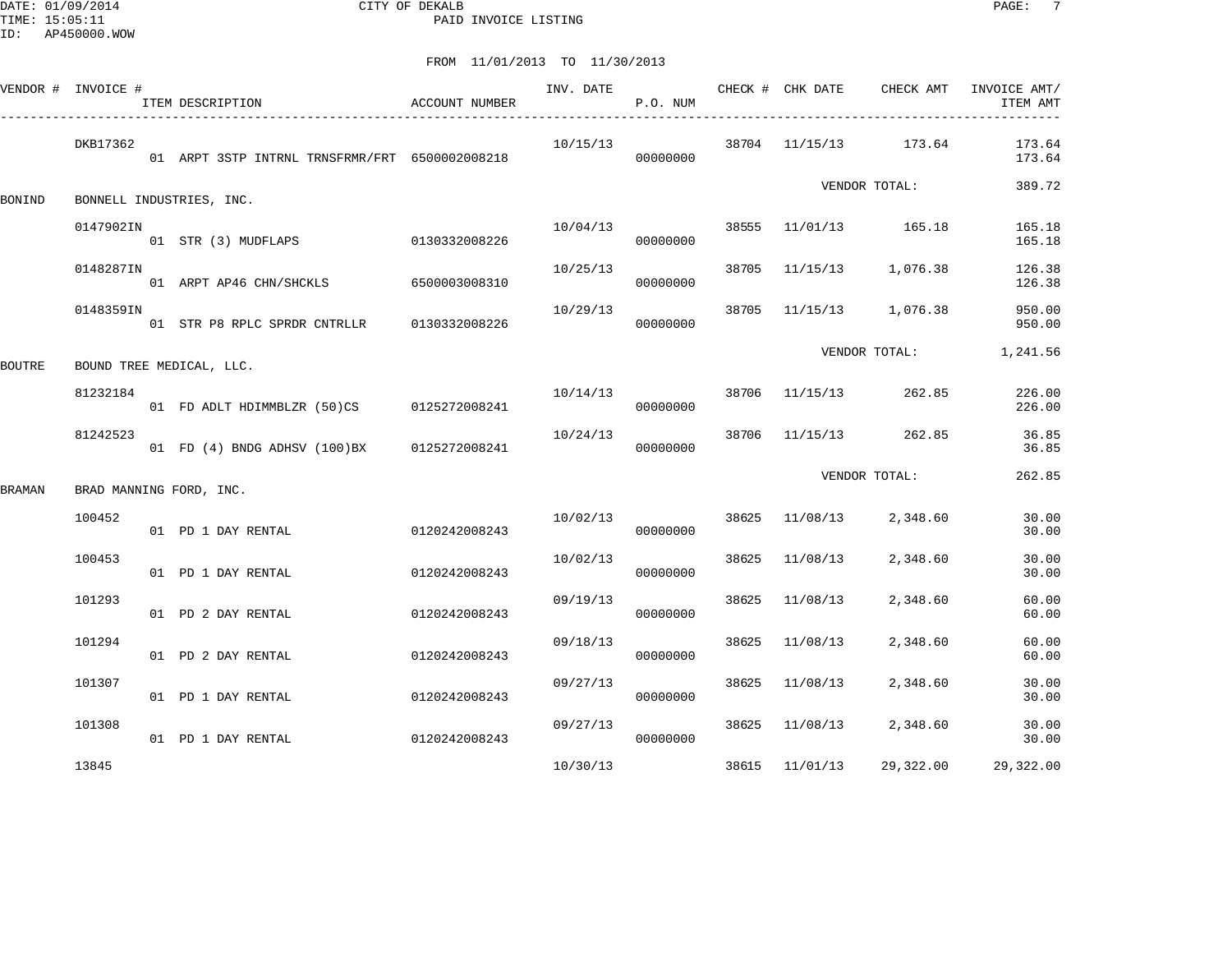DATE: 01/09/2014 CITY OF DEKALB PAGE: 7 PAID INVOICE LISTING

|        | VENDOR # INVOICE # | ITEM DESCRIPTION                               | <b>ACCOUNT NUMBER</b> | INV. DATE | P.O. NUM             |       | CHECK # CHK DATE | CHECK AMT               | INVOICE AMT/<br>ITEM AMT |
|--------|--------------------|------------------------------------------------|-----------------------|-----------|----------------------|-------|------------------|-------------------------|--------------------------|
|        | DKB17362           | 01 ARPT 3STP INTRNL TRNSFRMR/FRT 6500002008218 |                       | 10/15/13  | 00000000             |       |                  | 38704 11/15/13 173.64   | 173.64<br>173.64         |
| BONIND |                    | BONNELL INDUSTRIES, INC.                       |                       |           |                      |       |                  | VENDOR TOTAL:           | 389.72                   |
|        | 0147902IN          | 01 STR (3) MUDFLAPS 0130332008226              |                       |           | 10/04/13<br>00000000 |       |                  | 38555 11/01/13 165.18   | 165.18<br>165.18         |
|        | 0148287IN          | 01 ARPT AP46 CHN/SHCKLS 6500003008310          |                       | 10/25/13  | 00000000             |       |                  | 38705 11/15/13 1,076.38 | 126.38<br>126.38         |
|        | 0148359IN          | 01 STR P8 RPLC SPRDR CNTRLLR 0130332008226     |                       | 10/29/13  | 00000000             |       |                  | 38705 11/15/13 1,076.38 | 950.00<br>950.00         |
| BOUTRE |                    | BOUND TREE MEDICAL, LLC.                       |                       |           |                      |       |                  | VENDOR TOTAL:           | 1,241.56                 |
|        | 81232184           | 01 FD ADLT HDIMMBLZR (50)CS 0125272008241      |                       | 10/14/13  | 00000000             |       |                  | 38706 11/15/13 262.85   | 226.00<br>226.00         |
|        | 81242523           | 01 FD (4) BNDG ADHSV (100)BX 0125272008241     |                       | 10/24/13  | 00000000             |       |                  | 38706 11/15/13 262.85   | 36.85<br>36.85           |
| BRAMAN |                    | BRAD MANNING FORD, INC.                        |                       |           |                      |       |                  | VENDOR TOTAL:           | 262.85                   |
|        | 100452             | 01 PD 1 DAY RENTAL                             | 0120242008243         | 10/02/13  | 00000000             |       |                  | 38625 11/08/13 2,348.60 | 30.00<br>30.00           |
|        | 100453             | 01 PD 1 DAY RENTAL                             | 0120242008243         | 10/02/13  | 00000000             |       | 38625 11/08/13   | 2,348.60                | 30.00<br>30.00           |
|        | 101293             | 01 PD 2 DAY RENTAL                             | 0120242008243         | 09/19/13  | 00000000             | 38625 | 11/08/13         | 2,348.60                | 60.00<br>60.00           |
|        | 101294             | 01 PD 2 DAY RENTAL                             | 0120242008243         | 09/18/13  | 00000000             | 38625 | 11/08/13         | 2,348.60                | 60.00<br>60.00           |
|        | 101307             | 01 PD 1 DAY RENTAL                             | 0120242008243         | 09/27/13  | 00000000             |       | 38625 11/08/13   | 2,348.60                | 30.00<br>30.00           |
|        | 101308             | 01 PD 1 DAY RENTAL                             | 0120242008243         | 09/27/13  | 00000000             |       |                  | 38625 11/08/13 2,348.60 | 30.00<br>30.00           |
|        | 13845              |                                                |                       | 10/30/13  |                      |       | 38615 11/01/13   | 29,322.00               | 29,322.00                |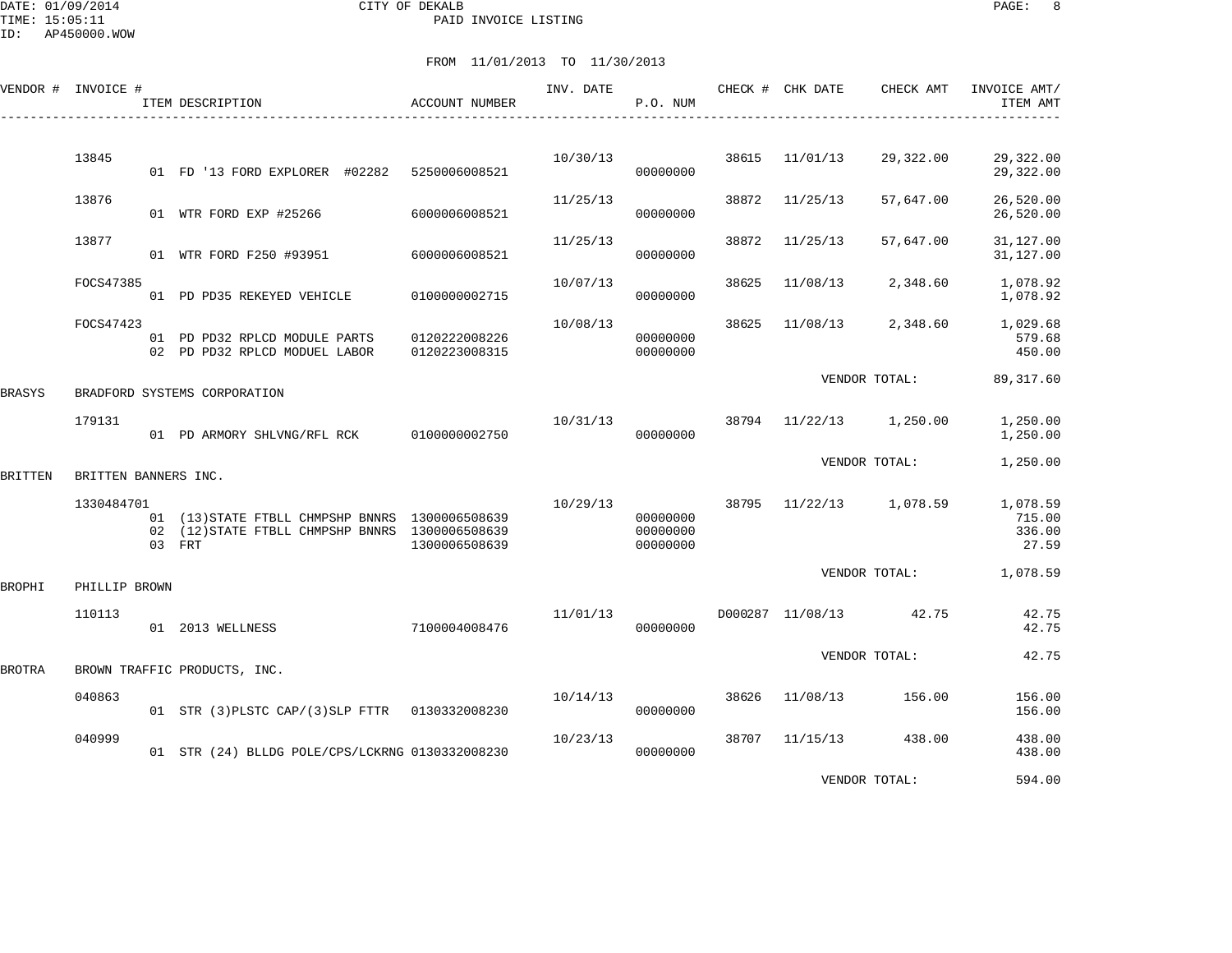DATE: 01/09/2014 CITY OF DEKALB PAGE: 8 PAID INVOICE LISTING

|         | VENDOR # INVOICE #   | ITEM DESCRIPTION                                                                                             | <b>ACCOUNT NUMBER</b>          | INV. DATE | P.O. NUM                         |       | CHECK # CHK DATE | CHECK AMT     | INVOICE AMT/<br>ITEM AMT              |
|---------|----------------------|--------------------------------------------------------------------------------------------------------------|--------------------------------|-----------|----------------------------------|-------|------------------|---------------|---------------------------------------|
|         | 13845                | 01 FD '13 FORD EXPLORER #02282                                                                               | 5250006008521                  | 10/30/13  | 00000000                         | 38615 | 11/01/13         | 29,322.00     | 29,322.00<br>29,322.00                |
|         | 13876                | 01 WTR FORD EXP #25266                                                                                       | 6000006008521                  | 11/25/13  | 00000000                         | 38872 | 11/25/13         | 57,647.00     | 26,520.00<br>26,520.00                |
|         | 13877                | 01 WTR FORD F250 #93951                                                                                      | 6000006008521                  | 11/25/13  | 00000000                         | 38872 | 11/25/13         | 57,647.00     | 31, 127.00<br>31,127.00               |
|         | FOCS47385            | 01 PD PD35 REKEYED VEHICLE                                                                                   | 0100000002715                  | 10/07/13  | 00000000                         | 38625 | 11/08/13         | 2,348.60      | 1,078.92<br>1,078.92                  |
|         | FOCS47423            | 01 PD PD32 RPLCD MODULE PARTS<br>02 PD PD32 RPLCD MODUEL LABOR                                               | 0120222008226<br>0120223008315 | 10/08/13  | 00000000<br>00000000             | 38625 | 11/08/13         | 2,348.60      | 1,029.68<br>579.68<br>450.00          |
| BRASYS  |                      | BRADFORD SYSTEMS CORPORATION                                                                                 |                                |           |                                  |       |                  | VENDOR TOTAL: | 89, 317.60                            |
|         | 179131               | 01 PD ARMORY SHLVNG/RFL RCK                                                                                  | 0100000002750                  | 10/31/13  | 00000000                         | 38794 | 11/22/13         | 1,250.00      | 1,250.00<br>1,250.00                  |
| BRITTEN | BRITTEN BANNERS INC. |                                                                                                              |                                |           |                                  |       |                  | VENDOR TOTAL: | 1,250.00                              |
|         | 1330484701           | 01 (13) STATE FTBLL CHMPSHP BNNRS 1300006508639<br>02 (12) STATE FTBLL CHMPSHP BNNRS 1300006508639<br>03 FRT | 1300006508639                  | 10/29/13  | 00000000<br>00000000<br>00000000 | 38795 | 11/22/13         | 1,078.59      | 1,078.59<br>715.00<br>336.00<br>27.59 |
| BROPHI  | PHILLIP BROWN        |                                                                                                              |                                |           |                                  |       |                  | VENDOR TOTAL: | 1,078.59                              |
|         | 110113               | 01 2013 WELLNESS                                                                                             | 7100004008476                  | 11/01/13  | 00000000                         |       | D000287 11/08/13 | 42.75         | 42.75<br>42.75                        |
| BROTRA  |                      | BROWN TRAFFIC PRODUCTS, INC.                                                                                 |                                |           |                                  |       |                  | VENDOR TOTAL: | 42.75                                 |
|         | 040863               | 01 STR (3) PLSTC CAP/(3) SLP FTTR 0130332008230                                                              |                                | 10/14/13  | 00000000                         | 38626 | 11/08/13         | 156.00        | 156.00<br>156.00                      |
|         | 040999               | 01 STR (24) BLLDG POLE/CPS/LCKRNG 0130332008230                                                              |                                | 10/23/13  | 00000000                         | 38707 | 11/15/13         | 438.00        | 438.00<br>438.00                      |
|         |                      |                                                                                                              |                                |           |                                  |       |                  | VENDOR TOTAL: | 594.00                                |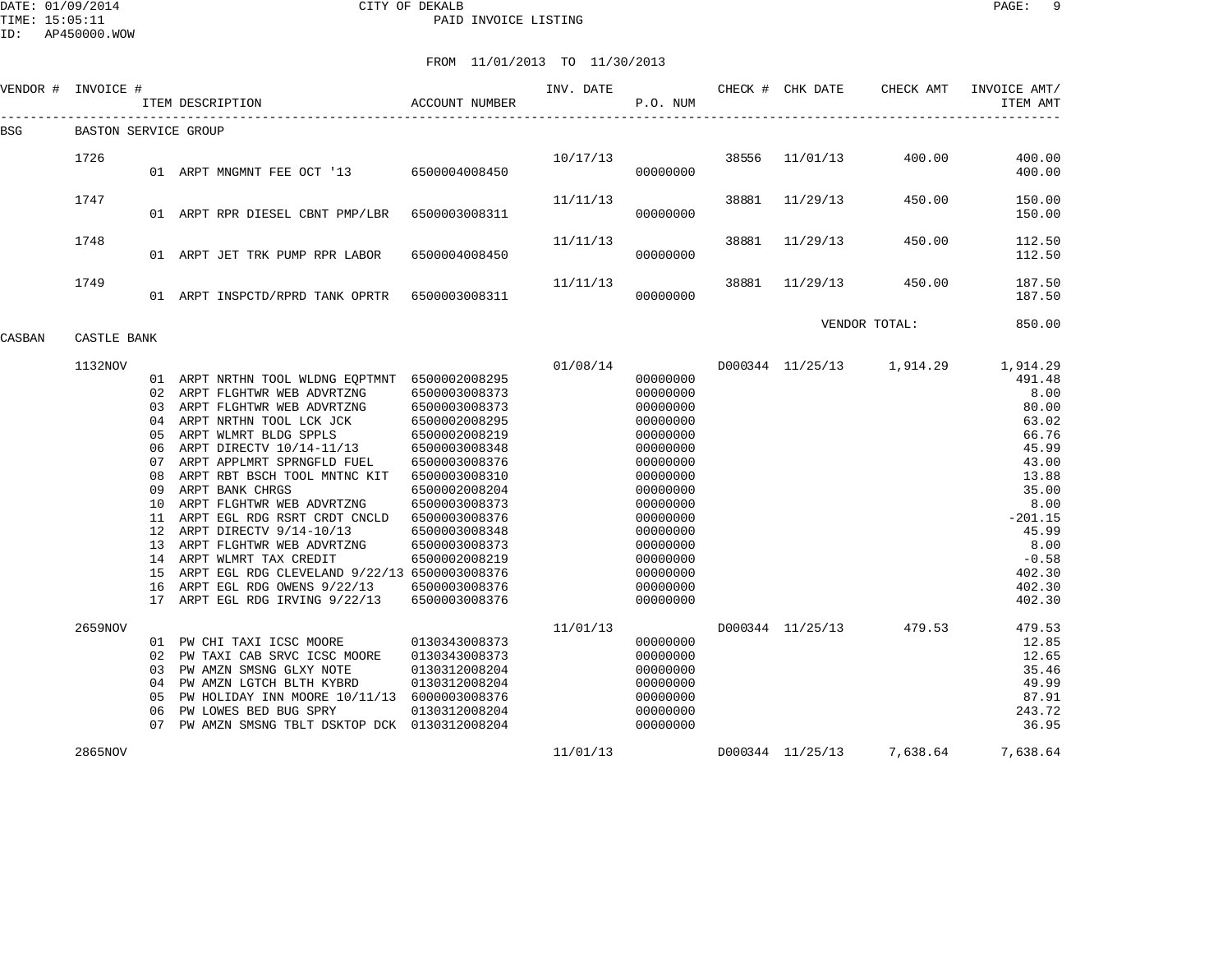DATE: 01/09/2014 CITY OF DEKALB PAGE: 9 PAID INVOICE LISTING

ID: AP450000.WOW

| VENDOR # | INVOICE #            |                                        | ITEM DESCRIPTION                                                                                                                                                                                                                                                                                                                                                                                                                                                                                                                                                | <b>ACCOUNT NUMBER</b>                                                                                                                                                                                                                                       | INV. DATE | P.O. NUM                                                                                                                                                                                                 |       | CHECK # CHK DATE | CHECK AMT                 | INVOICE AMT/<br>ITEM AMT                                                                                                                                                 |
|----------|----------------------|----------------------------------------|-----------------------------------------------------------------------------------------------------------------------------------------------------------------------------------------------------------------------------------------------------------------------------------------------------------------------------------------------------------------------------------------------------------------------------------------------------------------------------------------------------------------------------------------------------------------|-------------------------------------------------------------------------------------------------------------------------------------------------------------------------------------------------------------------------------------------------------------|-----------|----------------------------------------------------------------------------------------------------------------------------------------------------------------------------------------------------------|-------|------------------|---------------------------|--------------------------------------------------------------------------------------------------------------------------------------------------------------------------|
| BSG      | BASTON SERVICE GROUP |                                        |                                                                                                                                                                                                                                                                                                                                                                                                                                                                                                                                                                 |                                                                                                                                                                                                                                                             |           |                                                                                                                                                                                                          |       |                  |                           |                                                                                                                                                                          |
|          | 1726                 |                                        | 01 ARPT MNGMNT FEE OCT '13 6500004008450                                                                                                                                                                                                                                                                                                                                                                                                                                                                                                                        |                                                                                                                                                                                                                                                             | 10/17/13  | 00000000                                                                                                                                                                                                 | 38556 | 11/01/13         | 400.00                    | 400.00<br>400.00                                                                                                                                                         |
|          | 1747                 |                                        | 01 ARPT RPR DIESEL CBNT PMP/LBR                                                                                                                                                                                                                                                                                                                                                                                                                                                                                                                                 | 6500003008311                                                                                                                                                                                                                                               | 11/11/13  | 00000000                                                                                                                                                                                                 | 38881 | 11/29/13         | 450.00                    | 150.00<br>150.00                                                                                                                                                         |
|          | 1748                 |                                        | 01 ARPT JET TRK PUMP RPR LABOR                                                                                                                                                                                                                                                                                                                                                                                                                                                                                                                                  | 6500004008450                                                                                                                                                                                                                                               | 11/11/13  | 00000000                                                                                                                                                                                                 | 38881 | 11/29/13         | 450.00                    | 112.50<br>112.50                                                                                                                                                         |
|          | 1749                 |                                        | 01 ARPT INSPCTD/RPRD TANK OPRTR 6500003008311                                                                                                                                                                                                                                                                                                                                                                                                                                                                                                                   |                                                                                                                                                                                                                                                             | 11/11/13  | 00000000                                                                                                                                                                                                 | 38881 | 11/29/13         | 450.00                    | 187.50<br>187.50                                                                                                                                                         |
| CASBAN   | CASTLE BANK          |                                        |                                                                                                                                                                                                                                                                                                                                                                                                                                                                                                                                                                 |                                                                                                                                                                                                                                                             |           |                                                                                                                                                                                                          |       |                  | VENDOR TOTAL:             | 850.00                                                                                                                                                                   |
|          | 1132NOV              | 04<br>05<br>06<br>08<br>09<br>15<br>16 | 01 ARPT NRTHN TOOL WLDNG EQPTMNT 6500002008295<br>02 ARPT FLGHTWR WEB ADVRTZNG<br>03 ARPT FLGHTWR WEB ADVRTZNG<br>ARPT NRTHN TOOL LCK JCK<br>ARPT WLMRT BLDG SPPLS<br>ARPT DIRECTV 10/14-11/13<br>07 ARPT APPLMRT SPRNGFLD FUEL<br>ARPT RBT BSCH TOOL MNTNC KIT<br>ARPT BANK CHRGS<br>10 ARPT FLGHTWR WEB ADVRTZNG<br>11 ARPT EGL RDG RSRT CRDT CNCLD<br>12 ARPT DIRECTV 9/14-10/13<br>13 ARPT FLGHTWR WEB ADVRTZNG<br>14 ARPT WLMRT TAX CREDIT<br>ARPT EGL RDG CLEVELAND 9/22/13 6500003008376<br>ARPT EGL RDG OWENS 9/22/13<br>17 ARPT EGL RDG IRVING 9/22/13 | 6500003008373<br>6500003008373<br>6500002008295<br>6500002008219<br>6500003008348<br>6500003008376<br>6500003008310<br>6500002008204<br>6500003008373<br>6500003008376<br>6500003008348<br>6500003008373<br>6500002008219<br>6500003008376<br>6500003008376 | 01/08/14  | 00000000<br>00000000<br>00000000<br>00000000<br>00000000<br>00000000<br>00000000<br>00000000<br>00000000<br>00000000<br>00000000<br>00000000<br>00000000<br>00000000<br>00000000<br>00000000<br>00000000 |       | D000344 11/25/13 | 1,914.29                  | 1,914.29<br>491.48<br>8.00<br>80.00<br>63.02<br>66.76<br>45.99<br>43.00<br>13.88<br>35.00<br>8.00<br>$-201.15$<br>45.99<br>8.00<br>$-0.58$<br>402.30<br>402.30<br>402.30 |
|          | 2659NOV              | 05<br>06                               | 01 PW CHI TAXI ICSC MOORE<br>02 PW TAXI CAB SRVC ICSC MOORE<br>03 PW AMZN SMSNG GLXY NOTE<br>04 PW AMZN LGTCH BLTH KYBRD<br>PW HOLIDAY INN MOORE 10/11/13 6000003008376<br>PW LOWES BED BUG SPRY<br>07 PW AMZN SMSNG TBLT DSKTOP DCK 0130312008204                                                                                                                                                                                                                                                                                                              | 0130343008373<br>0130343008373<br>0130312008204<br>0130312008204<br>0130312008204                                                                                                                                                                           | 11/01/13  | 00000000<br>00000000<br>00000000<br>00000000<br>00000000<br>00000000<br>00000000                                                                                                                         |       | D000344 11/25/13 | 479.53                    | 479.53<br>12.85<br>12.65<br>35.46<br>49.99<br>87.91<br>243.72<br>36.95                                                                                                   |
|          | 2865NOV              |                                        |                                                                                                                                                                                                                                                                                                                                                                                                                                                                                                                                                                 |                                                                                                                                                                                                                                                             | 11/01/13  |                                                                                                                                                                                                          |       |                  | D000344 11/25/13 7,638.64 | 7,638.64                                                                                                                                                                 |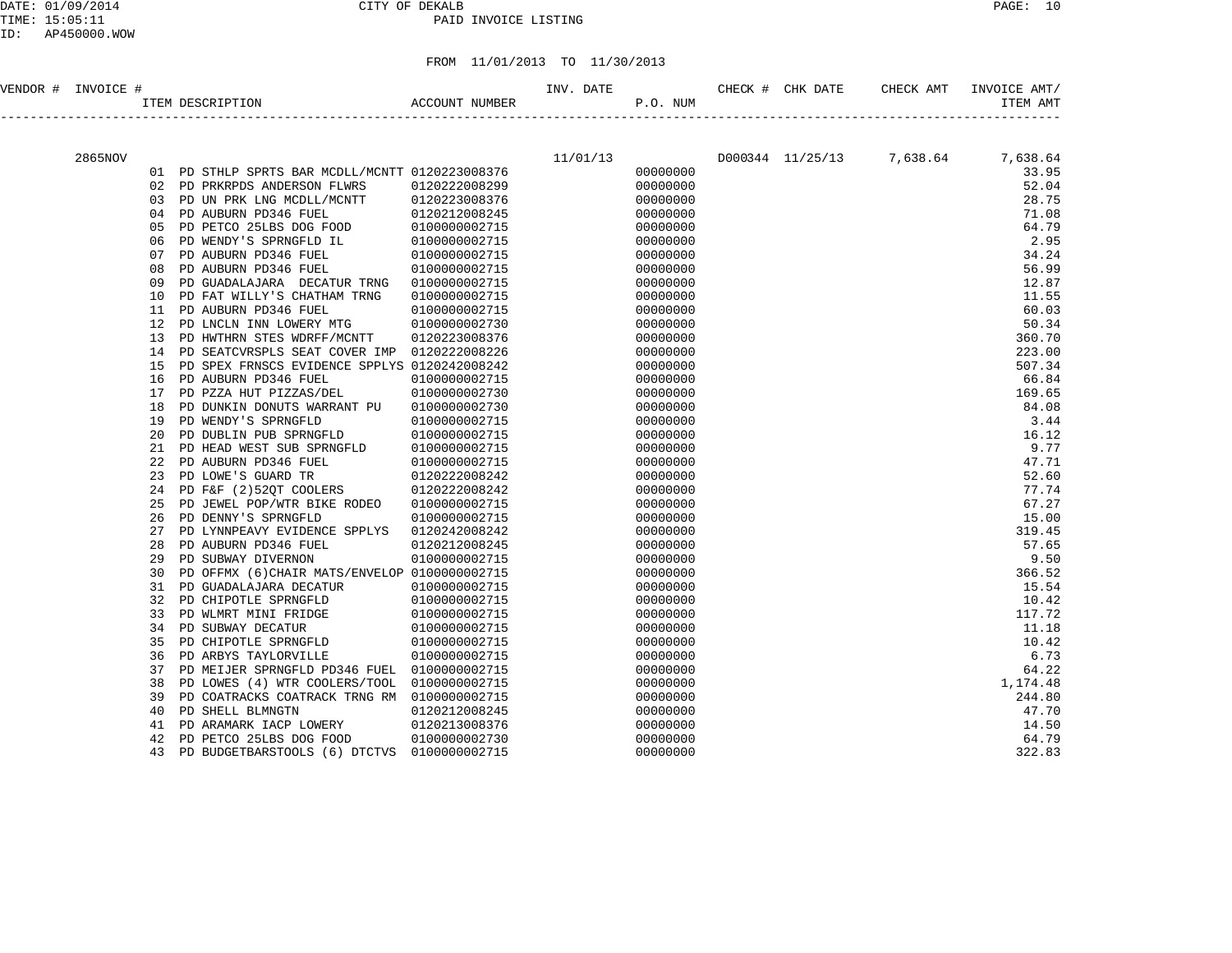# DATE: 01/09/2014 CITY OF DEKALB PAGE: 10 PAID INVOICE LISTING

| VENDOR # | INVOICE # |    | ACCOUNT NUMBER<br>ITEM DESCRIPTION              |               | INV. DATE | P.O. NUM | CHECK # CHK DATE | CHECK AMT                          | INVOICE AMT/<br>ITEM AMT |
|----------|-----------|----|-------------------------------------------------|---------------|-----------|----------|------------------|------------------------------------|--------------------------|
|          |           |    |                                                 |               |           |          |                  |                                    |                          |
|          | 2865NOV   |    |                                                 |               | 11/01/13  |          |                  | D000344 11/25/13 7,638.64 7,638.64 |                          |
|          |           |    | 01 PD STHLP SPRTS BAR MCDLL/MCNTT 0120223008376 |               |           | 00000000 |                  |                                    | 33.95                    |
|          |           | 02 | PD PRKRPDS ANDERSON FLWRS                       | 0120222008299 |           | 00000000 |                  |                                    | 52.04                    |
|          |           | 03 | PD UN PRK LNG MCDLL/MCNTT                       | 0120223008376 |           | 00000000 |                  |                                    | 28.75                    |
|          |           | 04 | PD AUBURN PD346 FUEL                            | 0120212008245 |           | 00000000 |                  |                                    | 71.08                    |
|          |           | 05 | PD PETCO 25LBS DOG FOOD                         | 0100000002715 |           | 00000000 |                  |                                    | 64.79                    |
|          |           | 06 | PD WENDY'S SPRNGFLD IL                          | 0100000002715 |           | 00000000 |                  |                                    | 2.95                     |
|          |           | 07 | PD AUBURN PD346 FUEL                            | 0100000002715 |           | 00000000 |                  |                                    | 34.24                    |
|          |           | 08 | PD AUBURN PD346 FUEL                            | 0100000002715 |           | 00000000 |                  |                                    | 56.99                    |
|          |           | 09 | PD GUADALAJARA DECATUR TRNG                     | 0100000002715 |           | 00000000 |                  |                                    | 12.87                    |
|          |           | 10 | PD FAT WILLY'S CHATHAM TRNG                     | 0100000002715 |           | 00000000 |                  |                                    | 11.55                    |
|          |           | 11 | PD AUBURN PD346 FUEL                            | 0100000002715 |           | 00000000 |                  |                                    | 60.03                    |
|          |           | 12 | PD LNCLN INN LOWERY MTG                         | 0100000002730 |           | 00000000 |                  |                                    | 50.34                    |
|          |           | 13 | PD HWTHRN STES WDRFF/MCNTT                      | 0120223008376 |           | 00000000 |                  |                                    | 360.70                   |
|          |           | 14 | PD SEATCVRSPLS SEAT COVER IMP 0120222008226     |               |           | 00000000 |                  |                                    | 223.00                   |
|          |           | 15 | PD SPEX FRNSCS EVIDENCE SPPLYS 0120242008242    |               |           | 00000000 |                  |                                    | 507.34                   |
|          |           | 16 | PD AUBURN PD346 FUEL                            | 0100000002715 |           | 00000000 |                  |                                    | 66.84                    |
|          |           | 17 | PD PZZA HUT PIZZAS/DEL                          | 0100000002730 |           | 00000000 |                  |                                    | 169.65                   |
|          |           | 18 | PD DUNKIN DONUTS WARRANT PU                     | 0100000002730 |           | 00000000 |                  |                                    | 84.08                    |
|          |           | 19 | PD WENDY'S SPRNGFLD                             | 0100000002715 |           | 00000000 |                  |                                    | 3.44                     |
|          |           | 20 | PD DUBLIN PUB SPRNGFLD                          | 0100000002715 |           | 00000000 |                  |                                    | 16.12                    |
|          |           | 21 | PD HEAD WEST SUB SPRNGFLD                       | 0100000002715 |           | 00000000 |                  |                                    | 9.77                     |
|          |           | 22 | PD AUBURN PD346 FUEL                            | 0100000002715 |           | 00000000 |                  |                                    | 47.71                    |
|          |           | 23 | PD LOWE'S GUARD TR                              | 0120222008242 |           | 00000000 |                  |                                    | 52.60                    |
|          |           | 24 | PD F&F (2)52QT COOLERS                          | 0120222008242 |           | 00000000 |                  |                                    | 77.74                    |
|          |           | 25 | PD JEWEL POP/WTR BIKE RODEO                     | 0100000002715 |           | 00000000 |                  |                                    | 67.27                    |
|          |           | 26 | PD DENNY'S SPRNGFLD                             | 0100000002715 |           | 00000000 |                  |                                    | 15.00                    |
|          |           | 27 | PD LYNNPEAVY EVIDENCE SPPLYS                    | 0120242008242 |           | 00000000 |                  |                                    | 319.45                   |
|          |           | 28 | PD AUBURN PD346 FUEL                            | 0120212008245 |           | 00000000 |                  |                                    | 57.65                    |
|          |           | 29 | PD SUBWAY DIVERNON                              | 0100000002715 |           | 00000000 |                  |                                    | 9.50                     |
|          |           | 30 | PD OFFMX (6) CHAIR MATS/ENVELOP 0100000002715   |               |           | 00000000 |                  |                                    | 366.52                   |
|          |           | 31 | PD GUADALAJARA DECATUR                          | 0100000002715 |           | 00000000 |                  |                                    | 15.54                    |
|          |           | 32 | PD CHIPOTLE SPRNGFLD                            | 0100000002715 |           | 00000000 |                  |                                    | 10.42                    |
|          |           | 33 | PD WLMRT MINI FRIDGE                            | 0100000002715 |           | 00000000 |                  |                                    | 117.72                   |
|          |           | 34 | PD SUBWAY DECATUR                               | 0100000002715 |           | 00000000 |                  |                                    | 11.18                    |
|          |           | 35 | PD CHIPOTLE SPRNGFLD                            | 0100000002715 |           | 00000000 |                  |                                    | 10.42                    |
|          |           | 36 | PD ARBYS TAYLORVILLE                            | 0100000002715 |           | 00000000 |                  |                                    | 6.73                     |
|          |           | 37 | PD MEIJER SPRNGFLD PD346 FUEL 0100000002715     |               |           | 00000000 |                  |                                    | 64.22                    |
|          |           | 38 | PD LOWES (4) WTR COOLERS/TOOL                   | 0100000002715 |           | 00000000 |                  |                                    | 1,174.48                 |
|          |           | 39 | PD COATRACKS COATRACK TRNG RM 0100000002715     |               |           | 00000000 |                  |                                    | 244.80                   |
|          |           | 40 | PD SHELL BLMNGTN                                | 0120212008245 |           | 00000000 |                  |                                    | 47.70                    |
|          |           | 41 | PD ARAMARK IACP LOWERY                          | 0120213008376 |           | 00000000 |                  |                                    | 14.50                    |
|          |           | 42 | PD PETCO 25LBS DOG FOOD                         | 0100000002730 |           | 00000000 |                  |                                    | 64.79                    |
|          |           | 43 | PD BUDGETBARSTOOLS (6) DTCTVS                   | 0100000002715 |           | 00000000 |                  |                                    | 322.83                   |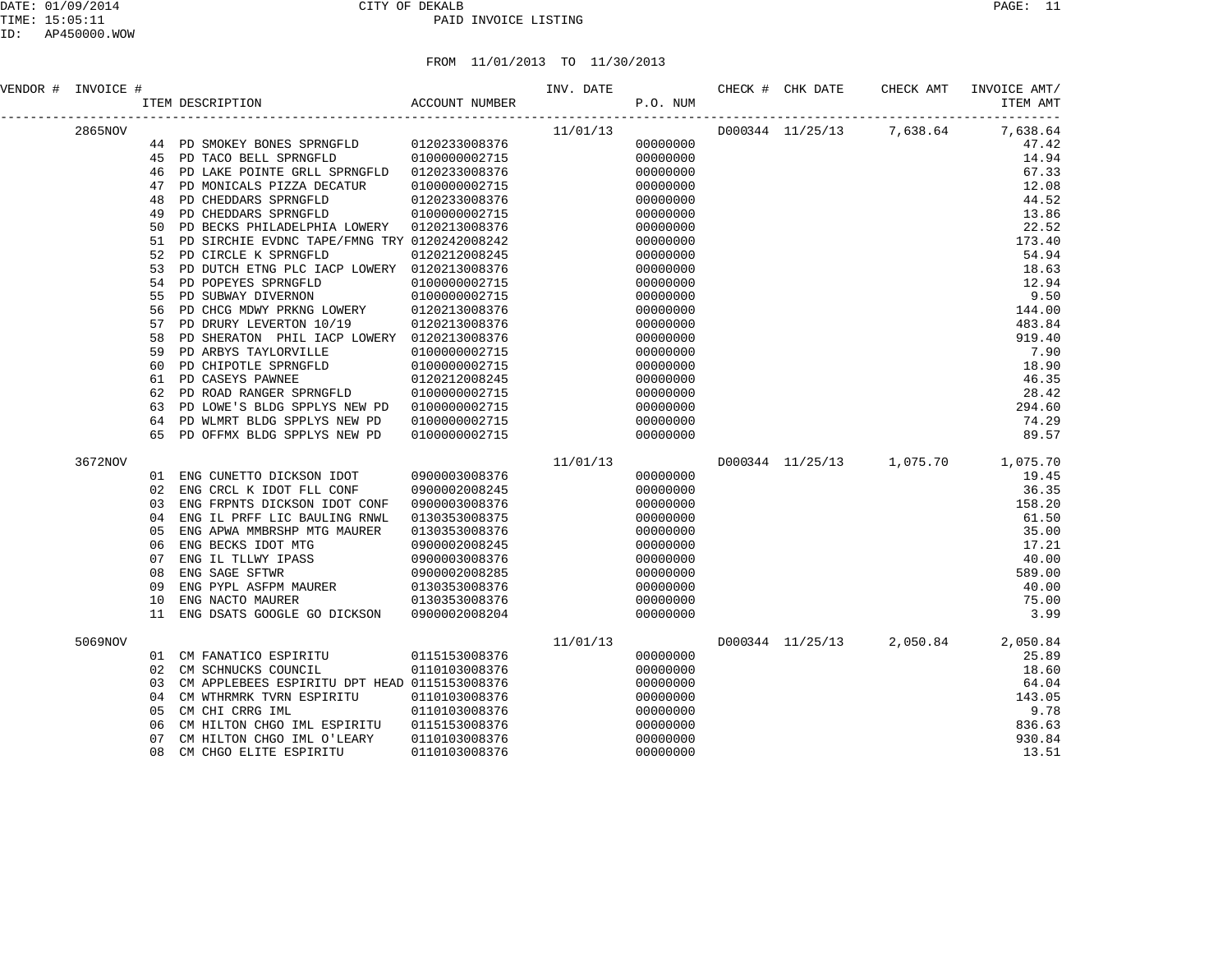### DATE: 01/09/2014 CITY OF DEKALB PAGE: 11 PAID INVOICE LISTING

| VENDOR # INVOICE # |    | <b>ACCOUNT NUMBER</b><br>ITEM DESCRIPTION                                                                                                                                                 |               | INV. DATE<br>P.O. NUM |          | CHECK # CHK DATE | CHECK AMT                              | INVOICE AMT/<br>ITEM AMT |
|--------------------|----|-------------------------------------------------------------------------------------------------------------------------------------------------------------------------------------------|---------------|-----------------------|----------|------------------|----------------------------------------|--------------------------|
| 2865NOV            |    |                                                                                                                                                                                           |               | 11/01/13              |          |                  | $D000344$ $11/25/13$ 7,638.64 7,638.64 | -----                    |
|                    |    | 44 PD SMOKEY BONES SPRNGFLD 0120233008376                                                                                                                                                 |               |                       | 00000000 |                  |                                        | 47.42                    |
|                    | 45 | PD TACO BELL SPRNGFLD                                                                                                                                                                     | 0100000002715 |                       | 00000000 |                  |                                        | 14.94                    |
|                    | 46 | PD LAKE POINTE GRLL SPRNGFLD 0120233008376                                                                                                                                                |               |                       | 00000000 |                  |                                        | 67.33                    |
|                    | 47 | PD MONICALS PIZZA DECATUR                                                                                                                                                                 | 0100000002715 |                       | 00000000 |                  |                                        | 12.08                    |
|                    | 48 | PD CHEDDARS SPRNGFLD                                                                                                                                                                      | 0120233008376 |                       | 00000000 |                  |                                        | 44.52                    |
|                    | 49 | PD CHEDDARS SPRNGFLD                                                                                                                                                                      | 0100000002715 |                       | 00000000 |                  |                                        | 13.86                    |
|                    | 50 | PD BECKS PHILADELPHIA LOWERY                                                                                                                                                              | 0120213008376 |                       | 00000000 |                  |                                        | 22.52                    |
|                    | 51 | PD SIRCHIE EVDNC TAPE/FMNG TRY 0120242008242                                                                                                                                              |               |                       | 00000000 |                  |                                        | 173.40                   |
|                    | 52 | PD CIRCLE K SPRNGFLD                                                                                                                                                                      | 0120212008245 |                       | 00000000 |                  |                                        | 54.94                    |
|                    | 53 | PD DUTCH ETNG PLC IACP LOWERY 0120213008376                                                                                                                                               |               |                       | 00000000 |                  |                                        | 18.63                    |
|                    | 54 |                                                                                                                                                                                           |               |                       | 00000000 |                  |                                        | 12.94                    |
|                    | 55 |                                                                                                                                                                                           |               |                       | 00000000 |                  |                                        | 9.50                     |
|                    | 56 | PD POPEYES SPRNGFLD 0100000002715<br>PD SUBWAY DIVERNON 010000002715<br>PD CHCG MDWY PRKNG LOWERY 0120213008376                                                                           |               |                       | 00000000 |                  |                                        | 144.00                   |
|                    | 57 | PD DRURY LEVERTON 10/19                                                                                                                                                                   | 0120213008376 |                       | 00000000 |                  |                                        | 483.84                   |
|                    | 58 | PD SHERATON PHIL IACP LOWERY 0120213008376                                                                                                                                                |               |                       | 00000000 |                  |                                        | 919.40                   |
|                    | 59 |                                                                                                                                                                                           |               |                       | 00000000 |                  |                                        | 7.90                     |
|                    | 60 |                                                                                                                                                                                           |               |                       | 00000000 |                  |                                        | 18.90                    |
|                    | 61 | PD ARBYS TAYLORVILLE 0100000002715<br>PD CHIPOTLE SPRNGFLD 010000002715<br>PD CASEYS PAWNEE 0120212008245<br>PD ROAD RANGER SPRNGFLD 010000002715<br>PD ROAD RANGER SPRNGFLD 010000002715 |               |                       | 00000000 |                  |                                        | 46.35                    |
|                    | 62 |                                                                                                                                                                                           |               |                       | 00000000 |                  |                                        | 28.42                    |
|                    | 63 | PD LOWE'S BLDG SPPLYS NEW PD 0100000002715                                                                                                                                                |               |                       | 00000000 |                  |                                        | 294.60                   |
|                    | 64 | PD WLMRT BLDG SPPLYS NEW PD                                                                                                                                                               | 0100000002715 |                       | 00000000 |                  |                                        | 74.29                    |
|                    | 65 | PD OFFMX BLDG SPPLYS NEW PD                                                                                                                                                               | 0100000002715 |                       | 00000000 |                  |                                        | 89.57                    |
| 3672NOV            |    |                                                                                                                                                                                           |               |                       |          |                  | D000344 11/25/13 1,075.70 1,075.70     |                          |
|                    | 01 | ENG CUNETTO DICKSON IDOT                                                                                                                                                                  | 0900003008376 | 11/01/13              | 00000000 |                  |                                        | 19.45                    |
|                    | 02 | ENG CRCL K IDOT FLL CONF                                                                                                                                                                  | 0900002008245 |                       | 00000000 |                  |                                        | 36.35                    |
|                    | 03 | ENG FRPNTS DICKSON IDOT CONF                                                                                                                                                              | 0900003008376 |                       | 00000000 |                  |                                        | 158.20                   |
|                    | 04 | ENG IL PRFF LIC BAULING RNWL                                                                                                                                                              | 0130353008375 |                       | 00000000 |                  |                                        | 61.50                    |
|                    | 05 | ENG APWA MMBRSHP MTG MAURER                                                                                                                                                               | 0130353008376 |                       | 00000000 |                  |                                        | 35.00                    |
|                    | 06 |                                                                                                                                                                                           |               |                       | 00000000 |                  |                                        | 17.21                    |
|                    | 07 |                                                                                                                                                                                           |               |                       | 00000000 |                  |                                        | 40.00                    |
|                    | 08 | ENG BECKS IDOT MTG<br>ENG BECKS IDOT MTG<br>ENG IL TLLWY IPASS 0900003008376<br>ENG SAGE SFTWR 0900002008285<br>ENG PYPL ASFPM MAURER 0130353008376<br>ENG NACTO MAURER 0130353008376     |               |                       | 00000000 |                  |                                        | 589.00                   |
|                    | 09 |                                                                                                                                                                                           |               |                       | 00000000 |                  |                                        | 40.00                    |
|                    | 10 |                                                                                                                                                                                           |               |                       | 00000000 |                  |                                        | 75.00                    |
|                    | 11 | ENG DSATS GOOGLE GO DICKSON 0900002008204                                                                                                                                                 |               |                       | 00000000 |                  |                                        | 3.99                     |
| 5069NOV            |    |                                                                                                                                                                                           |               | 11/01/13              |          |                  | D000344 11/25/13 2,050.84 2,050.84     |                          |
|                    |    | 01 CM FANATICO ESPIRITU 0115153008376                                                                                                                                                     |               |                       | 00000000 |                  |                                        | 25.89                    |
|                    | 02 | CM SCHNUCKS COUNCIL                                                                                                                                                                       | 0110103008376 |                       | 00000000 |                  |                                        | 18.60                    |
|                    | 03 | CM APPLEBEES ESPIRITU DPT HEAD 0115153008376                                                                                                                                              |               |                       | 00000000 |                  |                                        | 64.04                    |
|                    | 04 | CM WTHRMRK TVRN ESPIRITU                                                                                                                                                                  | 0110103008376 |                       | 00000000 |                  |                                        | 143.05                   |
|                    | 05 | CM CHI CRRG IML                                                                                                                                                                           | 0110103008376 |                       | 00000000 |                  |                                        | 9.78                     |
|                    | 06 | CM HILTON CHGO IML ESPIRITU                                                                                                                                                               | 0115153008376 |                       | 00000000 |                  |                                        | 836.63                   |
|                    | 07 | CM HILTON CHGO IML O'LEARY                                                                                                                                                                | 0110103008376 |                       | 00000000 |                  |                                        | 930.84                   |
|                    | 08 | CM CHGO ELITE ESPIRITU                                                                                                                                                                    | 0110103008376 |                       | 00000000 |                  |                                        | 13.51                    |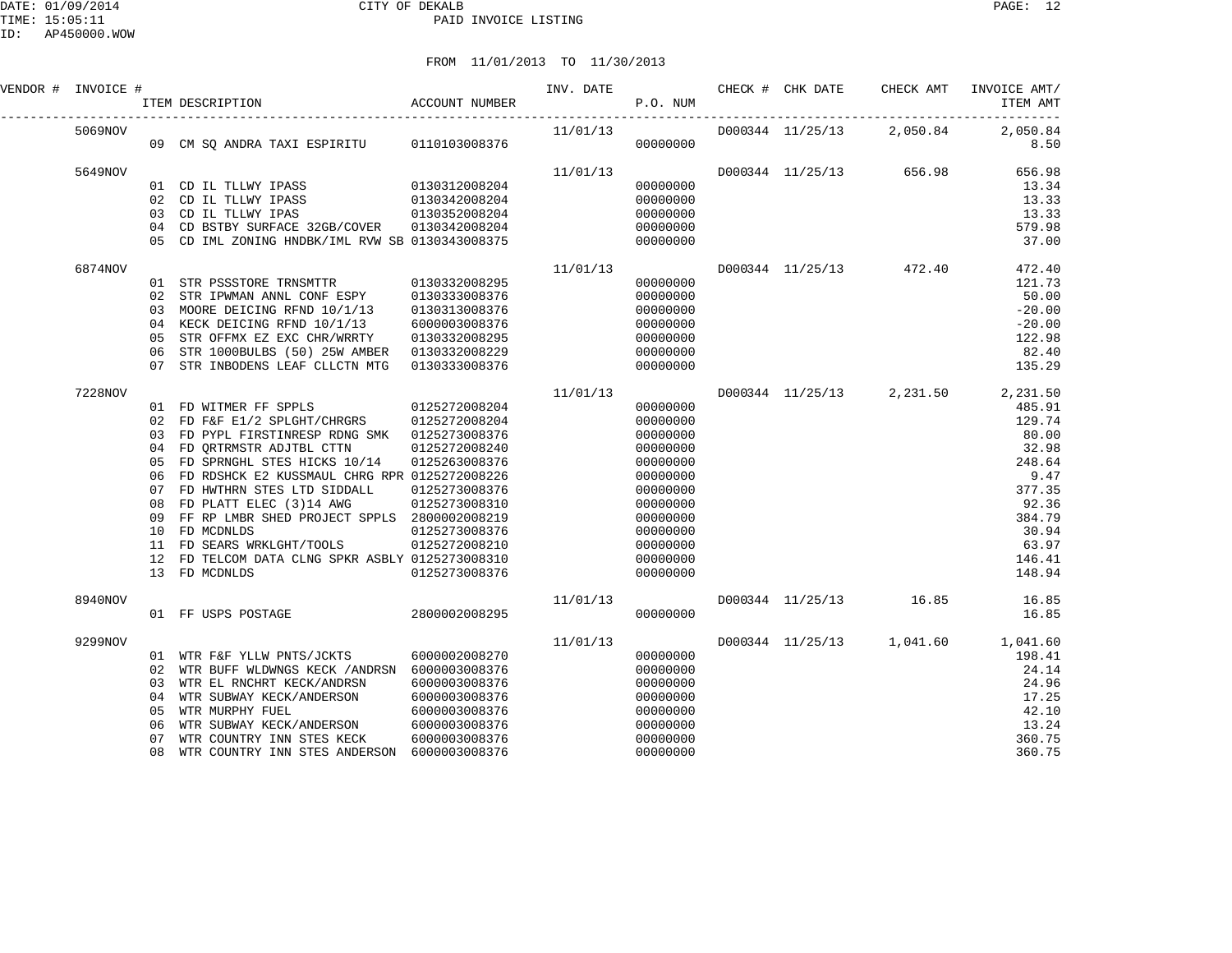| VENDOR # INVOICE # |    |                                                                                                                                  |               |                                 |                      |  |                         |                                    |
|--------------------|----|----------------------------------------------------------------------------------------------------------------------------------|---------------|---------------------------------|----------------------|--|-------------------------|------------------------------------|
| 5069NOV            |    |                                                                                                                                  |               |                                 |                      |  |                         | D000344 11/25/13 2,050.84 2,050.84 |
|                    |    |                                                                                                                                  |               |                                 |                      |  |                         | 8.50                               |
| 5649NOV            |    |                                                                                                                                  |               | 11/01/13                        |                      |  |                         | D000344 11/25/13 656.98 656.98     |
|                    |    | 01 CD IL TLLWY IPASS 0130312008204<br>02 CD IL TLLWY IPASS 0130342008204<br>03 CD IL TLLWY IPAS 0130352008204                    |               |                                 | 00000000             |  |                         | 13.34                              |
|                    |    |                                                                                                                                  |               |                                 | 00000000             |  |                         | 13.33                              |
|                    |    |                                                                                                                                  |               |                                 | 00000000             |  |                         | 13.33                              |
|                    |    | 04 CD BSTBY SURFACE 32GB/COVER 0130342008204                                                                                     |               |                                 | 00000000             |  |                         | 579.98                             |
|                    |    | 05 CD IML ZONING HNDBK/IML RVW SB 0130343008375                                                                                  |               |                                 | 00000000             |  |                         | 37.00                              |
| 6874NOV            |    |                                                                                                                                  |               | 11/01/13                        |                      |  | D000344 11/25/13 472.40 | 472.40                             |
|                    |    |                                                                                                                                  |               |                                 | 00000000             |  |                         | 121.73                             |
|                    |    |                                                                                                                                  |               |                                 | 00000000             |  |                         | 50.00                              |
|                    |    | 03 MOORE DEICING RFND 10/1/13                                                                                                    | 0130313008376 |                                 | 00000000             |  |                         | $-20.00$                           |
|                    |    | 04 KECK DEICING RFND 10/1/13                                                                                                     | 6000003008376 |                                 | 00000000             |  |                         | $-20.00$                           |
|                    | 05 | STR OFFMX EZ EXC CHR/WRRTY                                                                                                       | 0130332008295 |                                 | 00000000             |  |                         | 122.98                             |
|                    | 06 | STR 1000BULBS (50) 25W AMBER 0130332008229                                                                                       |               |                                 | 00000000             |  |                         | 82.40                              |
|                    |    | 07 STR INBODENS LEAF CLLCTN MTG                                                                                                  | 0130333008376 |                                 | 00000000             |  |                         | 135.29                             |
| 7228NOV            |    |                                                                                                                                  |               | $11/01/13$ 00000000<br>00000000 |                      |  |                         | D000344 11/25/13 2,231.50 2,231.50 |
|                    |    | 01 FD WITMER FF SPPLS 0125272008204                                                                                              |               |                                 |                      |  |                         | 485.91                             |
|                    |    | 02 FD F&F E1/2 SPLGHT/CHRGRS 0125272008204                                                                                       |               |                                 |                      |  |                         | 129.74                             |
|                    |    | 03 FD PYPL FIRSTINRESP RDNG SMK 0125273008376                                                                                    |               |                                 | 00000000             |  |                         | 80.00                              |
|                    |    | 04 FD ORTRMSTR ADJTBL CTTN                                                                                                       | 0125272008240 |                                 | 00000000             |  |                         | 32.98                              |
|                    |    | 05 FD SPRNGHL STES HICKS 10/14                                                                                                   | 0125263008376 |                                 | 00000000             |  |                         | 248.64                             |
|                    | 06 | FD RDSHCK E2 KUSSMAUL CHRG RPR 0125272008226                                                                                     |               |                                 | 00000000             |  |                         | 9.47                               |
|                    | 07 | FD HWTHRN STES LTD SIDDALL                                                                                                       | 0125273008376 |                                 | 00000000             |  |                         | 377.35                             |
|                    | 08 | FD PLATT ELEC (3)14 AWG 0125273008310                                                                                            |               |                                 | 00000000             |  |                         | 92.36                              |
|                    | 09 | FF RP LMBR SHED PROJECT SPPLS 2800002008219                                                                                      |               |                                 | 00000000             |  |                         | 384.79                             |
|                    |    | 10 FD MCDNLDS                                                                                                                    | 0125273008376 |                                 | 00000000             |  |                         | 30.94                              |
|                    |    | 11 FD SEARS WRKLGHT/TOOLS 0125272008210                                                                                          |               |                                 | 00000000             |  |                         | 63.97                              |
|                    |    | 12 FD TELCOM DATA CLNG SPKR ASBLY 0125273008310<br>13 FD MCDNLDS                                                                 | 0125273008376 |                                 | 00000000<br>00000000 |  |                         | 146.41<br>148.94                   |
|                    |    |                                                                                                                                  |               |                                 |                      |  |                         |                                    |
| 8940NOV            |    |                                                                                                                                  |               | 11/01/13                        |                      |  |                         | D000344 11/25/13 16.85 16.85       |
|                    |    | 01 FF USPS POSTAGE 2800002008295                                                                                                 |               |                                 | 00000000             |  |                         | 16.85                              |
| 9299NOV            |    |                                                                                                                                  |               | 11/01/13                        |                      |  |                         | D000344 11/25/13 1,041.60 1,041.60 |
|                    |    | 01 WTR F&F YLLW PNTS/JCKTS 6000002008270                                                                                         |               |                                 | 00000000             |  |                         | 198.41                             |
|                    |    | 02 WTR BUFF WLDWNGS KECK / ANDRSN 6000003008376                                                                                  |               |                                 | 00000000             |  |                         | 24.14                              |
|                    |    | 03 WTR EL RNCHRT KECK/ANDRSN                                                                                                     | 6000003008376 |                                 | 00000000             |  |                         | 24.96                              |
|                    | 04 | WTR SUBWAY KECK/ANDERSON<br>WTR SUBWAY KECK/ANDERSON<br>WTR MURPHY FUEL<br>WTR SUBWAY KECK/ANDERSON<br>WTR COUNTRY INN STES KECK | 6000003008376 |                                 | 00000000             |  |                         | 17.25                              |
|                    | 05 |                                                                                                                                  | 6000003008376 |                                 | 00000000             |  |                         | 42.10                              |
|                    | 06 |                                                                                                                                  | 6000003008376 |                                 | 00000000             |  |                         | 13.24                              |
|                    | 07 | WTR COUNTRY INN STES KECK                                                                                                        | 6000003008376 |                                 | 00000000             |  |                         | 360.75                             |
|                    | 08 | WTR COUNTRY INN STES ANDERSON                                                                                                    | 6000003008376 |                                 | 00000000             |  |                         | 360.75                             |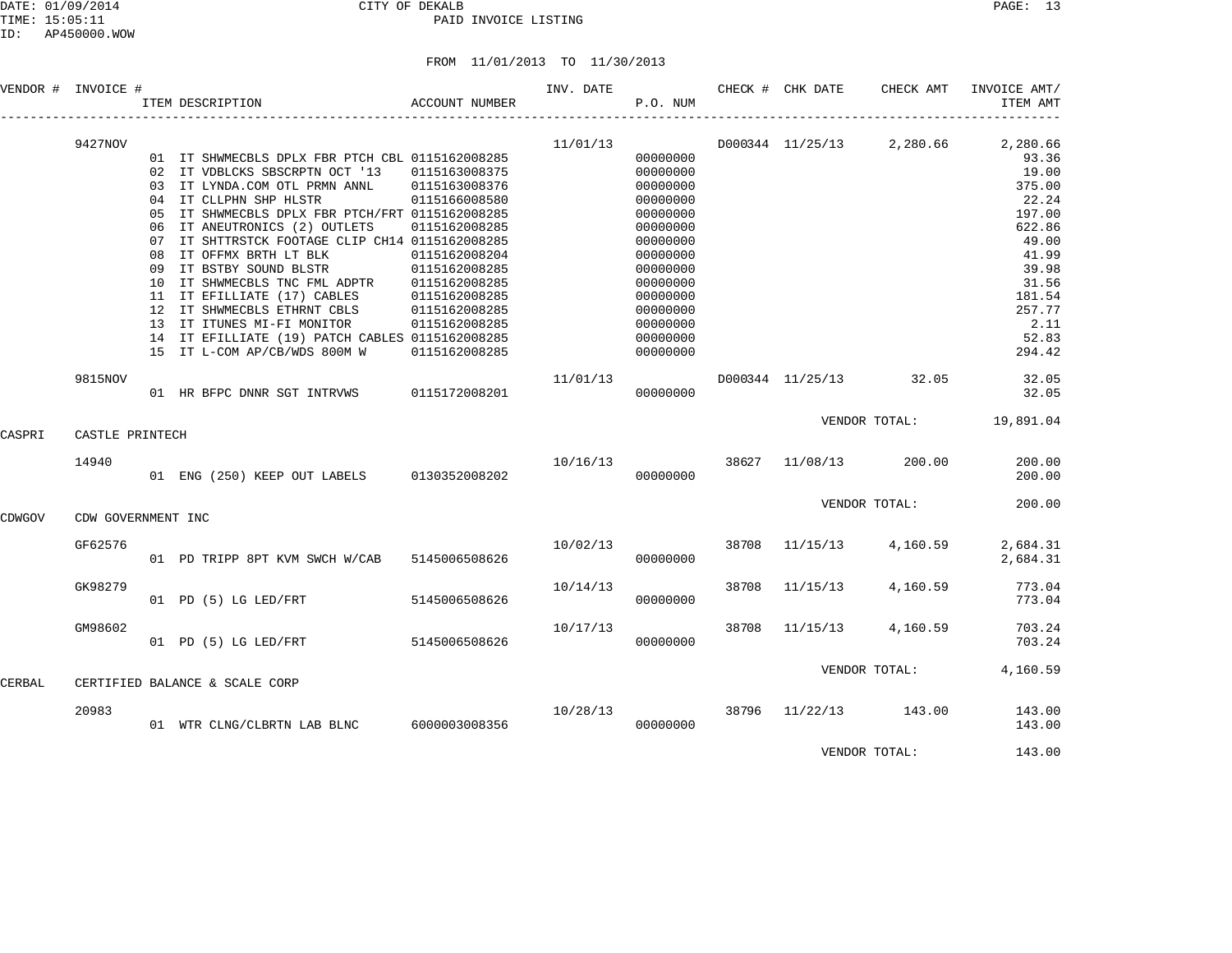DATE: 01/09/2014 CITY OF DEKALB PAGE: 13 PAID INVOICE LISTING

FROM 11/01/2013 TO 11/30/2013

| VENDOR # INVOICE # |                    | ITEM DESCRIPTION                                | ACCOUNT NUMBER | INV. DATE | P.O. NUM |       | CHECK # CHK DATE        | CHECK AMT                 | INVOICE AMT/<br>ITEM AMT |
|--------------------|--------------------|-------------------------------------------------|----------------|-----------|----------|-------|-------------------------|---------------------------|--------------------------|
|                    | 9427NOV            |                                                 |                | 11/01/13  |          |       |                         | D000344 11/25/13 2,280.66 | 2,280.66                 |
|                    |                    | 01 IT SHWMECBLS DPLX FBR PTCH CBL 0115162008285 |                |           | 00000000 |       |                         |                           | 93.36                    |
|                    |                    | 02 IT VDBLCKS SBSCRPTN OCT '13 0115163008375    |                |           | 00000000 |       |                         |                           | 19.00                    |
|                    |                    | 03 IT LYNDA.COM OTL PRMN ANNL 0115163008376     |                |           | 00000000 |       |                         |                           | 375.00                   |
|                    |                    | 04 IT CLLPHN SHP HLSTR                          | 0115166008580  |           | 00000000 |       |                         |                           | 22.24                    |
|                    |                    | 05 IT SHWMECBLS DPLX FBR PTCH/FRT 0115162008285 |                |           | 00000000 |       |                         |                           | 197.00                   |
|                    |                    | 06 IT ANEUTRONICS (2) OUTLETS                   | 0115162008285  |           | 00000000 |       |                         |                           | 622.86                   |
|                    |                    | 07 IT SHTTRSTCK FOOTAGE CLIP CH14 0115162008285 |                |           | 00000000 |       |                         |                           | 49.00                    |
|                    |                    | 08 IT OFFMX BRTH LT BLK                         | 0115162008204  |           | 00000000 |       |                         |                           | 41.99                    |
|                    |                    | 09 IT BSTBY SOUND BLSTR                         | 0115162008285  |           | 00000000 |       |                         |                           | 39.98                    |
|                    |                    | 10 IT SHWMECBLS TNC FML ADPTR                   | 0115162008285  |           | 00000000 |       |                         |                           | 31.56                    |
|                    |                    | 11 IT EFILLIATE (17) CABLES                     | 0115162008285  |           | 00000000 |       |                         |                           | 181.54                   |
|                    |                    | 12 IT SHWMECBLS ETHRNT CBLS                     | 0115162008285  |           | 00000000 |       |                         |                           | 257.77                   |
|                    |                    | 13 IT ITUNES MI-FI MONITOR                      | 0115162008285  |           | 00000000 |       |                         |                           | 2.11                     |
|                    |                    | 14 IT EFILLIATE (19) PATCH CABLES 0115162008285 |                |           | 00000000 |       |                         |                           | 52.83                    |
|                    |                    | 15 IT L-COM AP/CB/WDS 800M W                    | 0115162008285  |           | 00000000 |       |                         |                           | 294.42                   |
|                    | 9815NOV            |                                                 |                | 11/01/13  |          |       | D000344 11/25/13 32.05  |                           | 32.05                    |
|                    |                    | 01 HR BFPC DNNR SGT INTRVWS 0115172008201       |                |           | 00000000 |       |                         |                           | 32.05                    |
| CASPRI             | CASTLE PRINTECH    |                                                 |                |           |          |       |                         | VENDOR TOTAL:             | 19,891.04                |
|                    |                    |                                                 |                |           |          |       |                         |                           |                          |
|                    | 14940              |                                                 |                |           |          |       | 10/16/13 38627 11/08/13 | 200.00                    | 200.00                   |
|                    |                    | 01 ENG (250) KEEP OUT LABELS 0130352008202      |                |           | 00000000 |       |                         |                           | 200.00                   |
|                    |                    |                                                 |                |           |          |       |                         | VENDOR TOTAL:             | 200.00                   |
| CDWGOV             | CDW GOVERNMENT INC |                                                 |                |           |          |       |                         |                           |                          |
|                    | GF62576            |                                                 |                | 10/02/13  |          | 38708 | 11/15/13                | 4,160.59                  | 2,684.31                 |
|                    |                    | 01 PD TRIPP 8PT KVM SWCH W/CAB 5145006508626    |                |           | 00000000 |       |                         |                           | 2,684.31                 |
|                    | GK98279            |                                                 |                | 10/14/13  |          | 38708 | 11/15/13                | 4,160.59                  | 773.04                   |
|                    |                    | 01 PD (5) LG LED/FRT                            | 5145006508626  |           | 00000000 |       |                         |                           | 773.04                   |
|                    |                    |                                                 |                |           |          |       |                         |                           |                          |
|                    | GM98602            |                                                 |                | 10/17/13  |          | 38708 | 11/15/13                | 4,160.59                  | 703.24                   |
|                    |                    | 01 PD (5) LG LED/FRT                            | 5145006508626  |           | 00000000 |       |                         |                           | 703.24                   |
|                    |                    |                                                 |                |           |          |       |                         |                           |                          |
| CERBAL             |                    | CERTIFIED BALANCE & SCALE CORP                  |                |           |          |       |                         | VENDOR TOTAL:             | 4,160.59                 |
|                    |                    |                                                 |                |           |          |       |                         |                           |                          |
|                    | 20983              |                                                 |                | 10/28/13  |          | 38796 | 11/22/13                | 143.00                    | 143.00                   |
|                    |                    | 01 WTR CLNG/CLBRTN LAB BLNC                     | 6000003008356  |           | 00000000 |       |                         |                           | 143.00                   |
|                    |                    |                                                 |                |           |          |       |                         |                           |                          |

VENDOR TOTAL: 143.00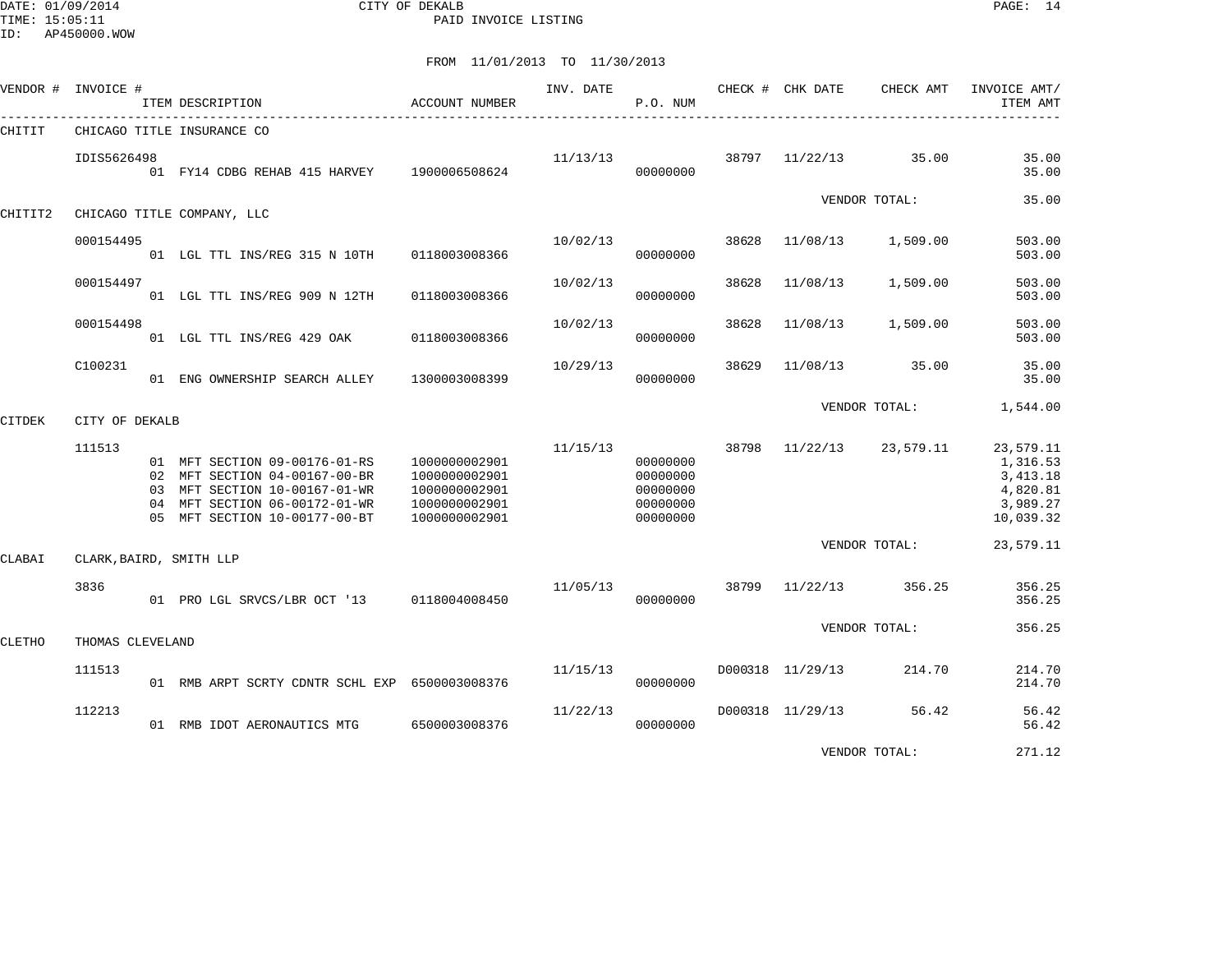DATE: 01/09/2014 CITY OF DEKALB PAGE: 14 PAID INVOICE LISTING

| VENDOR #      | INVOICE #        | ITEM DESCRIPTION                                                                                                                                                  | ACCOUNT NUMBER                                                                    | INV. DATE | P.O. NUM                                                 |       | CHECK # CHK DATE | CHECK AMT     | INVOICE AMT/<br>ITEM AMT                                                |
|---------------|------------------|-------------------------------------------------------------------------------------------------------------------------------------------------------------------|-----------------------------------------------------------------------------------|-----------|----------------------------------------------------------|-------|------------------|---------------|-------------------------------------------------------------------------|
| CHITIT        |                  | CHICAGO TITLE INSURANCE CO                                                                                                                                        |                                                                                   |           |                                                          |       |                  |               |                                                                         |
|               | IDIS5626498      | 01 FY14 CDBG REHAB 415 HARVEY 1900006508624                                                                                                                       |                                                                                   | 11/13/13  | 00000000                                                 | 38797 | 11/22/13         | 35.00         | 35.00<br>35.00                                                          |
| CHITIT2       |                  | CHICAGO TITLE COMPANY, LLC                                                                                                                                        |                                                                                   |           |                                                          |       |                  | VENDOR TOTAL: | 35.00                                                                   |
|               | 000154495        | 01 LGL TTL INS/REG 315 N 10TH 0118003008366                                                                                                                       |                                                                                   | 10/02/13  | 00000000                                                 | 38628 | 11/08/13         | 1,509.00      | 503.00<br>503.00                                                        |
|               | 000154497        | 01 LGL TTL INS/REG 909 N 12TH                                                                                                                                     | 0118003008366                                                                     | 10/02/13  | 00000000                                                 | 38628 | 11/08/13         | 1,509.00      | 503.00<br>503.00                                                        |
|               | 000154498        | 01 LGL TTL INS/REG 429 OAK                                                                                                                                        | 0118003008366                                                                     | 10/02/13  | 00000000                                                 | 38628 | 11/08/13         | 1,509.00      | 503.00<br>503.00                                                        |
|               | C100231          | 01 ENG OWNERSHIP SEARCH ALLEY                                                                                                                                     | 1300003008399                                                                     | 10/29/13  | 00000000                                                 | 38629 | 11/08/13         | 35.00         | 35.00<br>35.00                                                          |
| <b>CITDEK</b> | CITY OF DEKALB   |                                                                                                                                                                   |                                                                                   |           |                                                          |       |                  | VENDOR TOTAL: | 1,544.00                                                                |
|               | 111513           | 01 MFT SECTION 09-00176-01-RS<br>02 MFT SECTION 04-00167-00-BR<br>03 MFT SECTION 10-00167-01-WR<br>04 MFT SECTION 06-00172-01-WR<br>05 MFT SECTION 10-00177-00-BT | 1000000002901<br>1000000002901<br>1000000002901<br>1000000002901<br>1000000002901 | 11/15/13  | 00000000<br>00000000<br>00000000<br>00000000<br>00000000 | 38798 | 11/22/13         | 23,579.11     | 23,579.11<br>1,316.53<br>3, 413.18<br>4,820.81<br>3,989.27<br>10,039.32 |
| CLABAI        |                  | CLARK, BAIRD, SMITH LLP                                                                                                                                           |                                                                                   |           |                                                          |       |                  | VENDOR TOTAL: | 23,579.11                                                               |
|               | 3836             | 01 PRO LGL SRVCS/LBR OCT '13 0118004008450                                                                                                                        |                                                                                   | 11/05/13  | 00000000                                                 |       | 38799 11/22/13   | 356.25        | 356.25<br>356.25                                                        |
| CLETHO        | THOMAS CLEVELAND |                                                                                                                                                                   |                                                                                   |           |                                                          |       |                  | VENDOR TOTAL: | 356.25                                                                  |
|               | 111513           | 01 RMB ARPT SCRTY CDNTR SCHL EXP 6500003008376                                                                                                                    |                                                                                   | 11/15/13  | 00000000                                                 |       | D000318 11/29/13 | 214.70        | 214.70<br>214.70                                                        |
|               | 112213           | 01 RMB IDOT AERONAUTICS MTG                                                                                                                                       | 6500003008376                                                                     | 11/22/13  | 00000000                                                 |       | D000318 11/29/13 | 56.42         | 56.42<br>56.42                                                          |
|               |                  |                                                                                                                                                                   |                                                                                   |           |                                                          |       |                  | VENDOR TOTAL: | 271.12                                                                  |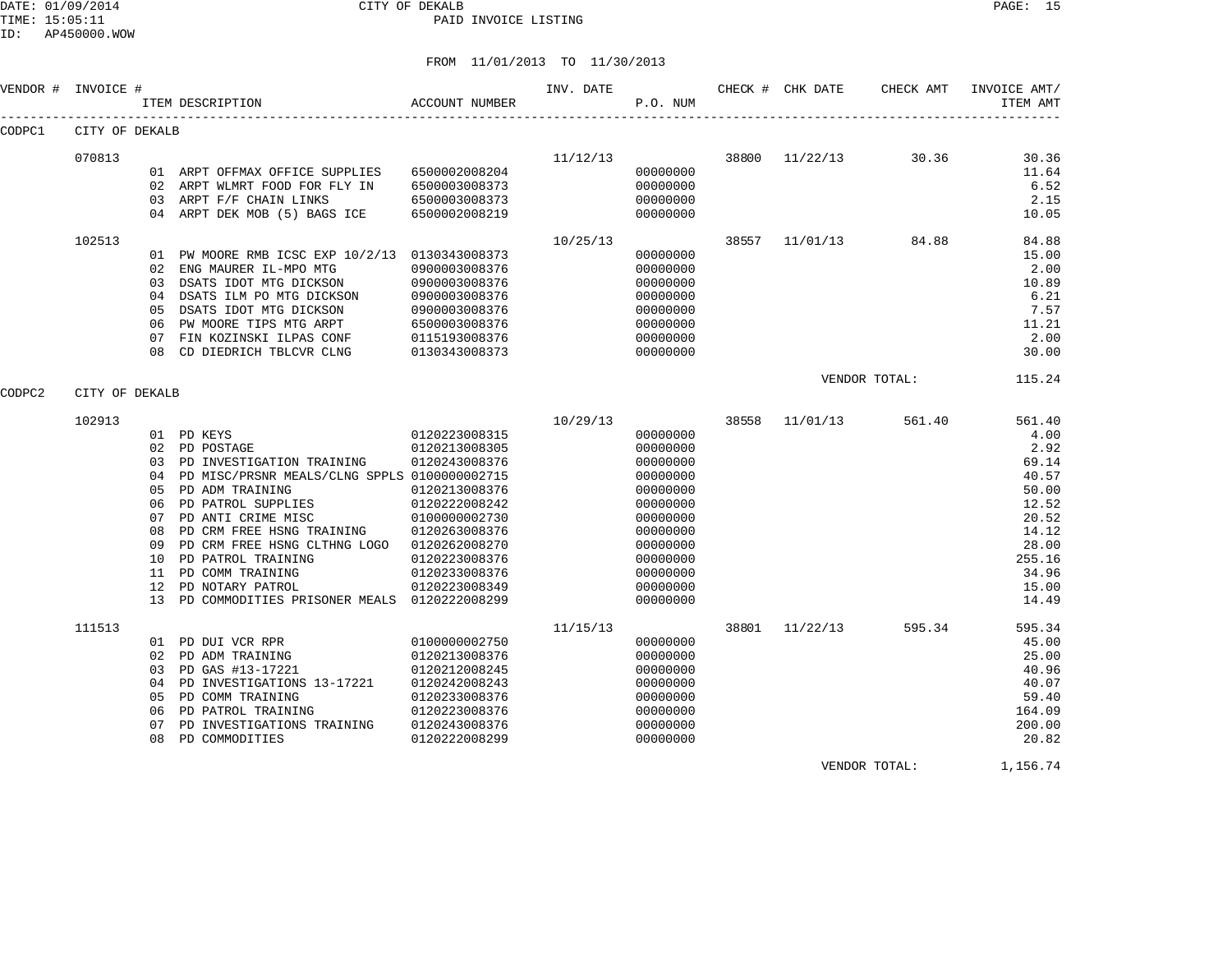#### DATE: 01/09/2014 CITY OF DEKALB PAGE: 15 PAID INVOICE LISTING

ID: AP450000.WOW

# FROM 11/01/2013 TO 11/30/2013

| VENDOR # | INVOICE #      |                                        | ACCOUNT NUMBER<br>ITEM DESCRIPTION                                                                                                                                                                                                                                                                                                                                             |                                                                                                                                                                        | INV. DATE | P.O. NUM                                                                                                                                                 |       | CHECK # CHK DATE | CHECK AMT        | INVOICE AMT/<br>ITEM AMT                                                                                                   |
|----------|----------------|----------------------------------------|--------------------------------------------------------------------------------------------------------------------------------------------------------------------------------------------------------------------------------------------------------------------------------------------------------------------------------------------------------------------------------|------------------------------------------------------------------------------------------------------------------------------------------------------------------------|-----------|----------------------------------------------------------------------------------------------------------------------------------------------------------|-------|------------------|------------------|----------------------------------------------------------------------------------------------------------------------------|
| CODPC1   | CITY OF DEKALB |                                        |                                                                                                                                                                                                                                                                                                                                                                                |                                                                                                                                                                        |           |                                                                                                                                                          |       |                  |                  |                                                                                                                            |
|          | 070813         | 03                                     | 01 ARPT OFFMAX OFFICE SUPPLIES<br>02 ARPT WLMRT FOOD FOR FLY IN<br>ARPT F/F CHAIN LINKS<br>04 ARPT DEK MOB (5) BAGS ICE                                                                                                                                                                                                                                                        | 6500002008204<br>6500003008373<br>6500003008373<br>6500002008219                                                                                                       | 11/12/13  | 00000000<br>00000000<br>00000000<br>00000000                                                                                                             | 38800 |                  | $11/22/13$ 30.36 | 30.36<br>11.64<br>6.52<br>2.15<br>10.05                                                                                    |
|          | 102513         | 03<br>04<br>05<br>06                   | 01 PW MOORE RMB ICSC EXP 10/2/13 0130343008373<br>02 ENG MAURER IL-MPO MTG<br>DSATS IDOT MTG DICKSON<br>DSATS ILM PO MTG DICKSON<br>DSATS IDOT MTG DICKSON<br>PW MOORE TIPS MTG ARPT<br>07 FIN KOZINSKI ILPAS CONF<br>08 CD DIEDRICH TBLCVR CLNG                                                                                                                               | 0900003008376<br>0900003008376<br>0900003008376<br>0900003008376<br>6500003008376<br>0115193008376<br>0130343008373                                                    | 10/25/13  | 00000000<br>00000000<br>00000000<br>00000000<br>00000000<br>00000000<br>00000000<br>00000000                                                             | 38557 |                  | 11/01/13 84.88   | 84.88<br>15.00<br>2.00<br>10.89<br>6.21<br>7.57<br>11.21<br>2.00<br>30.00                                                  |
| CODPC2   | CITY OF DEKALB |                                        |                                                                                                                                                                                                                                                                                                                                                                                |                                                                                                                                                                        |           |                                                                                                                                                          |       |                  | VENDOR TOTAL:    | 115.24                                                                                                                     |
|          | 102913         | 05<br>06<br>07<br>08<br>09<br>11<br>12 | 0120223008315<br>01 PD KEYS<br>02 PD POSTAGE<br>03 PD INVESTIGATION TRAINING<br>04 PD MISC/PRSNR MEALS/CLNG SPPLS 0100000002715<br>PD ADM TRAINING<br>PD PATROL SUPPLIES<br>PD ANTI CRIME MISC<br>PD CRM FREE HSNG TRAINING<br>PD CRM FREE HSNG CLTHNG LOGO<br>10 PD PATROL TRAINING<br>PD COMM TRAINING<br>PD NOTARY PATROL<br>13 PD COMMODITIES PRISONER MEALS 0120222008299 | 0120213008305<br>0120243008376<br>0120213008376<br>0120222008242<br>0100000002730<br>0120263008376<br>0120262008270<br>0120223008376<br>0120233008376<br>0120223008349 | 10/29/13  | 00000000<br>00000000<br>00000000<br>00000000<br>00000000<br>00000000<br>00000000<br>00000000<br>00000000<br>00000000<br>00000000<br>00000000<br>00000000 | 38558 | 11/01/13         | 561.40           | 561.40<br>4.00<br>2.92<br>69.14<br>40.57<br>50.00<br>12.52<br>20.52<br>14.12<br>28.00<br>255.16<br>34.96<br>15.00<br>14.49 |
|          | 111513         | 04<br>05<br>06<br>07<br>08             | 01 PD DUI VCR RPR<br>02 PD ADM TRAINING<br>03 PD GAS #13-17221<br>PD INVESTIGATIONS 13-17221<br>PD COMM TRAINING<br>PD PATROL TRAINING<br>PD INVESTIGATIONS TRAINING<br>PD COMMODITIES                                                                                                                                                                                         | 0100000002750<br>0120213008376<br>0120212008245<br>0120242008243<br>0120233008376<br>0120223008376<br>0120243008376<br>0120222008299                                   | 11/15/13  | 00000000<br>00000000<br>00000000<br>00000000<br>00000000<br>00000000<br>00000000<br>00000000                                                             |       | 38801 11/22/13   | 595.34           | 595.34<br>45.00<br>25.00<br>40.96<br>40.07<br>59.40<br>164.09<br>200.00<br>20.82                                           |

VENDOR TOTAL: 1,156.74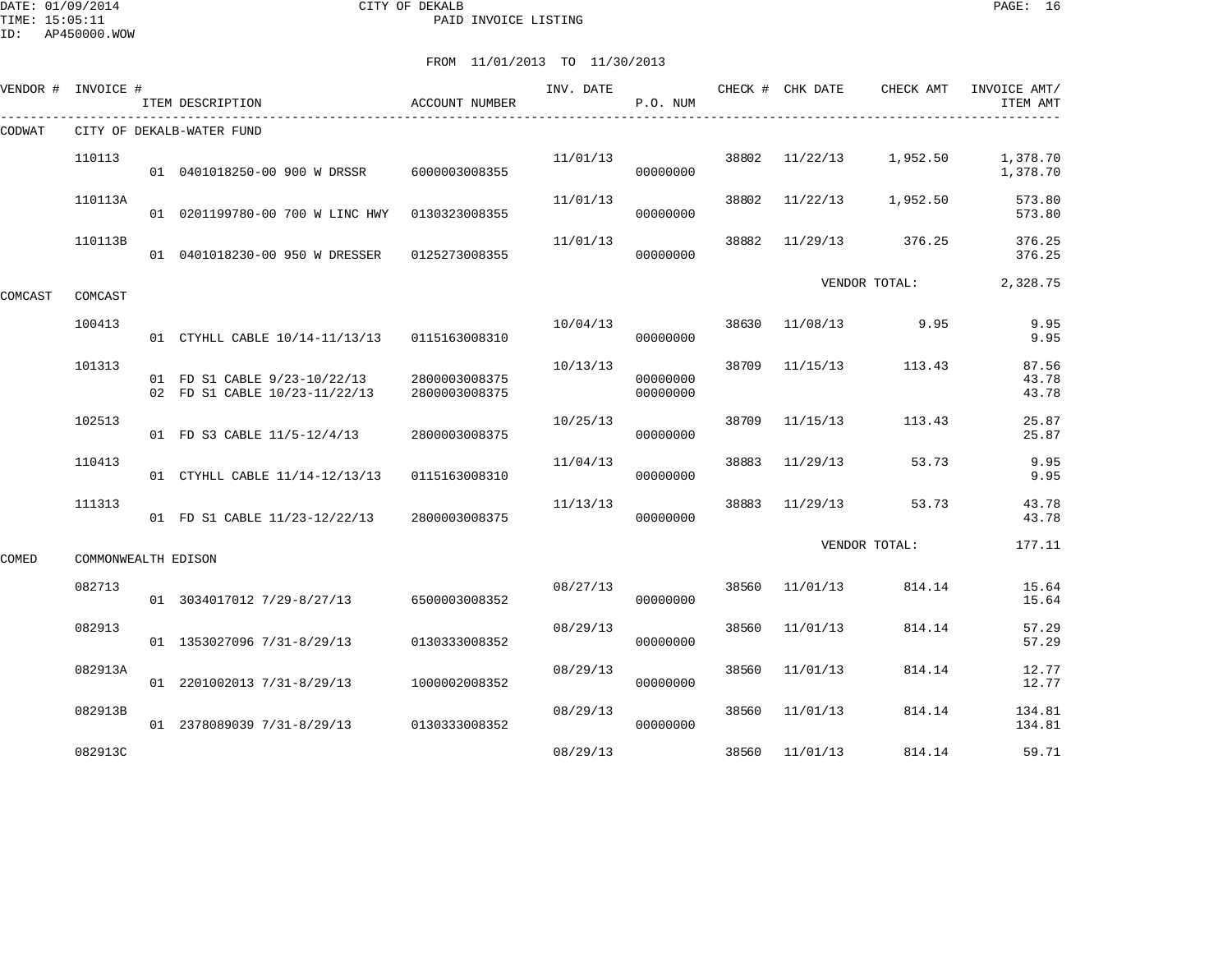DATE: 01/09/2014 CITY OF DEKALB PAGE: 16 PAID INVOICE LISTING

ID: AP450000.WOW

| VENDOR # | INVOICE #           | ITEM DESCRIPTION                                              | ACCOUNT NUMBER                 | INV. DATE | P.O. NUM             |       | CHECK # CHK DATE | CHECK AMT     | INVOICE AMT/<br>ITEM AMT |
|----------|---------------------|---------------------------------------------------------------|--------------------------------|-----------|----------------------|-------|------------------|---------------|--------------------------|
| CODWAT   |                     | CITY OF DEKALB-WATER FUND                                     |                                |           |                      |       |                  |               |                          |
|          | 110113              | 01  0401018250-00  900  W  DRSSR                              | 6000003008355                  | 11/01/13  | 00000000             | 38802 | 11/22/13         | 1,952.50      | 1,378.70<br>1,378.70     |
|          | 110113A             | 01 0201199780-00 700 W LINC HWY                               | 0130323008355                  | 11/01/13  | 00000000             | 38802 | 11/22/13         | 1,952.50      | 573.80<br>573.80         |
|          | 110113B             | 01 0401018230-00 950 W DRESSER                                | 0125273008355                  | 11/01/13  | 00000000             | 38882 | 11/29/13         | 376.25        | 376.25<br>376.25         |
| COMCAST  | COMCAST             |                                                               |                                |           |                      |       |                  | VENDOR TOTAL: | 2,328.75                 |
|          | 100413              | 01 CTYHLL CABLE 10/14-11/13/13                                | 0115163008310                  | 10/04/13  | 00000000             | 38630 | 11/08/13         | 9.95          | 9.95<br>9.95             |
|          | 101313              | 01 FD S1 CABLE 9/23-10/22/13<br>02 FD S1 CABLE 10/23-11/22/13 | 2800003008375<br>2800003008375 | 10/13/13  | 00000000<br>00000000 | 38709 | 11/15/13         | 113.43        | 87.56<br>43.78<br>43.78  |
|          | 102513              | 01 FD S3 CABLE 11/5-12/4/13                                   | 2800003008375                  | 10/25/13  | 00000000             | 38709 | 11/15/13         | 113.43        | 25.87<br>25.87           |
|          | 110413              | 01 CTYHLL CABLE 11/14-12/13/13                                | 0115163008310                  | 11/04/13  | 00000000             | 38883 | 11/29/13         | 53.73         | 9.95<br>9.95             |
|          | 111313              | 01 FD S1 CABLE 11/23-12/22/13                                 | 2800003008375                  | 11/13/13  | 00000000             | 38883 | 11/29/13         | 53.73         | 43.78<br>43.78           |
| COMED    | COMMONWEALTH EDISON |                                                               |                                |           |                      |       |                  | VENDOR TOTAL: | 177.11                   |
|          | 082713              | 01 3034017012 7/29-8/27/13                                    | 6500003008352                  | 08/27/13  | 00000000             | 38560 | 11/01/13         | 814.14        | 15.64<br>15.64           |
|          | 082913              | 01 1353027096 7/31-8/29/13                                    | 0130333008352                  | 08/29/13  | 00000000             | 38560 | 11/01/13         | 814.14        | 57.29<br>57.29           |
|          | 082913A             | 01 2201002013 7/31-8/29/13                                    | 1000002008352                  | 08/29/13  | 00000000             | 38560 | 11/01/13         | 814.14        | 12.77<br>12.77           |
|          | 082913B             | 01 2378089039 7/31-8/29/13                                    | 0130333008352                  | 08/29/13  | 00000000             | 38560 | 11/01/13         | 814.14        | 134.81<br>134.81         |
|          | 082913C             |                                                               |                                | 08/29/13  |                      | 38560 | 11/01/13         | 814.14        | 59.71                    |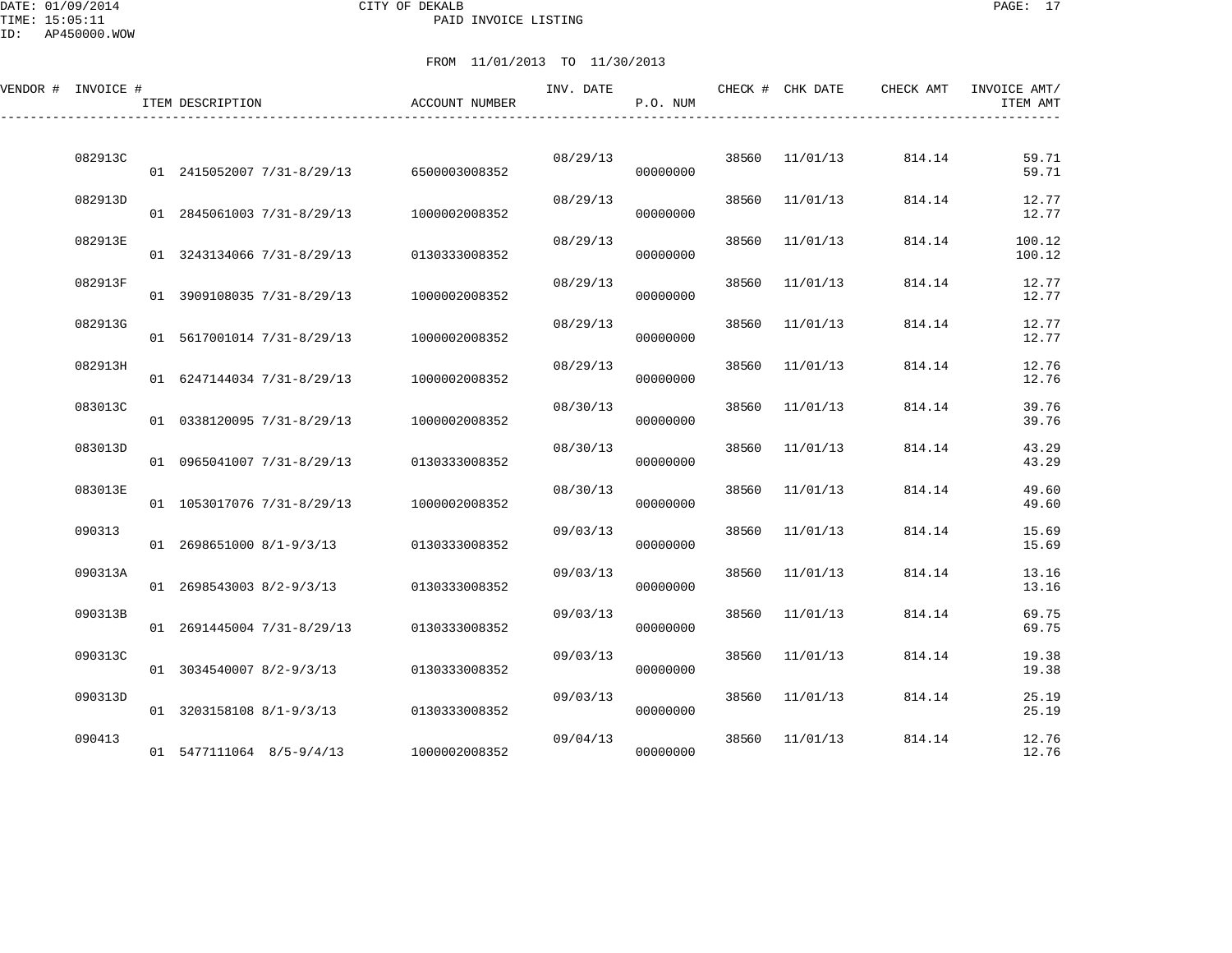DATE: 01/09/2014 CITY OF DEKALB PAGE: 17 PAID INVOICE LISTING

| VENDOR # INVOICE # | ITEM DESCRIPTION                         | ACCOUNT NUMBER | INV. DATE | P.O. NUM |       | CHECK # CHK DATE | CHECK AMT | INVOICE AMT/<br>ITEM AMT |
|--------------------|------------------------------------------|----------------|-----------|----------|-------|------------------|-----------|--------------------------|
| 082913C            | 01 2415052007 7/31-8/29/13 6500003008352 |                | 08/29/13  | 00000000 |       | 38560 11/01/13   | 814.14    | 59.71<br>59.71           |
| 082913D            | 01 2845061003 7/31-8/29/13               | 1000002008352  | 08/29/13  | 00000000 |       | 38560 11/01/13   | 814.14    | 12.77<br>12.77           |
| 082913E            | 01 3243134066 7/31-8/29/13               | 0130333008352  | 08/29/13  | 00000000 | 38560 | 11/01/13         | 814.14    | 100.12<br>100.12         |
| 082913F            | 01 3909108035 7/31-8/29/13               | 1000002008352  | 08/29/13  | 00000000 | 38560 | 11/01/13         | 814.14    | 12.77<br>12.77           |
| 082913G            | 01 5617001014 7/31-8/29/13               | 1000002008352  | 08/29/13  | 00000000 | 38560 | 11/01/13         | 814.14    | 12.77<br>12.77           |
| 082913H            | 01 6247144034 7/31-8/29/13               | 1000002008352  | 08/29/13  | 00000000 | 38560 | 11/01/13         | 814.14    | 12.76<br>12.76           |
| 083013C            | 01 0338120095 7/31-8/29/13               | 1000002008352  | 08/30/13  | 00000000 | 38560 | 11/01/13         | 814.14    | 39.76<br>39.76           |
| 083013D            | 01 0965041007 7/31-8/29/13               | 0130333008352  | 08/30/13  | 00000000 | 38560 | 11/01/13         | 814.14    | 43.29<br>43.29           |
| 083013E            | 01 1053017076 7/31-8/29/13               | 1000002008352  | 08/30/13  | 00000000 | 38560 | 11/01/13         | 814.14    | 49.60<br>49.60           |
| 090313             | 01 2698651000 8/1-9/3/13                 | 0130333008352  | 09/03/13  | 00000000 | 38560 | 11/01/13         | 814.14    | 15.69<br>15.69           |
| 090313A            | 01 2698543003 8/2-9/3/13                 | 0130333008352  | 09/03/13  | 00000000 | 38560 | 11/01/13         | 814.14    | 13.16<br>13.16           |
| 090313B            | 01 2691445004 7/31-8/29/13               | 0130333008352  | 09/03/13  | 00000000 | 38560 | 11/01/13         | 814.14    | 69.75<br>69.75           |
| 090313C            | 01 3034540007 8/2-9/3/13                 | 0130333008352  | 09/03/13  | 00000000 | 38560 | 11/01/13         | 814.14    | 19.38<br>19.38           |
| 090313D            | 01 3203158108 8/1-9/3/13                 | 0130333008352  | 09/03/13  | 00000000 | 38560 | 11/01/13         | 814.14    | 25.19<br>25.19           |
| 090413             | 01 5477111064 8/5-9/4/13                 | 1000002008352  | 09/04/13  | 00000000 | 38560 | 11/01/13         | 814.14    | 12.76<br>12.76           |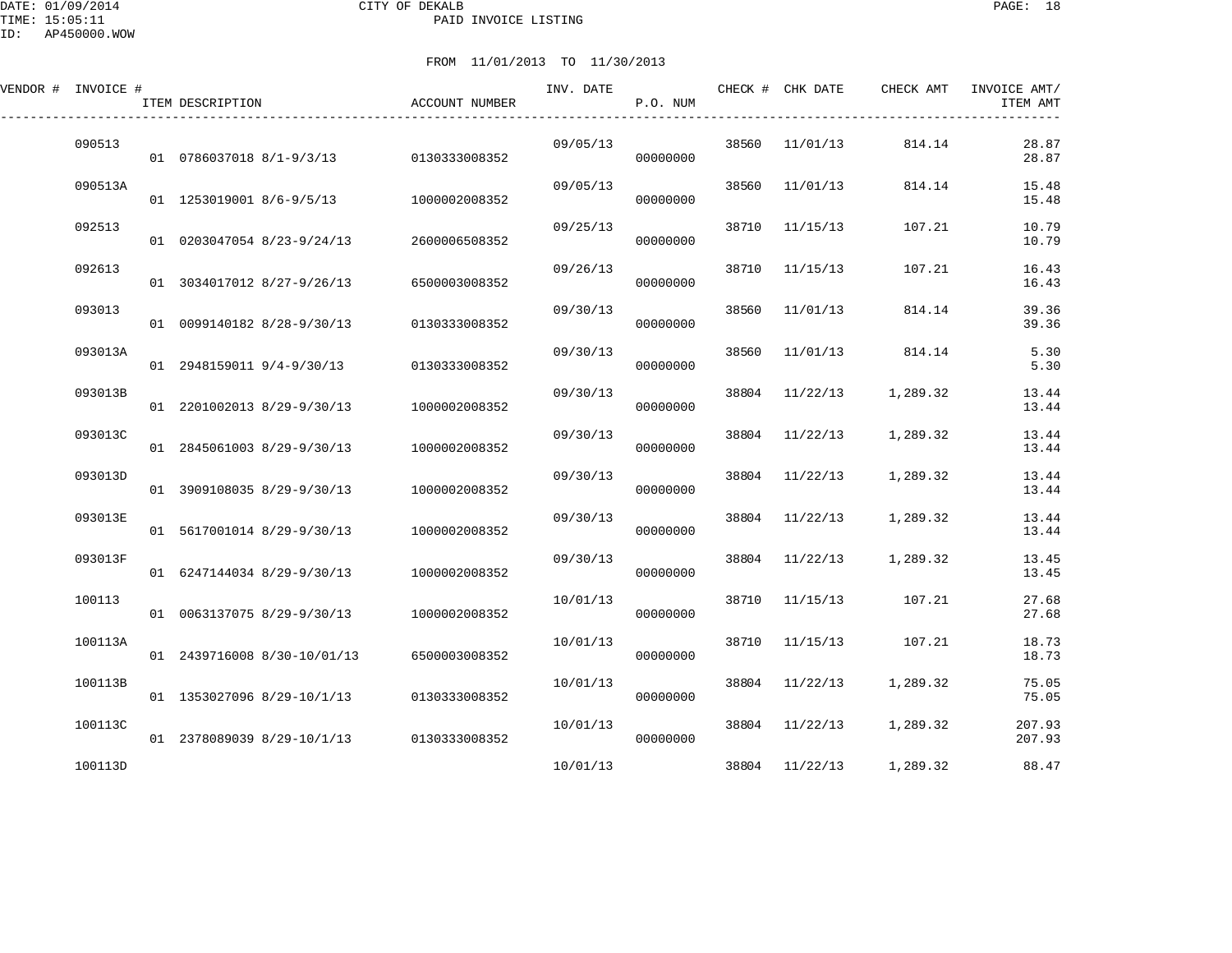| VENDOR # INVOICE # | ITEM DESCRIPTION            | <b>ACCOUNT NUMBER</b> | INV. DATE | P.O. NUM |       | CHECK # CHK DATE | CHECK AMT | INVOICE AMT/<br>ITEM AMT |
|--------------------|-----------------------------|-----------------------|-----------|----------|-------|------------------|-----------|--------------------------|
| 090513             | 01 0786037018 8/1-9/3/13    | 0130333008352         | 09/05/13  | 00000000 | 38560 | 11/01/13         | 814.14    | 28.87<br>28.87           |
| 090513A            | 01 1253019001 8/6-9/5/13    | 1000002008352         | 09/05/13  | 00000000 | 38560 | 11/01/13         | 814.14    | 15.48<br>15.48           |
| 092513             | 01 0203047054 8/23-9/24/13  | 2600006508352         | 09/25/13  | 00000000 | 38710 | 11/15/13         | 107.21    | 10.79<br>10.79           |
| 092613             | 01 3034017012 8/27-9/26/13  | 6500003008352         | 09/26/13  | 00000000 | 38710 | 11/15/13         | 107.21    | 16.43<br>16.43           |
| 093013             | 01 0099140182 8/28-9/30/13  | 0130333008352         | 09/30/13  | 00000000 | 38560 | 11/01/13         | 814.14    | 39.36<br>39.36           |
| 093013A            | 01 2948159011 9/4-9/30/13   | 0130333008352         | 09/30/13  | 00000000 | 38560 | 11/01/13         | 814.14    | 5.30<br>5.30             |
| 093013B            | 01 2201002013 8/29-9/30/13  | 1000002008352         | 09/30/13  | 00000000 |       | 38804 11/22/13   | 1,289.32  | 13.44<br>13.44           |
| 093013C            | 01 2845061003 8/29-9/30/13  | 1000002008352         | 09/30/13  | 00000000 | 38804 | 11/22/13         | 1,289.32  | 13.44<br>13.44           |
| 093013D            | 01 3909108035 8/29-9/30/13  | 1000002008352         | 09/30/13  | 00000000 | 38804 | 11/22/13         | 1,289.32  | 13.44<br>13.44           |
| 093013E            | 01 5617001014 8/29-9/30/13  | 1000002008352         | 09/30/13  | 00000000 | 38804 | 11/22/13         | 1,289.32  | 13.44<br>13.44           |
| 093013F            | 01 6247144034 8/29-9/30/13  | 1000002008352         | 09/30/13  | 00000000 |       | 38804 11/22/13   | 1,289.32  | 13.45<br>13.45           |
| 100113             | 01 0063137075 8/29-9/30/13  | 1000002008352         | 10/01/13  | 00000000 | 38710 | 11/15/13         | 107.21    | 27.68<br>27.68           |
| 100113A            | 01 2439716008 8/30-10/01/13 | 6500003008352         | 10/01/13  | 00000000 | 38710 | 11/15/13         | 107.21    | 18.73<br>18.73           |
| 100113B            | 01 1353027096 8/29-10/1/13  | 0130333008352         | 10/01/13  | 00000000 | 38804 | 11/22/13         | 1,289.32  | 75.05<br>75.05           |
| 100113C            | 01 2378089039 8/29-10/1/13  | 0130333008352         | 10/01/13  | 00000000 |       | 38804 11/22/13   | 1,289.32  | 207.93<br>207.93         |
| 100113D            |                             |                       | 10/01/13  |          |       | 38804 11/22/13   | 1,289.32  | 88.47                    |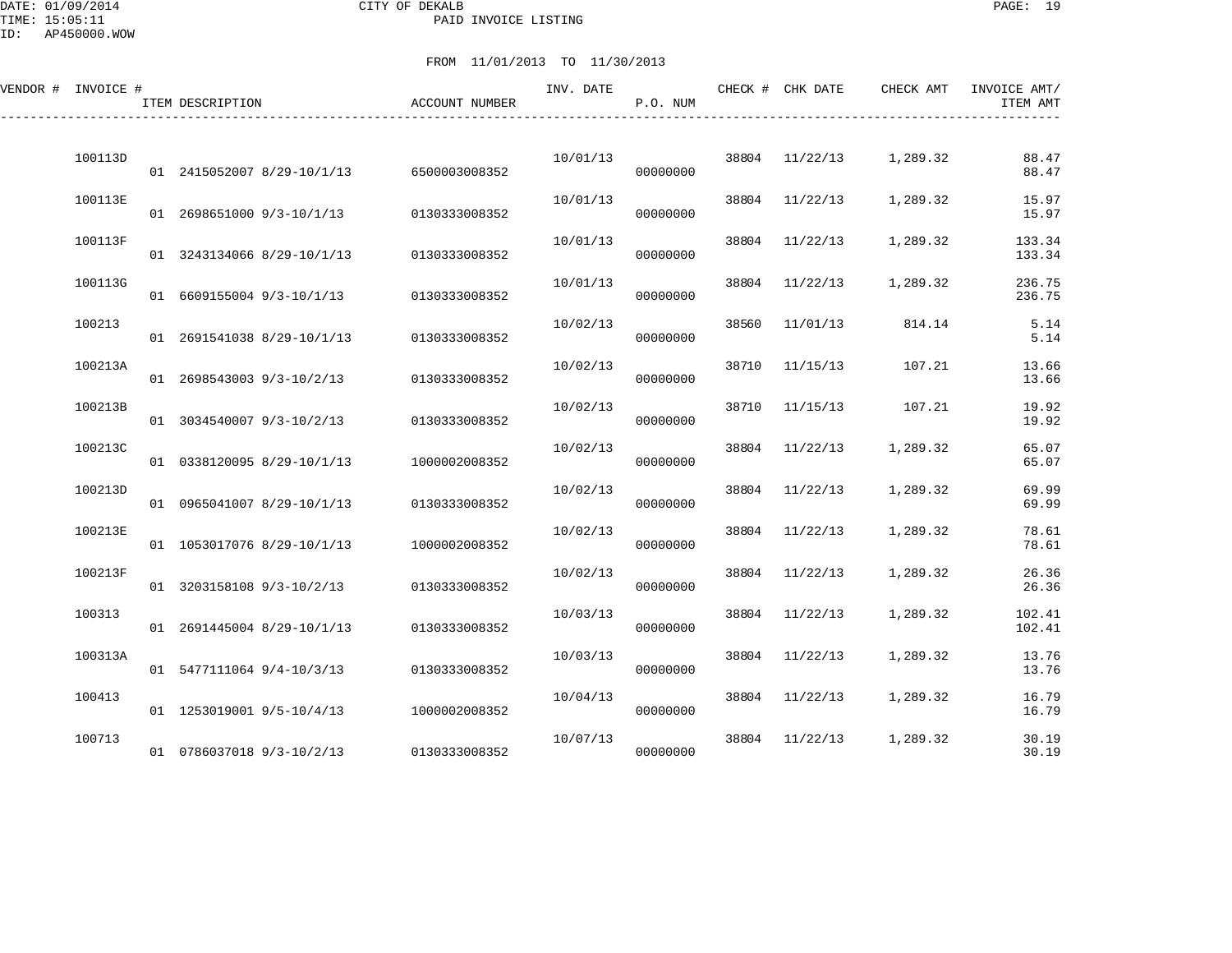DATE: 01/09/2014 CITY OF DEKALB PAGE: 19 PAID INVOICE LISTING

ID: AP450000.WOW

| VENDOR # INVOICE # |         | ITEM DESCRIPTION           | ACCOUNT NUMBER | INV. DATE | P.O. NUM |       | CHECK # CHK DATE | CHECK AMT | INVOICE AMT/<br>ITEM AMT |
|--------------------|---------|----------------------------|----------------|-----------|----------|-------|------------------|-----------|--------------------------|
|                    | 100113D | 01 2415052007 8/29-10/1/13 | 6500003008352  | 10/01/13  | 00000000 | 38804 | 11/22/13         | 1,289.32  | 88.47<br>88.47           |
|                    | 100113E | 01 2698651000 9/3-10/1/13  | 0130333008352  | 10/01/13  | 00000000 | 38804 | 11/22/13         | 1,289.32  | 15.97<br>15.97           |
|                    | 100113F | 01 3243134066 8/29-10/1/13 | 0130333008352  | 10/01/13  | 00000000 | 38804 | 11/22/13         | 1,289.32  | 133.34<br>133.34         |
|                    | 100113G | 01 6609155004 9/3-10/1/13  | 0130333008352  | 10/01/13  | 00000000 | 38804 | 11/22/13         | 1,289.32  | 236.75<br>236.75         |
|                    | 100213  | 01 2691541038 8/29-10/1/13 | 0130333008352  | 10/02/13  | 00000000 | 38560 | 11/01/13         | 814.14    | 5.14<br>5.14             |
|                    | 100213A | 01 2698543003 9/3-10/2/13  | 0130333008352  | 10/02/13  | 00000000 | 38710 | 11/15/13         | 107.21    | 13.66<br>13.66           |
|                    | 100213B | 01 3034540007 9/3-10/2/13  | 0130333008352  | 10/02/13  | 00000000 | 38710 | 11/15/13         | 107.21    | 19.92<br>19.92           |
|                    | 100213C | 01 0338120095 8/29-10/1/13 | 1000002008352  | 10/02/13  | 00000000 | 38804 | 11/22/13         | 1,289.32  | 65.07<br>65.07           |
|                    | 100213D | 01 0965041007 8/29-10/1/13 | 0130333008352  | 10/02/13  | 00000000 | 38804 | 11/22/13         | 1,289.32  | 69.99<br>69.99           |
|                    | 100213E | 01 1053017076 8/29-10/1/13 | 1000002008352  | 10/02/13  | 00000000 | 38804 | 11/22/13         | 1,289.32  | 78.61<br>78.61           |
|                    | 100213F | 01 3203158108 9/3-10/2/13  | 0130333008352  | 10/02/13  | 00000000 | 38804 | 11/22/13         | 1,289.32  | 26.36<br>26.36           |
|                    | 100313  | 01 2691445004 8/29-10/1/13 | 0130333008352  | 10/03/13  | 00000000 | 38804 | 11/22/13         | 1,289.32  | 102.41<br>102.41         |
|                    | 100313A | 01 5477111064 9/4-10/3/13  | 0130333008352  | 10/03/13  | 00000000 | 38804 | 11/22/13         | 1,289.32  | 13.76<br>13.76           |
|                    | 100413  | 01 1253019001 9/5-10/4/13  | 1000002008352  | 10/04/13  | 00000000 | 38804 | 11/22/13         | 1,289.32  | 16.79<br>16.79           |
|                    | 100713  | 01 0786037018 9/3-10/2/13  | 0130333008352  | 10/07/13  | 00000000 | 38804 | 11/22/13         | 1,289.32  | 30.19<br>30.19           |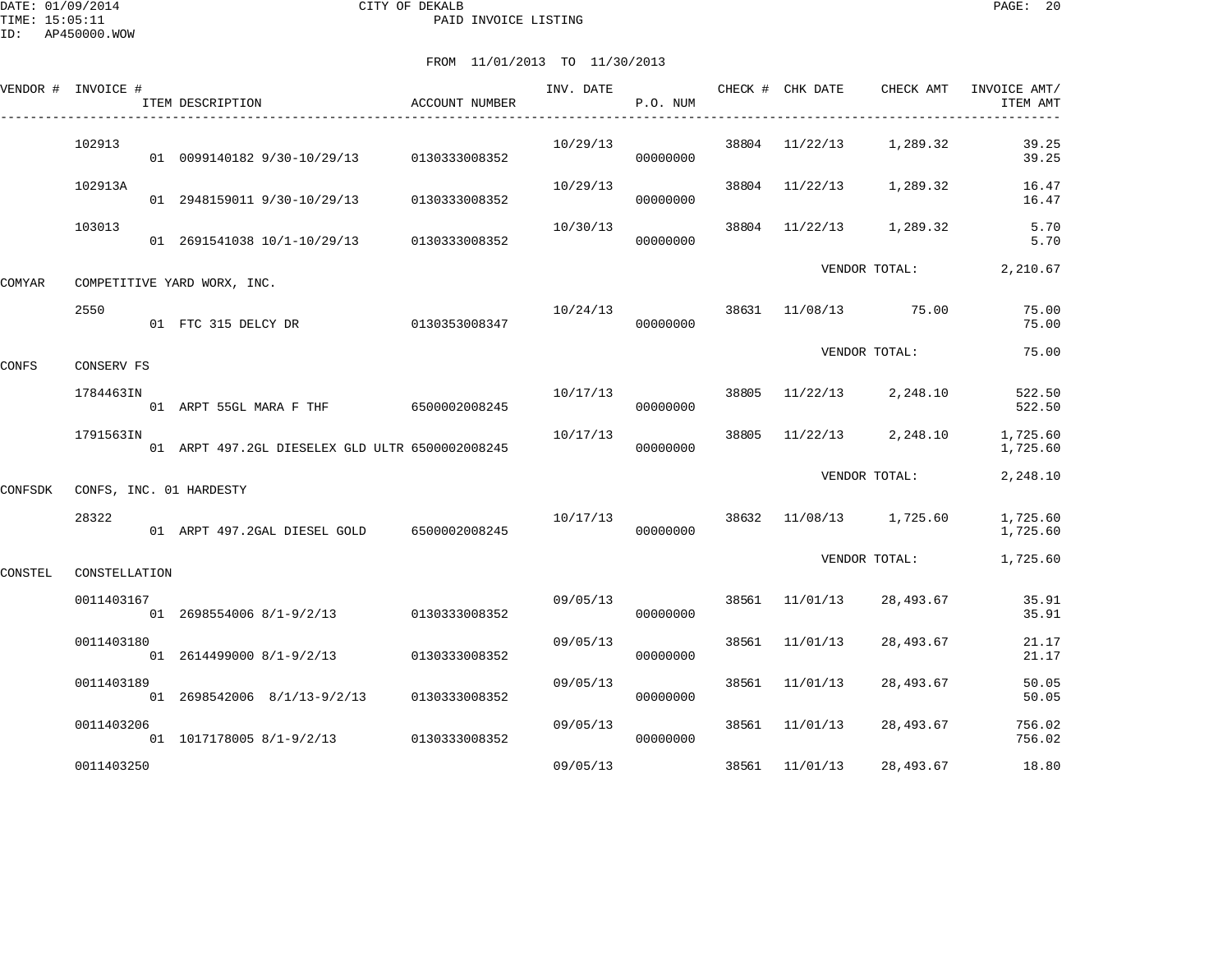DATE: 01/09/2014 CITY OF DEKALB PAGE: 20 PAID INVOICE LISTING

|         | VENDOR # INVOICE #      | ITEM DESCRIPTION                                | ACCOUNT NUMBER | INV. DATE | P.O. NUM             |       | CHECK # CHK DATE | CHECK AMT            | INVOICE AMT/<br>ITEM AMT |
|---------|-------------------------|-------------------------------------------------|----------------|-----------|----------------------|-------|------------------|----------------------|--------------------------|
|         | 102913                  | 01 0099140182 9/30-10/29/13 0130333008352       |                | 10/29/13  | 00000000             |       | 38804 11/22/13   | 1,289.32             | 39.25<br>39.25           |
|         | 102913A                 | 01 2948159011 9/30-10/29/13                     | 0130333008352  | 10/29/13  | 00000000             |       | 38804 11/22/13   | 1,289.32             | 16.47<br>16.47           |
|         | 103013                  | 01 2691541038 10/1-10/29/13                     | 0130333008352  | 10/30/13  | 00000000             | 38804 |                  | 11/22/13 1,289.32    | 5.70<br>5.70             |
| COMYAR  |                         | COMPETITIVE YARD WORX, INC.                     |                |           |                      |       |                  | VENDOR TOTAL:        | 2,210.67                 |
|         | 2550                    | 01 FTC 315 DELCY DR                             | 0130353008347  | 10/24/13  | 00000000             |       |                  | 38631 11/08/13 75.00 | 75.00<br>75.00           |
| CONFS   | CONSERV FS              |                                                 |                |           |                      |       |                  | VENDOR TOTAL:        | 75.00                    |
|         | 1784463IN               | 01 ARPT 55GL MARA F THF 6500002008245           |                | 10/17/13  | 00000000             | 38805 | 11/22/13         | 2,248.10             | 522.50<br>522.50         |
|         | 1791563IN               | 01 ARPT 497.2GL DIESELEX GLD ULTR 6500002008245 |                | 10/17/13  | 00000000             | 38805 |                  | $11/22/13$ 2,248.10  | 1,725.60<br>1,725.60     |
| CONFSDK | CONFS, INC. 01 HARDESTY |                                                 |                |           |                      |       |                  | VENDOR TOTAL:        | 2,248.10                 |
|         | 28322                   | 01 ARPT 497.2GAL DIESEL GOLD 6500002008245      |                | 10/17/13  | 00000000             | 38632 |                  | 11/08/13 1,725.60    | 1,725.60<br>1,725.60     |
| CONSTEL | CONSTELLATION           |                                                 |                |           |                      |       |                  | VENDOR TOTAL:        | 1,725.60                 |
|         | 0011403167              | 01 2698554006 8/1-9/2/13 0130333008352          |                |           | 09/05/13<br>00000000 |       | 38561 11/01/13   | 28,493.67            | 35.91<br>35.91           |
|         | 0011403180              | 01 2614499000 8/1-9/2/13 0130333008352          |                | 09/05/13  | 00000000             | 38561 | 11/01/13         | 28,493.67            | 21.17<br>21.17           |
|         | 0011403189              | 01  2698542006  8/1/13-9/2/13  0130333008352    |                | 09/05/13  | 00000000             | 38561 | 11/01/13         | 28,493.67            | 50.05<br>50.05           |
|         | 0011403206              | 01 1017178005 8/1-9/2/13 0130333008352          |                | 09/05/13  | 00000000             | 38561 | 11/01/13         | 28,493.67            | 756.02<br>756.02         |
|         | 0011403250              |                                                 |                | 09/05/13  |                      | 38561 | 11/01/13         | 28,493.67            | 18.80                    |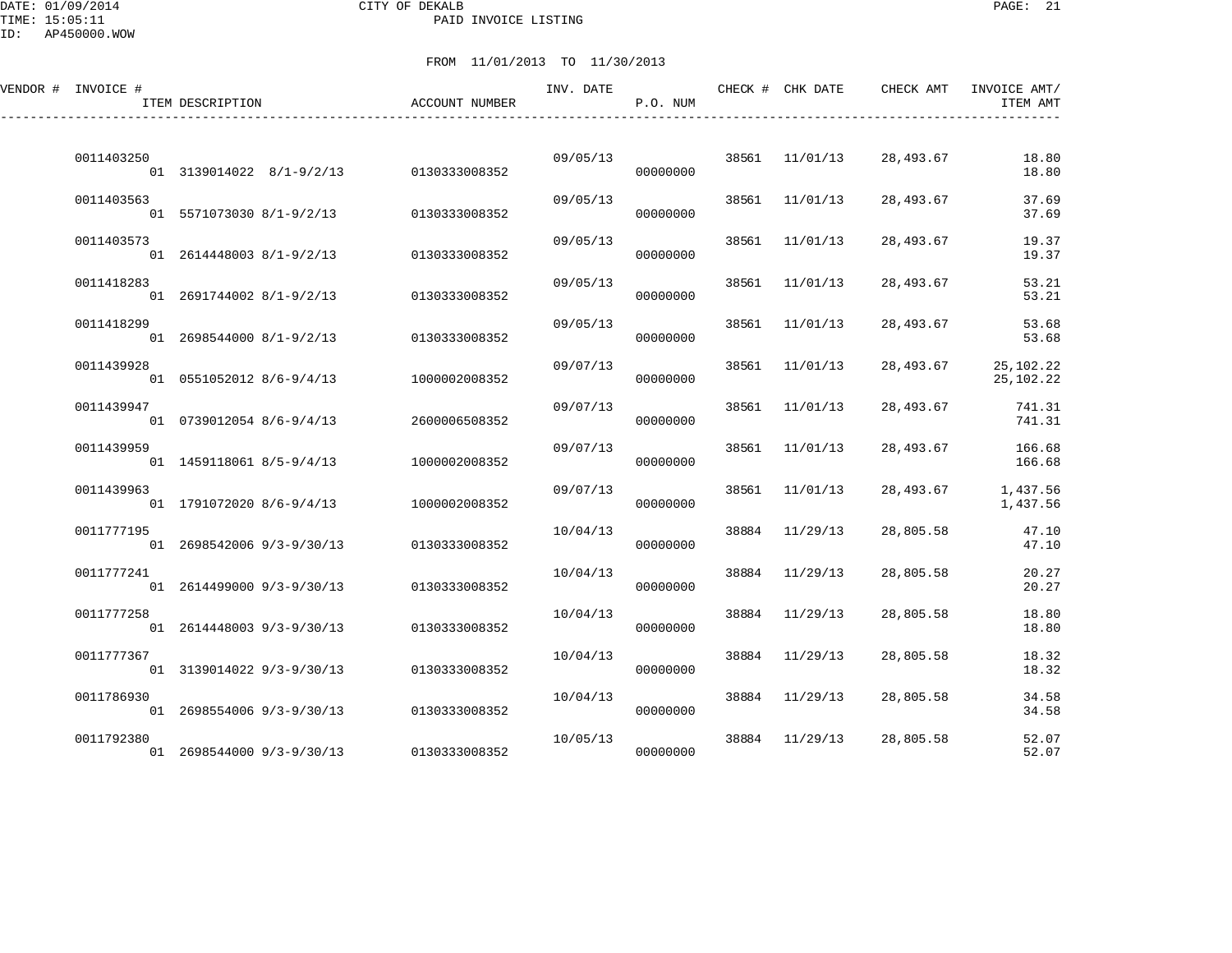DATE: 01/09/2014 CITY OF DEKALB PAGE: 21 PAID INVOICE LISTING

| VENDOR # INVOICE # | ITEM DESCRIPTION                                       | <b>ACCOUNT NUMBER</b>          | INV. DATE | P.O. NUM             |       | CHECK # CHK DATE | CHECK AMT | INVOICE AMT/<br>ITEM AMT |
|--------------------|--------------------------------------------------------|--------------------------------|-----------|----------------------|-------|------------------|-----------|--------------------------|
| 0011403250         | 01 3139014022 8/1-9/2/13                               | 0130333008352                  | 09/05/13  | 00000000             |       | 38561 11/01/13   | 28,493.67 | 18.80<br>18.80           |
| 0011403563         | 01 5571073030 8/1-9/2/13                               | 0130333008352                  | 09/05/13  | 00000000             |       | 38561 11/01/13   | 28,493.67 | 37.69<br>37.69           |
| 0011403573         | 01 2614448003 8/1-9/2/13                               | 0130333008352                  | 09/05/13  | 00000000             |       | 38561 11/01/13   | 28,493.67 | 19.37<br>19.37           |
| 0011418283         | 01 2691744002 8/1-9/2/13                               | 0130333008352                  | 09/05/13  | 00000000             | 38561 | 11/01/13         | 28,493.67 | 53.21<br>53.21           |
| 0011418299         | 01 2698544000 8/1-9/2/13                               | 0130333008352                  | 09/05/13  | 00000000             | 38561 | 11/01/13         | 28,493.67 | 53.68<br>53.68           |
| 0011439928         | 01 0551052012 8/6-9/4/13                               | 1000002008352                  | 09/07/13  | 00000000             |       | 38561 11/01/13   | 28,493.67 | 25,102.22<br>25,102.22   |
| 0011439947         | 01 0739012054 8/6-9/4/13                               | 2600006508352                  | 09/07/13  | 00000000             |       | 38561 11/01/13   | 28,493.67 | 741.31<br>741.31         |
| 0011439959         | 01 1459118061 8/5-9/4/13                               | 1000002008352                  | 09/07/13  | 00000000             | 38561 | 11/01/13         | 28,493.67 | 166.68<br>166.68         |
| 0011439963         | 01 1791072020 8/6-9/4/13                               | 1000002008352                  | 09/07/13  | 00000000             |       | 38561 11/01/13   | 28,493.67 | 1,437.56<br>1,437.56     |
| 0011777195         | 01 2698542006 9/3-9/30/13                              | 0130333008352                  | 10/04/13  | 00000000             |       | 38884 11/29/13   | 28,805.58 | 47.10<br>47.10           |
| 0011777241         | 01 2614499000 9/3-9/30/13                              | 0130333008352                  | 10/04/13  | 00000000             | 38884 | 11/29/13         | 28,805.58 | 20.27<br>20.27           |
| 0011777258         | 01 2614448003 9/3-9/30/13                              | 0130333008352                  | 10/04/13  | 00000000             | 38884 | 11/29/13         | 28,805.58 | 18.80<br>18.80           |
| 0011777367         | 01 3139014022 9/3-9/30/13                              | 0130333008352                  | 10/04/13  | 00000000             |       | 38884 11/29/13   | 28,805.58 | 18.32<br>18.32           |
| 0011786930         |                                                        |                                | 10/04/13  |                      |       | 38884 11/29/13   | 28,805.58 | 34.58                    |
| 0011792380         | 01 2698554006 9/3-9/30/13<br>01 2698544000 9/3-9/30/13 | 0130333008352<br>0130333008352 | 10/05/13  | 00000000<br>00000000 |       | 38884 11/29/13   | 28,805.58 | 34.58<br>52.07<br>52.07  |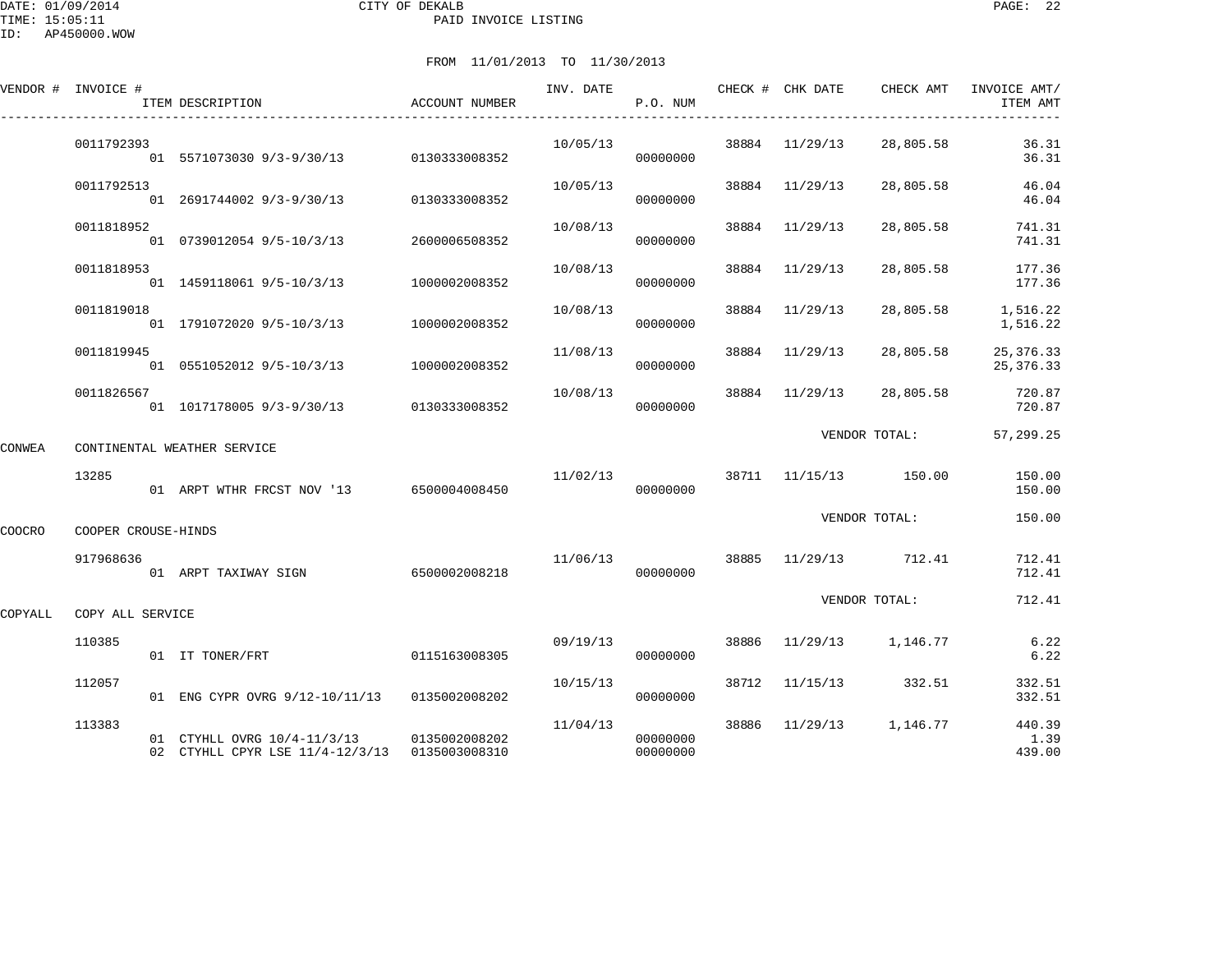DATE: 01/09/2014 CITY OF DEKALB PAGE: 22 PAID INVOICE LISTING

ID: AP450000.WOW

|         | VENDOR # INVOICE #  | ITEM DESCRIPTION                                                             | ACCOUNT NUMBER | INV. DATE | P.O. NUM             |       | CHECK # CHK DATE | CHECK AMT                          | INVOICE AMT/<br>ITEM AMT   |
|---------|---------------------|------------------------------------------------------------------------------|----------------|-----------|----------------------|-------|------------------|------------------------------------|----------------------------|
|         | 0011792393          | 01 5571073030 9/3-9/30/13 0130333008352                                      |                | 10/05/13  | 00000000             |       | 38884 11/29/13   | 28,805.58                          | 36.31<br>36.31             |
|         | 0011792513          | 01 2691744002 9/3-9/30/13 0130333008352                                      |                | 10/05/13  | 00000000             |       | 38884 11/29/13   | 28,805.58                          | 46.04<br>46.04             |
|         | 0011818952          | 01 0739012054 9/5-10/3/13                                                    | 2600006508352  | 10/08/13  | 00000000             |       | 38884 11/29/13   | 28,805.58                          | 741.31<br>741.31           |
|         | 0011818953          | 01 1459118061 9/5-10/3/13                                                    | 1000002008352  | 10/08/13  | 00000000             |       | 38884 11/29/13   | 28,805.58                          | 177.36<br>177.36           |
|         | 0011819018          | 01 1791072020 9/5-10/3/13                                                    | 1000002008352  | 10/08/13  | 00000000             |       | 38884 11/29/13   | 28,805.58                          | 1,516.22<br>1,516.22       |
|         | 0011819945          | 01  0551052012  9/5-10/3/13  1000002008352                                   |                | 11/08/13  | 00000000             |       | 38884 11/29/13   | 28,805.58                          | 25, 376. 33<br>25, 376. 33 |
|         | 0011826567          | 01 1017178005 9/3-9/30/13 0130333008352                                      |                | 10/08/13  | 00000000             |       | 38884 11/29/13   | 28,805.58                          | 720.87<br>720.87           |
| CONWEA  |                     | CONTINENTAL WEATHER SERVICE                                                  |                |           |                      |       |                  | VENDOR TOTAL:                      | 57,299.25                  |
|         | 13285               | 01 ARPT WTHR FRCST NOV '13 6500004008450                                     |                | 11/02/13  | 00000000             |       |                  | 38711 11/15/13 150.00              | 150.00<br>150.00           |
| COOCRO  | COOPER CROUSE-HINDS |                                                                              |                |           |                      |       |                  | VENDOR TOTAL:                      | 150.00                     |
|         | 917968636           | 01 ARPT TAXIWAY SIGN                                                         | 6500002008218  |           | 00000000             |       |                  | $11/06/13$ 38885 $11/29/13$ 712.41 | 712.41<br>712.41           |
| COPYALL | COPY ALL SERVICE    |                                                                              |                |           |                      |       |                  | VENDOR TOTAL:                      | 712.41                     |
|         | 110385              | 01 IT TONER/FRT                                                              | 0115163008305  | 09/19/13  | 00000000             |       |                  | 38886 11/29/13 1,146.77            | 6.22<br>6.22               |
|         | 112057              | 01 ENG CYPR OVRG 9/12-10/11/13 0135002008202                                 |                | 10/15/13  | 00000000             | 38712 |                  | 11/15/13 332.51                    | 332.51<br>332.51           |
|         | 113383              | 01 CTYHLL OVRG 10/4-11/3/13<br>02 CTYHLL CPYR LSE 11/4-12/3/13 0135003008310 | 0135002008202  | 11/04/13  | 00000000<br>00000000 |       |                  | 38886 11/29/13 1,146.77            | 440.39<br>1.39<br>439.00   |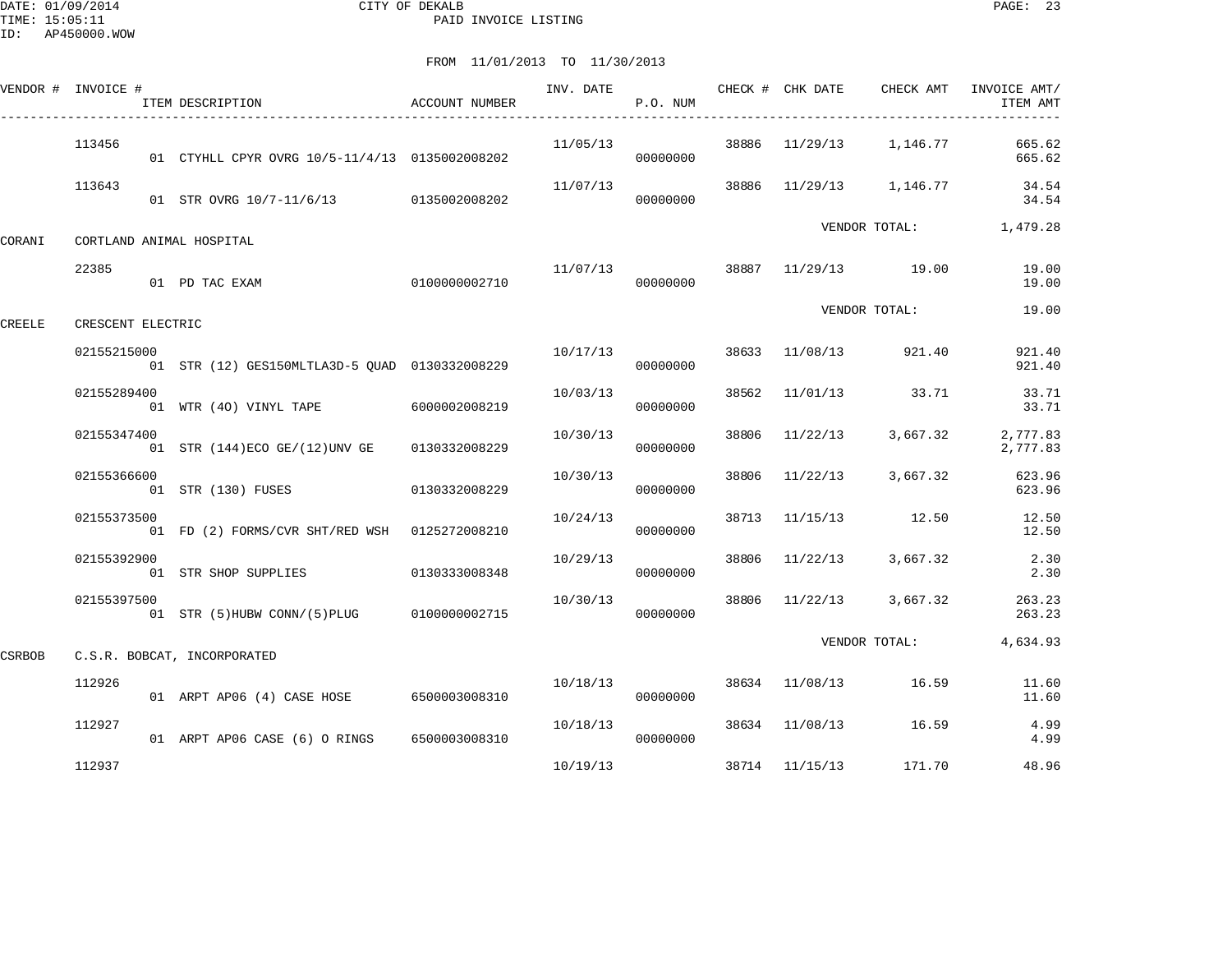DATE: 01/09/2014 CITY OF DEKALB PAGE: 23 PAID INVOICE LISTING

|        | VENDOR # INVOICE # | ITEM DESCRIPTION                               | ACCOUNT NUMBER | INV. DATE | P.O. NUM             |       | CHECK # CHK DATE | CHECK AMT               | INVOICE AMT/<br>ITEM AMT |
|--------|--------------------|------------------------------------------------|----------------|-----------|----------------------|-------|------------------|-------------------------|--------------------------|
|        | 113456             | 01 CTYHLL CPYR OVRG 10/5-11/4/13 0135002008202 |                | 11/05/13  | 00000000             |       |                  | 38886 11/29/13 1,146.77 | 665.62<br>665.62         |
|        | 113643             | 01 STR OVRG 10/7-11/6/13 0135002008202         |                | 11/07/13  | 00000000             | 38886 |                  | 11/29/13 1,146.77       | 34.54<br>34.54           |
| CORANI |                    | CORTLAND ANIMAL HOSPITAL                       |                |           |                      |       |                  | VENDOR TOTAL:           | 1,479.28                 |
|        | 22385              | 01 PD TAC EXAM                                 | 0100000002710  |           | 11/07/13<br>00000000 |       |                  | 38887 11/29/13 19.00    | 19.00<br>19.00           |
| CREELE | CRESCENT ELECTRIC  |                                                |                |           |                      |       |                  | VENDOR TOTAL:           | 19.00                    |
|        | 02155215000        | 01 STR (12) GES150MLTLA3D-5 QUAD 0130332008229 |                | 10/17/13  | 00000000             |       | 38633 11/08/13   | 921.40                  | 921.40<br>921.40         |
|        | 02155289400        | 01 WTR (40) VINYL TAPE 6000002008219           |                | 10/03/13  | 00000000             | 38562 | 11/01/13         | 33.71                   | 33.71<br>33.71           |
|        | 02155347400        | 01 STR (144) ECO GE/(12) UNV GE                | 0130332008229  | 10/30/13  | 00000000             | 38806 | 11/22/13         | 3,667.32                | 2,777.83<br>2,777.83     |
|        | 02155366600        | 01 STR (130) FUSES                             | 0130332008229  | 10/30/13  | 00000000             | 38806 | 11/22/13         | 3,667.32                | 623.96<br>623.96         |
|        | 02155373500        | 01 FD (2) FORMS/CVR SHT/RED WSH 0125272008210  |                | 10/24/13  | 00000000             | 38713 | 11/15/13         | 12.50                   | 12.50<br>12.50           |
|        | 02155392900        | 01 STR SHOP SUPPLIES                           | 0130333008348  | 10/29/13  | 00000000             | 38806 | 11/22/13         | 3,667.32                | 2.30<br>2.30             |
|        | 02155397500        | 01 STR (5)HUBW CONN/(5)PLUG 0100000002715      |                | 10/30/13  | 00000000             | 38806 | 11/22/13         | 3,667.32                | 263.23<br>263.23         |
| CSRBOB |                    | C.S.R. BOBCAT, INCORPORATED                    |                |           |                      |       |                  | VENDOR TOTAL:           | 4,634.93                 |
|        | 112926             | 01 ARPT AP06 (4) CASE HOSE 6500003008310       |                | 10/18/13  | 00000000             |       | 38634 11/08/13   | 16.59                   | 11.60<br>11.60           |
|        | 112927             | 01 ARPT AP06 CASE (6) O RINGS 6500003008310    |                | 10/18/13  | 00000000             |       | 38634 11/08/13   | 16.59                   | 4.99<br>4.99             |
|        | 112937             |                                                |                | 10/19/13  |                      |       | 38714 11/15/13   | 171.70                  | 48.96                    |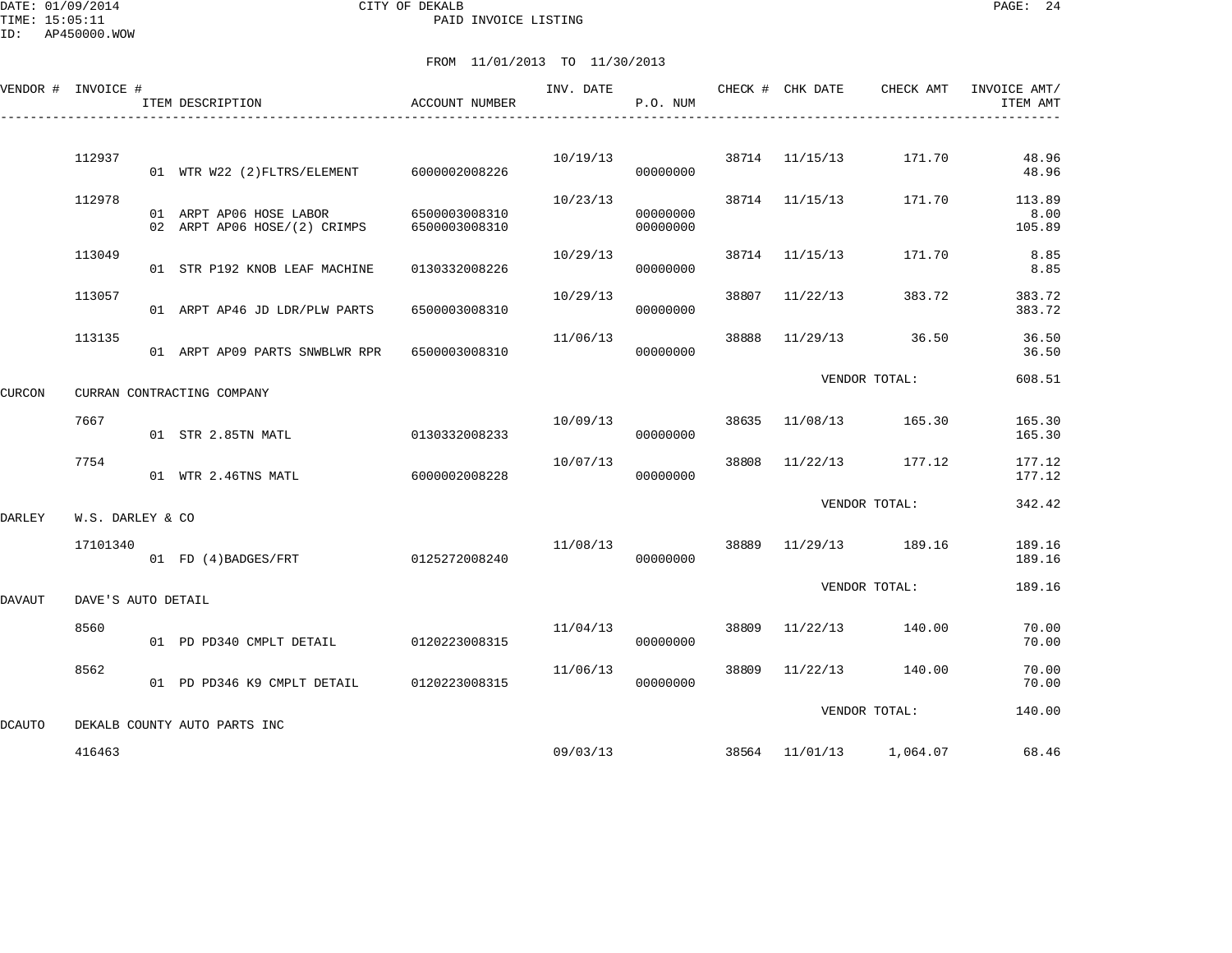DATE: 01/09/2014 CITY OF DEKALB PAGE: 24 PAID INVOICE LISTING

ID: AP450000.WOW

|        | VENDOR # INVOICE # | ITEM DESCRIPTION                                        | ACCOUNT NUMBER                 | INV. DATE | P.O. NUM             |       | CHECK # CHK DATE | CHECK AMT                        | INVOICE AMT/<br>ITEM AMT |
|--------|--------------------|---------------------------------------------------------|--------------------------------|-----------|----------------------|-------|------------------|----------------------------------|--------------------------|
|        | 112937             |                                                         |                                | 10/19/13  |                      |       | 38714 11/15/13   | 171.70                           | 48.96                    |
|        |                    | 01 WTR W22 (2) FLTRS/ELEMENT 6000002008226              |                                |           | 00000000             |       |                  |                                  | 48.96                    |
|        | 112978             | 01 ARPT AP06 HOSE LABOR<br>02 ARPT AP06 HOSE/(2) CRIMPS | 6500003008310<br>6500003008310 | 10/23/13  | 00000000<br>00000000 |       | 38714 11/15/13   | 171.70                           | 113.89<br>8.00<br>105.89 |
|        | 113049             | 01 STR P192 KNOB LEAF MACHINE                           | 0130332008226                  | 10/29/13  | 00000000             |       | 38714 11/15/13   | 171.70                           | 8.85<br>8.85             |
|        | 113057             | 01 ARPT AP46 JD LDR/PLW PARTS                           | 6500003008310                  | 10/29/13  | 00000000             | 38807 | 11/22/13         | 383.72                           | 383.72<br>383.72         |
|        | 113135             | 01 ARPT AP09 PARTS SNWBLWR RPR                          | 6500003008310                  | 11/06/13  | 00000000             | 38888 | 11/29/13         | 36.50                            | 36.50<br>36.50           |
| CURCON |                    | CURRAN CONTRACTING COMPANY                              |                                |           |                      |       |                  | VENDOR TOTAL:                    | 608.51                   |
|        | 7667               | 01 STR 2.85TN MATL                                      | 0130332008233                  | 10/09/13  | 00000000             | 38635 | 11/08/13         | 165.30                           | 165.30<br>165.30         |
|        | 7754               | 01 WTR 2.46TNS MATL                                     | 6000002008228                  | 10/07/13  | 00000000             | 38808 | 11/22/13         | 177.12                           | 177.12<br>177.12         |
| DARLEY | W.S. DARLEY & CO   |                                                         |                                |           |                      |       |                  | VENDOR TOTAL:                    | 342.42                   |
|        | 17101340           | 01 FD (4) BADGES/FRT                                    | 0125272008240                  | 11/08/13  | 00000000             | 38889 | 11/29/13         | 189.16                           | 189.16<br>189.16         |
| DAVAUT | DAVE'S AUTO DETAIL |                                                         |                                |           |                      |       |                  | VENDOR TOTAL:                    | 189.16                   |
|        | 8560               | 01 PD PD340 CMPLT DETAIL                                | 0120223008315                  | 11/04/13  | 00000000             | 38809 |                  | 11/22/13 140.00                  | 70.00<br>70.00           |
|        | 8562               | 01 PD PD346 K9 CMPLT DETAIL                             | 0120223008315                  | 11/06/13  | 00000000             | 38809 | 11/22/13         | 140.00                           | 70.00<br>70.00           |
| DCAUTO |                    | DEKALB COUNTY AUTO PARTS INC                            |                                |           |                      |       |                  | VENDOR TOTAL:                    | 140.00                   |
|        | 416463             |                                                         |                                |           |                      |       |                  | 09/03/13 38564 11/01/13 1,064.07 | 68.46                    |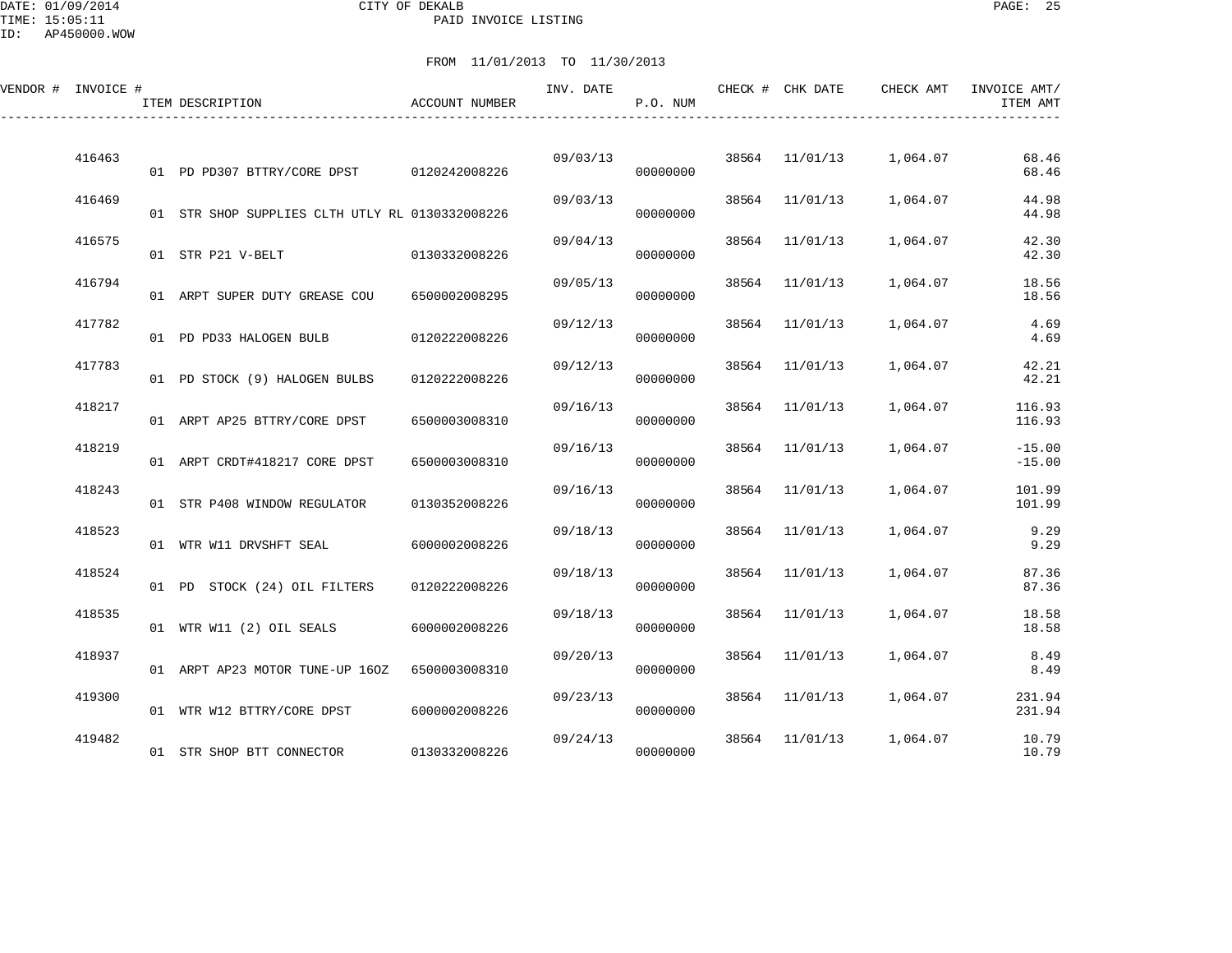DATE: 01/09/2014 CITY OF DEKALB PAGE: 25 PAID INVOICE LISTING

ID: AP450000.WOW

| VENDOR # INVOICE # |        | ITEM DESCRIPTION                                | <b>ACCOUNT NUMBER</b> | INV. DATE | P.O. NUM |       | CHECK # CHK DATE | CHECK AMT | INVOICE AMT/<br>ITEM AMT |
|--------------------|--------|-------------------------------------------------|-----------------------|-----------|----------|-------|------------------|-----------|--------------------------|
|                    | 416463 | 01 PD PD307 BTTRY/CORE DPST 0120242008226       |                       | 09/03/13  | 00000000 | 38564 | 11/01/13         | 1,064.07  | 68.46<br>68.46           |
|                    | 416469 | 01 STR SHOP SUPPLIES CLTH UTLY RL 0130332008226 |                       | 09/03/13  | 00000000 | 38564 | 11/01/13         | 1,064.07  | 44.98<br>44.98           |
|                    | 416575 | 01 STR P21 V-BELT                               | 0130332008226         | 09/04/13  | 00000000 | 38564 | 11/01/13         | 1,064.07  | 42.30<br>42.30           |
|                    | 416794 | 01 ARPT SUPER DUTY GREASE COU                   | 6500002008295         | 09/05/13  | 00000000 | 38564 | 11/01/13         | 1,064.07  | 18.56<br>18.56           |
|                    | 417782 | 01 PD PD33 HALOGEN BULB                         | 0120222008226         | 09/12/13  | 00000000 | 38564 | 11/01/13         | 1,064.07  | 4.69<br>4.69             |
|                    | 417783 | 01 PD STOCK (9) HALOGEN BULBS                   | 0120222008226         | 09/12/13  | 00000000 | 38564 | 11/01/13         | 1,064.07  | 42.21<br>42.21           |
|                    | 418217 | 01 ARPT AP25 BTTRY/CORE DPST                    | 6500003008310         | 09/16/13  | 00000000 | 38564 | 11/01/13         | 1,064.07  | 116.93<br>116.93         |
|                    | 418219 | 01 ARPT CRDT#418217 CORE DPST                   | 6500003008310         | 09/16/13  | 00000000 | 38564 | 11/01/13         | 1,064.07  | $-15.00$<br>$-15.00$     |
|                    | 418243 | 01 STR P408 WINDOW REGULATOR                    | 0130352008226         | 09/16/13  | 00000000 | 38564 | 11/01/13         | 1,064.07  | 101.99<br>101.99         |
|                    | 418523 | 01 WTR W11 DRVSHFT SEAL                         | 6000002008226         | 09/18/13  | 00000000 |       | 38564 11/01/13   | 1,064.07  | 9.29<br>9.29             |
|                    | 418524 | 01 PD STOCK (24) OIL FILTERS                    | 0120222008226         | 09/18/13  | 00000000 | 38564 | 11/01/13         | 1,064.07  | 87.36<br>87.36           |
|                    | 418535 | 01 WTR W11 (2) OIL SEALS                        | 6000002008226         | 09/18/13  | 00000000 | 38564 | 11/01/13         | 1,064.07  | 18.58<br>18.58           |
|                    | 418937 | 01 ARPT AP23 MOTOR TUNE-UP 160Z                 | 6500003008310         | 09/20/13  | 00000000 | 38564 | 11/01/13         | 1,064.07  | 8.49<br>8.49             |
|                    | 419300 | 01 WTR W12 BTTRY/CORE DPST                      | 6000002008226         | 09/23/13  | 00000000 |       | 38564 11/01/13   | 1,064.07  | 231.94<br>231.94         |
|                    | 419482 | 01 STR SHOP BTT CONNECTOR                       | 0130332008226         | 09/24/13  | 00000000 | 38564 | 11/01/13         | 1,064.07  | 10.79<br>10.79           |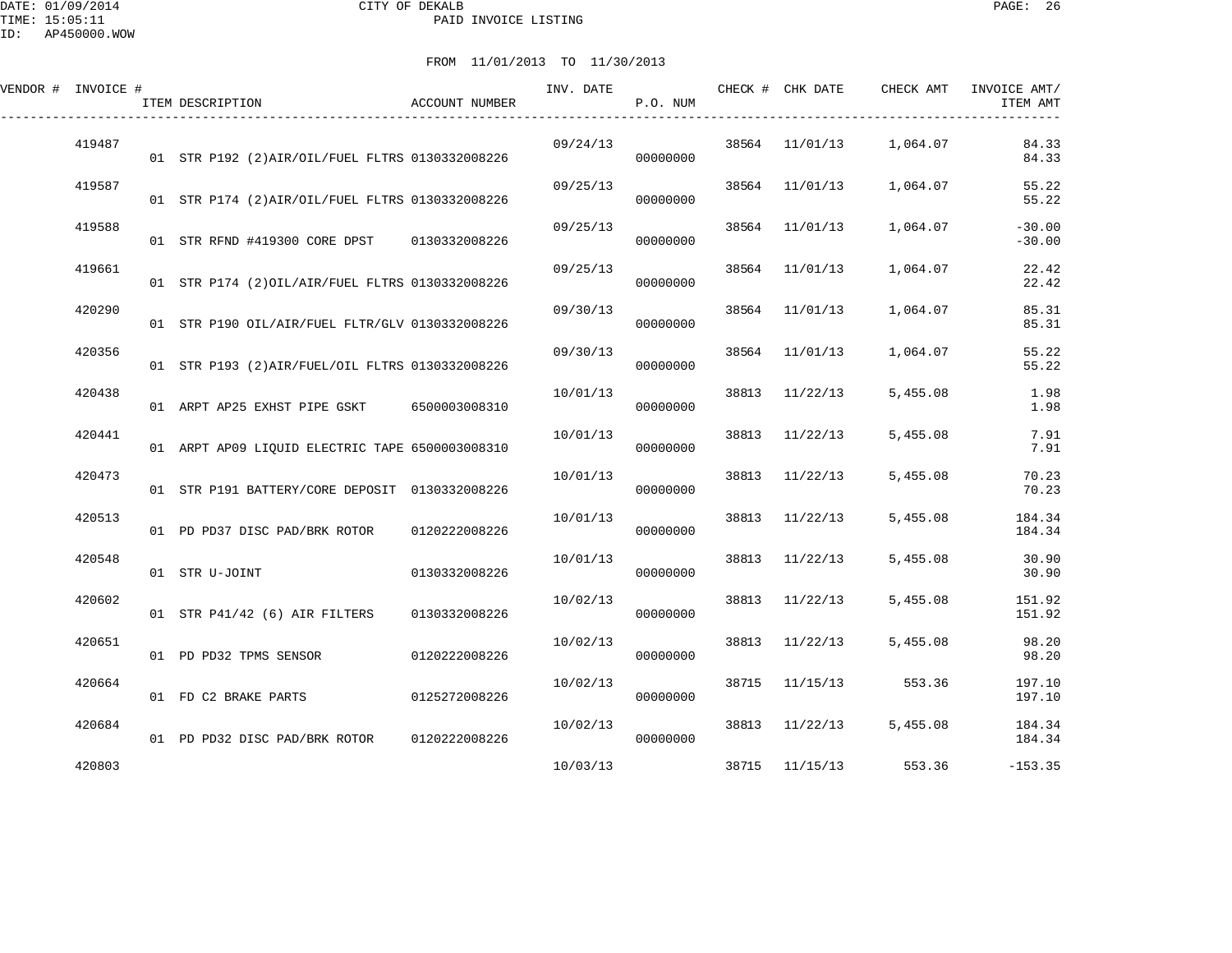DATE: 01/09/2014 CITY OF DEKALB PAGE: 26 PAID INVOICE LISTING

| VENDOR # INVOICE # |        | ITEM DESCRIPTION                                 | ACCOUNT NUMBER | INV. DATE | P.O. NUM |       | CHECK # CHK DATE | CHECK AMT | INVOICE AMT/<br>ITEM AMT |
|--------------------|--------|--------------------------------------------------|----------------|-----------|----------|-------|------------------|-----------|--------------------------|
|                    | 419487 | 01 STR P192 (2) AIR/OIL/FUEL FLTRS 0130332008226 |                | 09/24/13  | 00000000 |       | 38564 11/01/13   | 1,064.07  | 84.33<br>84.33           |
|                    | 419587 | 01 STR P174 (2) AIR/OIL/FUEL FLTRS 0130332008226 |                | 09/25/13  | 00000000 |       | 38564 11/01/13   | 1,064.07  | 55.22<br>55.22           |
|                    | 419588 | 01 STR RFND #419300 CORE DPST 0130332008226      |                | 09/25/13  | 00000000 |       | 38564 11/01/13   | 1,064.07  | $-30.00$<br>$-30.00$     |
|                    | 419661 | 01 STR P174 (2) OIL/AIR/FUEL FLTRS 0130332008226 |                | 09/25/13  | 00000000 | 38564 | 11/01/13         | 1,064.07  | 22.42<br>22.42           |
|                    | 420290 | 01 STR P190 OIL/AIR/FUEL FLTR/GLV 0130332008226  |                | 09/30/13  | 00000000 | 38564 | 11/01/13         | 1,064.07  | 85.31<br>85.31           |
|                    | 420356 | 01 STR P193 (2) AIR/FUEL/OIL FLTRS 0130332008226 |                | 09/30/13  | 00000000 |       | 38564 11/01/13   | 1,064.07  | 55.22<br>55.22           |
|                    | 420438 | 01 ARPT AP25 EXHST PIPE GSKT 6500003008310       |                | 10/01/13  | 00000000 |       | 38813 11/22/13   | 5,455.08  | 1.98<br>1.98             |
|                    | 420441 | 01 ARPT AP09 LIQUID ELECTRIC TAPE 6500003008310  |                | 10/01/13  | 00000000 |       | 38813 11/22/13   | 5,455.08  | 7.91<br>7.91             |
|                    | 420473 | 01 STR P191 BATTERY/CORE DEPOSIT 0130332008226   |                | 10/01/13  | 00000000 |       | 38813 11/22/13   | 5,455.08  | 70.23<br>70.23           |
|                    | 420513 | 01 PD PD37 DISC PAD/BRK ROTOR 0120222008226      |                | 10/01/13  | 00000000 |       | 38813 11/22/13   | 5,455.08  | 184.34<br>184.34         |
|                    | 420548 | 01 STR U-JOINT                                   | 0130332008226  | 10/01/13  | 00000000 |       | 38813 11/22/13   | 5,455.08  | 30.90<br>30.90           |
|                    | 420602 | 01 STR P41/42 (6) AIR FILTERS                    | 0130332008226  | 10/02/13  | 00000000 | 38813 | 11/22/13         | 5,455.08  | 151.92<br>151.92         |
|                    | 420651 | 01 PD PD32 TPMS SENSOR                           | 0120222008226  | 10/02/13  | 00000000 |       | 38813 11/22/13   | 5,455.08  | 98.20<br>98.20           |
|                    | 420664 | 01 FD C2 BRAKE PARTS                             | 0125272008226  | 10/02/13  | 00000000 |       | 38715 11/15/13   | 553.36    | 197.10<br>197.10         |
|                    | 420684 | 01 PD PD32 DISC PAD/BRK ROTOR                    | 0120222008226  | 10/02/13  | 00000000 |       | 38813 11/22/13   | 5,455.08  | 184.34<br>184.34         |
|                    | 420803 |                                                  |                | 10/03/13  |          |       | 38715 11/15/13   | 553.36    | $-153.35$                |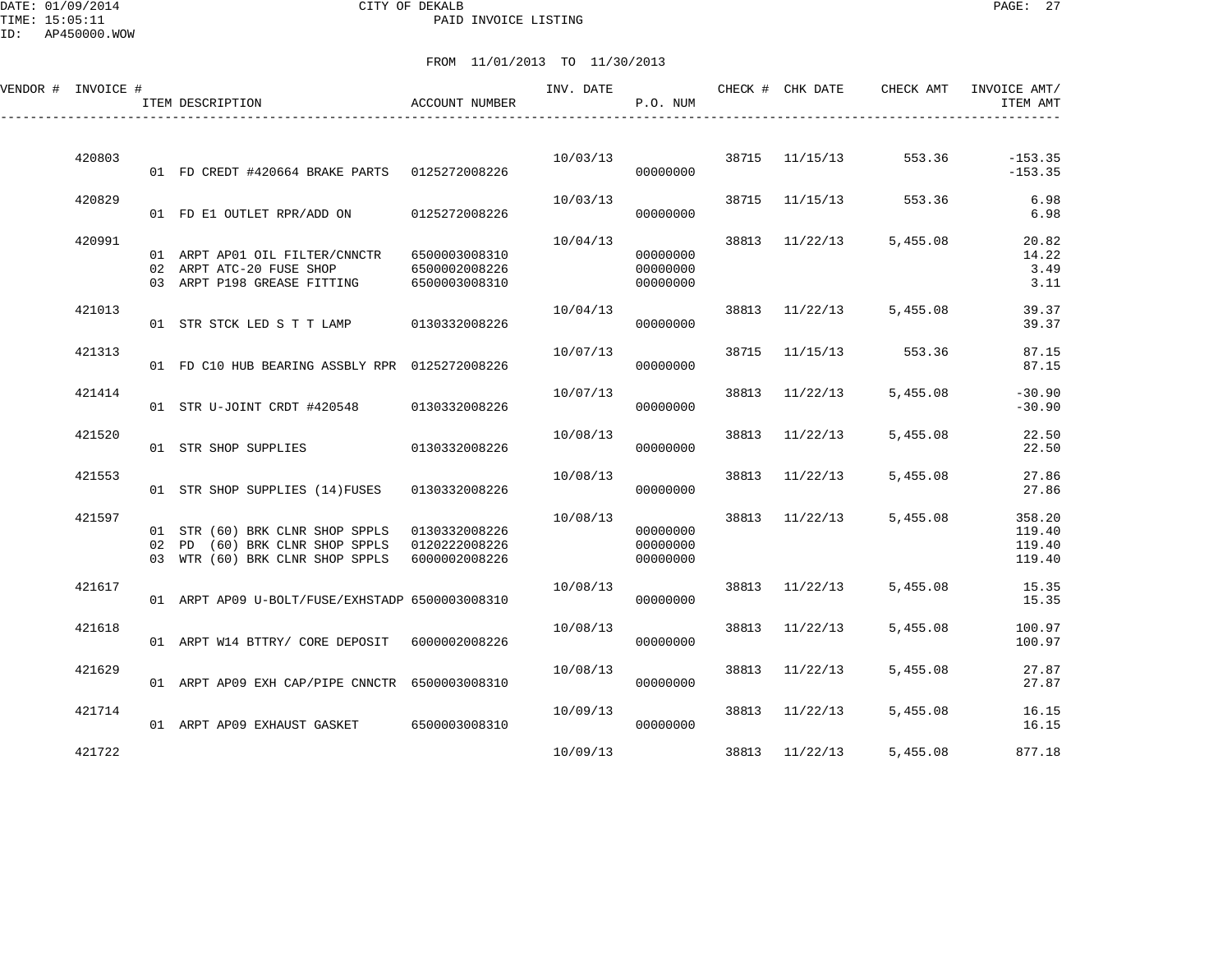DATE: 01/09/2014 CITY OF DEKALB PAGE: 27 PAID INVOICE LISTING

ID: AP450000.WOW

| VENDOR # INVOICE # | ITEM DESCRIPTION                                                                                                   | <b>ACCOUNT NUMBER</b>                           | INV. DATE | P.O. NUM                         |       | CHECK # CHK DATE | CHECK AMT               | INVOICE AMT/<br>ITEM AMT             |
|--------------------|--------------------------------------------------------------------------------------------------------------------|-------------------------------------------------|-----------|----------------------------------|-------|------------------|-------------------------|--------------------------------------|
| 420803             | 01 FD CREDT #420664 BRAKE PARTS 0125272008226                                                                      |                                                 | 10/03/13  | 00000000                         |       | 38715 11/15/13   | 553.36                  | $-153.35$<br>$-153.35$               |
| 420829             | 01 FD E1 OUTLET RPR/ADD ON 0125272008226                                                                           |                                                 | 10/03/13  | 00000000                         |       | 38715 11/15/13   | 553.36                  | 6.98<br>6.98                         |
| 420991             | 01 ARPT AP01 OIL FILTER/CNNCTR<br>02 ARPT ATC-20 FUSE SHOP<br>03 ARPT P198 GREASE FITTING                          | 6500003008310<br>6500002008226<br>6500003008310 | 10/04/13  | 00000000<br>00000000<br>00000000 |       | 38813 11/22/13   | 5,455.08                | 20.82<br>14.22<br>3.49<br>3.11       |
| 421013             | 01 STR STCK LED S T T LAMP 0130332008226                                                                           |                                                 | 10/04/13  | 00000000                         |       |                  | 38813 11/22/13 5,455.08 | 39.37<br>39.37                       |
| 421313             | 01 FD C10 HUB BEARING ASSBLY RPR 0125272008226                                                                     |                                                 | 10/07/13  | 00000000                         |       |                  | 38715 11/15/13 553.36   | 87.15<br>87.15                       |
| 421414             | 01 STR U-JOINT CRDT #420548 0130332008226                                                                          |                                                 | 10/07/13  | 00000000                         | 38813 | 11/22/13         | 5,455.08                | $-30.90$<br>$-30.90$                 |
| 421520             | 01 STR SHOP SUPPLIES                                                                                               | 0130332008226                                   | 10/08/13  | 00000000                         |       | 38813 11/22/13   | 5,455.08                | 22.50<br>22.50                       |
| 421553             | 01 STR SHOP SUPPLIES (14) FUSES 0130332008226                                                                      |                                                 | 10/08/13  | 00000000                         |       | 38813 11/22/13   | 5,455.08                | 27.86<br>27.86                       |
| 421597             | 01 STR (60) BRK CLNR SHOP SPPLS 0130332008226<br>02 PD (60) BRK CLNR SHOP SPPLS<br>03 WTR (60) BRK CLNR SHOP SPPLS | 0120222008226<br>6000002008226                  | 10/08/13  | 00000000<br>00000000<br>00000000 |       | 38813 11/22/13   | 5,455.08                | 358.20<br>119.40<br>119.40<br>119.40 |
| 421617             | 01 ARPT AP09 U-BOLT/FUSE/EXHSTADP 6500003008310                                                                    |                                                 | 10/08/13  | 00000000                         |       | 38813 11/22/13   | 5,455.08                | 15.35<br>15.35                       |
| 421618             | 01 ARPT W14 BTTRY/ CORE DEPOSIT 6000002008226                                                                      |                                                 | 10/08/13  | 00000000                         | 38813 | 11/22/13         | 5,455.08                | 100.97<br>100.97                     |
| 421629             | 01 ARPT AP09 EXH CAP/PIPE CNNCTR 6500003008310                                                                     |                                                 | 10/08/13  | 00000000                         |       | 38813 11/22/13   | 5,455.08                | 27.87<br>27.87                       |
| 421714             | 01 ARPT AP09 EXHAUST GASKET 6500003008310                                                                          |                                                 | 10/09/13  | 00000000                         |       | 38813 11/22/13   | 5,455.08                | 16.15<br>16.15                       |
| 421722             |                                                                                                                    |                                                 | 10/09/13  |                                  |       | 38813 11/22/13   | 5,455.08                | 877.18                               |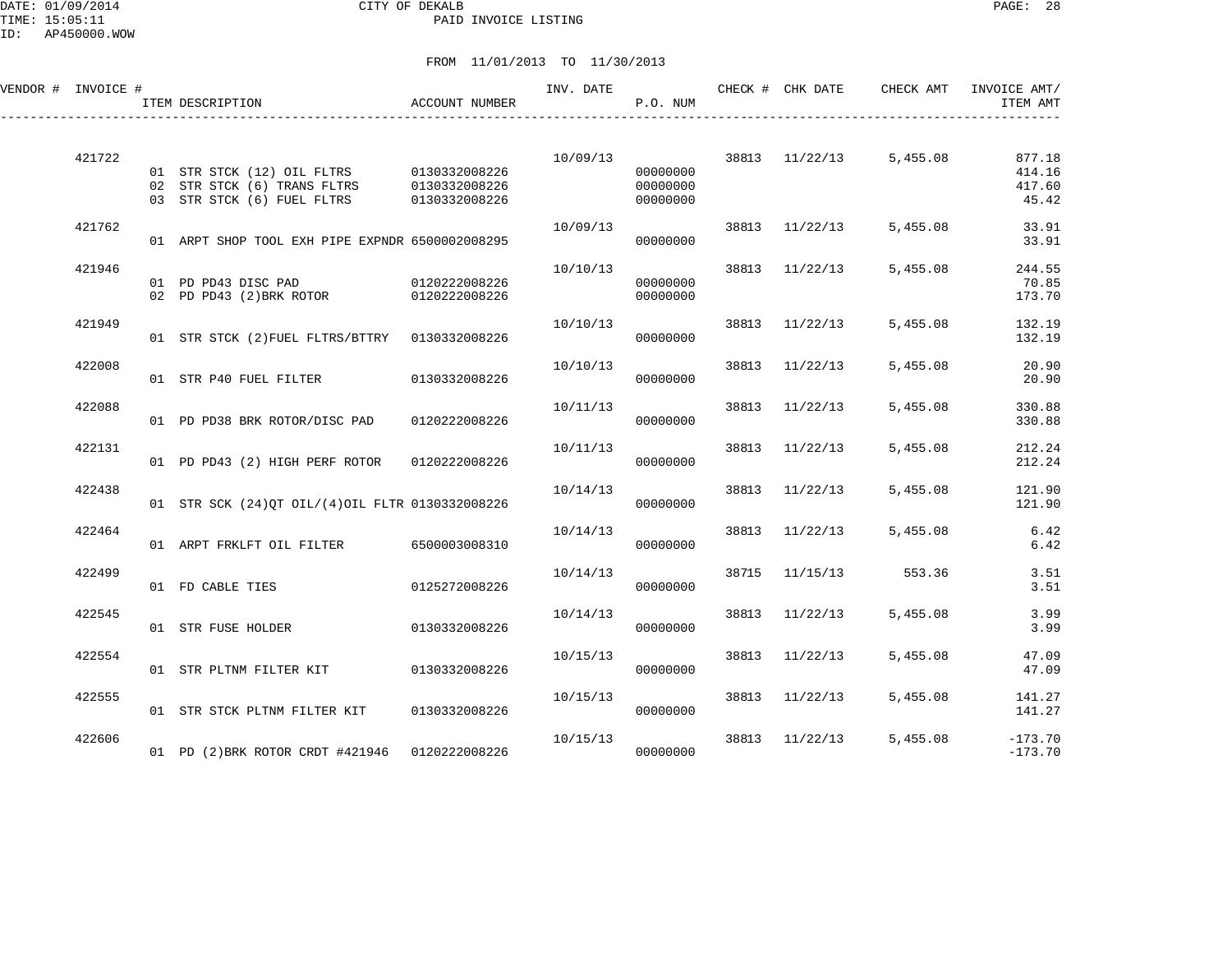DATE: 01/09/2014 CITY OF DEKALB PAGE: 28 PAID INVOICE LISTING

| VENDOR # INVOICE # | ITEM DESCRIPTION                                                                                      | ACCOUNT NUMBER                 | INV. DATE | P.O. NUM                         |       | CHECK # CHK DATE | CHECK AMT               | INVOICE AMT/<br>ITEM AMT            |
|--------------------|-------------------------------------------------------------------------------------------------------|--------------------------------|-----------|----------------------------------|-------|------------------|-------------------------|-------------------------------------|
| 421722             | 01 STR STCK (12) OIL FLTRS 0130332008226<br>02 STR STCK (6) TRANS FLTRS<br>03 STR STCK (6) FUEL FLTRS | 0130332008226<br>0130332008226 | 10/09/13  | 00000000<br>00000000<br>00000000 |       |                  | 38813 11/22/13 5,455.08 | 877.18<br>414.16<br>417.60<br>45.42 |
| 421762             | 01 ARPT SHOP TOOL EXH PIPE EXPNDR 6500002008295                                                       |                                | 10/09/13  | 00000000                         |       | 38813 11/22/13   | 5,455.08                | 33.91<br>33.91                      |
| 421946             | 01 PD PD43 DISC PAD 0120222008226<br>02 PD PD43 (2) BRK ROTOR 0120222008226                           |                                | 10/10/13  | 00000000<br>00000000             |       | 38813 11/22/13   | 5,455.08                | 244.55<br>70.85<br>173.70           |
| 421949             | 01 STR STCK (2) FUEL FLTRS/BTTRY 0130332008226                                                        |                                | 10/10/13  | 00000000                         |       | 38813 11/22/13   | 5,455.08                | 132.19<br>132.19                    |
| 422008             | 01 STR P40 FUEL FILTER 0130332008226                                                                  |                                | 10/10/13  | 00000000                         | 38813 | 11/22/13         | 5,455.08                | 20.90<br>20.90                      |
| 422088             | 01 PD PD38 BRK ROTOR/DISC PAD                                                                         | 0120222008226                  | 10/11/13  | 00000000                         | 38813 | 11/22/13         | 5,455.08                | 330.88<br>330.88                    |
| 422131             | 01 PD PD43 (2) HIGH PERF ROTOR                                                                        | 0120222008226                  | 10/11/13  | 00000000                         | 38813 | 11/22/13         | 5,455.08                | 212.24<br>212.24                    |
| 422438             | 01 STR SCK (24) OT OIL/(4) OIL FLTR 0130332008226                                                     |                                | 10/14/13  | 00000000                         | 38813 | 11/22/13         | 5,455.08                | 121.90<br>121.90                    |
| 422464             | 01 ARPT FRKLFT OIL FILTER 6500003008310                                                               |                                | 10/14/13  | 00000000                         |       | 38813 11/22/13   | 5,455.08                | 6.42<br>6.42                        |
| 422499             | 01 FD CABLE TIES                                                                                      | 0125272008226                  | 10/14/13  | 00000000                         | 38715 | 11/15/13         | 553.36                  | 3.51<br>3.51                        |
| 422545             | 01 STR FUSE HOLDER                                                                                    | 0130332008226                  | 10/14/13  | 00000000                         | 38813 | 11/22/13         | 5,455.08                | 3.99<br>3.99                        |
| 422554             | 01 STR PLTNM FILTER KIT 0130332008226                                                                 |                                | 10/15/13  | 00000000                         |       | 38813 11/22/13   | 5,455.08                | 47.09<br>47.09                      |
| 422555             | 01 STR STCK PLTNM FILTER KIT                                                                          | 0130332008226                  | 10/15/13  | 00000000                         |       | 38813 11/22/13   | 5,455.08                | 141.27<br>141.27                    |
| 422606             | 01 PD (2) BRK ROTOR CRDT #421946 0120222008226                                                        |                                | 10/15/13  | 00000000                         | 38813 | 11/22/13         | 5,455.08                | $-173.70$<br>$-173.70$              |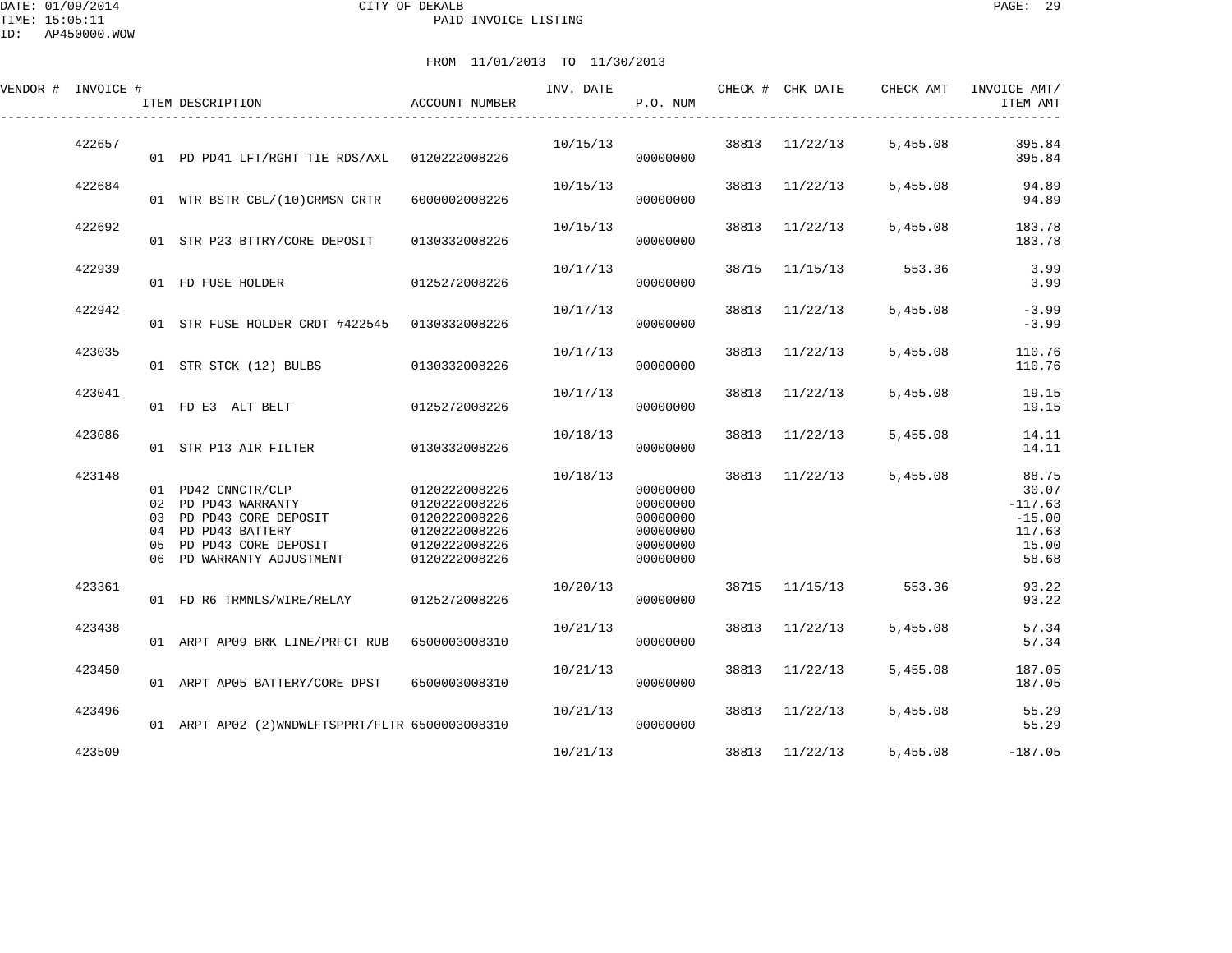DATE: 01/09/2014 CITY OF DEKALB PAGE: 29 PAID INVOICE LISTING

ID: AP450000.WOW

| VENDOR # INVOICE # |          | ITEM DESCRIPTION                                                                                                                             | ACCOUNT NUMBER                                                                                     | INV. DATE | P.O. NUM                                                             |       | CHECK # CHK DATE | CHECK AMT             | INVOICE AMT/<br>ITEM AMT                                            |
|--------------------|----------|----------------------------------------------------------------------------------------------------------------------------------------------|----------------------------------------------------------------------------------------------------|-----------|----------------------------------------------------------------------|-------|------------------|-----------------------|---------------------------------------------------------------------|
| 422657             |          | 01 PD PD41 LFT/RGHT TIE RDS/AXL 0120222008226                                                                                                |                                                                                                    | 10/15/13  | 00000000                                                             | 38813 | 11/22/13         | 5,455.08              | 395.84<br>395.84                                                    |
| 422684             |          | 01 WTR BSTR CBL/(10)CRMSN CRTR                                                                                                               | 6000002008226                                                                                      | 10/15/13  | 00000000                                                             |       | 38813 11/22/13   | 5,455.08              | 94.89<br>94.89                                                      |
| 422692             |          | 01 STR P23 BTTRY/CORE DEPOSIT                                                                                                                | 0130332008226                                                                                      | 10/15/13  | 00000000                                                             | 38813 | 11/22/13         | 5,455.08              | 183.78<br>183.78                                                    |
| 422939             |          | 01 FD FUSE HOLDER                                                                                                                            | 0125272008226                                                                                      | 10/17/13  | 00000000                                                             | 38715 | 11/15/13         | 553.36                | 3.99<br>3.99                                                        |
| 422942             |          | 01 STR FUSE HOLDER CRDT #422545 0130332008226                                                                                                |                                                                                                    | 10/17/13  | 00000000                                                             |       | 38813 11/22/13   | 5,455.08              | $-3.99$<br>$-3.99$                                                  |
| 423035             |          | 01 STR STCK (12) BULBS                                                                                                                       | 0130332008226                                                                                      | 10/17/13  | 00000000                                                             |       | 38813 11/22/13   | 5,455.08              | 110.76<br>110.76                                                    |
| 423041             |          | 01 FD E3 ALT BELT                                                                                                                            | 0125272008226                                                                                      | 10/17/13  | 00000000                                                             | 38813 | 11/22/13         | 5,455.08              | 19.15<br>19.15                                                      |
| 423086             |          | 01 STR P13 AIR FILTER                                                                                                                        | 0130332008226                                                                                      | 10/18/13  | 00000000                                                             | 38813 | 11/22/13         | 5,455.08              | 14.11<br>14.11                                                      |
| 423148             | 04<br>05 | 01 PD42 CNNCTR/CLP<br>02 PD PD43 WARRANTY<br>03 PD PD43 CORE DEPOSIT<br>PD PD43 BATTERY<br>PD PD43 CORE DEPOSIT<br>06 PD WARRANTY ADJUSTMENT | 0120222008226<br>0120222008226<br>0120222008226<br>0120222008226<br>0120222008226<br>0120222008226 | 10/18/13  | 00000000<br>00000000<br>00000000<br>00000000<br>00000000<br>00000000 |       | 38813 11/22/13   | 5,455.08              | 88.75<br>30.07<br>$-117.63$<br>$-15.00$<br>117.63<br>15.00<br>58.68 |
| 423361             |          | 01 FD R6 TRMNLS/WIRE/RELAY                                                                                                                   | 0125272008226                                                                                      | 10/20/13  | 00000000                                                             |       |                  | 38715 11/15/13 553.36 | 93.22<br>93.22                                                      |
| 423438             |          | 01 ARPT AP09 BRK LINE/PRFCT RUB                                                                                                              | 6500003008310                                                                                      | 10/21/13  | 00000000                                                             | 38813 | 11/22/13         | 5,455.08              | 57.34<br>57.34                                                      |
| 423450             |          | 01 ARPT AP05 BATTERY/CORE DPST                                                                                                               | 6500003008310                                                                                      | 10/21/13  | 00000000                                                             | 38813 | 11/22/13         | 5,455.08              | 187.05<br>187.05                                                    |
| 423496             |          | 01 ARPT AP02 (2) WNDWLFTSPPRT/FLTR 6500003008310                                                                                             |                                                                                                    | 10/21/13  | 00000000                                                             |       | 38813 11/22/13   | 5,455.08              | 55.29<br>55.29                                                      |
| 423509             |          |                                                                                                                                              |                                                                                                    | 10/21/13  |                                                                      |       | 38813 11/22/13   | 5,455.08              | $-187.05$                                                           |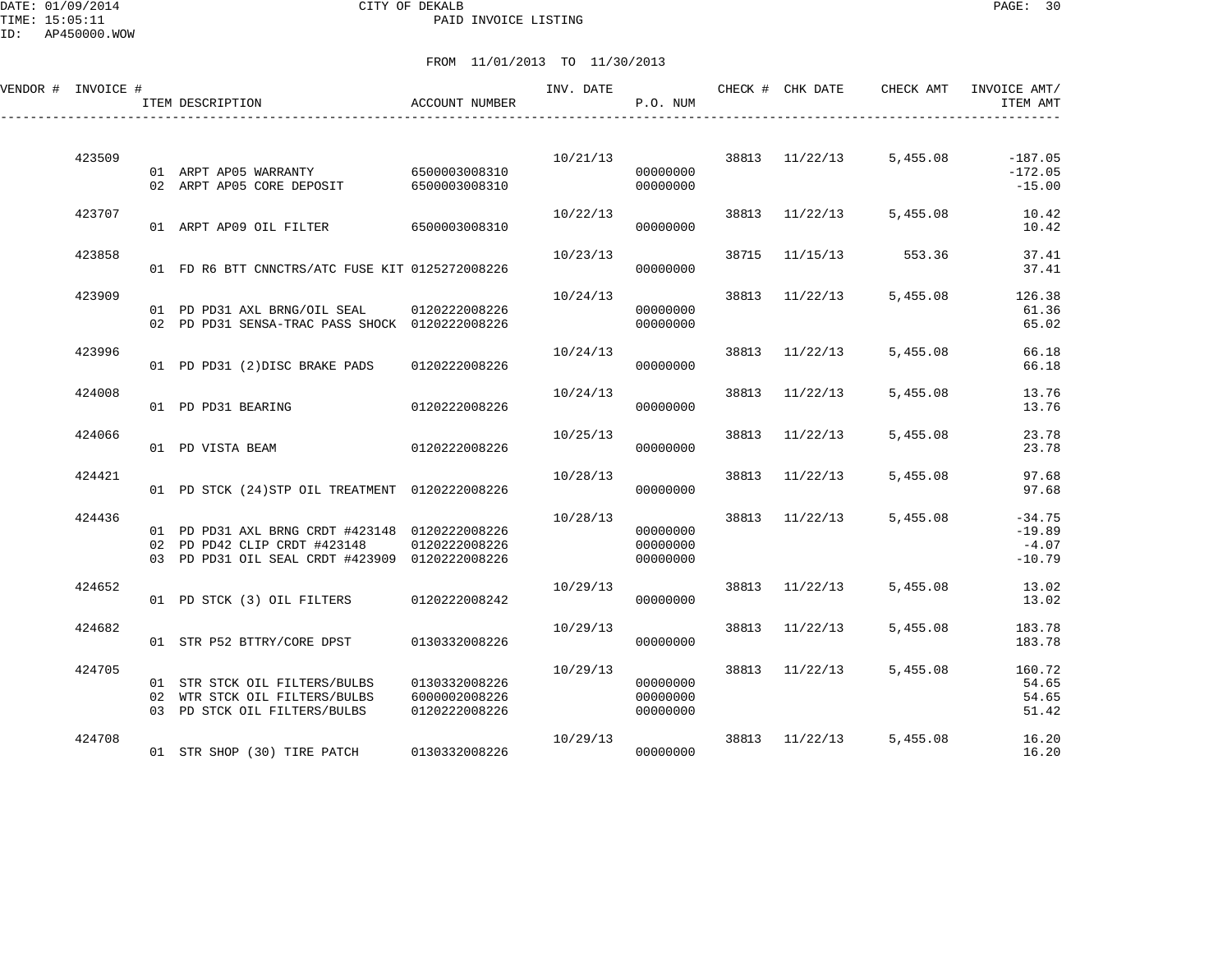DATE: 01/09/2014 CITY OF DEKALB PAGE: 30 PAID INVOICE LISTING

| VENDOR # INVOICE # | ITEM DESCRIPTION                                                               | ACCOUNT NUMBER                 | INV. DATE | P.O. NUM             |       | CHECK # CHK DATE | CHECK AMT | INVOICE AMT/<br>ITEM AMT |
|--------------------|--------------------------------------------------------------------------------|--------------------------------|-----------|----------------------|-------|------------------|-----------|--------------------------|
| 423509             |                                                                                |                                |           | 10/21/13             |       | 38813 11/22/13   | 5,455.08  | $-187.05$                |
|                    | 01 ARPT AP05 WARRANTY 6500003008310<br>02 ARPT AP05 CORE DEPOSIT               | 6500003008310                  |           | 00000000<br>00000000 |       |                  |           | $-172.05$<br>$-15.00$    |
| 423707             | 01 ARPT AP09 OIL FILTER 6500003008310                                          |                                | 10/22/13  | 00000000             |       | 38813 11/22/13   | 5,455.08  | 10.42<br>10.42           |
| 423858             |                                                                                |                                | 10/23/13  |                      | 38715 | 11/15/13         | 553.36    | 37.41                    |
|                    | 01 FD R6 BTT CNNCTRS/ATC FUSE KIT 0125272008226                                |                                |           | 00000000             |       |                  |           | 37.41                    |
| 423909             | 01 PD PD31 AXL BRNG/OIL SEAL 0120222008226                                     |                                | 10/24/13  | 00000000             |       | 38813 11/22/13   | 5,455.08  | 126.38<br>61.36          |
|                    | 02 PD PD31 SENSA-TRAC PASS SHOCK 0120222008226                                 |                                |           | 00000000             |       |                  |           | 65.02                    |
| 423996             | 01 PD PD31 (2) DISC BRAKE PADS                                                 | 0120222008226                  | 10/24/13  | 00000000             |       | 38813 11/22/13   | 5,455.08  | 66.18<br>66.18           |
| 424008             | 01 PD PD31 BEARING                                                             | 0120222008226                  | 10/24/13  | 00000000             | 38813 | 11/22/13         | 5,455.08  | 13.76<br>13.76           |
| 424066             |                                                                                |                                | 10/25/13  |                      | 38813 | 11/22/13         | 5,455.08  | 23.78                    |
|                    | 01 PD VISTA BEAM                                                               | 0120222008226                  |           | 00000000             |       |                  |           | 23.78                    |
| 424421             | 01 PD STCK (24) STP OIL TREATMENT 0120222008226                                |                                | 10/28/13  | 00000000             |       | 38813 11/22/13   | 5,455.08  | 97.68<br>97.68           |
| 424436             |                                                                                |                                | 10/28/13  |                      |       | 38813 11/22/13   | 5,455.08  | $-34.75$                 |
|                    | 01 PD PD31 AXL BRNG CRDT #423148 0120222008226<br>02 PD PD42 CLIP CRDT #423148 | 0120222008226                  |           | 00000000<br>00000000 |       |                  |           | $-19.89$<br>$-4.07$      |
| 424652             | 03 PD PD31 OIL SEAL CRDT #423909 0120222008226                                 |                                | 10/29/13  | 00000000             |       |                  | 5,455.08  | $-10.79$<br>13.02        |
|                    | 01 PD STCK (3) OIL FILTERS                                                     | 0120222008242                  |           | 00000000             |       | 38813 11/22/13   |           | 13.02                    |
| 424682             | 01 STR P52 BTTRY/CORE DPST                                                     | 0130332008226                  | 10/29/13  | 00000000             | 38813 | 11/22/13         | 5,455.08  | 183.78<br>183.78         |
| 424705             |                                                                                |                                | 10/29/13  |                      |       | 38813 11/22/13   | 5,455.08  | 160.72                   |
|                    | 01 STR STCK OIL FILTERS/BULBS<br>02 WTR STCK OIL FILTERS/BULBS                 | 0130332008226<br>6000002008226 |           | 00000000<br>00000000 |       |                  |           | 54.65<br>54.65           |
|                    | 03 PD STCK OIL FILTERS/BULBS                                                   | 0120222008226                  |           | 00000000             |       |                  |           | 51.42                    |
| 424708             | 01 STR SHOP (30) TIRE PATCH                                                    | 0130332008226                  | 10/29/13  | 00000000             | 38813 | 11/22/13         | 5,455.08  | 16.20<br>16.20           |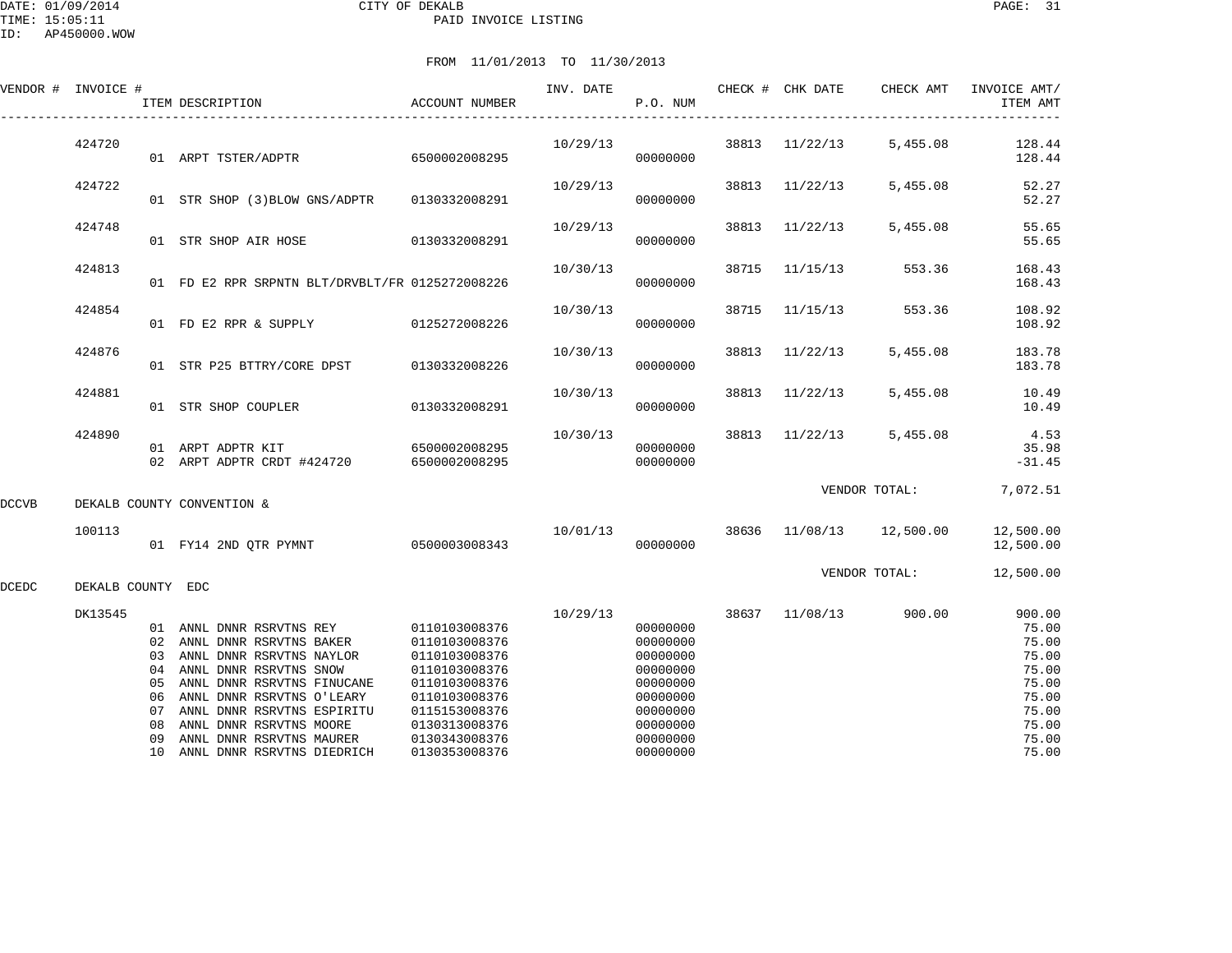|       |                   |                                              | ITEM DESCRIPTION                                                                                                                                                                                                                                                                           | <b>ACCOUNT NUMBER</b>                                                                                                                                                  |          | P.O. NUM                                                                                                             |       |                          |               | ITEM AMT                                                                                         |
|-------|-------------------|----------------------------------------------|--------------------------------------------------------------------------------------------------------------------------------------------------------------------------------------------------------------------------------------------------------------------------------------------|------------------------------------------------------------------------------------------------------------------------------------------------------------------------|----------|----------------------------------------------------------------------------------------------------------------------|-------|--------------------------|---------------|--------------------------------------------------------------------------------------------------|
|       | 424720            |                                              | 01 ARPT TSTER/ADPTR                                                                                                                                                                                                                                                                        | 6500002008295                                                                                                                                                          | 10/29/13 | 00000000                                                                                                             |       | 38813 11/22/13           | 5,455.08      | 128.44<br>128.44                                                                                 |
|       | 424722            |                                              | 01 STR SHOP (3) BLOW GNS/ADPTR 0130332008291                                                                                                                                                                                                                                               |                                                                                                                                                                        | 10/29/13 | 00000000                                                                                                             | 38813 | 11/22/13                 | 5,455.08      | 52.27<br>52.27                                                                                   |
|       | 424748            |                                              | 01 STR SHOP AIR HOSE                                                                                                                                                                                                                                                                       | 0130332008291                                                                                                                                                          | 10/29/13 | 00000000                                                                                                             | 38813 | 11/22/13                 | 5,455.08      | 55.65<br>55.65                                                                                   |
|       | 424813            |                                              | 01 FD E2 RPR SRPNTN BLT/DRVBLT/FR 0125272008226                                                                                                                                                                                                                                            |                                                                                                                                                                        | 10/30/13 | 00000000                                                                                                             | 38715 | 11/15/13                 | 553.36        | 168.43<br>168.43                                                                                 |
|       | 424854            |                                              | 01 FD E2 RPR & SUPPLY                                                                                                                                                                                                                                                                      | 0125272008226                                                                                                                                                          | 10/30/13 | 00000000                                                                                                             | 38715 | 11/15/13                 | 553.36        | 108.92<br>108.92                                                                                 |
|       | 424876            |                                              | 01 STR P25 BTTRY/CORE DPST                                                                                                                                                                                                                                                                 | 0130332008226                                                                                                                                                          | 10/30/13 | 00000000                                                                                                             | 38813 | 11/22/13                 | 5,455.08      | 183.78<br>183.78                                                                                 |
|       | 424881            |                                              | 01 STR SHOP COUPLER                                                                                                                                                                                                                                                                        | 0130332008291                                                                                                                                                          | 10/30/13 | 00000000                                                                                                             | 38813 | 11/22/13                 | 5,455.08      | 10.49<br>10.49                                                                                   |
|       | 424890            |                                              | 01 ARPT ADPTR KIT<br>02 ARPT ADPTR CRDT #424720 6500002008295                                                                                                                                                                                                                              | 6500002008295                                                                                                                                                          | 10/30/13 | 00000000<br>00000000                                                                                                 | 38813 | 11/22/13                 | 5,455.08      | 4.53<br>35.98<br>$-31.45$                                                                        |
| DCCVB |                   |                                              | DEKALB COUNTY CONVENTION &                                                                                                                                                                                                                                                                 |                                                                                                                                                                        |          |                                                                                                                      |       |                          | VENDOR TOTAL: | 7,072.51                                                                                         |
|       | 100113            |                                              | 01 FY14 2ND QTR PYMNT 0500003008343                                                                                                                                                                                                                                                        |                                                                                                                                                                        | 10/01/13 | 00000000                                                                                                             |       | 38636 11/08/13 12,500.00 |               | 12,500.00<br>12,500.00                                                                           |
| DCEDC | DEKALB COUNTY EDC |                                              |                                                                                                                                                                                                                                                                                            |                                                                                                                                                                        |          |                                                                                                                      |       |                          | VENDOR TOTAL: | 12,500.00                                                                                        |
|       | DK13545           | 03<br>04<br>05<br>06<br>07<br>08<br>09<br>10 | 01 ANNL DNNR RSRVTNS REY<br>02 ANNL DNNR RSRVTNS BAKER<br>ANNL DNNR RSRVTNS NAYLOR<br>ANNL DNNR RSRVTNS SNOW<br>ANNL DNNR RSRVTNS FINUCANE<br>ANNL DNNR RSRVTNS O'LEARY<br>ANNL DNNR RSRVTNS ESPIRITU<br>ANNL DNNR RSRVTNS MOORE<br>ANNL DNNR RSRVTNS MAURER<br>ANNL DNNR RSRVTNS DIEDRICH | 0110103008376<br>0110103008376<br>0110103008376<br>0110103008376<br>0110103008376<br>0110103008376<br>0115153008376<br>0130313008376<br>0130343008376<br>0130353008376 | 10/29/13 | 00000000<br>00000000<br>00000000<br>00000000<br>00000000<br>00000000<br>00000000<br>00000000<br>00000000<br>00000000 | 38637 | 11/08/13                 | 900.00        | 900.00<br>75.00<br>75.00<br>75.00<br>75.00<br>75.00<br>75.00<br>75.00<br>75.00<br>75.00<br>75.00 |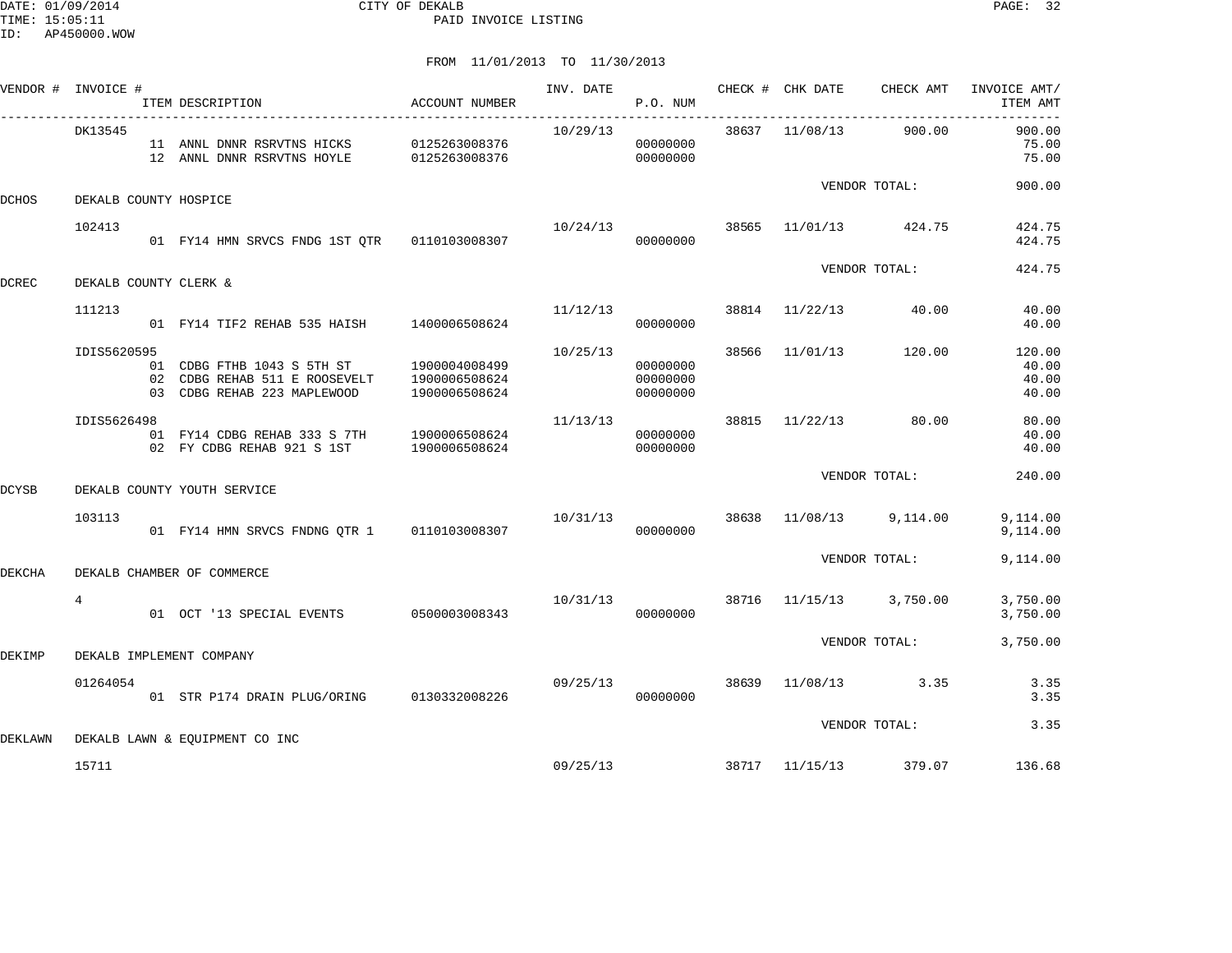|         | VENDOR # INVOICE #    | ITEM DESCRIPTION<br>____________________________                                                                       | ACCOUNT NUMBER | INV. DATE                          | P.O. NUM                         | CHECK # CHK DATE |                                  | CHECK AMT INVOICE AMT/<br>ITEM AMT |
|---------|-----------------------|------------------------------------------------------------------------------------------------------------------------|----------------|------------------------------------|----------------------------------|------------------|----------------------------------|------------------------------------|
|         | DK13545               | 11 ANNL DNNR RSRVTNS HICKS 0125263008376<br>12 ANNL DNNR RSRVTNS HOYLE 0125263008376                                   |                | 10/29/13                           | 00000000<br>00000000             |                  | 38637 11/08/13 900.00            | 900.00<br>75.00<br>75.00           |
| DCHOS   | DEKALB COUNTY HOSPICE |                                                                                                                        |                |                                    |                                  |                  | VENDOR TOTAL:                    | 900.00                             |
|         | 102413                |                                                                                                                        |                | $10/24/13$ 38565 $11/01/13$ 424.75 | 00000000                         |                  |                                  | 424.75<br>424.75                   |
| DCREC   | DEKALB COUNTY CLERK & |                                                                                                                        |                |                                    |                                  |                  | VENDOR TOTAL:                    | 424.75                             |
|         | 111213                | 01 FY14 TIF2 REHAB 535 HAISH 1400006508624                                                                             |                | 11/12/13                           | 00000000                         |                  | 38814 11/22/13 40.00             | 40.00<br>40.00                     |
|         | IDIS5620595           | 01 CDBG FTHB 1043 S 5TH ST 1900004008499<br>02 CDBG REHAB 511 E ROOSEVELT 1900006508624<br>03 CDBG REHAB 223 MAPLEWOOD | 1900006508624  | 10/25/13                           | 00000000<br>00000000<br>00000000 |                  | 38566 11/01/13 120.00            | 120.00<br>40.00<br>40.00<br>40.00  |
|         | IDIS5626498           | 01 FY14 CDBG REHAB 333 S 7TH 1900006508624<br>02 FY CDBG REHAB 921 S 1ST 1900006508624                                 |                | 11/13/13                           | 00000000<br>00000000             |                  | 38815 11/22/13 80.00             | 80.00<br>40.00<br>40.00            |
| DCYSB   |                       | DEKALB COUNTY YOUTH SERVICE                                                                                            |                |                                    |                                  |                  | VENDOR TOTAL:                    | 240.00                             |
|         | 103113                | 01 FY14 HMN SRVCS FNDNG OTR 1 0110103008307                                                                            |                | 10/31/13                           | 00000000                         |                  | 38638 11/08/13 9,114.00          | 9,114.00<br>9,114.00               |
| DEKCHA  |                       | DEKALB CHAMBER OF COMMERCE                                                                                             |                |                                    |                                  |                  | VENDOR TOTAL:                    | 9,114.00                           |
|         | $\overline{4}$        | 01 OCT '13 SPECIAL EVENTS 0500003008343                                                                                |                |                                    | 00000000                         |                  | 10/31/13 38716 11/15/13 3,750.00 | 3,750.00<br>3,750.00               |
| DEKIMP  |                       | DEKALB IMPLEMENT COMPANY                                                                                               |                |                                    |                                  |                  | VENDOR TOTAL:                    | 3,750.00                           |
|         | 01264054              | 01 STR P174 DRAIN PLUG/ORING 0130332008226                                                                             |                | 09/25/13                           | 00000000                         |                  | 38639 11/08/13 3.35              | 3.35<br>3.35                       |
| DEKLAWN |                       | DEKALB LAWN & EOUIPMENT CO INC                                                                                         |                |                                    |                                  |                  | VENDOR TOTAL:                    | 3.35                               |
|         | 15711                 |                                                                                                                        |                |                                    |                                  |                  | 09/25/13 38717 11/15/13 379.07   | 136.68                             |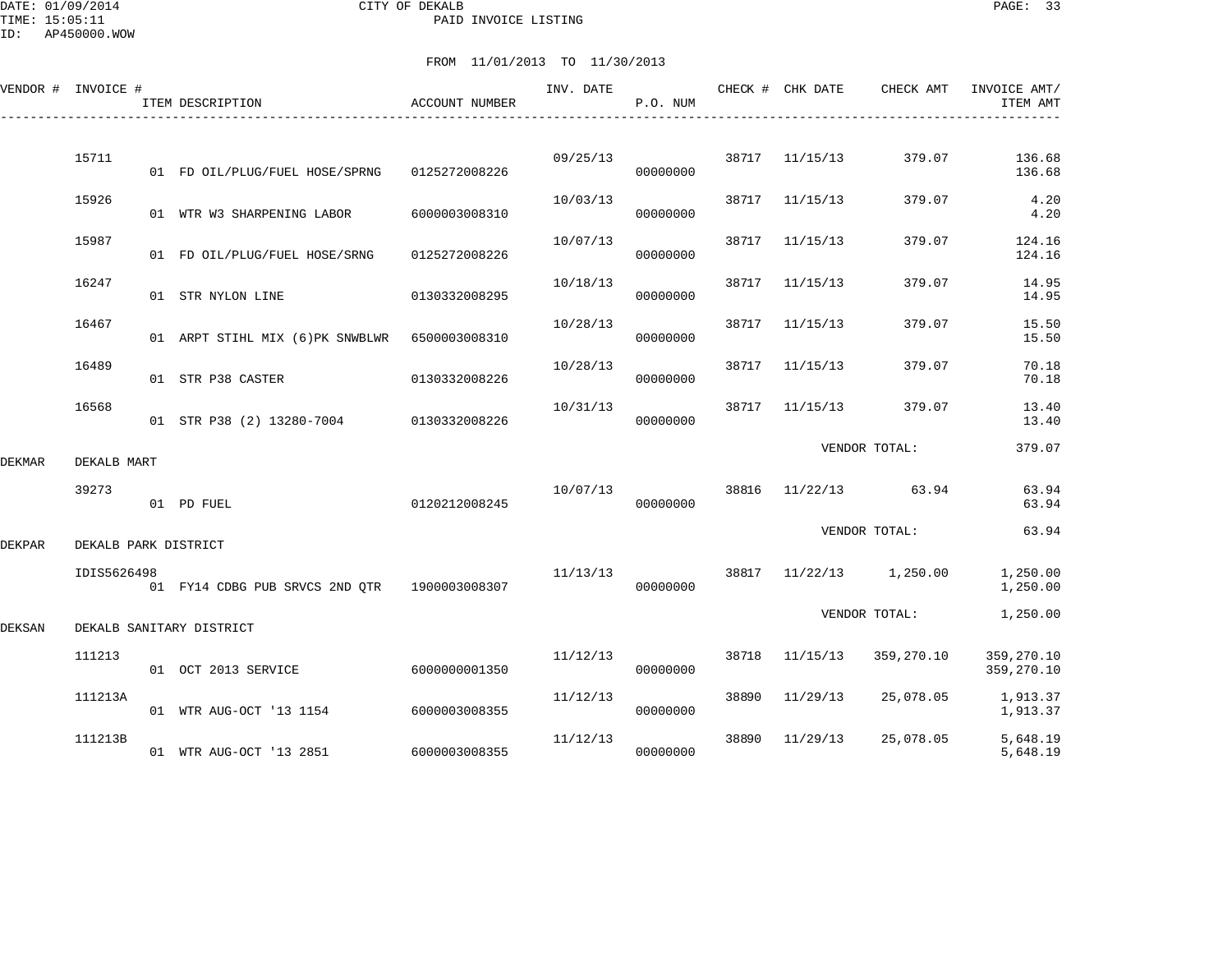DATE: 01/09/2014 CITY OF DEKALB PAGE: 33 PAID INVOICE LISTING

ID: AP450000.WOW

|        | VENDOR # INVOICE #   | ITEM DESCRIPTION                             | <b>ACCOUNT NUMBER</b> | INV. DATE | P.O. NUM |       | CHECK # CHK DATE | CHECK AMT               | INVOICE AMT/<br>ITEM AMT |
|--------|----------------------|----------------------------------------------|-----------------------|-----------|----------|-------|------------------|-------------------------|--------------------------|
|        |                      |                                              |                       |           |          |       |                  |                         |                          |
|        | 15711                | 01 FD OIL/PLUG/FUEL HOSE/SPRNG               | 0125272008226         | 09/25/13  | 00000000 |       | 38717 11/15/13   | 379.07                  | 136.68<br>136.68         |
|        | 15926                | 01 WTR W3 SHARPENING LABOR                   | 6000003008310         | 10/03/13  | 00000000 |       | 38717 11/15/13   | 379.07                  | 4.20<br>4.20             |
|        | 15987                | 01 FD OIL/PLUG/FUEL HOSE/SRNG                | 0125272008226         | 10/07/13  | 00000000 | 38717 | 11/15/13         | 379.07                  | 124.16<br>124.16         |
|        | 16247                | 01 STR NYLON LINE                            | 0130332008295         | 10/18/13  | 00000000 | 38717 | 11/15/13         | 379.07                  | 14.95<br>14.95           |
|        | 16467                | 01 ARPT STIHL MIX (6)PK SNWBLWR              | 6500003008310         | 10/28/13  | 00000000 | 38717 | 11/15/13         | 379.07                  | 15.50<br>15.50           |
|        | 16489                | 01 STR P38 CASTER                            | 0130332008226         | 10/28/13  | 00000000 |       | 38717 11/15/13   | 379.07                  | 70.18<br>70.18           |
|        | 16568                | 01 STR P38 (2) 13280-7004 0130332008226      |                       | 10/31/13  | 00000000 | 38717 | 11/15/13         | 379.07                  | 13.40<br>13.40           |
|        |                      |                                              |                       |           |          |       |                  | VENDOR TOTAL:           | 379.07                   |
| DEKMAR | DEKALB MART          |                                              |                       |           |          |       |                  | 63.94                   | 63.94                    |
|        | 39273                | 01 PD FUEL                                   | 0120212008245         | 10/07/13  | 00000000 |       | 38816 11/22/13   |                         | 63.94                    |
| DEKPAR | DEKALB PARK DISTRICT |                                              |                       |           |          |       |                  | VENDOR TOTAL:           | 63.94                    |
|        | IDIS5626498          | 01 FY14 CDBG PUB SRVCS 2ND QTR 1900003008307 |                       | 11/13/13  | 00000000 |       |                  | 38817 11/22/13 1,250.00 | 1,250.00<br>1,250.00     |
| DEKSAN |                      | DEKALB SANITARY DISTRICT                     |                       |           |          |       |                  | VENDOR TOTAL:           | 1,250.00                 |
|        | 111213               | 01 OCT 2013 SERVICE                          | 6000000001350         | 11/12/13  | 00000000 | 38718 | 11/15/13         | 359,270.10              | 359,270.10<br>359,270.10 |
|        | 111213A              | 01 WTR AUG-OCT '13 1154                      | 6000003008355         | 11/12/13  | 00000000 | 38890 | 11/29/13         | 25,078.05               | 1,913.37<br>1,913.37     |
|        | 111213B              | 01 WTR AUG-OCT '13 2851                      | 6000003008355         | 11/12/13  | 00000000 | 38890 | 11/29/13         | 25,078.05               | 5,648.19<br>5,648.19     |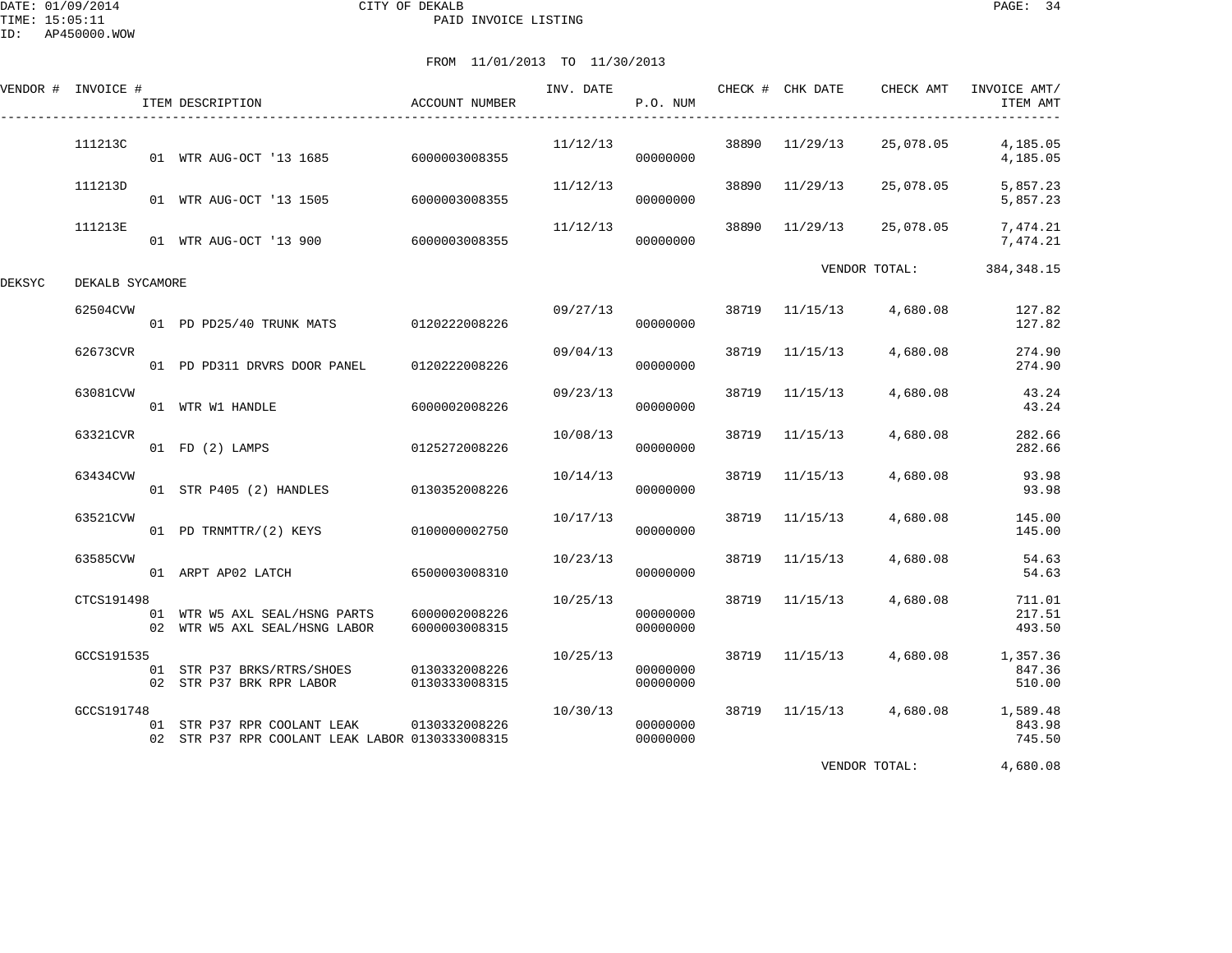DATE: 01/09/2014 CITY OF DEKALB PAGE: 34 PAID INVOICE LISTING

# FROM 11/01/2013 TO 11/30/2013

| VENDOR # INVOICE # |                 | ITEM DESCRIPTION                                                               | ACCOUNT NUMBER                 | INV. DATE | P.O. NUM             |       | CHECK # CHK DATE | CHECK AMT     | INVOICE AMT/<br>ITEM AMT     |
|--------------------|-----------------|--------------------------------------------------------------------------------|--------------------------------|-----------|----------------------|-------|------------------|---------------|------------------------------|
|                    | 111213C         | 01 WTR AUG-OCT '13 1685 6000003008355                                          |                                | 11/12/13  | 00000000             | 38890 | 11/29/13         | 25,078.05     | 4,185.05<br>4,185.05         |
|                    | 111213D         | 01 WTR AUG-OCT '13 1505                                                        | 6000003008355                  | 11/12/13  | 00000000             | 38890 | 11/29/13         | 25,078.05     | 5,857.23<br>5,857.23         |
|                    | 111213E         | 01 WTR AUG-OCT '13 900 6000003008355                                           |                                | 11/12/13  | 00000000             | 38890 | 11/29/13         | 25,078.05     | 7,474.21<br>7,474.21         |
| DEKSYC             | DEKALB SYCAMORE |                                                                                |                                |           |                      |       |                  | VENDOR TOTAL: | 384, 348.15                  |
|                    | 62504CVW        | 01 PD PD25/40 TRUNK MATS 0120222008226                                         |                                | 09/27/13  | 00000000             | 38719 | 11/15/13         | 4,680.08      | 127.82<br>127.82             |
|                    | 62673CVR        | 01 PD PD311 DRVRS DOOR PANEL                                                   | 0120222008226                  | 09/04/13  | 00000000             | 38719 | 11/15/13         | 4,680.08      | 274.90<br>274.90             |
|                    | 63081CVW        | 01 WTR W1 HANDLE                                                               | 6000002008226                  | 09/23/13  | 00000000             | 38719 | 11/15/13         | 4,680.08      | 43.24<br>43.24               |
|                    | 63321CVR        | $01$ FD $(2)$ LAMPS                                                            | 0125272008226                  | 10/08/13  | 00000000             | 38719 | 11/15/13         | 4,680.08      | 282.66<br>282.66             |
|                    | 63434CVW        | 01 STR P405 (2) HANDLES                                                        | 0130352008226                  | 10/14/13  | 00000000             | 38719 | 11/15/13         | 4,680.08      | 93.98<br>93.98               |
|                    | 63521CVW        | 01 PD TRNMTTR/(2) KEYS                                                         | 0100000002750                  | 10/17/13  | 00000000             | 38719 | 11/15/13         | 4,680.08      | 145.00<br>145.00             |
|                    | 63585CVW        | 01 ARPT AP02 LATCH                                                             | 6500003008310                  | 10/23/13  | 00000000             | 38719 | 11/15/13         | 4,680.08      | 54.63<br>54.63               |
|                    | CTCS191498      | 01 WTR W5 AXL SEAL/HSNG PARTS<br>02 WTR W5 AXL SEAL/HSNG LABOR                 | 6000002008226<br>6000003008315 | 10/25/13  | 00000000<br>00000000 |       | 38719 11/15/13   | 4,680.08      | 711.01<br>217.51<br>493.50   |
|                    | GCCS191535      | 01 STR P37 BRKS/RTRS/SHOES<br>02 STR P37 BRK RPR LABOR                         | 0130332008226<br>0130333008315 | 10/25/13  | 00000000<br>00000000 |       | 38719 11/15/13   | 4,680.08      | 1,357.36<br>847.36<br>510.00 |
|                    | GCCS191748      | 01 STR P37 RPR COOLANT LEAK<br>02 STR P37 RPR COOLANT LEAK LABOR 0130333008315 | 0130332008226                  | 10/30/13  | 00000000<br>00000000 |       | 38719 11/15/13   | 4,680.08      | 1,589.48<br>843.98<br>745.50 |
|                    |                 |                                                                                |                                |           |                      |       |                  |               |                              |

VENDOR TOTAL: 4,680.08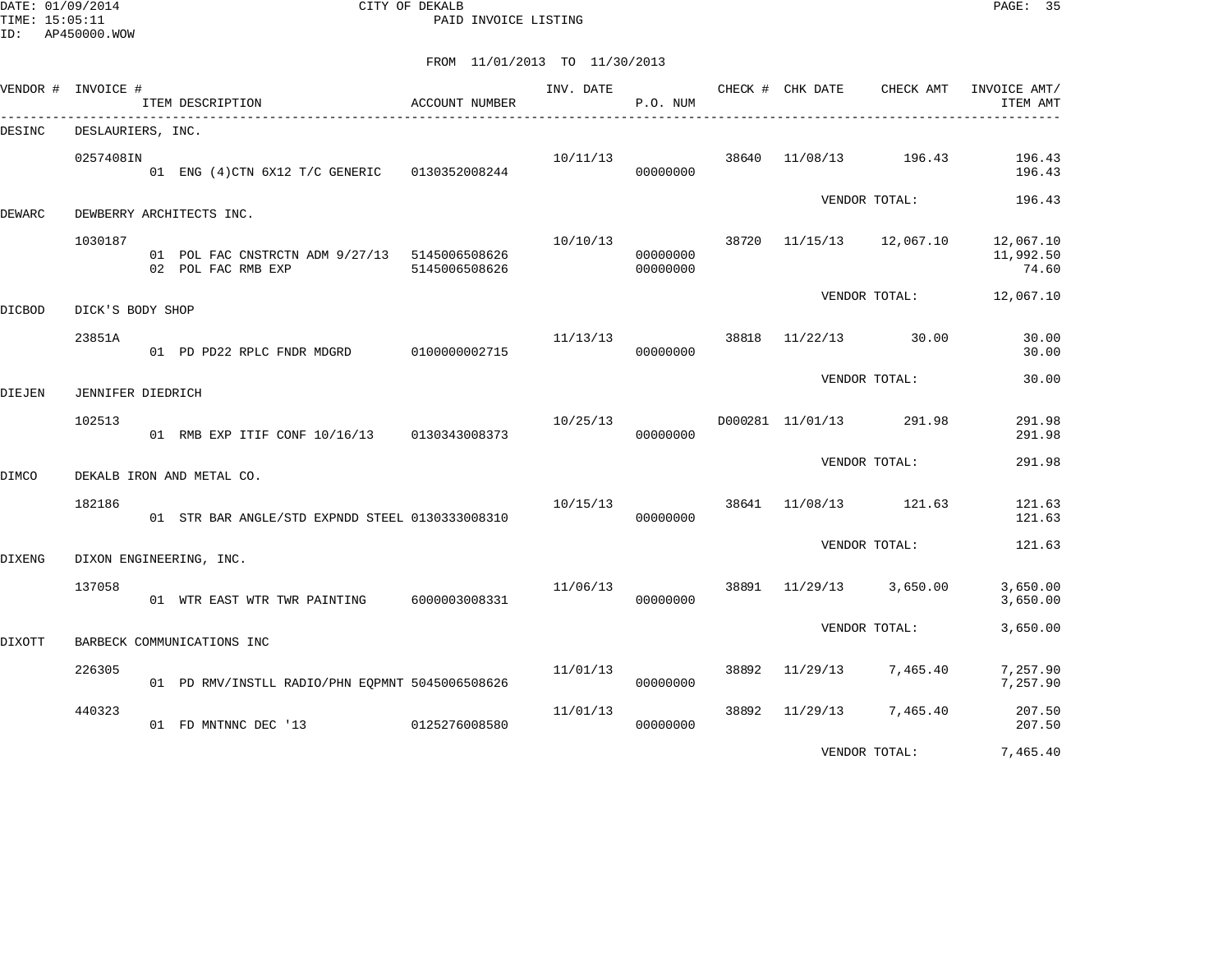DATE: 01/09/2014 CITY OF DEKALB PAGE: 35 PAID INVOICE LISTING

| VENDOR #      | INVOICE #         | ITEM DESCRIPTION                                                    | ACCOUNT NUMBER | INV. DATE | P.O. NUM             |       | CHECK # CHK DATE | CHECK AMT               | INVOICE AMT/<br>ITEM AMT        |
|---------------|-------------------|---------------------------------------------------------------------|----------------|-----------|----------------------|-------|------------------|-------------------------|---------------------------------|
| DESINC        | DESLAURIERS, INC. |                                                                     |                |           |                      |       |                  |                         |                                 |
|               | 0257408IN         | 01 ENG (4) CTN 6X12 T/C GENERIC 0130352008244                       |                | 10/11/13  | 00000000             | 38640 | 11/08/13         | 196.43                  | 196.43<br>196.43                |
| DEWARC        |                   | DEWBERRY ARCHITECTS INC.                                            |                |           |                      |       |                  | VENDOR TOTAL:           | 196.43                          |
|               | 1030187           | 01 POL FAC CNSTRCTN ADM 9/27/13 5145006508626<br>02 POL FAC RMB EXP | 5145006508626  | 10/10/13  | 00000000<br>00000000 | 38720 | 11/15/13         | 12,067.10               | 12,067.10<br>11,992.50<br>74.60 |
| <b>DICBOD</b> | DICK'S BODY SHOP  |                                                                     |                |           |                      |       |                  | VENDOR TOTAL:           | 12,067.10                       |
|               | 23851A            | 01 PD PD22 RPLC FNDR MDGRD 0100000002715                            |                |           | 11/13/13<br>00000000 | 38818 | 11/22/13         | 30.00                   | 30.00<br>30.00                  |
| DIEJEN        | JENNIFER DIEDRICH |                                                                     |                |           |                      |       |                  | VENDOR TOTAL:           | 30.00                           |
|               | 102513            | 01 RMB EXP ITIF CONF 10/16/13 0130343008373                         |                | 10/25/13  | 00000000             |       |                  | D000281 11/01/13 291.98 | 291.98<br>291.98                |
| DIMCO         |                   | DEKALB IRON AND METAL CO.                                           |                |           |                      |       |                  | VENDOR TOTAL:           | 291.98                          |
|               | 182186            | 01 STR BAR ANGLE/STD EXPNDD STEEL 0130333008310                     |                | 10/15/13  | 00000000             | 38641 | 11/08/13         | 121.63                  | 121.63<br>121.63                |
| DIXENG        |                   | DIXON ENGINEERING, INC.                                             |                |           |                      |       |                  | VENDOR TOTAL:           | 121.63                          |
|               | 137058            | 01 WTR EAST WTR TWR PAINTING 6000003008331                          |                | 11/06/13  | 00000000             | 38891 | 11/29/13         | 3,650.00                | 3,650.00<br>3,650.00            |
| DIXOTT        |                   | BARBECK COMMUNICATIONS INC                                          |                |           |                      |       |                  | VENDOR TOTAL:           | 3,650.00                        |
|               | 226305            | 01 PD RMV/INSTLL RADIO/PHN EOPMNT 5045006508626                     |                | 11/01/13  | 00000000             | 38892 | 11/29/13         | 7,465.40                | 7,257.90<br>7,257.90            |
|               | 440323            | 01 FD MNTNNC DEC '13                                                | 0125276008580  | 11/01/13  | 00000000             | 38892 | 11/29/13         | 7,465.40                | 207.50<br>207.50                |
|               |                   |                                                                     |                |           |                      |       |                  | VENDOR TOTAL:           | 7,465.40                        |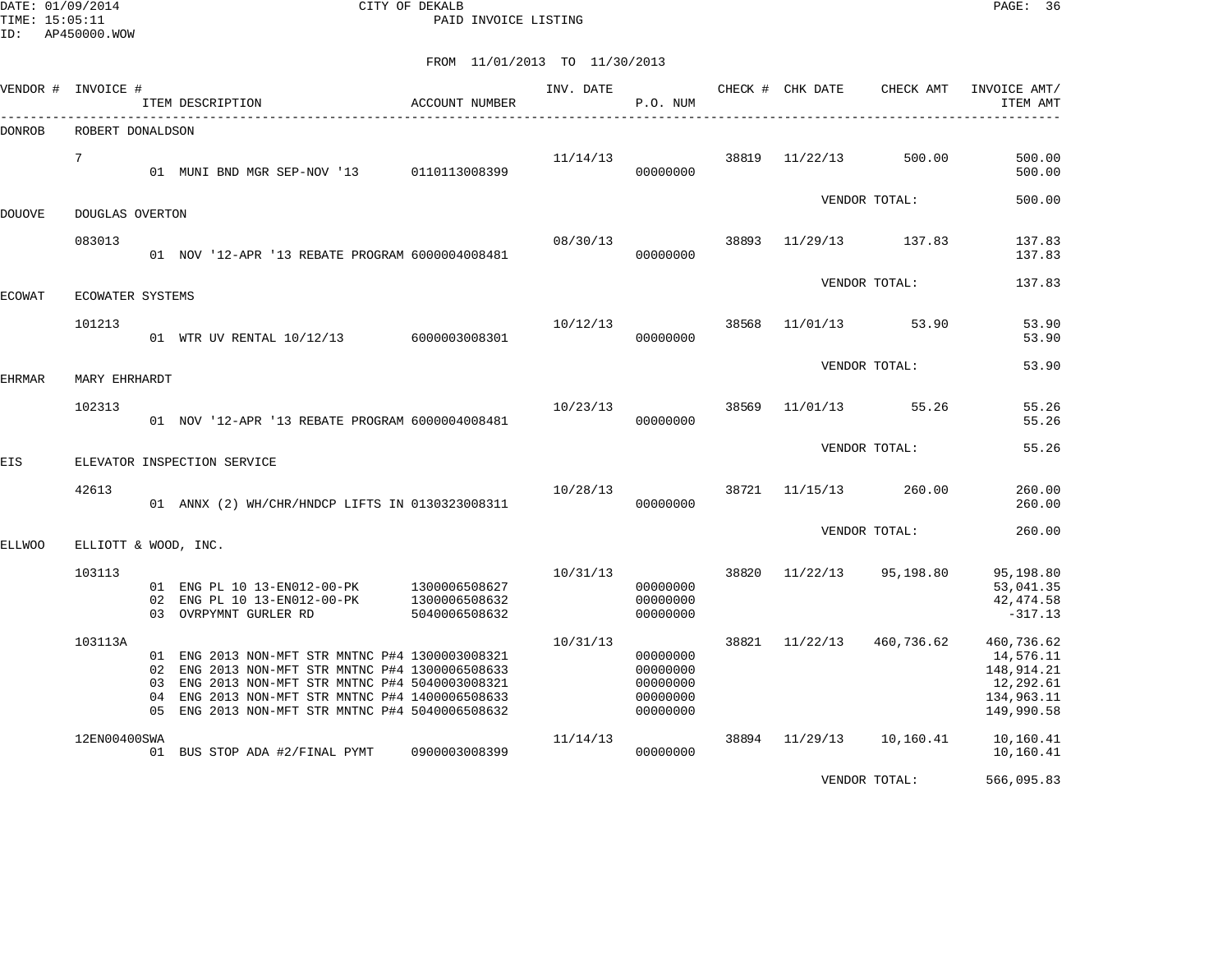DATE: 01/09/2014 CITY OF DEKALB PAGE: 36 PAID INVOICE LISTING

| VENDOR # | INVOICE #            |                      | ITEM DESCRIPTION                                                                                                                                                                                                                                | ACCOUNT NUMBER                                  | INV. DATE | P.O. NUM                                                 |       | CHECK # CHK DATE<br>____________________ | CHECK AMT     | INVOICE AMT/<br>ITEM AMT                                                       |
|----------|----------------------|----------------------|-------------------------------------------------------------------------------------------------------------------------------------------------------------------------------------------------------------------------------------------------|-------------------------------------------------|-----------|----------------------------------------------------------|-------|------------------------------------------|---------------|--------------------------------------------------------------------------------|
| DONROB   | ROBERT DONALDSON     |                      |                                                                                                                                                                                                                                                 |                                                 |           |                                                          |       |                                          |               |                                                                                |
|          | $7\phantom{.0}$      |                      | 01 MUNI BND MGR SEP-NOV '13                                                                                                                                                                                                                     | 0110113008399                                   | 11/14/13  | 00000000                                                 | 38819 | 11/22/13                                 | 500.00        | 500.00<br>500.00                                                               |
| DOUOVE   | DOUGLAS OVERTON      |                      |                                                                                                                                                                                                                                                 |                                                 |           |                                                          |       |                                          | VENDOR TOTAL: | 500.00                                                                         |
|          | 083013               |                      | 01 NOV '12-APR '13 REBATE PROGRAM 6000004008481                                                                                                                                                                                                 |                                                 | 08/30/13  | 00000000                                                 | 38893 | 11/29/13                                 | 137.83        | 137.83<br>137.83                                                               |
| ECOWAT   | ECOWATER SYSTEMS     |                      |                                                                                                                                                                                                                                                 |                                                 |           |                                                          |       |                                          | VENDOR TOTAL: | 137.83                                                                         |
|          | 101213               |                      | 01 WTR UV RENTAL 10/12/13 6000003008301                                                                                                                                                                                                         |                                                 | 10/12/13  | 00000000                                                 | 38568 | 11/01/13                                 | 53.90         | 53.90<br>53.90                                                                 |
| EHRMAR   | MARY EHRHARDT        |                      |                                                                                                                                                                                                                                                 |                                                 |           |                                                          |       |                                          | VENDOR TOTAL: | 53.90                                                                          |
|          | 102313               |                      | 01 NOV '12-APR '13 REBATE PROGRAM 6000004008481                                                                                                                                                                                                 |                                                 | 10/23/13  | 00000000                                                 | 38569 | 11/01/13                                 | 55.26         | 55.26<br>55.26                                                                 |
| EIS      |                      |                      | ELEVATOR INSPECTION SERVICE                                                                                                                                                                                                                     |                                                 |           |                                                          |       |                                          | VENDOR TOTAL: | 55.26                                                                          |
|          | 42613                |                      | 01 ANNX (2) WH/CHR/HNDCP LIFTS IN 0130323008311                                                                                                                                                                                                 |                                                 | 10/28/13  | 00000000                                                 | 38721 | 11/15/13                                 | 260.00        | 260.00<br>260.00                                                               |
| ELLWOO   | ELLIOTT & WOOD, INC. |                      |                                                                                                                                                                                                                                                 |                                                 |           |                                                          |       |                                          | VENDOR TOTAL: | 260.00                                                                         |
|          | 103113               | 02                   | 01 ENG PL 10 13-EN012-00-PK<br>ENG PL 10 13-EN012-00-PK<br>03 OVRPYMNT GURLER RD                                                                                                                                                                | 1300006508627<br>1300006508632<br>5040006508632 | 10/31/13  | 00000000<br>00000000<br>00000000                         | 38820 | 11/22/13                                 | 95,198.80     | 95,198.80<br>53,041.35<br>42, 474.58<br>$-317.13$                              |
|          | 103113A              | 02<br>03<br>04<br>05 | 01 ENG 2013 NON-MFT STR MNTNC P#4 1300003008321<br>ENG 2013 NON-MFT STR MNTNC P#4 1300006508633<br>ENG 2013 NON-MFT STR MNTNC P#4 5040003008321<br>ENG 2013 NON-MFT STR MNTNC P#4 1400006508633<br>ENG 2013 NON-MFT STR MNTNC P#4 5040006508632 |                                                 | 10/31/13  | 00000000<br>00000000<br>00000000<br>00000000<br>00000000 | 38821 | 11/22/13                                 | 460,736.62    | 460,736.62<br>14,576.11<br>148,914.21<br>12,292.61<br>134,963.11<br>149,990.58 |
|          | 12EN00400SWA         |                      | 01 BUS STOP ADA #2/FINAL PYMT                                                                                                                                                                                                                   | 0900003008399                                   | 11/14/13  | 00000000                                                 | 38894 | 11/29/13                                 | 10,160.41     | 10,160.41<br>10,160.41                                                         |
|          |                      |                      |                                                                                                                                                                                                                                                 |                                                 |           |                                                          |       |                                          | VENDOR TOTAL: | 566,095.83                                                                     |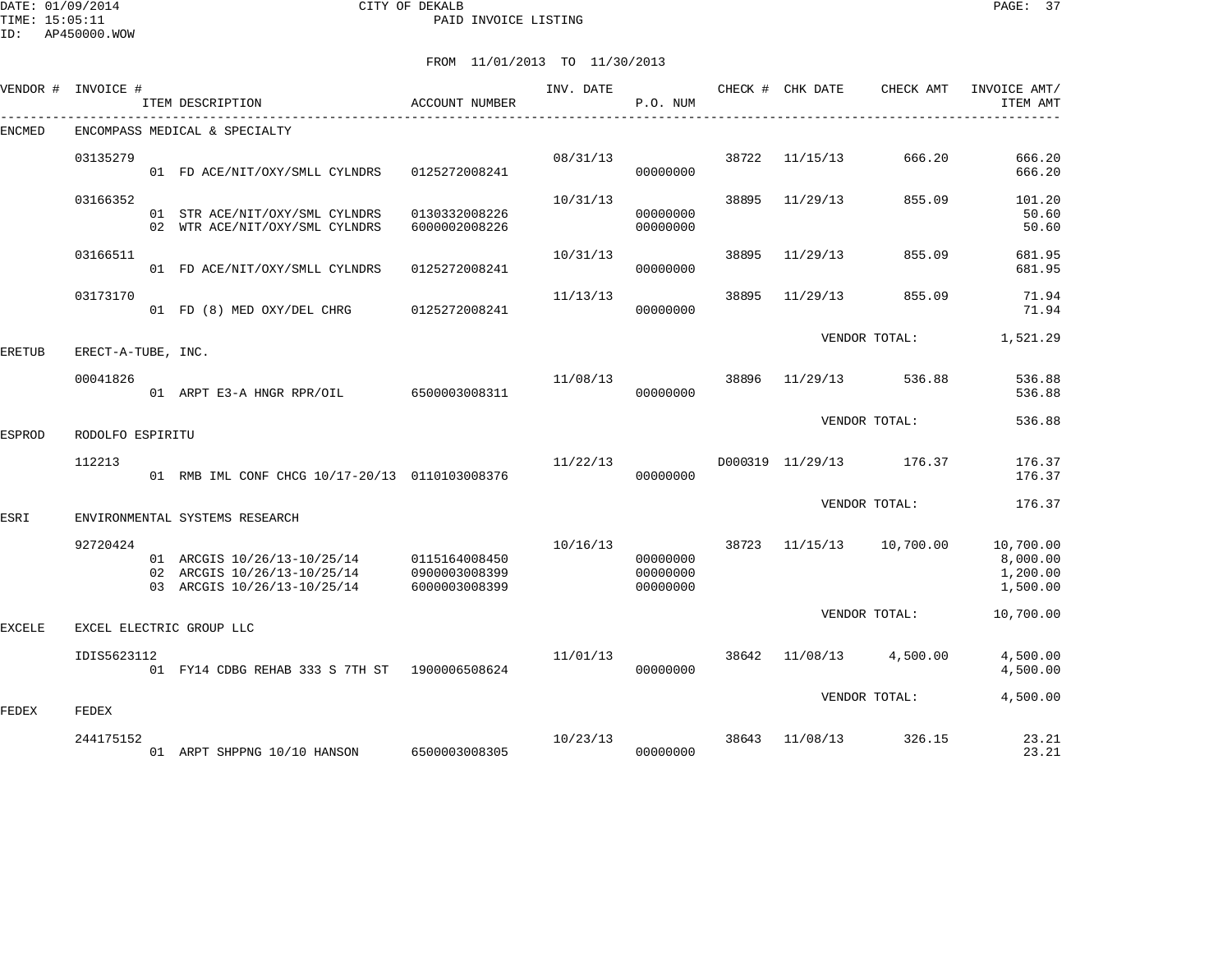#### DATE: 01/09/2014 CITY OF DEKALB PAGE: 37 PAID INVOICE LISTING

ID: AP450000.WOW

| VENDOR # | INVOICE #          | ITEM DESCRIPTION                                                                          | ACCOUNT NUMBER                                  | INV. DATE | P.O. NUM                         |       | CHECK # CHK DATE | CHECK AMT               | INVOICE AMT/<br>ITEM AMT                      |
|----------|--------------------|-------------------------------------------------------------------------------------------|-------------------------------------------------|-----------|----------------------------------|-------|------------------|-------------------------|-----------------------------------------------|
| ENCMED   |                    | ENCOMPASS MEDICAL & SPECIALTY                                                             |                                                 |           |                                  |       |                  |                         |                                               |
|          | 03135279           | 01 FD ACE/NIT/OXY/SMLL CYLNDRS                                                            | 0125272008241                                   | 08/31/13  | 00000000                         | 38722 | 11/15/13         | 666.20                  | 666.20<br>666.20                              |
|          | 03166352           | 01 STR ACE/NIT/OXY/SML CYLNDRS<br>02 WTR ACE/NIT/OXY/SML CYLNDRS                          | 0130332008226<br>6000002008226                  | 10/31/13  | 00000000<br>00000000             | 38895 | 11/29/13         | 855.09                  | 101.20<br>50.60<br>50.60                      |
|          | 03166511           | 01 FD ACE/NIT/OXY/SMLL CYLNDRS                                                            | 0125272008241                                   | 10/31/13  | 00000000                         | 38895 | 11/29/13         | 855.09                  | 681.95<br>681.95                              |
|          | 03173170           | 01 FD (8) MED OXY/DEL CHRG                                                                | 0125272008241                                   | 11/13/13  | 00000000                         | 38895 | 11/29/13         | 855.09                  | 71.94<br>71.94                                |
| ERETUB   | ERECT-A-TUBE, INC. |                                                                                           |                                                 |           |                                  |       |                  | VENDOR TOTAL:           | 1,521.29                                      |
|          | 00041826           | 01 ARPT E3-A HNGR RPR/OIL 6500003008311                                                   |                                                 | 11/08/13  | 00000000                         | 38896 | 11/29/13         | 536.88                  | 536.88<br>536.88                              |
| ESPROD   | RODOLFO ESPIRITU   |                                                                                           |                                                 |           |                                  |       |                  | VENDOR TOTAL:           | 536.88                                        |
|          | 112213             | 01 RMB IML CONF CHCG 10/17-20/13 0110103008376                                            |                                                 | 11/22/13  | 00000000                         |       |                  | D000319 11/29/13 176.37 | 176.37<br>176.37                              |
|          |                    |                                                                                           |                                                 |           |                                  |       |                  | VENDOR TOTAL:           | 176.37                                        |
| ESRI     |                    | ENVIRONMENTAL SYSTEMS RESEARCH                                                            |                                                 |           |                                  |       |                  |                         |                                               |
|          | 92720424           | 01 ARCGIS 10/26/13-10/25/14<br>02 ARCGIS 10/26/13-10/25/14<br>03 ARCGIS 10/26/13-10/25/14 | 0115164008450<br>0900003008399<br>6000003008399 | 10/16/13  | 00000000<br>00000000<br>00000000 | 38723 | 11/15/13         | 10,700.00               | 10,700.00<br>8,000.00<br>1,200.00<br>1,500.00 |
| EXCELE   |                    | EXCEL ELECTRIC GROUP LLC                                                                  |                                                 |           |                                  |       |                  | VENDOR TOTAL:           | 10,700.00                                     |
|          |                    |                                                                                           |                                                 |           |                                  |       |                  |                         |                                               |
|          | IDIS5623112        | 01 FY14 CDBG REHAB 333 S 7TH ST 1900006508624                                             |                                                 | 11/01/13  | 00000000                         | 38642 | 11/08/13         | 4,500.00                | 4,500.00<br>4,500.00                          |
| FEDEX    | FEDEX              |                                                                                           |                                                 |           |                                  |       |                  | VENDOR TOTAL:           | 4,500.00                                      |
|          | 244175152          | 01 ARPT SHPPNG 10/10 HANSON 6500003008305                                                 |                                                 | 10/23/13  | 00000000                         | 38643 | 11/08/13         | 326.15                  | 23.21<br>23.21                                |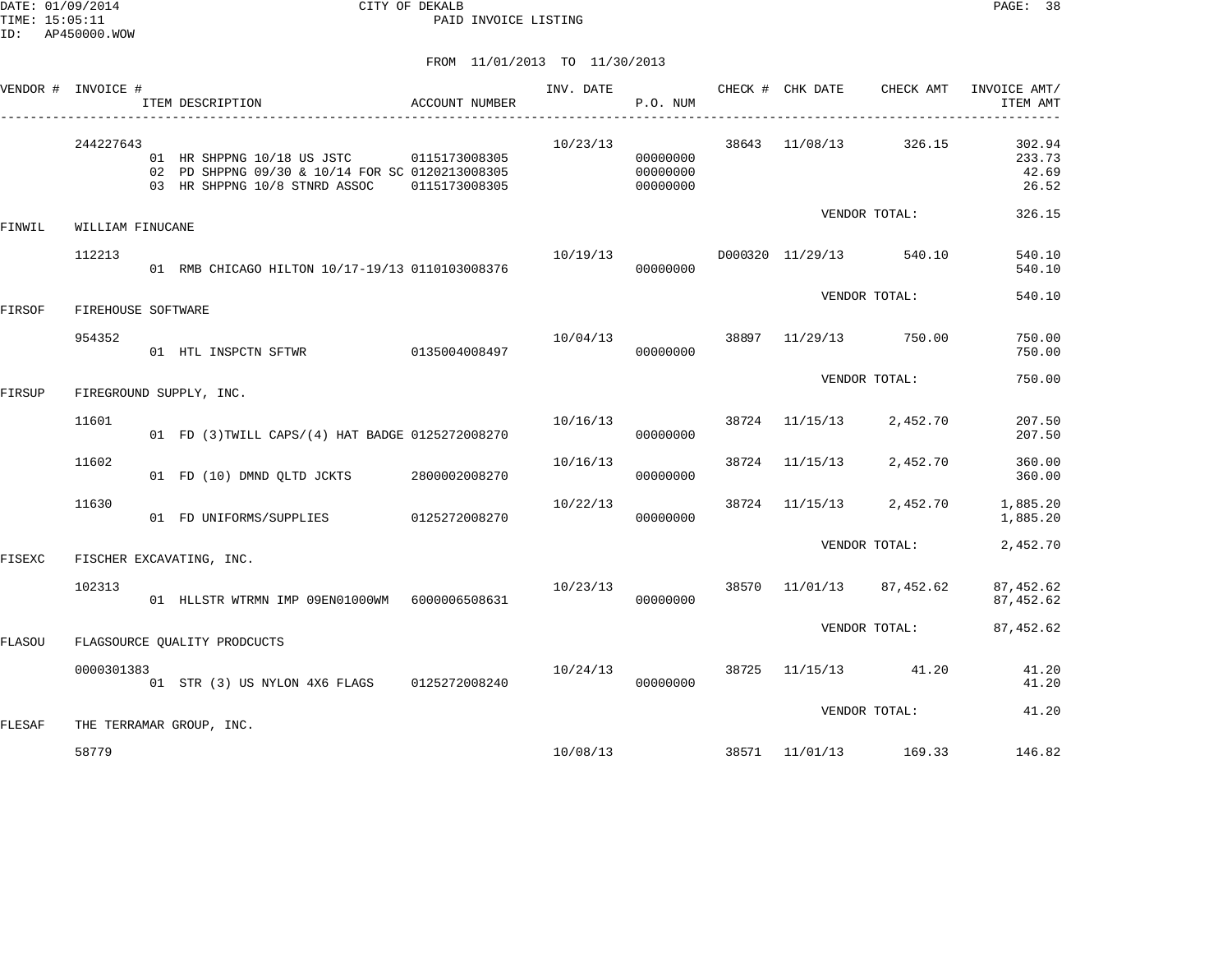DATE: 01/09/2014 CITY OF DEKALB PAGE: 38 PAID INVOICE LISTING

|        | VENDOR # INVOICE # | ITEM DESCRIPTION                                                                                                             | ACCOUNT NUMBER | INV. DATE | P.O. NUM                         |       | CHECK # CHK DATE        | CHECK AMT     | INVOICE AMT/<br>ITEM AMT           |
|--------|--------------------|------------------------------------------------------------------------------------------------------------------------------|----------------|-----------|----------------------------------|-------|-------------------------|---------------|------------------------------------|
|        | 244227643          | 01 HR SHPPNG 10/18 US JSTC 0115173008305<br>02 PD SHPPNG 09/30 & 10/14 FOR SC 0120213008305<br>03 HR SHPPNG 10/8 STNRD ASSOC | 0115173008305  | 10/23/13  | 00000000<br>00000000<br>00000000 | 38643 | 11/08/13                | 326.15        | 302.94<br>233.73<br>42.69<br>26.52 |
| FINWIL | WILLIAM FINUCANE   |                                                                                                                              |                |           |                                  |       |                         | VENDOR TOTAL: | 326.15                             |
|        | 112213             | 01 RMB CHICAGO HILTON 10/17-19/13 0110103008376                                                                              |                | 10/19/13  | 00000000                         |       | D000320 11/29/13 540.10 |               | 540.10<br>540.10                   |
| FIRSOF | FIREHOUSE SOFTWARE |                                                                                                                              |                |           |                                  |       |                         | VENDOR TOTAL: | 540.10                             |
|        | 954352             | 01 HTL INSPCTN SFTWR                                                                                                         | 0135004008497  | 10/04/13  | 00000000                         | 38897 | 11/29/13                | 750.00        | 750.00<br>750.00                   |
| FIRSUP |                    | FIREGROUND SUPPLY, INC.                                                                                                      |                |           |                                  |       |                         | VENDOR TOTAL: | 750.00                             |
|        | 11601              | 01 FD (3) TWILL CAPS/(4) HAT BADGE 0125272008270                                                                             |                | 10/16/13  | 00000000                         |       | 38724 11/15/13          | 2,452.70      | 207.50<br>207.50                   |
|        | 11602              | 01 FD (10) DMND OLTD JCKTS                                                                                                   | 2800002008270  | 10/16/13  | 00000000                         |       | 38724 11/15/13          | 2,452.70      | 360.00<br>360.00                   |
|        | 11630              | 01 FD UNIFORMS/SUPPLIES                                                                                                      | 0125272008270  | 10/22/13  | 00000000                         | 38724 | 11/15/13                | 2,452.70      | 1,885.20<br>1,885.20               |
| FISEXC |                    | FISCHER EXCAVATING, INC.                                                                                                     |                |           |                                  |       |                         | VENDOR TOTAL: | 2,452.70                           |
|        | 102313             | 01 HLLSTR WTRMN IMP 09EN01000WM 6000006508631                                                                                |                | 10/23/13  | 00000000                         |       | 38570 11/01/13          | 87,452.62     | 87, 452.62<br>87, 452.62           |
| FLASOU |                    | FLAGSOURCE QUALITY PRODCUCTS                                                                                                 |                |           |                                  |       |                         | VENDOR TOTAL: | 87,452.62                          |
|        | 0000301383         | 01 STR (3) US NYLON 4X6 FLAGS 0125272008240                                                                                  |                | 10/24/13  | 00000000                         | 38725 | 11/15/13                | 41.20         | 41.20<br>41.20                     |
| FLESAF |                    | THE TERRAMAR GROUP, INC.                                                                                                     |                |           |                                  |       |                         | VENDOR TOTAL: | 41.20                              |
|        | 58779              |                                                                                                                              |                |           | 10/08/13                         |       | 38571 11/01/13          | 169.33        | 146.82                             |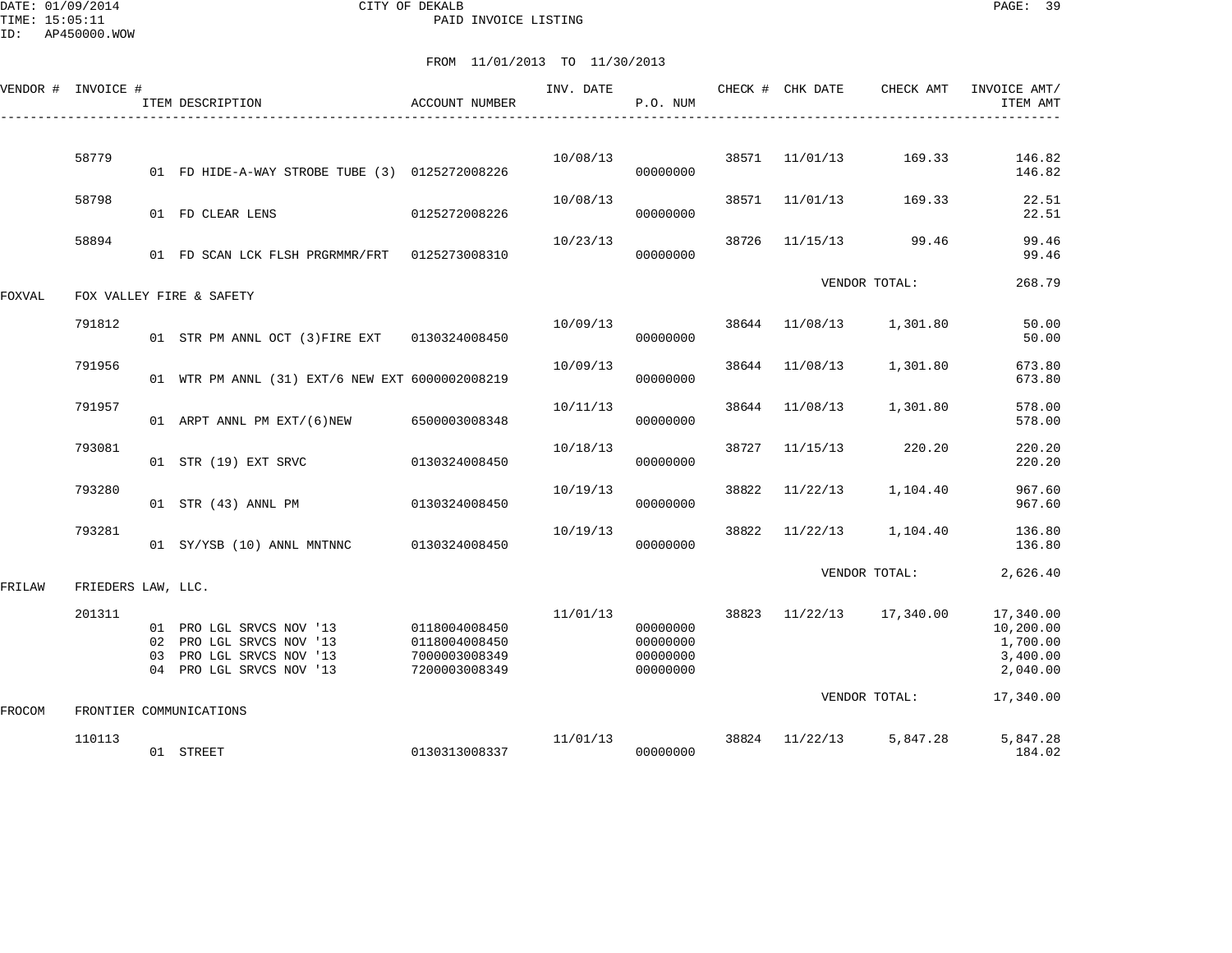DATE: 01/09/2014 CITY OF DEKALB PAGE: 39 PAID INVOICE LISTING

|        | VENDOR # INVOICE # |    | ITEM DESCRIPTION                                                                                          | <b>ACCOUNT NUMBER</b>                                            | INV. DATE | P.O. NUM                                     |       | CHECK # CHK DATE | CHECK AMT                | INVOICE AMT/<br>ITEM AMT                                   |
|--------|--------------------|----|-----------------------------------------------------------------------------------------------------------|------------------------------------------------------------------|-----------|----------------------------------------------|-------|------------------|--------------------------|------------------------------------------------------------|
|        |                    |    |                                                                                                           |                                                                  |           |                                              |       |                  |                          |                                                            |
|        | 58779              |    | 01 FD HIDE-A-WAY STROBE TUBE (3) 0125272008226                                                            |                                                                  | 10/08/13  | 00000000                                     | 38571 | 11/01/13         | 169.33                   | 146.82<br>146.82                                           |
|        | 58798              |    | 01 FD CLEAR LENS                                                                                          | 0125272008226                                                    | 10/08/13  | 00000000                                     | 38571 | 11/01/13         | 169.33                   | 22.51<br>22.51                                             |
|        | 58894              |    | 01 FD SCAN LCK FLSH PRGRMMR/FRT 0125273008310                                                             |                                                                  | 10/23/13  | 00000000                                     | 38726 | 11/15/13         | 99.46                    | 99.46<br>99.46                                             |
|        |                    |    |                                                                                                           |                                                                  |           |                                              |       |                  | VENDOR TOTAL:            | 268.79                                                     |
| FOXVAL |                    |    | FOX VALLEY FIRE & SAFETY                                                                                  |                                                                  |           |                                              |       |                  |                          |                                                            |
|        | 791812             |    | 01 STR PM ANNL OCT (3) FIRE EXT 0130324008450                                                             |                                                                  | 10/09/13  | 00000000                                     |       | 38644 11/08/13   | 1,301.80                 | 50.00<br>50.00                                             |
|        | 791956             |    | 01 WTR PM ANNL (31) EXT/6 NEW EXT 6000002008219                                                           |                                                                  | 10/09/13  | 00000000                                     | 38644 | 11/08/13         | 1,301.80                 | 673.80<br>673.80                                           |
|        | 791957             |    | 01 ARPT ANNL PM EXT/(6)NEW                                                                                | 6500003008348                                                    | 10/11/13  | 00000000                                     | 38644 | 11/08/13         | 1,301.80                 | 578.00<br>578.00                                           |
|        | 793081             |    | 01 STR (19) EXT SRVC                                                                                      | 0130324008450                                                    | 10/18/13  | 00000000                                     | 38727 | 11/15/13         | 220.20                   | 220.20<br>220.20                                           |
|        | 793280             |    | 01 STR (43) ANNL PM                                                                                       | 0130324008450                                                    | 10/19/13  | 00000000                                     | 38822 | 11/22/13         | 1,104.40                 | 967.60<br>967.60                                           |
|        |                    |    |                                                                                                           |                                                                  |           |                                              |       |                  |                          |                                                            |
|        | 793281             |    | 01 SY/YSB (10) ANNL MNTNNC                                                                                | 0130324008450                                                    | 10/19/13  | 00000000                                     | 38822 | 11/22/13         | 1,104.40                 | 136.80<br>136.80                                           |
| FRILAW | FRIEDERS LAW, LLC. |    |                                                                                                           |                                                                  |           |                                              |       |                  | VENDOR TOTAL:            | 2,626.40                                                   |
|        | 201311             | 03 | 01 PRO LGL SRVCS NOV '13<br>02 PRO LGL SRVCS NOV '13<br>PRO LGL SRVCS NOV '13<br>04 PRO LGL SRVCS NOV '13 | 0118004008450<br>0118004008450<br>7000003008349<br>7200003008349 | 11/01/13  | 00000000<br>00000000<br>00000000<br>00000000 |       |                  | 38823 11/22/13 17,340.00 | 17,340.00<br>10,200.00<br>1,700.00<br>3,400.00<br>2,040.00 |
| FROCOM |                    |    | FRONTIER COMMUNICATIONS                                                                                   |                                                                  |           |                                              |       |                  | VENDOR TOTAL:            | 17,340.00                                                  |
|        |                    |    |                                                                                                           |                                                                  |           |                                              |       |                  |                          |                                                            |
|        | 110113             |    | 01 STREET                                                                                                 | 0130313008337                                                    | 11/01/13  | 00000000                                     | 38824 | 11/22/13         | 5,847.28                 | 5,847.28<br>184.02                                         |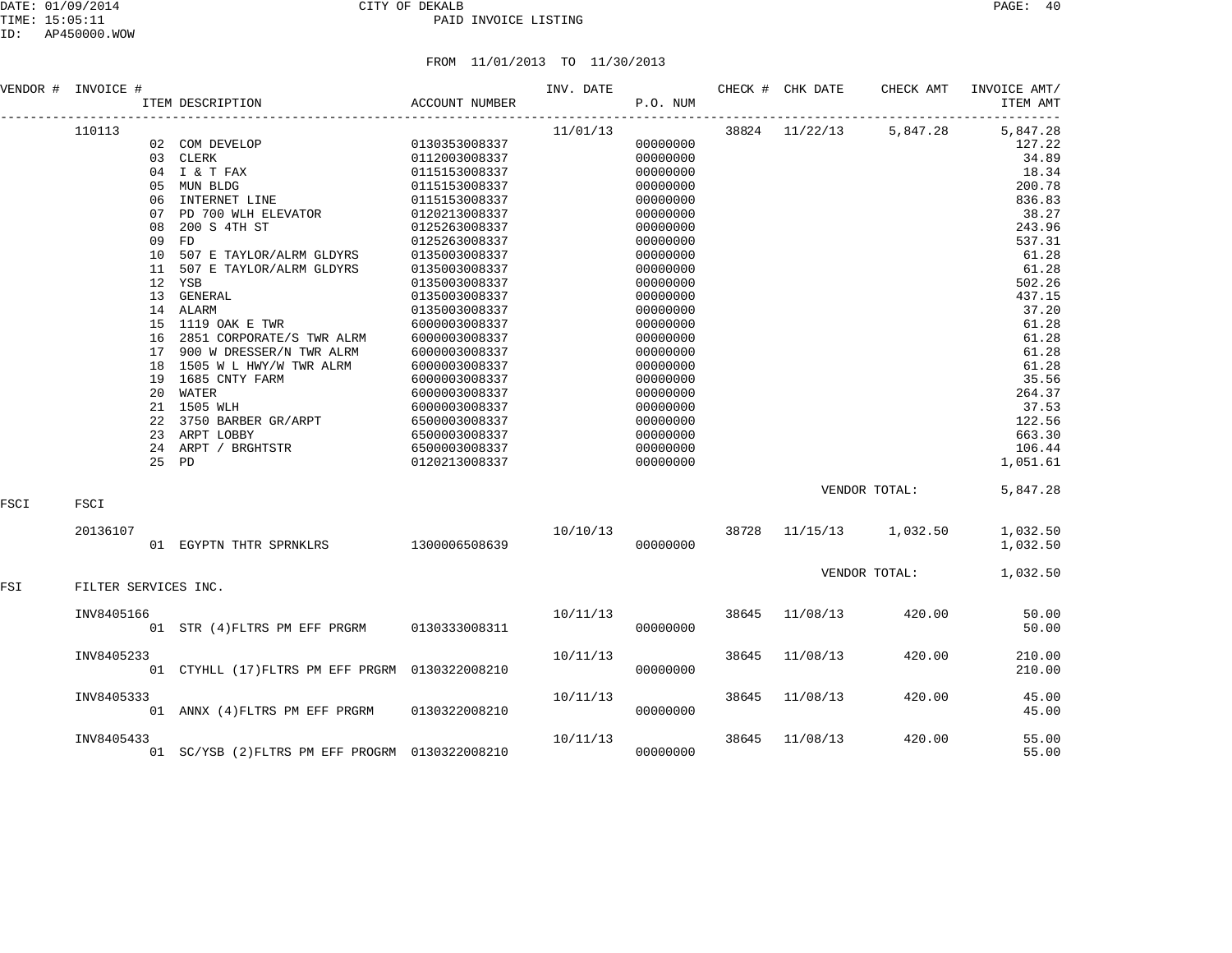|      | VENDOR # INVOICE #   |       | ITEM DESCRIPTION                                            | ACCOUNT NUMBER                                                                         | INV. DATE | P.O. NUM |       | CHECK # CHK DATE | CHECK AMT               | INVOICE AMT/<br>ITEM AMT |
|------|----------------------|-------|-------------------------------------------------------------|----------------------------------------------------------------------------------------|-----------|----------|-------|------------------|-------------------------|--------------------------|
|      | 110113               |       |                                                             |                                                                                        | 11/01/13  |          |       |                  | 38824 11/22/13 5,847.28 | 5,847.28                 |
|      |                      |       | 02 COM DEVELOP                                              | 0130353008337                                                                          |           | 00000000 |       |                  |                         | 127.22                   |
|      |                      |       | 03 CLERK                                                    | 0112003008337                                                                          |           | 00000000 |       |                  |                         | 34.89                    |
|      |                      |       | 04 I & T FAX                                                | 0115153008337                                                                          |           | 00000000 |       |                  |                         | 18.34                    |
|      |                      |       | 05 MUN BLDG                                                 | 0115153008337                                                                          |           | 00000000 |       |                  |                         | 200.78                   |
|      |                      | 06    | INTERNET LINE                                               | 0115153008337                                                                          |           | 00000000 |       |                  |                         | 836.83                   |
|      |                      | 07    | PD 700 WLH ELEVATOR                                         | 0120213008337                                                                          |           | 00000000 |       |                  |                         | 38.27                    |
|      |                      | 08    | 200 S 4TH ST                                                | 0125263008337                                                                          |           | 00000000 |       |                  |                         | 243.96                   |
|      |                      | 09    | FD                                                          | 0125263008337                                                                          |           | 00000000 |       |                  |                         | 537.31                   |
|      |                      | 10    | 507 E TAYLOR/ALRM GLDYRS                                    | 0135003008337                                                                          |           | 00000000 |       |                  |                         | 61.28                    |
|      |                      | 11    | 507 E TAYLOR/ALRM GLDYRS                                    | 0135003008337                                                                          |           | 00000000 |       |                  |                         | 61.28                    |
|      |                      |       | 12 YSB                                                      | 0135003008337                                                                          |           | 00000000 |       |                  |                         | 502.26                   |
|      |                      |       | 13 GENERAL                                                  | 0135003008337                                                                          |           | 00000000 |       |                  |                         | 437.15                   |
|      |                      |       | 14 ALARM                                                    | 0135003008337                                                                          |           | 00000000 |       |                  |                         | 37.20                    |
|      |                      | 15    | 1119 OAK E TWR                                              | 6000003008337                                                                          |           | 00000000 |       |                  |                         | 61.28                    |
|      |                      |       | 16 2851 CORPORATE/S TWR ALRM                                | 6000003008337                                                                          |           | 00000000 |       |                  |                         | 61.28                    |
|      |                      |       | 17 900 W DRESSER/N TWR ALRM                                 | 6000003008337                                                                          |           | 00000000 |       |                  |                         | 61.28                    |
|      |                      | 18    | 1505 W L HWY/W TWR ALRM                                     | 6000003008337                                                                          |           | 00000000 |       |                  |                         | 61.28                    |
|      |                      |       | 19 1685 CNTY FARM                                           |                                                                                        |           | 00000000 |       |                  |                         |                          |
|      |                      |       | 20 WATER                                                    | 6000003008337                                                                          |           |          |       |                  |                         | 35.56                    |
|      |                      |       |                                                             | 6000003008337                                                                          |           | 00000000 |       |                  |                         | 264.37                   |
|      |                      |       | 21 1505 WLH                                                 |                                                                                        |           | 00000000 |       |                  |                         | 37.53                    |
|      |                      |       | 22 3750 BARBER GR/ARPT<br>23 ARPT LOBBY                     |                                                                                        |           | 00000000 |       |                  |                         | 122.56                   |
|      |                      |       | 23 ARPT LOBBY                                               |                                                                                        |           | 00000000 |       |                  |                         | 663.30                   |
|      |                      |       | 24 ARPT / BRGHTSTR                                          |                                                                                        |           | 00000000 |       |                  |                         | 106.44                   |
|      |                      | 25 PD |                                                             | $6000000$<br>$650000300833$ ,<br>$6500003008337$<br>$6500003008337$<br>$0120213008337$ |           | 00000000 |       |                  |                         | 1,051.61                 |
| FSCI | FSCI                 |       |                                                             |                                                                                        |           |          |       |                  | VENDOR TOTAL:           | 5,847.28                 |
|      |                      |       |                                                             |                                                                                        |           |          |       |                  |                         |                          |
|      | 20136107             |       | 01 EGYPTN THTR SPRNKLRS $1300006508639$ $10/10/13$ 00000000 |                                                                                        |           |          |       |                  | 38728 11/15/13 1,032.50 | 1,032.50<br>1,032.50     |
|      |                      |       |                                                             |                                                                                        |           |          |       |                  | VENDOR TOTAL:           | 1,032.50                 |
| FSI  | FILTER SERVICES INC. |       |                                                             |                                                                                        |           |          |       |                  |                         |                          |
|      | INV8405166           |       |                                                             |                                                                                        | 10/11/13  |          |       | 38645 11/08/13   | 420.00                  | 50.00                    |
|      |                      |       | 01 STR (4) FLTRS PM EFF PRGRM 0130333008311                 |                                                                                        |           | 00000000 |       |                  |                         | 50.00                    |
|      | INV8405233           |       |                                                             |                                                                                        | 10/11/13  |          | 38645 | 11/08/13         | 420.00                  | 210.00                   |
|      |                      |       | 01 CTYHLL (17) FLTRS PM EFF PRGRM 0130322008210             |                                                                                        |           | 00000000 |       |                  |                         | 210.00                   |
|      | INV8405333           |       |                                                             |                                                                                        | 10/11/13  |          | 38645 | 11/08/13         | 420.00                  | 45.00                    |
|      |                      |       | 01 ANNX (4) FLTRS PM EFF PRGRM 0130322008210                |                                                                                        |           | 00000000 |       |                  |                         | 45.00                    |
|      | INV8405433           |       |                                                             |                                                                                        | 10/11/13  |          | 38645 | 11/08/13         | 420.00                  | 55.00                    |
|      |                      |       | 01 SC/YSB (2) FLTRS PM EFF PROGRM 0130322008210             |                                                                                        |           | 00000000 |       |                  |                         | 55.00                    |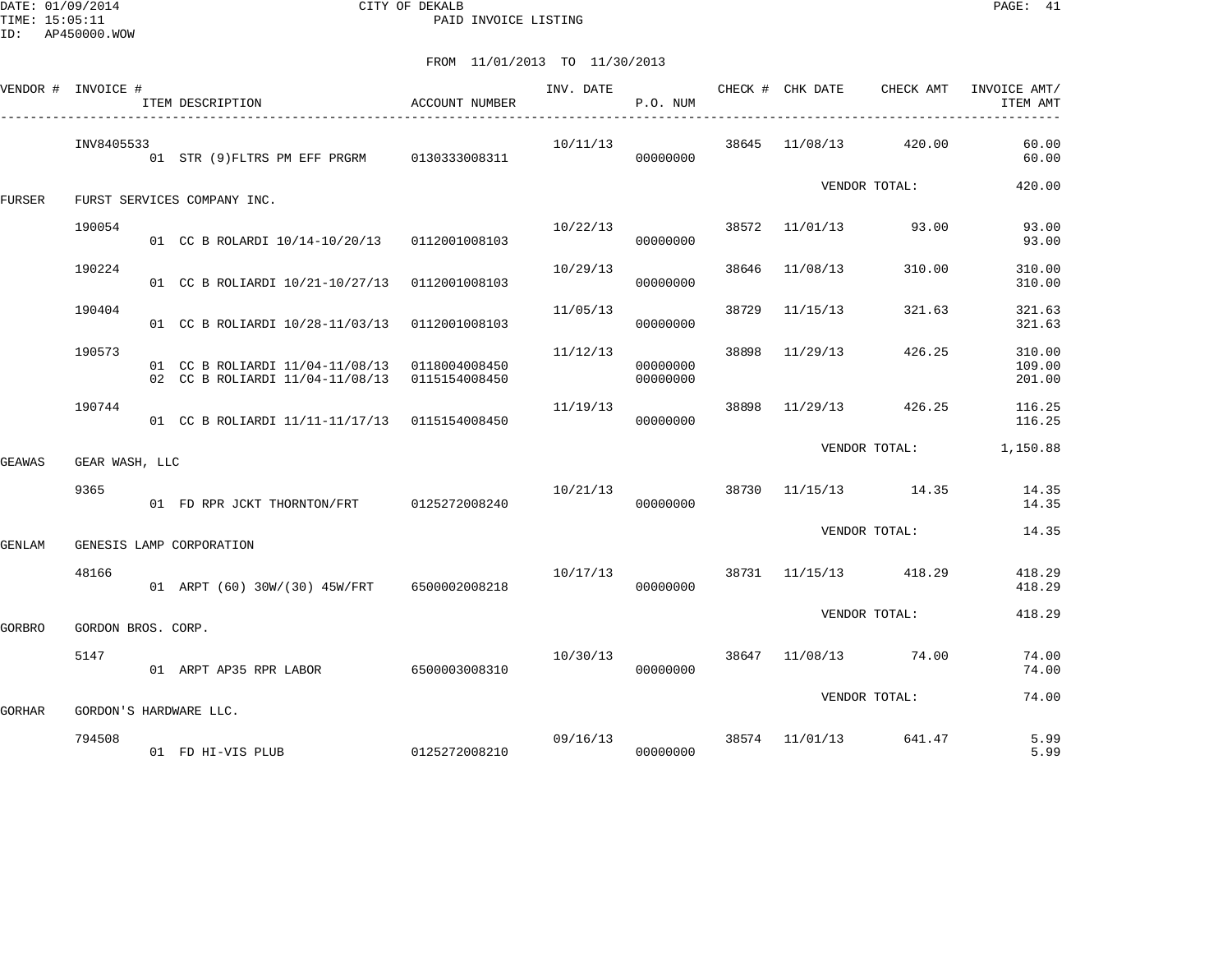DATE: 01/09/2014 CITY OF DEKALB PAGE: 41 PAID INVOICE LISTING

| VENDOR # INVOICE # |                    | ITEM DESCRIPTION                                                                               | ACCOUNT NUMBER | INV. DATE | P.O. NUM             |       | CHECK # CHK DATE | CHECK AMT             | INVOICE AMT/<br>ITEM AMT   |
|--------------------|--------------------|------------------------------------------------------------------------------------------------|----------------|-----------|----------------------|-------|------------------|-----------------------|----------------------------|
|                    | INV8405533         | 01 STR (9) FLTRS PM EFF PRGRM 0130333008311                                                    |                | 10/11/13  | 00000000             |       | 38645 11/08/13   | 420.00                | 60.00<br>60.00             |
| FURSER             |                    | FURST SERVICES COMPANY INC.                                                                    |                |           |                      |       |                  | VENDOR TOTAL:         | 420.00                     |
|                    | 190054             | 01 CC B ROLARDI 10/14-10/20/13 0112001008103                                                   |                | 10/22/13  | 00000000             |       | 38572 11/01/13   | 93.00                 | 93.00<br>93.00             |
|                    | 190224             | 01 CC B ROLIARDI 10/21-10/27/13                                                                | 0112001008103  | 10/29/13  | 00000000             | 38646 | 11/08/13         | 310.00                | 310.00<br>310.00           |
|                    | 190404             | 01 CC B ROLIARDI 10/28-11/03/13                                                                | 0112001008103  | 11/05/13  | 00000000             | 38729 | 11/15/13         | 321.63                | 321.63<br>321.63           |
|                    | 190573             | 01 CC B ROLIARDI 11/04-11/08/13 0118004008450<br>02 CC B ROLIARDI 11/04-11/08/13 0115154008450 |                | 11/12/13  | 00000000<br>00000000 | 38898 | 11/29/13         | 426.25                | 310.00<br>109.00<br>201.00 |
|                    | 190744             | 01 CC B ROLIARDI 11/11-11/17/13 0115154008450                                                  |                | 11/19/13  | 00000000             | 38898 | 11/29/13         | 426.25                | 116.25<br>116.25           |
| GEAWAS             | GEAR WASH, LLC     |                                                                                                |                |           |                      |       |                  | VENDOR TOTAL:         | 1,150.88                   |
|                    | 9365               | 01 FD RPR JCKT THORNTON/FRT                                                                    | 0125272008240  | 10/21/13  | 00000000             |       |                  | 38730 11/15/13 14.35  | 14.35<br>14.35             |
| GENLAM             |                    | GENESIS LAMP CORPORATION                                                                       |                |           |                      |       |                  | VENDOR TOTAL:         | 14.35                      |
|                    | 48166              | 01 ARPT (60) 30W/(30) 45W/FRT 6500002008218                                                    |                |           | 10/17/13<br>00000000 |       |                  | 38731 11/15/13 418.29 | 418.29<br>418.29           |
| GORBRO             | GORDON BROS. CORP. |                                                                                                |                |           |                      |       |                  | VENDOR TOTAL:         | 418.29                     |
|                    | 5147               | 01 ARPT AP35 RPR LABOR                                                                         | 6500003008310  | 10/30/13  | 00000000             |       |                  | 38647 11/08/13 74.00  | 74.00<br>74.00             |
| GORHAR             |                    | GORDON'S HARDWARE LLC.                                                                         |                |           |                      |       |                  | VENDOR TOTAL:         | 74.00                      |
|                    | 794508             | 01 FD HI-VIS PLUB                                                                              | 0125272008210  | 09/16/13  | 00000000             |       | 38574 11/01/13   | 641.47                | 5.99<br>5.99               |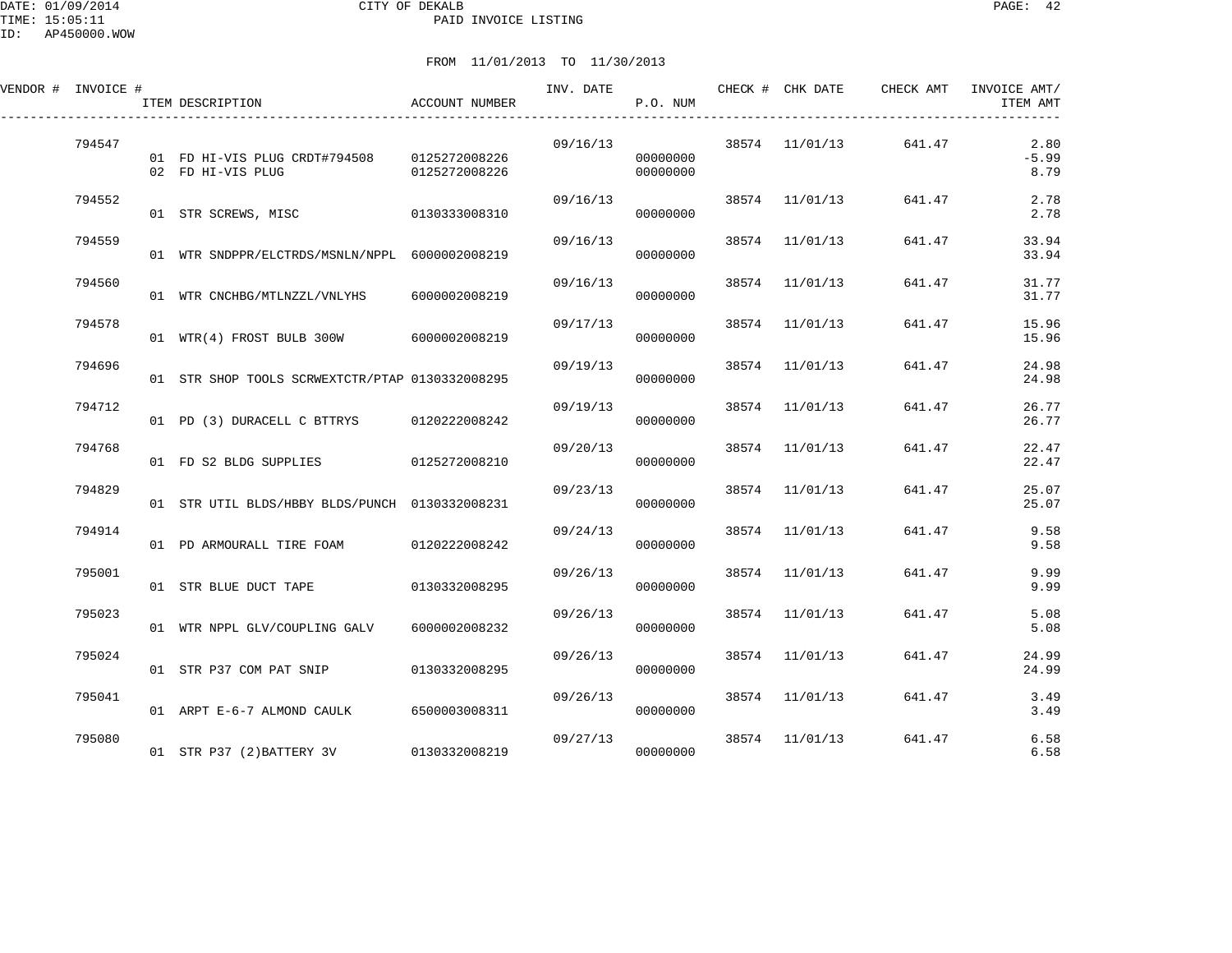| VENDOR # INVOICE # | ITEM DESCRIPTION                                   | ACCOUNT NUMBER                 | INV. DATE CHECK # CHK DATE | P.O. NUM             |                | CHECK AMT | INVOICE AMT/<br>ITEM AMT |
|--------------------|----------------------------------------------------|--------------------------------|----------------------------|----------------------|----------------|-----------|--------------------------|
| 794547             | 01 FD HI-VIS PLUG CRDT#794508<br>02 FD HI-VIS PLUG | 0125272008226<br>0125272008226 | 09/16/13                   | 00000000<br>00000000 | 38574 11/01/13 | 641.47    | 2.80<br>$-5.99$<br>8.79  |
| 794552             | 01 STR SCREWS, MISC 0130333008310                  |                                | 09/16/13                   | 00000000             | 38574 11/01/13 | 641.47    | 2.78<br>2.78             |
| 794559             | 01 WTR SNDPPR/ELCTRDS/MSNLN/NPPL 6000002008219     |                                | 09/16/13                   | 00000000             | 38574 11/01/13 | 641.47    | 33.94<br>33.94           |
| 794560             | 01 WTR CNCHBG/MTLNZZL/VNLYHS 6000002008219         |                                |                            | 09/16/13<br>00000000 | 38574 11/01/13 | 641.47    | 31.77<br>31.77           |
| 794578             | 01 WTR(4) FROST BULB 300W 6000002008219            |                                | 09/17/13                   | 00000000             | 38574 11/01/13 | 641.47    | 15.96<br>15.96           |
| 794696             | 01 STR SHOP TOOLS SCRWEXTCTR/PTAP 0130332008295    |                                | 09/19/13                   | 00000000             | 38574 11/01/13 | 641.47    | 24.98<br>24.98           |
| 794712             | 01 PD (3) DURACELL C BTTRYS                        | 0120222008242                  | 09/19/13                   | 00000000             | 38574 11/01/13 | 641.47    | 26.77<br>26.77           |
| 794768             | 01 FD S2 BLDG SUPPLIES 0125272008210               |                                | 09/20/13                   | 00000000             | 38574 11/01/13 | 641.47    | 22.47<br>22.47           |
| 794829             | 01 STR UTIL BLDS/HBBY BLDS/PUNCH 0130332008231     |                                | 09/23/13                   | 00000000             | 38574 11/01/13 | 641.47    | 25.07<br>25.07           |
| 794914             | 01 PD ARMOURALL TIRE FOAM                          | 0120222008242                  | 09/24/13                   | 00000000             | 38574 11/01/13 | 641.47    | 9.58<br>9.58             |

795001 09/26/13 38574 11/01/13 641.47 9.99

795023 09/26/13 38574 11/01/13 641.47 5.08

795024 01 STR P37 COM PAT SNIP 0130332008295 09/26/13 000000000 00000000 01 STR P37 COM PAT SNIP 0130332008295

795041 09/26/13 38574 11/01/13 641.47 3.49

795080 09/27/13 38574 11/01/13 641.47 6.58

01 WTR NPPL GLV/COUPLING GALV 6000002008232 000000000 00000000 5.08

01 ARPT E-6-7 ALMOND CAULK 6500003008311 000000000 00000000 3.49

01 STR BLUE DUCT TAPE 0130332008295

01 STR P37 (2) BATTERY 3V 0130332008219

01 STR P37 COM PAT SNIP 0130332008295 00000000 00000000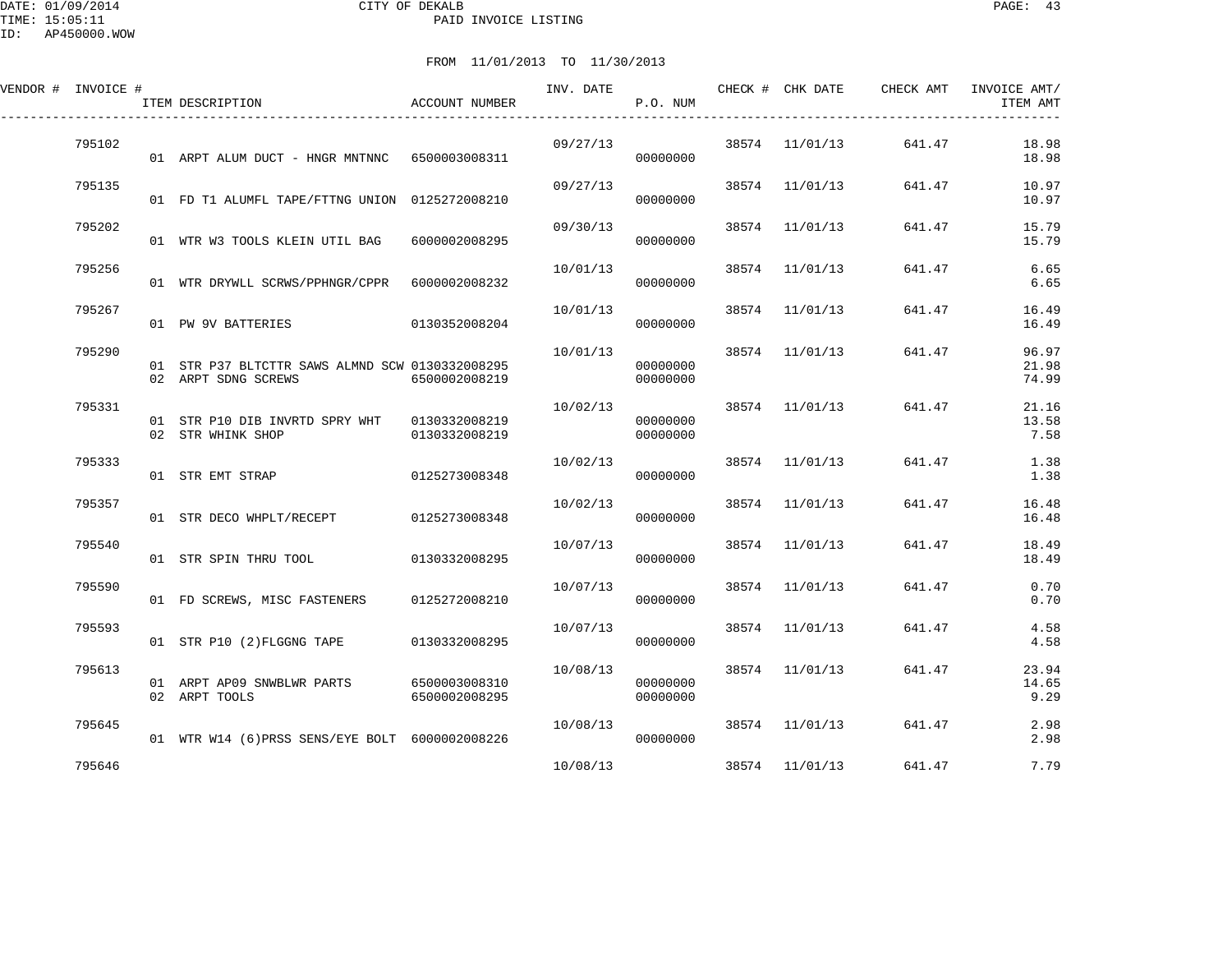DATE: 01/09/2014 CITY OF DEKALB PAGE: 43 PAID INVOICE LISTING

ID: AP450000.WOW

| VENDOR # INVOICE # | ITEM DESCRIPTION                                                       | <b>ACCOUNT NUMBER</b>          | INV. DATE | P.O. NUM             |       | CHECK # CHK DATE | CHECK AMT | INVOICE AMT/<br>ITEM AMT |
|--------------------|------------------------------------------------------------------------|--------------------------------|-----------|----------------------|-------|------------------|-----------|--------------------------|
| 795102             | 01 ARPT ALUM DUCT - HNGR MNTNNC 6500003008311                          |                                | 09/27/13  | 00000000             |       | 38574 11/01/13   | 641.47    | 18.98<br>18.98           |
| 795135             | 01 FD T1 ALUMFL TAPE/FTTNG UNION 0125272008210                         |                                | 09/27/13  | 00000000             |       | 38574 11/01/13   | 641.47    | 10.97<br>10.97           |
| 795202             | 01 WTR W3 TOOLS KLEIN UTIL BAG                                         | 6000002008295                  | 09/30/13  | 00000000             |       | 38574 11/01/13   | 641.47    | 15.79<br>15.79           |
| 795256             | 01 WTR DRYWLL SCRWS/PPHNGR/CPPR 6000002008232                          |                                | 10/01/13  | 00000000             | 38574 | 11/01/13         | 641.47    | 6.65<br>6.65             |
| 795267             | 01 PW 9V BATTERIES 0130352008204                                       |                                | 10/01/13  | 00000000             | 38574 | 11/01/13         | 641.47    | 16.49<br>16.49           |
| 795290             | 01 STR P37 BLTCTTR SAWS ALMND SCW 0130332008295<br>02 ARPT SDNG SCREWS | 6500002008219                  | 10/01/13  | 00000000<br>00000000 |       | 38574 11/01/13   | 641.47    | 96.97<br>21.98<br>74.99  |
| 795331             | 02 STR WHINK SHOP                                                      | 0130332008219                  | 10/02/13  | 00000000<br>00000000 |       | 38574 11/01/13   | 641.47    | 21.16<br>13.58<br>7.58   |
| 795333             | 01 STR EMT STRAP                                                       | 0125273008348                  | 10/02/13  | 00000000             |       | 38574 11/01/13   | 641.47    | 1.38<br>1.38             |
| 795357             | 01 STR DECO WHPLT/RECEPT 0125273008348                                 |                                | 10/02/13  | 00000000             |       | 38574 11/01/13   | 641.47    | 16.48<br>16.48           |
| 795540             | 01 STR SPIN THRU TOOL 0130332008295                                    |                                | 10/07/13  | 00000000             |       | 38574 11/01/13   | 641.47    | 18.49<br>18.49           |
| 795590             | 01 FD SCREWS, MISC FASTENERS 0125272008210                             |                                | 10/07/13  | 00000000             |       | 38574 11/01/13   | 641.47    | 0.70<br>0.70             |
| 795593             | 01 STR P10 (2) FLGGNG TAPE 0130332008295                               |                                | 10/07/13  | 00000000             |       | 38574 11/01/13   | 641.47    | 4.58<br>4.58             |
| 795613             | 01 ARPT AP09 SNWBLWR PARTS<br>02 ARPT TOOLS                            | 6500003008310<br>6500002008295 | 10/08/13  | 00000000<br>00000000 |       | 38574 11/01/13   | 641.47    | 23.94<br>14.65<br>9.29   |
| 795645             | 01 WTR W14 (6) PRSS SENS/EYE BOLT 6000002008226                        |                                | 10/08/13  | 000000000            |       | 38574 11/01/13   | 641.47    | 2.98<br>2.98             |
| 795646             |                                                                        |                                | 10/08/13  |                      |       | 38574 11/01/13   | 641.47    | 7.79                     |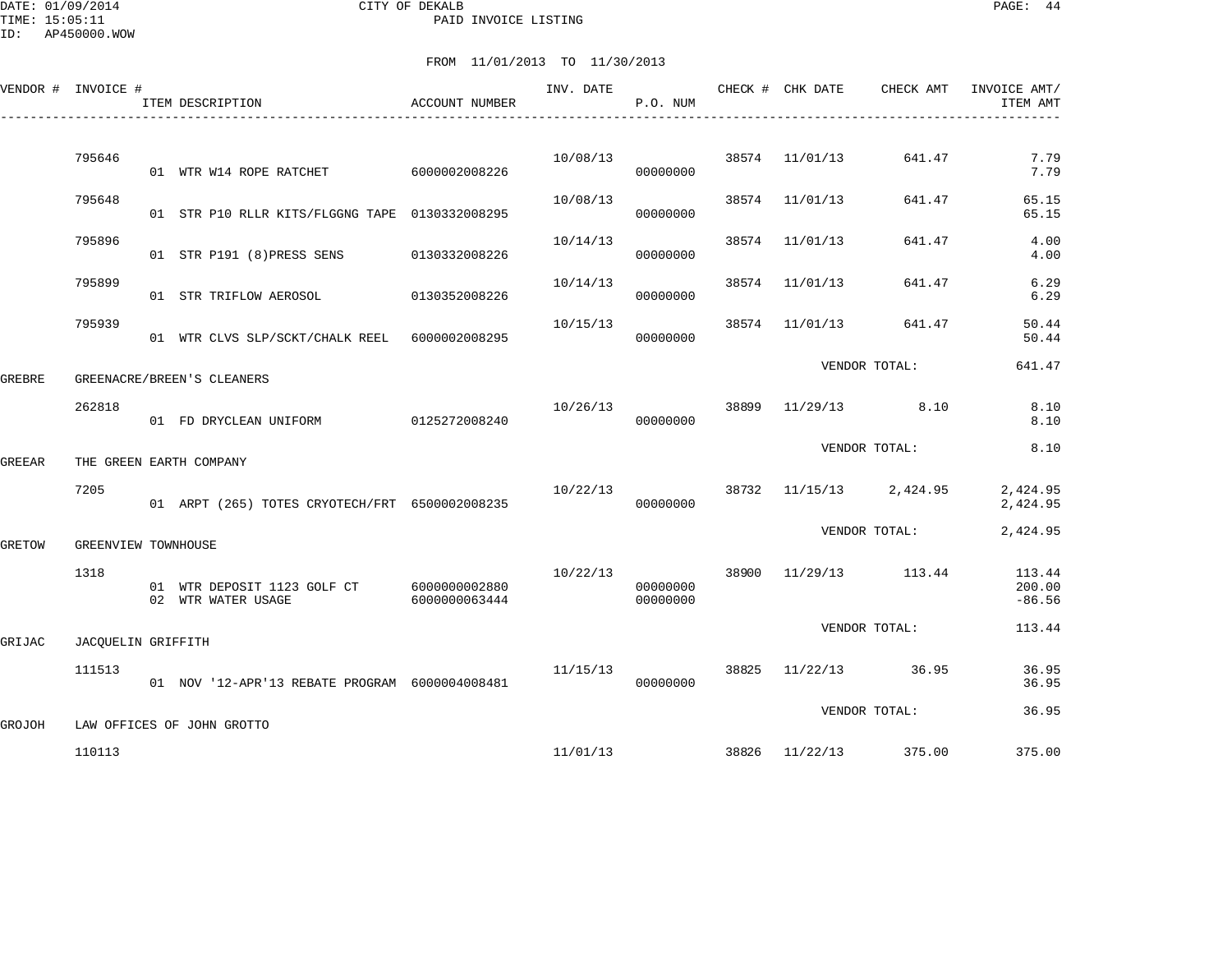DATE: 01/09/2014 CITY OF DEKALB PAGE: 44 PAID INVOICE LISTING

ID: AP450000.WOW

|        |                  |                    |                                                                                                                                                                                                                                                                                                                        | INV. DATE                                                                                                                                                                                                                                                                                 | P.O. NUM             |                                  | CHECK AMT                                                                                                              | INVOICE AMT/<br>ITEM AMT                                                                                                                                                            |
|--------|------------------|--------------------|------------------------------------------------------------------------------------------------------------------------------------------------------------------------------------------------------------------------------------------------------------------------------------------------------------------------|-------------------------------------------------------------------------------------------------------------------------------------------------------------------------------------------------------------------------------------------------------------------------------------------|----------------------|----------------------------------|------------------------------------------------------------------------------------------------------------------------|-------------------------------------------------------------------------------------------------------------------------------------------------------------------------------------|
|        |                  |                    |                                                                                                                                                                                                                                                                                                                        |                                                                                                                                                                                                                                                                                           |                      |                                  |                                                                                                                        | 7.79                                                                                                                                                                                |
|        |                  |                    |                                                                                                                                                                                                                                                                                                                        |                                                                                                                                                                                                                                                                                           | 00000000             |                                  |                                                                                                                        | 7.79                                                                                                                                                                                |
| 795648 |                  |                    |                                                                                                                                                                                                                                                                                                                        | 10/08/13                                                                                                                                                                                                                                                                                  | 00000000             |                                  | 641.47                                                                                                                 | 65.15<br>65.15                                                                                                                                                                      |
| 795896 |                  |                    | 0130332008226                                                                                                                                                                                                                                                                                                          | 10/14/13                                                                                                                                                                                                                                                                                  | 00000000             | 38574                            | 641.47                                                                                                                 | 4.00<br>4.00                                                                                                                                                                        |
| 795899 |                  |                    |                                                                                                                                                                                                                                                                                                                        | 10/14/13                                                                                                                                                                                                                                                                                  | 00000000             | 38574                            | 641.47                                                                                                                 | 6.29<br>6.29                                                                                                                                                                        |
| 795939 |                  |                    |                                                                                                                                                                                                                                                                                                                        | 10/15/13                                                                                                                                                                                                                                                                                  | 00000000             |                                  | 641.47                                                                                                                 | 50.44<br>50.44                                                                                                                                                                      |
|        |                  |                    |                                                                                                                                                                                                                                                                                                                        |                                                                                                                                                                                                                                                                                           |                      |                                  |                                                                                                                        | 641.47                                                                                                                                                                              |
| 262818 |                  |                    |                                                                                                                                                                                                                                                                                                                        | 10/26/13                                                                                                                                                                                                                                                                                  | 00000000             | 38899                            |                                                                                                                        | 8.10<br>8.10                                                                                                                                                                        |
|        |                  |                    |                                                                                                                                                                                                                                                                                                                        |                                                                                                                                                                                                                                                                                           |                      |                                  |                                                                                                                        | 8.10                                                                                                                                                                                |
| 7205   |                  |                    |                                                                                                                                                                                                                                                                                                                        |                                                                                                                                                                                                                                                                                           | 00000000             |                                  |                                                                                                                        | 2,424.95<br>2,424.95                                                                                                                                                                |
|        |                  |                    |                                                                                                                                                                                                                                                                                                                        |                                                                                                                                                                                                                                                                                           |                      |                                  |                                                                                                                        | 2,424.95                                                                                                                                                                            |
| 1318   |                  |                    | 6000000063444                                                                                                                                                                                                                                                                                                          | 10/22/13                                                                                                                                                                                                                                                                                  | 00000000<br>00000000 | 38900                            |                                                                                                                        | 113.44<br>200.00<br>$-86.56$                                                                                                                                                        |
|        |                  |                    |                                                                                                                                                                                                                                                                                                                        |                                                                                                                                                                                                                                                                                           |                      |                                  |                                                                                                                        | 113.44                                                                                                                                                                              |
| 111513 |                  |                    |                                                                                                                                                                                                                                                                                                                        |                                                                                                                                                                                                                                                                                           | 00000000             | 38825                            |                                                                                                                        | 36.95<br>36.95                                                                                                                                                                      |
|        |                  |                    |                                                                                                                                                                                                                                                                                                                        |                                                                                                                                                                                                                                                                                           |                      |                                  |                                                                                                                        | 36.95                                                                                                                                                                               |
|        |                  |                    |                                                                                                                                                                                                                                                                                                                        |                                                                                                                                                                                                                                                                                           |                      |                                  |                                                                                                                        | 375.00                                                                                                                                                                              |
|        | 795646<br>110113 | VENDOR # INVOICE # | ITEM DESCRIPTION<br>01 WTR W14 ROPE RATCHET<br>01 STR P191 (8) PRESS SENS<br>01 STR TRIFLOW AEROSOL<br>GREENACRE/BREEN'S CLEANERS<br>01 FD DRYCLEAN UNIFORM<br>THE GREEN EARTH COMPANY<br>GREENVIEW TOWNHOUSE<br>01 WTR DEPOSIT 1123 GOLF CT<br>02 WTR WATER USAGE<br>JACQUELIN GRIFFITH<br>LAW OFFICES OF JOHN GROTTO | ACCOUNT NUMBER<br>6000002008226<br>01 STR P10 RLLR KITS/FLGGNG TAPE 0130332008295<br>0130352008226<br>01 WTR CLVS SLP/SCKT/CHALK REEL 6000002008295<br>0125272008240<br>01 ARPT (265) TOTES CRYOTECH/FRT 6500002008235<br>6000000002880<br>01 NOV '12-APR'13 REBATE PROGRAM 6000004008481 | 10/08/13             | 10/22/13<br>11/15/13<br>11/01/13 | CHECK # CHK DATE<br>38574 11/01/13<br>38574 11/01/13<br>11/01/13<br>11/01/13<br>38574 11/01/13<br>11/29/13<br>11/22/13 | 641.47<br>VENDOR TOTAL:<br>8.10<br>VENDOR TOTAL:<br>38732 11/15/13 2,424.95<br>VENDOR TOTAL:<br>11/29/13 113.44<br>VENDOR TOTAL:<br>36.95<br>VENDOR TOTAL:<br>38826 11/22/13 375.00 |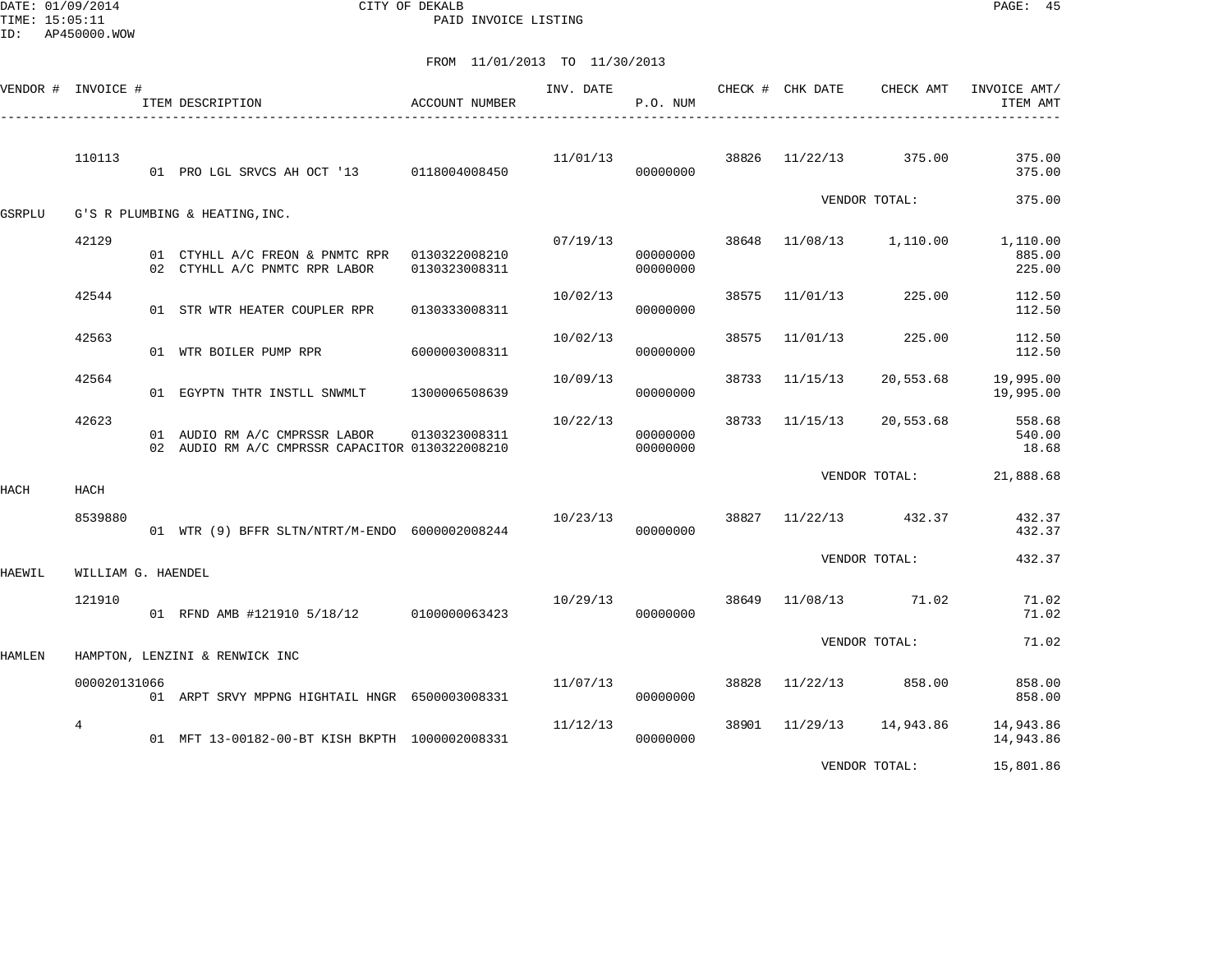DATE: 01/09/2014 CITY OF DEKALB PAGE: 45 PAID INVOICE LISTING

|               | VENDOR # INVOICE # | ITEM DESCRIPTION                                                                 | ACCOUNT NUMBER | INV. DATE | P.O. NUM             |       | CHECK # CHK DATE | CHECK AMT               | INVOICE AMT/<br>ITEM AMT     |
|---------------|--------------------|----------------------------------------------------------------------------------|----------------|-----------|----------------------|-------|------------------|-------------------------|------------------------------|
|               | 110113             | 01 PRO LGL SRVCS AH OCT '13 0118004008450                                        |                | 11/01/13  | 00000000             | 38826 | 11/22/13         | 375.00                  | 375.00<br>375.00             |
| GSRPLU        |                    | G'S R PLUMBING & HEATING, INC.                                                   |                |           |                      |       |                  | VENDOR TOTAL:           | 375.00                       |
|               | 42129              | 01 CTYHLL A/C FREON & PNMTC RPR 0130322008210<br>02 CTYHLL A/C PNMTC RPR LABOR   | 0130323008311  | 07/19/13  | 00000000<br>00000000 |       |                  | 38648 11/08/13 1,110.00 | 1,110.00<br>885.00<br>225.00 |
|               | 42544              | 01 STR WTR HEATER COUPLER RPR                                                    | 0130333008311  | 10/02/13  | 00000000             | 38575 | 11/01/13         | 225.00                  | 112.50<br>112.50             |
|               | 42563              | 01 WTR BOILER PUMP RPR                                                           | 6000003008311  | 10/02/13  | 00000000             | 38575 | 11/01/13         | 225.00                  | 112.50<br>112.50             |
|               | 42564              | 01 EGYPTN THTR INSTLL SNWMLT                                                     | 1300006508639  | 10/09/13  | 00000000             | 38733 | 11/15/13         | 20,553.68               | 19,995.00<br>19,995.00       |
|               | 42623              | 01 AUDIO RM A/C CMPRSSR LABOR<br>02 AUDIO RM A/C CMPRSSR CAPACITOR 0130322008210 | 0130323008311  | 10/22/13  | 00000000<br>00000000 | 38733 | 11/15/13         | 20,553.68               | 558.68<br>540.00<br>18.68    |
| HACH          | HACH               |                                                                                  |                |           |                      |       |                  | VENDOR TOTAL:           | 21,888.68                    |
|               | 8539880            | 01 WTR (9) BFFR SLTN/NTRT/M-ENDO 6000002008244                                   |                | 10/23/13  | 00000000             |       | 38827 11/22/13   | 432.37                  | 432.37<br>432.37             |
| HAEWIL        | WILLIAM G. HAENDEL |                                                                                  |                |           |                      |       |                  | VENDOR TOTAL:           | 432.37                       |
|               | 121910             | 01 RFND AMB #121910 5/18/12 0100000063423                                        |                | 10/29/13  | 00000000             | 38649 |                  | 11/08/13 71.02          | 71.02<br>71.02               |
| <b>HAMLEN</b> |                    | HAMPTON, LENZINI & RENWICK INC                                                   |                |           |                      |       |                  | VENDOR TOTAL:           | 71.02                        |
|               | 000020131066       | 01 ARPT SRVY MPPNG HIGHTAIL HNGR 6500003008331                                   |                | 11/07/13  | 00000000             | 38828 | 11/22/13         | 858.00                  | 858.00<br>858.00             |
|               | $\overline{4}$     | 01 MFT 13-00182-00-BT KISH BKPTH 1000002008331                                   |                | 11/12/13  | 00000000             |       | 38901 11/29/13   | 14,943.86               | 14,943.86<br>14,943.86       |
|               |                    |                                                                                  |                |           |                      |       |                  | VENDOR TOTAL:           | 15,801.86                    |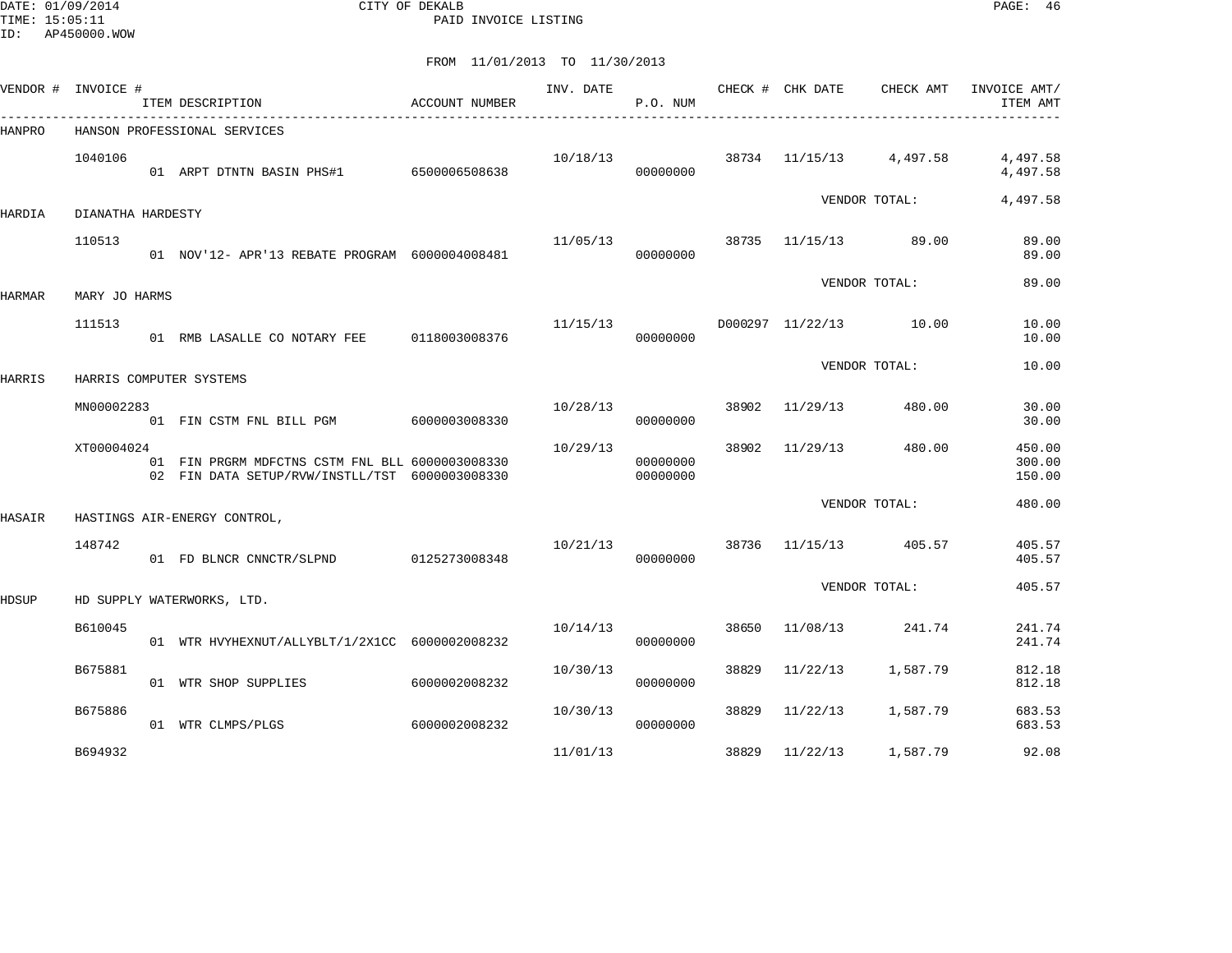DATE: 01/09/2014 CITY OF DEKALB PAGE: 46 PAID INVOICE LISTING

|        | VENDOR # INVOICE # | ITEM DESCRIPTION                                                                                  | ACCOUNT NUMBER | INV. DATE | P.O. NUM             |       |                | CHECK # CHK DATE CHECK AMT | INVOICE AMT/<br>ITEM AMT   |
|--------|--------------------|---------------------------------------------------------------------------------------------------|----------------|-----------|----------------------|-------|----------------|----------------------------|----------------------------|
| HANPRO |                    | HANSON PROFESSIONAL SERVICES                                                                      |                |           |                      |       |                |                            |                            |
|        | 1040106            | 01 ARPT DTNTN BASIN PHS#1 6500006508638                                                           |                | 10/18/13  | 00000000             |       |                | 38734 11/15/13 4,497.58    | 4,497.58<br>4,497.58       |
| HARDIA | DIANATHA HARDESTY  |                                                                                                   |                |           |                      |       |                | VENDOR TOTAL:              | 4,497.58                   |
|        | 110513             | 01 NOV'12- APR'13 REBATE PROGRAM 6000004008481                                                    |                | 11/05/13  | 00000000             |       |                | 38735 11/15/13 89.00       | 89.00<br>89.00             |
| HARMAR | MARY JO HARMS      |                                                                                                   |                |           |                      |       |                | VENDOR TOTAL:              | 89.00                      |
|        | 111513             | 01 RMB LASALLE CO NOTARY FEE 0118003008376                                                        |                | 11/15/13  | 00000000             |       |                | D000297 11/22/13 10.00     | 10.00<br>10.00             |
| HARRIS |                    | HARRIS COMPUTER SYSTEMS                                                                           |                |           |                      |       |                | VENDOR TOTAL:              | 10.00                      |
|        | MN00002283         | 01 FIN CSTM FNL BILL PGM 6000003008330                                                            |                | 10/28/13  | 00000000             |       | 38902 11/29/13 | 480.00                     | 30.00<br>30.00             |
|        | XT00004024         | 01 FIN PRGRM MDFCTNS CSTM FNL BLL 6000003008330<br>02 FIN DATA SETUP/RVW/INSTLL/TST 6000003008330 |                | 10/29/13  | 00000000<br>00000000 | 38902 | 11/29/13       | 480.00                     | 450.00<br>300.00<br>150.00 |
| HASAIR |                    | HASTINGS AIR-ENERGY CONTROL,                                                                      |                |           |                      |       |                | VENDOR TOTAL:              | 480.00                     |
|        | 148742             | 01 FD BLNCR CNNCTR/SLPND 0125273008348                                                            |                | 10/21/13  | 00000000             |       |                | 38736 11/15/13 405.57      | 405.57<br>405.57           |
| HDSUP  |                    | HD SUPPLY WATERWORKS, LTD.                                                                        |                |           |                      |       |                | VENDOR TOTAL:              | 405.57                     |
|        | B610045            | 01 WTR HVYHEXNUT/ALLYBLT/1/2X1CC 6000002008232                                                    |                | 10/14/13  | 00000000             | 38650 | 11/08/13       | 241.74                     | 241.74<br>241.74           |
|        | B675881            | 01 WTR SHOP SUPPLIES                                                                              | 6000002008232  | 10/30/13  | 00000000             | 38829 | 11/22/13       | 1,587.79                   | 812.18<br>812.18           |
|        | B675886            | 01 WTR CLMPS/PLGS                                                                                 | 6000002008232  | 10/30/13  | 00000000             | 38829 | 11/22/13       | 1,587.79                   | 683.53<br>683.53           |
|        | B694932            |                                                                                                   |                | 11/01/13  |                      | 38829 | 11/22/13       | 1,587.79                   | 92.08                      |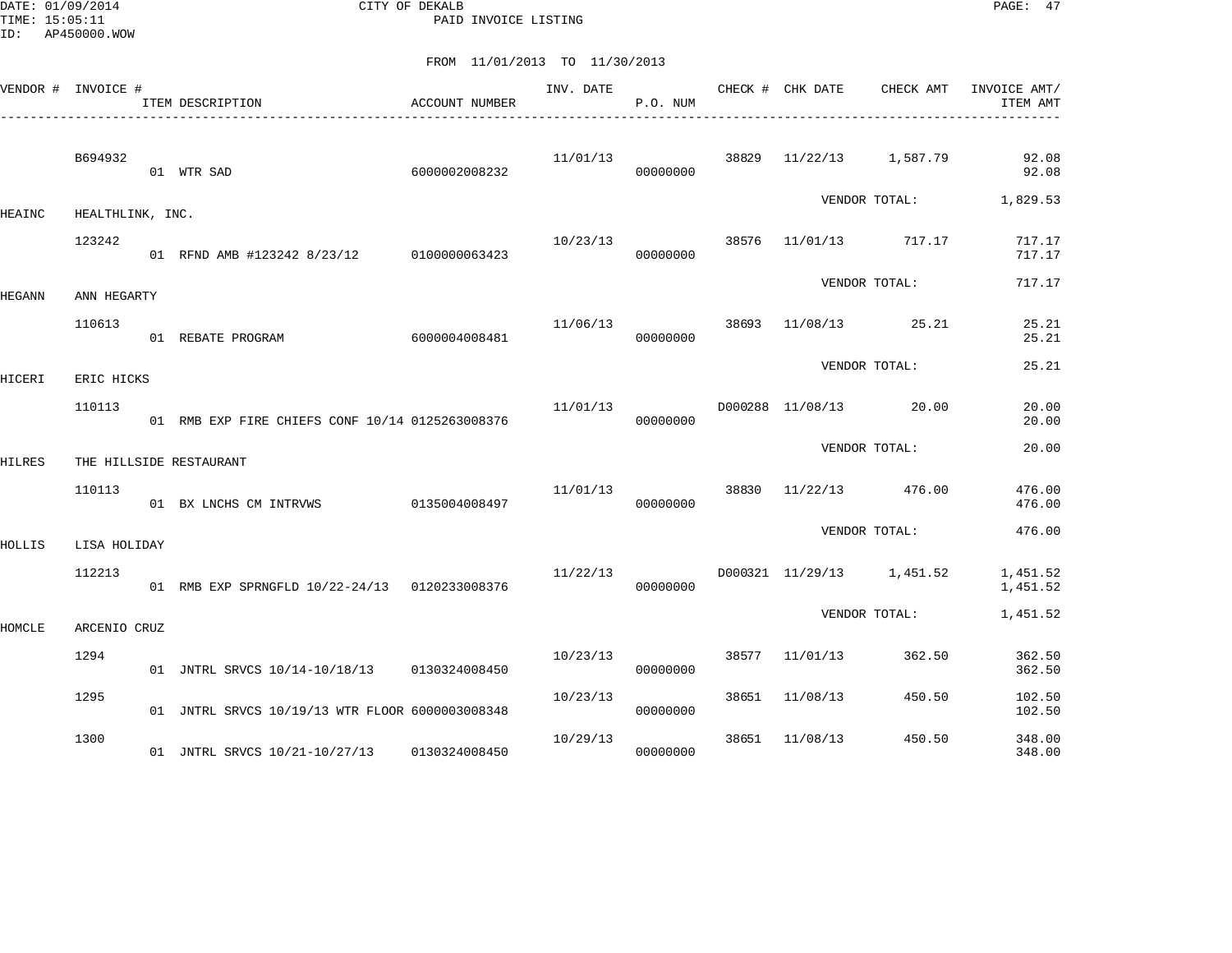DATE: 01/09/2014 CITY OF DEKALB PAGE: 47 PAID INVOICE LISTING

| VENDOR # INVOICE # |                      | ITEM DESCRIPTION<br>------------------------------- | ACCOUNT NUMBER | INV. DATE | P.O. NUM |       | CHECK # CHK DATE          | CHECK AMT               | INVOICE AMT/<br>ITEM AMT |
|--------------------|----------------------|-----------------------------------------------------|----------------|-----------|----------|-------|---------------------------|-------------------------|--------------------------|
|                    | B694932              | 01 WTR SAD                                          | 6000002008232  | 11/01/13  | 00000000 |       |                           | 38829 11/22/13 1,587.79 | 92.08<br>92.08           |
| HEAINC             | HEALTHLINK, INC.     |                                                     |                |           |          |       |                           |                         | VENDOR TOTAL: 1,829.53   |
|                    | 123242               | 01 RFND AMB #123242 8/23/12 0100000063423           |                | 10/23/13  | 00000000 | 38576 | 11/01/13 717.17           |                         | 717.17<br>717.17         |
|                    | ANN HEGARTY          |                                                     |                |           |          |       |                           | VENDOR TOTAL:           | 717.17                   |
| HEGANN             | 110613               | 01 REBATE PROGRAM                                   | 6000004008481  | 11/06/13  | 00000000 |       | 38693 11/08/13 25.21      |                         | 25.21<br>25.21           |
|                    |                      |                                                     |                |           |          |       |                           | VENDOR TOTAL:           | 25.21                    |
| HICERI             | ERIC HICKS<br>110113 | 01 RMB EXP FIRE CHIEFS CONF 10/14 0125263008376     |                | 11/01/13  | 00000000 |       | D000288 11/08/13 20.00    |                         | 20.00<br>20.00           |
| HILRES             |                      | THE HILLSIDE RESTAURANT                             |                |           |          |       |                           | VENDOR TOTAL:           | 20.00                    |
|                    | 110113               | 01 BX LNCHS CM INTRVWS 0135004008497                |                | 11/01/13  | 00000000 |       | 38830 11/22/13 476.00     |                         | 476.00<br>476.00         |
| HOLLIS             | LISA HOLIDAY         |                                                     |                |           |          |       |                           | VENDOR TOTAL:           | 476.00                   |
|                    | 112213               | 01 RMB EXP SPRNGFLD 10/22-24/13 0120233008376       |                | 11/22/13  | 00000000 |       | D000321 11/29/13 1,451.52 |                         | 1,451.52<br>1,451.52     |
| HOMCLE             | ARCENIO CRUZ         |                                                     |                |           |          |       |                           | VENDOR TOTAL:           | 1,451.52                 |
|                    | 1294                 | 01 JNTRL SRVCS 10/14-10/18/13 0130324008450         |                | 10/23/13  | 00000000 |       | 38577 11/01/13            | 362.50                  | 362.50<br>362.50         |
|                    | 1295                 | 01 JNTRL SRVCS 10/19/13 WTR FLOOR 6000003008348     |                | 10/23/13  | 00000000 | 38651 | 11/08/13                  | 450.50                  | 102.50<br>102.50         |
|                    | 1300                 | 01 JNTRL SRVCS 10/21-10/27/13 0130324008450         |                | 10/29/13  | 00000000 | 38651 | 11/08/13                  | 450.50                  | 348.00<br>348.00         |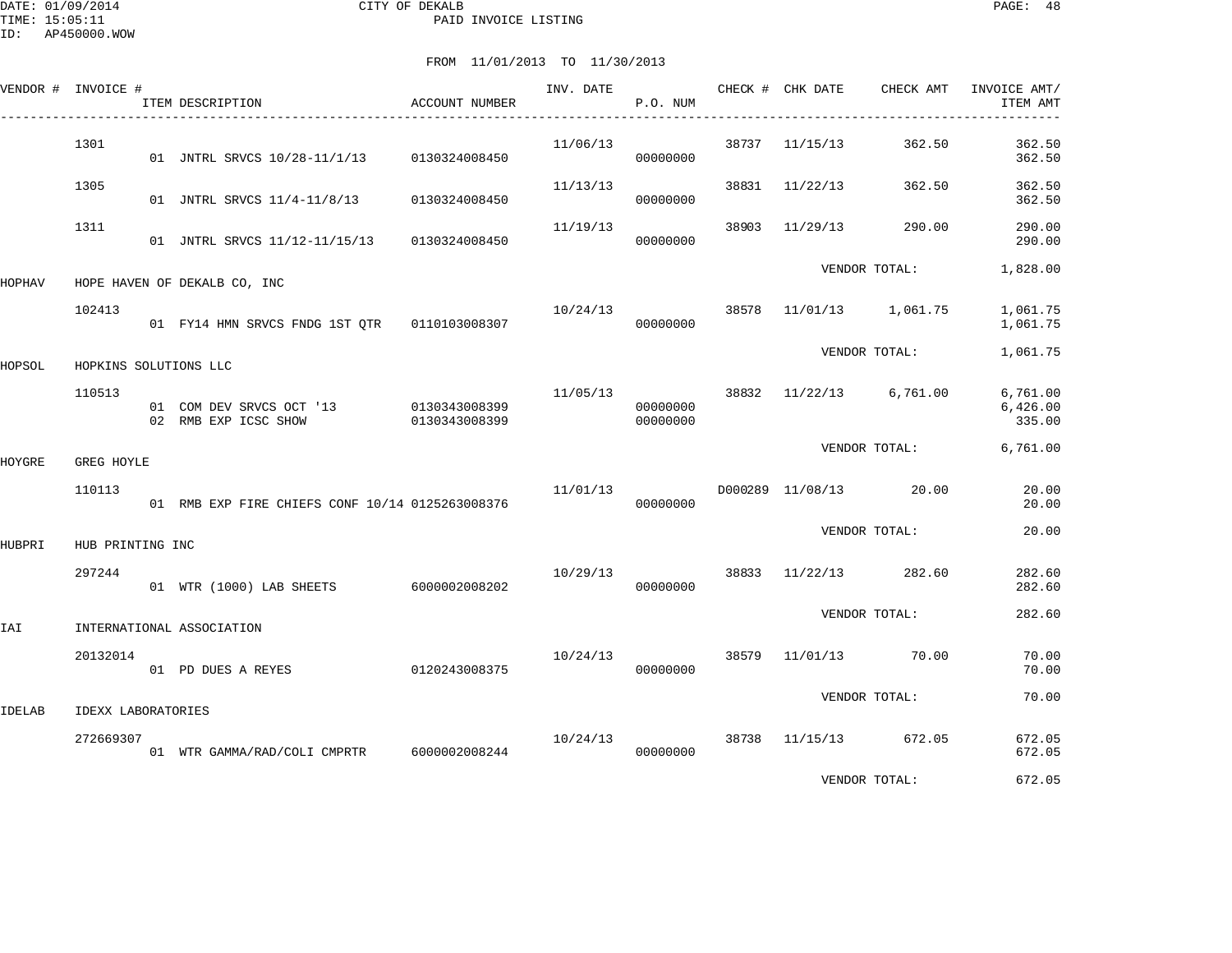| VENDOR # INVOICE # |                           | ITEM DESCRIPTION                                               | ACCOUNT NUMBER | INV. DATE | CHECK # CHK DATE<br>P.O. NUM |       |                | CHECK AMT               | INVOICE AMT/<br>ITEM AMT       |
|--------------------|---------------------------|----------------------------------------------------------------|----------------|-----------|------------------------------|-------|----------------|-------------------------|--------------------------------|
|                    | 1301                      | 01 JNTRL SRVCS 10/28-11/1/13 0130324008450                     |                | 11/06/13  | 00000000                     |       | 38737 11/15/13 | 362.50                  | 362.50<br>362.50               |
|                    | 1305                      | 01 JNTRL SRVCS 11/4-11/8/13                                    | 0130324008450  | 11/13/13  | 00000000                     |       | 38831 11/22/13 | 362.50                  | 362.50<br>362.50               |
|                    | 1311                      | 01 JNTRL SRVCS 11/12-11/15/13 0130324008450                    |                | 11/19/13  | 00000000                     | 38903 | 11/29/13       | 290.00                  | 290.00<br>290.00               |
| HOPHAV             |                           | HOPE HAVEN OF DEKALB CO, INC                                   |                |           |                              |       |                | VENDOR TOTAL:           | 1,828.00                       |
|                    | 102413                    |                                                                |                | 10/24/13  | 00000000                     | 38578 |                | 11/01/13 1,061.75       | 1,061.75<br>1,061.75           |
| HOPSOL             | HOPKINS SOLUTIONS LLC     |                                                                |                |           |                              |       |                | VENDOR TOTAL:           | 1,061.75                       |
|                    | 110513                    | 01 COM DEV SRVCS OCT '13 0130343008399<br>02 RMB EXP ICSC SHOW | 0130343008399  | 11/05/13  | 00000000<br>00000000         |       |                | 38832 11/22/13 6,761.00 | 6,761.00<br>6,426.00<br>335.00 |
| HOYGRE             | GREG HOYLE                |                                                                |                |           |                              |       |                | VENDOR TOTAL:           | 6,761.00                       |
|                    | 110113                    | 01 RMB EXP FIRE CHIEFS CONF 10/14 0125263008376                |                | 11/01/13  | 00000000                     |       |                | D000289 11/08/13 20.00  | 20.00<br>20.00                 |
| HUBPRI             | HUB PRINTING INC          |                                                                |                |           |                              |       |                | VENDOR TOTAL:           | 20.00                          |
|                    | 297244                    | 01 WTR (1000) LAB SHEETS 6000002008202                         |                | 10/29/13  | 00000000                     |       |                | 38833 11/22/13 282.60   | 282.60<br>282.60               |
| IAI                |                           | INTERNATIONAL ASSOCIATION                                      |                |           |                              |       |                | VENDOR TOTAL:           | 282.60                         |
|                    | 20132014                  | 01 PD DUES A REYES                                             | 0120243008375  | 10/24/13  | 00000000                     |       | 38579 11/01/13 | 70.00                   | 70.00<br>70.00                 |
| IDELAB             | <b>IDEXX LABORATORIES</b> |                                                                |                |           |                              |       |                | VENDOR TOTAL:           | 70.00                          |
|                    | 272669307                 | 01 WTR GAMMA/RAD/COLI CMPRTR 6000002008244                     |                | 10/24/13  | 00000000                     |       |                | 38738 11/15/13 672.05   | 672.05<br>672.05               |
|                    |                           |                                                                |                |           |                              |       |                | VENDOR TOTAL:           | 672.05                         |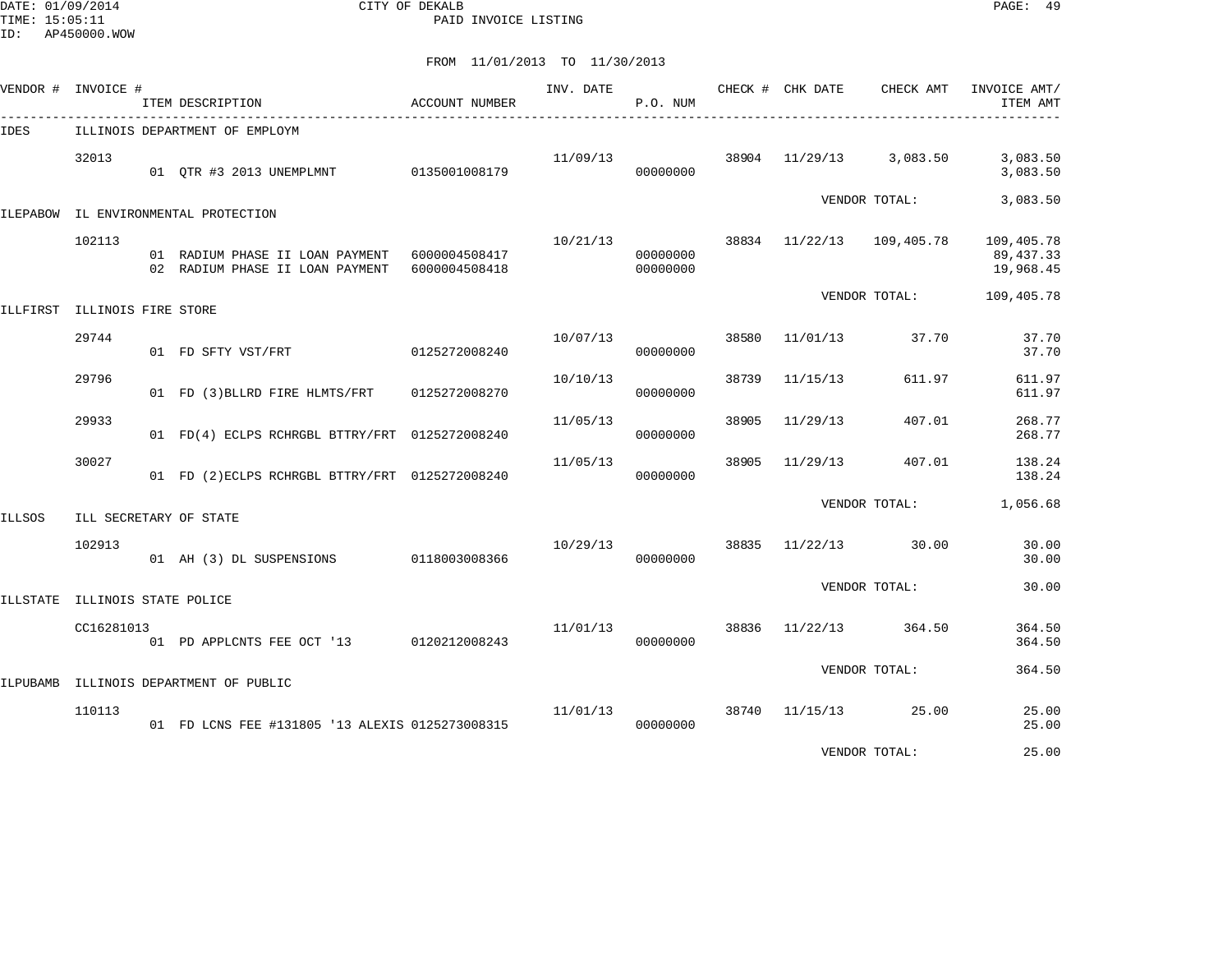DATE: 01/09/2014 CITY OF DEKALB PAGE: 49 PAID INVOICE LISTING

FROM 11/01/2013 TO 11/30/2013

|        | VENDOR # INVOICE #                    | ITEM DESCRIPTION                                                                 | ACCOUNT NUMBER | INV. DATE | P.O. NUM             |       | CHECK # CHK DATE          | CHECK AMT     | INVOICE AMT/<br>ITEM AMT              |
|--------|---------------------------------------|----------------------------------------------------------------------------------|----------------|-----------|----------------------|-------|---------------------------|---------------|---------------------------------------|
| IDES   |                                       | ILLINOIS DEPARTMENT OF EMPLOYM                                                   |                |           |                      |       |                           |               |                                       |
|        | 32013                                 | 01 OTR #3 2013 UNEMPLMNT                                                         | 0135001008179  | 11/09/13  | 00000000             | 38904 | 11/29/13                  | 3,083.50      | 3,083.50<br>3,083.50                  |
|        |                                       | ILEPABOW IL ENVIRONMENTAL PROTECTION                                             |                |           |                      |       |                           | VENDOR TOTAL: | 3,083.50                              |
|        | 102113                                | 01 RADIUM PHASE II LOAN PAYMENT 6000004508417<br>02 RADIUM PHASE II LOAN PAYMENT | 6000004508418  | 10/21/13  | 00000000<br>00000000 |       | 38834 11/22/13 109,405.78 |               | 109,405.78<br>89, 437.33<br>19,968.45 |
|        |                                       |                                                                                  |                |           |                      |       |                           | VENDOR TOTAL: | 109,405.78                            |
|        | ILLFIRST ILLINOIS FIRE STORE<br>29744 | 01 FD SFTY VST/FRT                                                               | 0125272008240  | 10/07/13  | 00000000             | 38580 | 11/01/13                  | 37.70         | 37.70<br>37.70                        |
|        | 29796                                 | 01 FD (3) BLLRD FIRE HLMTS/FRT                                                   | 0125272008270  | 10/10/13  | 00000000             | 38739 | 11/15/13                  | 611.97        | 611.97<br>611.97                      |
|        | 29933                                 | 01 FD(4) ECLPS RCHRGBL BTTRY/FRT 0125272008240                                   |                | 11/05/13  | 00000000             | 38905 | 11/29/13                  | 407.01        | 268.77<br>268.77                      |
|        | 30027                                 | 01 FD (2) ECLPS RCHRGBL BTTRY/FRT 0125272008240                                  |                | 11/05/13  | 00000000             | 38905 | 11/29/13                  | 407.01        | 138.24<br>138.24                      |
| ILLSOS |                                       | ILL SECRETARY OF STATE                                                           |                |           |                      |       |                           | VENDOR TOTAL: | 1,056.68                              |
|        | 102913                                | 01 AH (3) DL SUSPENSIONS                                                         | 0118003008366  | 10/29/13  | 00000000             | 38835 | 11/22/13                  | 30.00         | 30.00<br>30.00                        |
|        | ILLSTATE ILLINOIS STATE POLICE        |                                                                                  |                |           |                      |       |                           | VENDOR TOTAL: | 30.00                                 |
|        | CC16281013                            | 01 PD APPLCNTS FEE OCT '13 0120212008243                                         |                | 11/01/13  | 00000000             | 38836 | 11/22/13                  | 364.50        | 364.50<br>364.50                      |
|        |                                       | ILPUBAMB ILLINOIS DEPARTMENT OF PUBLIC                                           |                |           |                      |       |                           | VENDOR TOTAL: | 364.50                                |
|        | 110113                                | 01 FD LCNS FEE #131805 '13 ALEXIS 0125273008315                                  |                | 11/01/13  | 00000000             | 38740 | 11/15/13                  | 25.00         | 25.00<br>25.00                        |
|        |                                       |                                                                                  |                |           |                      |       |                           |               |                                       |

VENDOR TOTAL: 25.00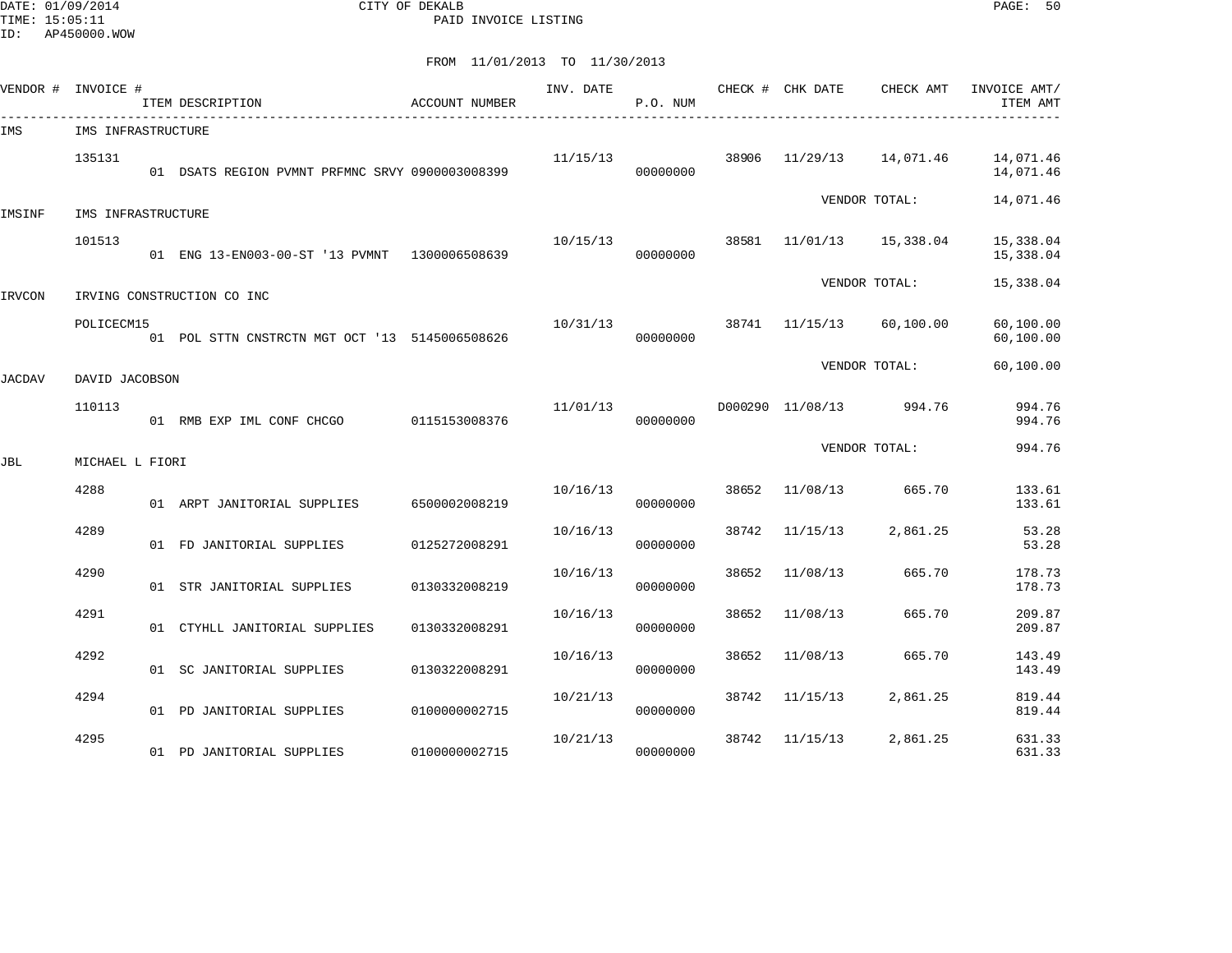DATE: 01/09/2014 CITY OF DEKALB PAGE: 50 PAID INVOICE LISTING

| VENDOR # INVOICE # |                    | ITEM DESCRIPTION                                | <b>ACCOUNT NUMBER</b> | INV. DATE | P.O. NUM |       | CHECK # CHK DATE        | CHECK AMT           | INVOICE AMT/<br>ITEM AMT |
|--------------------|--------------------|-------------------------------------------------|-----------------------|-----------|----------|-------|-------------------------|---------------------|--------------------------|
| IMS                | IMS INFRASTRUCTURE |                                                 |                       |           |          |       |                         |                     |                          |
|                    | 135131             | 01 DSATS REGION PVMNT PRFMNC SRVY 0900003008399 |                       | 11/15/13  | 00000000 | 38906 | 11/29/13                | 14,071.46           | 14,071.46<br>14,071.46   |
| IMSINF             | IMS INFRASTRUCTURE |                                                 |                       |           |          |       |                         | VENDOR TOTAL:       | 14,071.46                |
|                    | 101513             | 01 ENG 13-EN003-00-ST '13 PVMNT 1300006508639   |                       | 10/15/13  | 00000000 | 38581 |                         | 11/01/13  15,338.04 | 15,338.04<br>15,338.04   |
| IRVCON             |                    | IRVING CONSTRUCTION CO INC                      |                       |           |          |       |                         | VENDOR TOTAL:       | 15,338.04                |
|                    | POLICECM15         | 01 POL STTN CNSTRCTN MGT OCT '13 5145006508626  |                       | 10/31/13  | 00000000 |       | 38741 11/15/13          | 60,100.00           | 60,100.00<br>60,100.00   |
| JACDAV             | DAVID JACOBSON     |                                                 |                       |           |          |       |                         | VENDOR TOTAL:       | 60,100.00                |
|                    | 110113             | 01 RMB EXP IML CONF CHCGO 0115153008376         |                       | 11/01/13  | 00000000 |       | D000290 11/08/13 994.76 |                     | 994.76<br>994.76         |
| JBL                | MICHAEL L FIORI    |                                                 |                       |           |          |       |                         | VENDOR TOTAL:       | 994.76                   |
|                    | 4288               | 01 ARPT JANITORIAL SUPPLIES                     | 6500002008219         | 10/16/13  | 00000000 | 38652 | 11/08/13                | 665.70              | 133.61<br>133.61         |
|                    | 4289               | 01 FD JANITORIAL SUPPLIES                       | 0125272008291         | 10/16/13  | 00000000 | 38742 | 11/15/13                | 2,861.25            | 53.28<br>53.28           |
|                    | 4290               | 01 STR JANITORIAL SUPPLIES                      | 0130332008219         | 10/16/13  | 00000000 | 38652 | 11/08/13                | 665.70              | 178.73<br>178.73         |
|                    | 4291               | 01 CTYHLL JANITORIAL SUPPLIES                   | 0130332008291         | 10/16/13  | 00000000 | 38652 | 11/08/13                | 665.70              | 209.87<br>209.87         |
|                    | 4292               | 01 SC JANITORIAL SUPPLIES                       | 0130322008291         | 10/16/13  | 00000000 | 38652 | 11/08/13                | 665.70              | 143.49<br>143.49         |
|                    | 4294               | 01 PD JANITORIAL SUPPLIES                       | 0100000002715         | 10/21/13  | 00000000 | 38742 | 11/15/13                | 2,861.25            | 819.44<br>819.44         |
|                    | 4295               | 01 PD JANITORIAL SUPPLIES                       | 0100000002715         | 10/21/13  | 00000000 | 38742 | 11/15/13                | 2,861.25            | 631.33<br>631.33         |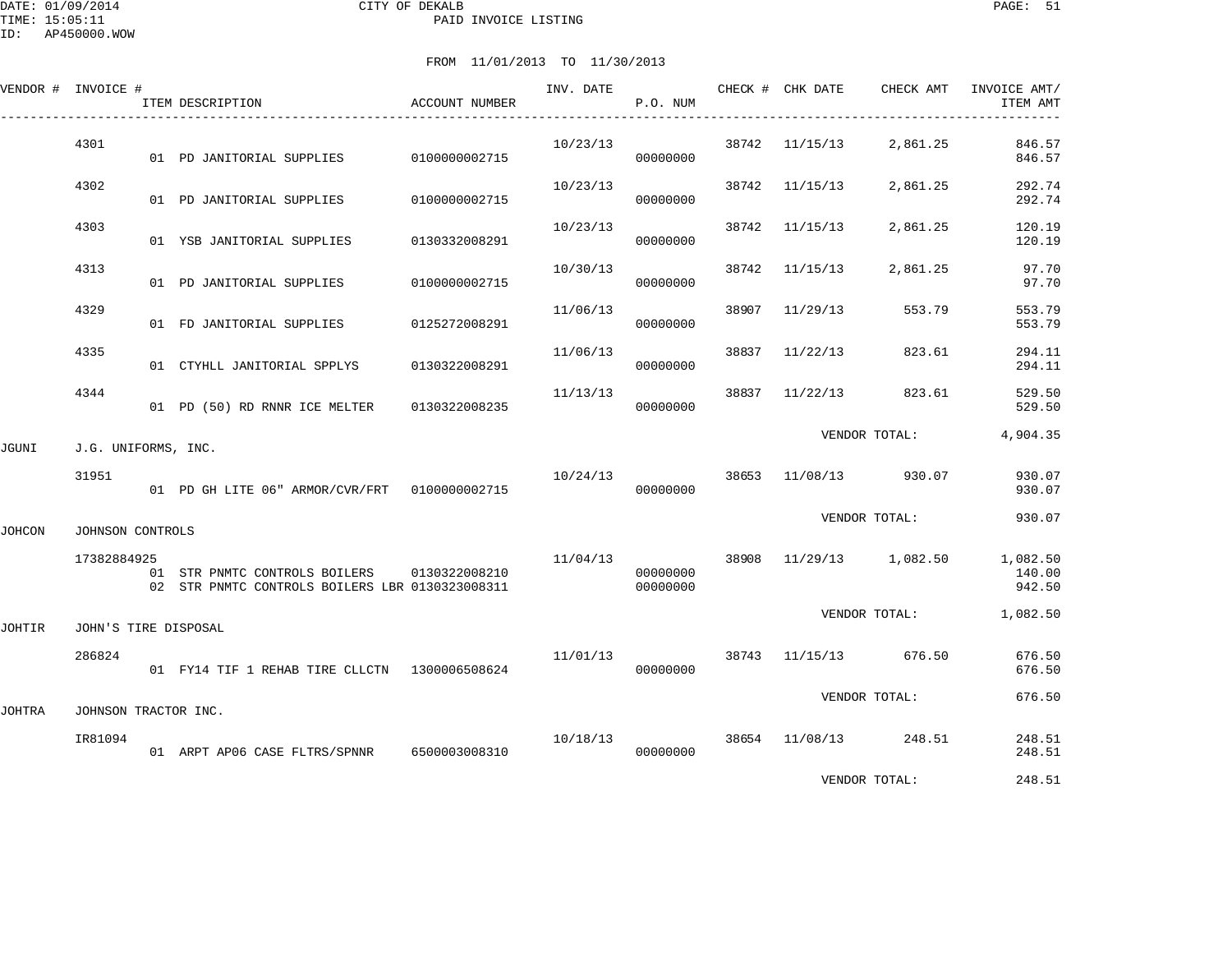|        | VENDOR # INVOICE #   | ITEM DESCRIPTION                                                                               | ACCOUNT NUMBER | INV. DATE | P.O. NUM             |       |          | CHECK # CHK DATE CHECK AMT                | INVOICE AMT/<br>ITEM AMT |
|--------|----------------------|------------------------------------------------------------------------------------------------|----------------|-----------|----------------------|-------|----------|-------------------------------------------|--------------------------|
|        | 4301                 | 01 PD JANITORIAL SUPPLIES                                                                      | 0100000002715  | 10/23/13  | 00000000             |       |          | 38742 11/15/13 2,861.25                   | 846.57<br>846.57         |
|        | 4302                 | 01 PD JANITORIAL SUPPLIES                                                                      | 0100000002715  | 10/23/13  | 00000000             | 38742 | 11/15/13 | 2,861.25                                  | 292.74<br>292.74         |
|        | 4303                 | 01 YSB JANITORIAL SUPPLIES                                                                     | 0130332008291  | 10/23/13  | 00000000             | 38742 | 11/15/13 | 2,861.25                                  | 120.19<br>120.19         |
|        | 4313                 | 01 PD JANITORIAL SUPPLIES                                                                      | 0100000002715  | 10/30/13  | 00000000             | 38742 | 11/15/13 | 2,861.25                                  | 97.70<br>97.70           |
|        | 4329                 | 01 FD JANITORIAL SUPPLIES                                                                      | 0125272008291  | 11/06/13  | 00000000             | 38907 | 11/29/13 | 553.79                                    | 553.79<br>553.79         |
|        | 4335                 | 01 CTYHLL JANITORIAL SPPLYS                                                                    | 0130322008291  | 11/06/13  | 00000000             | 38837 | 11/22/13 | 823.61                                    | 294.11<br>294.11         |
|        | 4344                 | 01 PD (50) RD RNNR ICE MELTER 0130322008235                                                    |                | 11/13/13  | 00000000             | 38837 | 11/22/13 | 823.61                                    | 529.50<br>529.50         |
| JGUNI  | J.G. UNIFORMS, INC.  |                                                                                                |                |           |                      |       |          | VENDOR TOTAL:                             | 4,904.35                 |
|        | 31951                | 01 PD GH LITE 06" ARMOR/CVR/FRT 0100000002715                                                  |                | 10/24/13  | 00000000             |       |          | 38653 11/08/13 930.07                     | 930.07<br>930.07         |
| JOHCON | JOHNSON CONTROLS     |                                                                                                |                |           |                      |       |          | VENDOR TOTAL:                             | 930.07                   |
|        | 17382884925          | 01 STR PNMTC CONTROLS BOILERS 0130322008210<br>02 STR PNMTC CONTROLS BOILERS LBR 0130323008311 |                |           | 00000000<br>00000000 |       |          | 11/04/13 38908 11/29/13 1,082.50 1,082.50 | 140.00<br>942.50         |
| JOHTIR | JOHN'S TIRE DISPOSAL |                                                                                                |                |           |                      |       |          | VENDOR TOTAL:                             | 1,082.50                 |
|        | 286824               | 01 FY14 TIF 1 REHAB TIRE CLLCTN 1300006508624                                                  |                | 11/01/13  | 00000000             |       |          | 38743 11/15/13 676.50                     | 676.50<br>676.50         |
| JOHTRA | JOHNSON TRACTOR INC. |                                                                                                |                |           |                      |       |          | VENDOR TOTAL:                             | 676.50                   |
|        | IR81094              | 01 ARPT AP06 CASE FLTRS/SPNNR 6500003008310                                                    |                | 10/18/13  | 00000000             |       |          | 38654 11/08/13 248.51                     | 248.51<br>248.51         |
|        |                      |                                                                                                |                |           |                      |       |          | VENDOR TOTAL:                             | 248.51                   |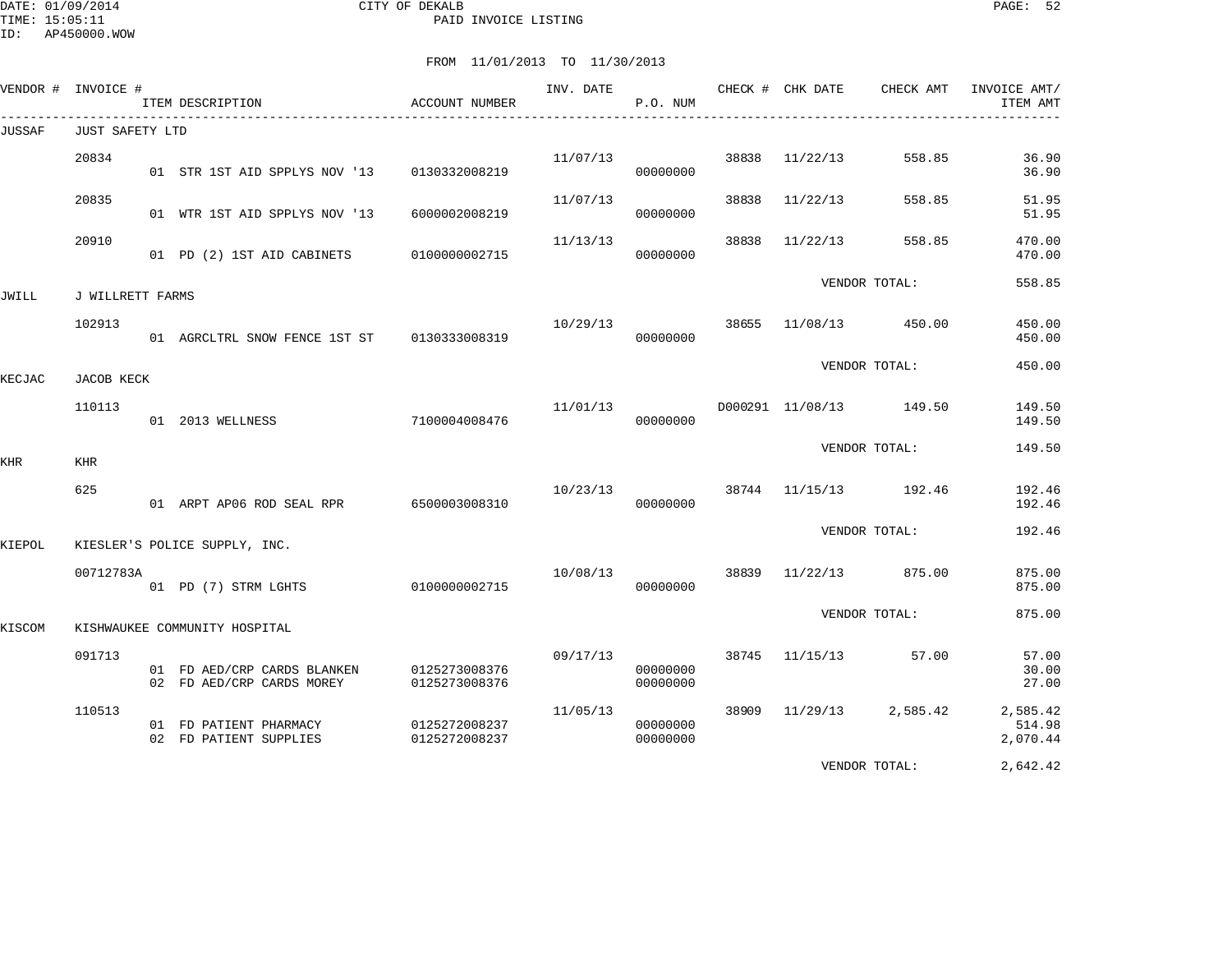DATE: 01/09/2014 CITY OF DEKALB PAGE: 52 PAID INVOICE LISTING

|        | VENDOR # INVOICE #     | ITEM DESCRIPTION                                         | ACCOUNT NUMBER                 | INV. DATE | P.O. NUM             |       | CHECK # CHK DATE | CHECK AMT               | INVOICE AMT/<br>ITEM AMT       |
|--------|------------------------|----------------------------------------------------------|--------------------------------|-----------|----------------------|-------|------------------|-------------------------|--------------------------------|
| JUSSAF | <b>JUST SAFETY LTD</b> |                                                          |                                |           |                      |       |                  |                         |                                |
|        | 20834                  | 01 STR 1ST AID SPPLYS NOV '13                            | 0130332008219                  | 11/07/13  | 00000000             | 38838 | 11/22/13         | 558.85                  | 36.90<br>36.90                 |
|        | 20835                  | 01 WTR 1ST AID SPPLYS NOV '13                            | 6000002008219                  | 11/07/13  | 00000000             | 38838 | 11/22/13         | 558.85                  | 51.95<br>51.95                 |
|        | 20910                  | 01 PD (2) 1ST AID CABINETS                               | 0100000002715                  | 11/13/13  | 00000000             | 38838 | 11/22/13         | 558.85                  | 470.00<br>470.00               |
| JWILL  | J WILLRETT FARMS       |                                                          |                                |           |                      |       |                  | VENDOR TOTAL:           | 558.85                         |
|        | 102913                 | 01 AGRCLTRL SNOW FENCE 1ST ST 0130333008319              |                                | 10/29/13  | 00000000             |       |                  | 38655 11/08/13 450.00   | 450.00<br>450.00               |
| KECJAC | JACOB KECK             |                                                          |                                |           |                      |       |                  | VENDOR TOTAL:           | 450.00                         |
|        | 110113                 | 01 2013 WELLNESS                                         | 7100004008476                  | 11/01/13  | 00000000             |       |                  | D000291 11/08/13 149.50 | 149.50<br>149.50               |
|        | KHR                    |                                                          |                                |           |                      |       |                  | VENDOR TOTAL:           | 149.50                         |
| KHR    | 625                    | 01 ARPT AP06 ROD SEAL RPR 6500003008310                  |                                | 10/23/13  | 00000000             |       |                  | 38744 11/15/13 192.46   | 192.46<br>192.46               |
| KIEPOL |                        | KIESLER'S POLICE SUPPLY, INC.                            |                                |           |                      |       |                  | VENDOR TOTAL:           | 192.46                         |
|        | 00712783A              | 01 PD (7) STRM LGHTS                                     | 0100000002715                  | 10/08/13  | 00000000             |       | 38839 11/22/13   | 875.00                  | 875.00<br>875.00               |
| KISCOM |                        | KISHWAUKEE COMMUNITY HOSPITAL                            |                                |           |                      |       |                  | VENDOR TOTAL:           | 875.00                         |
|        | 091713                 | 01 FD AED/CRP CARDS BLANKEN<br>02 FD AED/CRP CARDS MOREY | 0125273008376<br>0125273008376 | 09/17/13  | 00000000<br>00000000 | 38745 | 11/15/13         | 57.00                   | 57.00<br>30.00<br>27.00        |
|        | 110513                 | 01 FD PATIENT PHARMACY<br>02 FD PATIENT SUPPLIES         | 0125272008237<br>0125272008237 | 11/05/13  | 00000000<br>00000000 | 38909 | 11/29/13         | 2,585.42                | 2,585.42<br>514.98<br>2,070.44 |
|        |                        |                                                          |                                |           |                      |       |                  | VENDOR TOTAL:           | 2,642.42                       |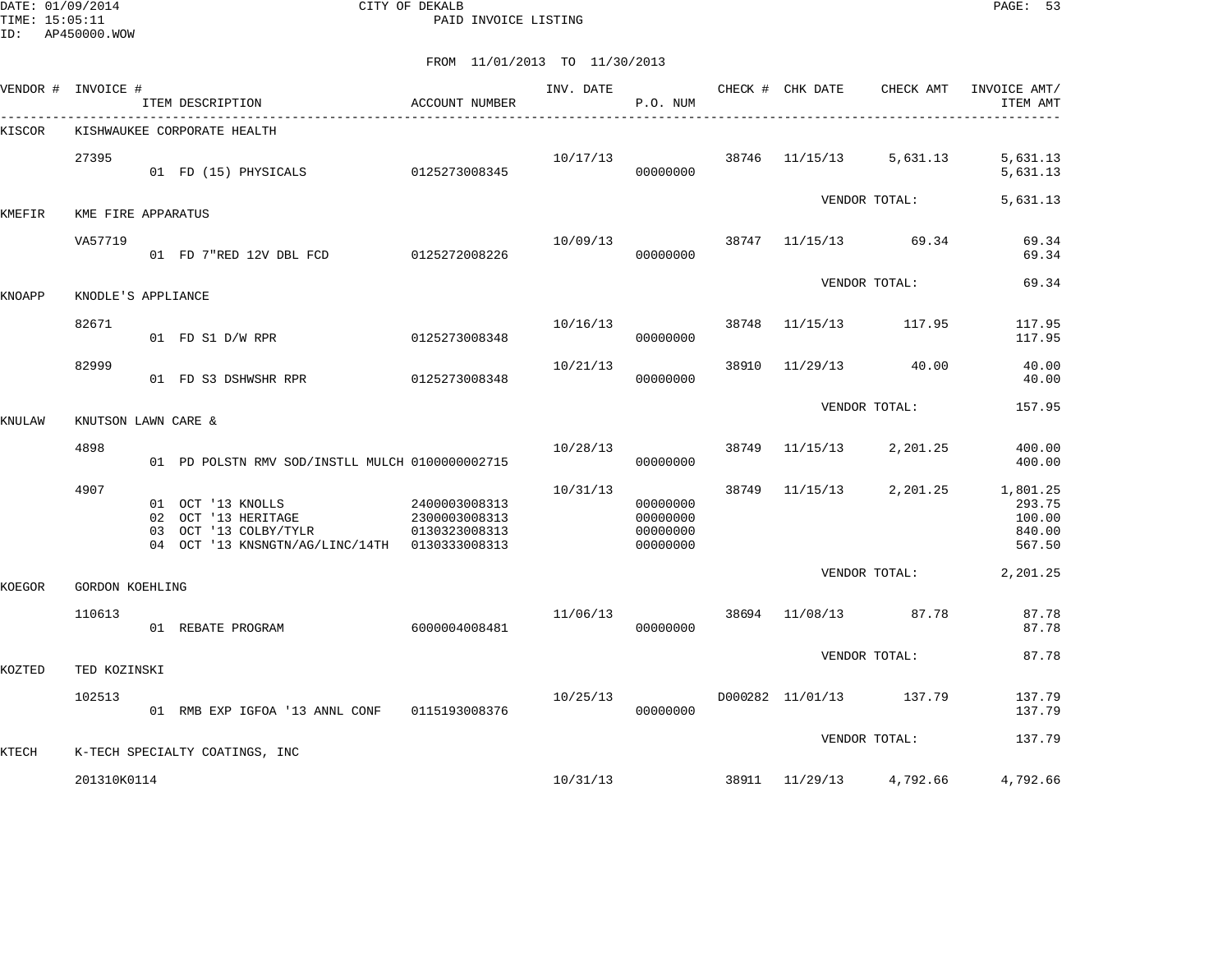DATE: 01/09/2014 CITY OF DEKALB PAGE: 53 PAID INVOICE LISTING

| KISHWAUKEE CORPORATE HEALTH<br>27395<br>38746<br>10/17/13<br>11/15/13<br>5,631.13<br>5,631.13<br>0125273008345<br>01 FD (15) PHYSICALS<br>00000000<br>5,631.13<br>5,631.13<br>VENDOR TOTAL:<br>KME FIRE APPARATUS<br>38747<br>69.34<br>69.34<br>VA57719<br>10/09/13<br>11/15/13<br>0125272008226<br>69.34<br>01 FD 7"RED 12V DBL FCD<br>00000000<br>69.34<br>VENDOR TOTAL:<br>KNODLE'S APPLIANCE<br>82671<br>10/16/13<br>38748<br>11/15/13<br>117.95<br>117.95<br>0125273008348<br>00000000<br>117.95<br>01 FD S1 D/W RPR<br>82999<br>38910<br>10/21/13<br>40.00<br>40.00<br>11/29/13<br>0125273008348<br>00000000<br>40.00<br>01 FD S3 DSHWSHR RPR<br>VENDOR TOTAL:<br>157.95<br>KNUTSON LAWN CARE &<br>4898<br>38749<br>10/28/13<br>11/15/13<br>2,201.25<br>400.00<br>01 PD POLSTN RMV SOD/INSTLL MULCH 0100000002715<br>00000000<br>400.00<br>4907<br>10/31/13<br>38749<br>2,201.25<br>1,801.25<br>11/15/13<br>01 OCT '13 KNOLLS<br>2400003008313<br>00000000<br>293.75<br>00000000<br>OCT '13 HERITAGE<br>2300003008313<br>100.00<br>02<br>03 OCT '13 COLBY/TYLR<br>00000000<br>840.00<br>0130323008313<br>04 OCT '13 KNSNGTN/AG/LINC/14TH 0130333008313<br>00000000<br>567.50<br>VENDOR TOTAL:<br>2,201.25<br>KOEGOR<br><b>GORDON KOEHLING</b><br>110613<br>11/06/13<br>38694<br>11/08/13<br>87.78<br>87.78<br>87.78<br>01 REBATE PROGRAM<br>6000004008481<br>00000000<br>87.78<br>VENDOR TOTAL:<br>KOZTED<br>TED KOZINSKI<br>102513<br>10/25/13<br>D000282 11/01/13<br>137.79<br>137.79<br>01 RMB EXP IGFOA '13 ANNL CONF<br>0115193008376<br>00000000<br>137.79<br>137.79<br>VENDOR TOTAL:<br>KTECH<br>K-TECH SPECIALTY COATINGS, INC<br>10/31/13<br>38911 11/29/13<br>201310K0114 |        | VENDOR # INVOICE # | ITEM DESCRIPTION | ACCOUNT NUMBER | INV. DATE | P.O. NUM | CHECK # CHK DATE | CHECK AMT | INVOICE AMT/<br>ITEM AMT |
|-------------------------------------------------------------------------------------------------------------------------------------------------------------------------------------------------------------------------------------------------------------------------------------------------------------------------------------------------------------------------------------------------------------------------------------------------------------------------------------------------------------------------------------------------------------------------------------------------------------------------------------------------------------------------------------------------------------------------------------------------------------------------------------------------------------------------------------------------------------------------------------------------------------------------------------------------------------------------------------------------------------------------------------------------------------------------------------------------------------------------------------------------------------------------------------------------------------------------------------------------------------------------------------------------------------------------------------------------------------------------------------------------------------------------------------------------------------------------------------------------------------------------------------------------------------------------------------------------------------------------------------------------------------------------------------------|--------|--------------------|------------------|----------------|-----------|----------|------------------|-----------|--------------------------|
|                                                                                                                                                                                                                                                                                                                                                                                                                                                                                                                                                                                                                                                                                                                                                                                                                                                                                                                                                                                                                                                                                                                                                                                                                                                                                                                                                                                                                                                                                                                                                                                                                                                                                           | KISCOR |                    |                  |                |           |          |                  |           |                          |
|                                                                                                                                                                                                                                                                                                                                                                                                                                                                                                                                                                                                                                                                                                                                                                                                                                                                                                                                                                                                                                                                                                                                                                                                                                                                                                                                                                                                                                                                                                                                                                                                                                                                                           |        |                    |                  |                |           |          |                  |           |                          |
|                                                                                                                                                                                                                                                                                                                                                                                                                                                                                                                                                                                                                                                                                                                                                                                                                                                                                                                                                                                                                                                                                                                                                                                                                                                                                                                                                                                                                                                                                                                                                                                                                                                                                           | KMEFIR |                    |                  |                |           |          |                  |           |                          |
|                                                                                                                                                                                                                                                                                                                                                                                                                                                                                                                                                                                                                                                                                                                                                                                                                                                                                                                                                                                                                                                                                                                                                                                                                                                                                                                                                                                                                                                                                                                                                                                                                                                                                           |        |                    |                  |                |           |          |                  |           |                          |
|                                                                                                                                                                                                                                                                                                                                                                                                                                                                                                                                                                                                                                                                                                                                                                                                                                                                                                                                                                                                                                                                                                                                                                                                                                                                                                                                                                                                                                                                                                                                                                                                                                                                                           | KNOAPP |                    |                  |                |           |          |                  |           |                          |
|                                                                                                                                                                                                                                                                                                                                                                                                                                                                                                                                                                                                                                                                                                                                                                                                                                                                                                                                                                                                                                                                                                                                                                                                                                                                                                                                                                                                                                                                                                                                                                                                                                                                                           |        |                    |                  |                |           |          |                  |           |                          |
|                                                                                                                                                                                                                                                                                                                                                                                                                                                                                                                                                                                                                                                                                                                                                                                                                                                                                                                                                                                                                                                                                                                                                                                                                                                                                                                                                                                                                                                                                                                                                                                                                                                                                           |        |                    |                  |                |           |          |                  |           |                          |
|                                                                                                                                                                                                                                                                                                                                                                                                                                                                                                                                                                                                                                                                                                                                                                                                                                                                                                                                                                                                                                                                                                                                                                                                                                                                                                                                                                                                                                                                                                                                                                                                                                                                                           | KNULAW |                    |                  |                |           |          |                  |           |                          |
|                                                                                                                                                                                                                                                                                                                                                                                                                                                                                                                                                                                                                                                                                                                                                                                                                                                                                                                                                                                                                                                                                                                                                                                                                                                                                                                                                                                                                                                                                                                                                                                                                                                                                           |        |                    |                  |                |           |          |                  |           |                          |
|                                                                                                                                                                                                                                                                                                                                                                                                                                                                                                                                                                                                                                                                                                                                                                                                                                                                                                                                                                                                                                                                                                                                                                                                                                                                                                                                                                                                                                                                                                                                                                                                                                                                                           |        |                    |                  |                |           |          |                  |           |                          |
|                                                                                                                                                                                                                                                                                                                                                                                                                                                                                                                                                                                                                                                                                                                                                                                                                                                                                                                                                                                                                                                                                                                                                                                                                                                                                                                                                                                                                                                                                                                                                                                                                                                                                           |        |                    |                  |                |           |          |                  |           |                          |
|                                                                                                                                                                                                                                                                                                                                                                                                                                                                                                                                                                                                                                                                                                                                                                                                                                                                                                                                                                                                                                                                                                                                                                                                                                                                                                                                                                                                                                                                                                                                                                                                                                                                                           |        |                    |                  |                |           |          |                  |           |                          |
|                                                                                                                                                                                                                                                                                                                                                                                                                                                                                                                                                                                                                                                                                                                                                                                                                                                                                                                                                                                                                                                                                                                                                                                                                                                                                                                                                                                                                                                                                                                                                                                                                                                                                           |        |                    |                  |                |           |          |                  |           |                          |
|                                                                                                                                                                                                                                                                                                                                                                                                                                                                                                                                                                                                                                                                                                                                                                                                                                                                                                                                                                                                                                                                                                                                                                                                                                                                                                                                                                                                                                                                                                                                                                                                                                                                                           |        |                    |                  |                |           |          |                  |           |                          |
|                                                                                                                                                                                                                                                                                                                                                                                                                                                                                                                                                                                                                                                                                                                                                                                                                                                                                                                                                                                                                                                                                                                                                                                                                                                                                                                                                                                                                                                                                                                                                                                                                                                                                           |        |                    |                  |                |           |          |                  |           |                          |
|                                                                                                                                                                                                                                                                                                                                                                                                                                                                                                                                                                                                                                                                                                                                                                                                                                                                                                                                                                                                                                                                                                                                                                                                                                                                                                                                                                                                                                                                                                                                                                                                                                                                                           |        |                    |                  |                |           |          |                  | 4,792.66  | 4,792.66                 |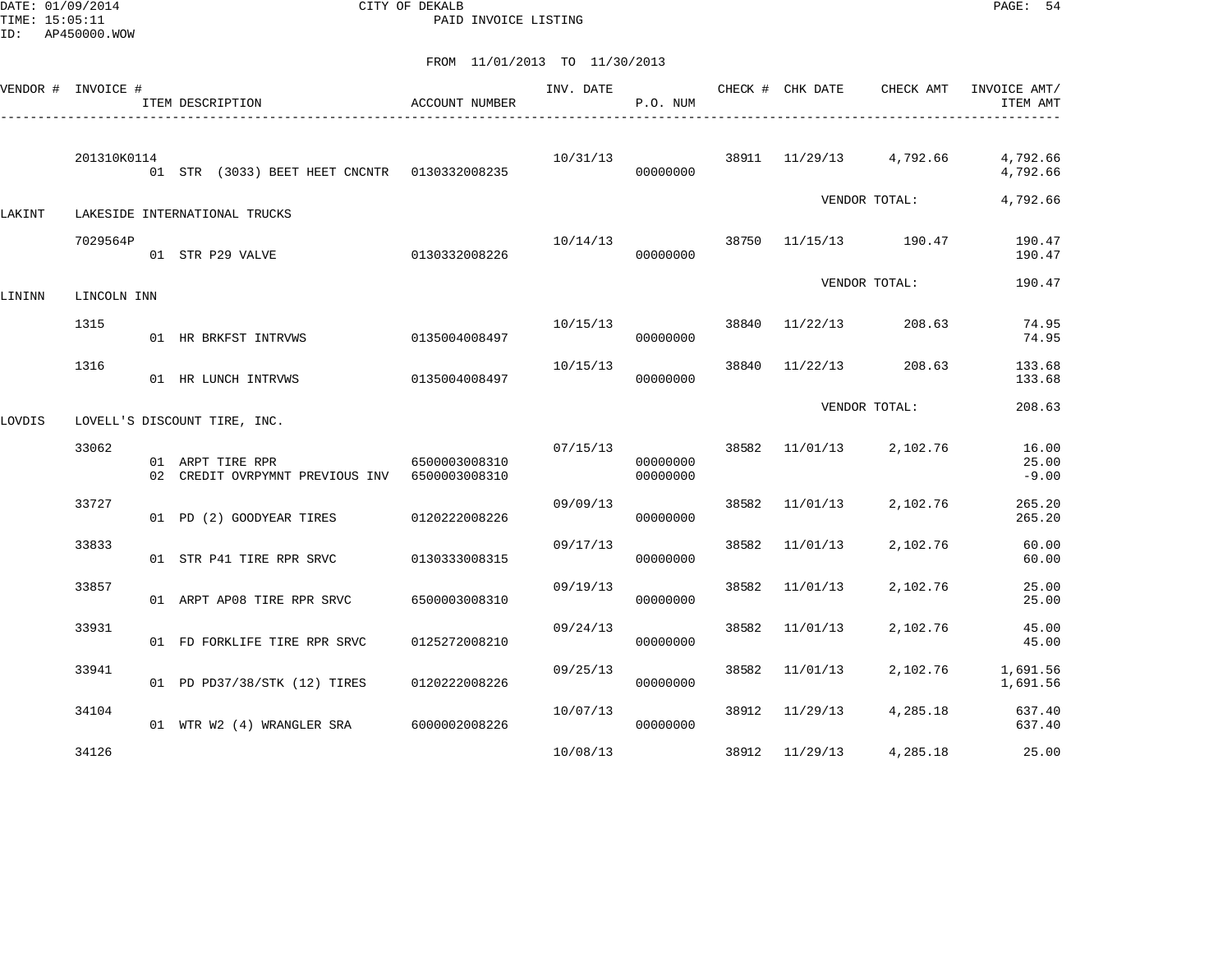DATE: 01/09/2014 CITY OF DEKALB PAGE: 54 PAID INVOICE LISTING

|        | VENDOR # INVOICE # | ITEM DESCRIPTION                                                  | ACCOUNT NUMBER | INV. DATE | P.O. NUM             |       | CHECK # CHK DATE        | CHECK AMT     | INVOICE AMT/<br>ITEM AMT  |
|--------|--------------------|-------------------------------------------------------------------|----------------|-----------|----------------------|-------|-------------------------|---------------|---------------------------|
|        | 201310K0114        | 01 STR (3033) BEET HEET CNCNTR 0130332008235                      |                | 10/31/13  | 00000000             |       | 38911 11/29/13 4,792.66 |               | 4,792.66<br>4,792.66      |
| LAKINT |                    | LAKESIDE INTERNATIONAL TRUCKS                                     |                |           |                      |       |                         | VENDOR TOTAL: | 4,792.66                  |
|        | 7029564P           | 01 STR P29 VALVE                                                  | 0130332008226  | 10/14/13  | 00000000             | 38750 | 11/15/13 190.47         |               | 190.47<br>190.47          |
| LININN | LINCOLN INN        |                                                                   |                |           |                      |       |                         | VENDOR TOTAL: | 190.47                    |
|        | 1315               | 01 HR BRKFST INTRVWS                                              | 0135004008497  | 10/15/13  | 00000000             | 38840 | 11/22/13                | 208.63        | 74.95<br>74.95            |
|        | 1316               | 01 HR LUNCH INTRVWS                                               | 0135004008497  | 10/15/13  | 00000000             | 38840 | 11/22/13                | 208.63        | 133.68<br>133.68          |
| LOVDIS |                    | LOVELL'S DISCOUNT TIRE, INC.                                      |                |           |                      |       |                         | VENDOR TOTAL: | 208.63                    |
|        | 33062              | 01 ARPT TIRE RPR<br>02 CREDIT OVRPYMNT PREVIOUS INV 6500003008310 | 6500003008310  | 07/15/13  | 00000000<br>00000000 |       | 38582 11/01/13          | 2,102.76      | 16.00<br>25.00<br>$-9.00$ |
|        | 33727              | 01 PD (2) GOODYEAR TIRES                                          | 0120222008226  | 09/09/13  | 00000000             | 38582 | 11/01/13                | 2,102.76      | 265.20<br>265.20          |
|        | 33833              | 01 STR P41 TIRE RPR SRVC                                          | 0130333008315  | 09/17/13  | 00000000             | 38582 | 11/01/13                | 2,102.76      | 60.00<br>60.00            |
|        | 33857              | 01 ARPT AP08 TIRE RPR SRVC                                        | 6500003008310  | 09/19/13  | 00000000             | 38582 | 11/01/13                | 2,102.76      | 25.00<br>25.00            |
|        | 33931              | 01 FD FORKLIFE TIRE RPR SRVC                                      | 0125272008210  | 09/24/13  | 00000000             | 38582 | 11/01/13                | 2,102.76      | 45.00<br>45.00            |
|        | 33941              | 01 PD PD37/38/STK (12) TIRES                                      | 0120222008226  | 09/25/13  | 00000000             | 38582 | 11/01/13                | 2,102.76      | 1,691.56<br>1,691.56      |
|        | 34104              | 01 WTR W2 (4) WRANGLER SRA 6000002008226                          |                | 10/07/13  | 00000000             |       | 38912 11/29/13          | 4,285.18      | 637.40<br>637.40          |
|        | 34126              |                                                                   |                | 10/08/13  |                      |       | 38912 11/29/13          | 4,285.18      | 25.00                     |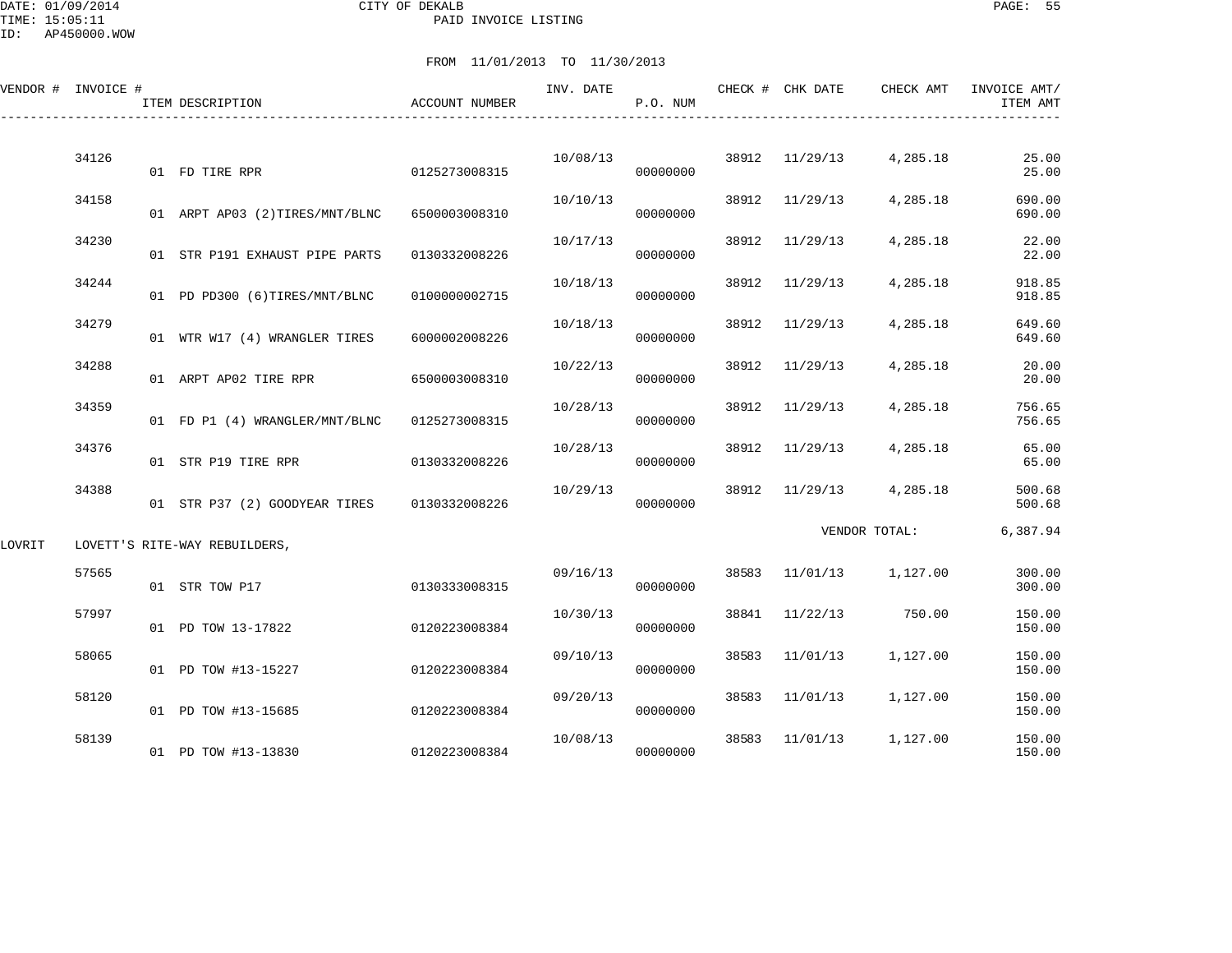DATE: 01/09/2014 CITY OF DEKALB PAGE: 55 PAID INVOICE LISTING

ID: AP450000.WOW

|        | VENDOR # INVOICE # | ITEM DESCRIPTION               | ACCOUNT NUMBER | INV. DATE | P.O. NUM |       | CHECK # CHK DATE | CHECK AMT     | INVOICE AMT/<br>ITEM AMT |
|--------|--------------------|--------------------------------|----------------|-----------|----------|-------|------------------|---------------|--------------------------|
|        | 34126              |                                |                |           |          | 38912 |                  |               | 25.00                    |
|        |                    | 01 FD TIRE RPR                 | 0125273008315  | 10/08/13  | 00000000 |       | 11/29/13         | 4,285.18      | 25.00                    |
|        | 34158              | 01 ARPT AP03 (2)TIRES/MNT/BLNC | 6500003008310  | 10/10/13  | 00000000 | 38912 | 11/29/13         | 4,285.18      | 690.00<br>690.00         |
|        | 34230              | 01 STR P191 EXHAUST PIPE PARTS | 0130332008226  | 10/17/13  | 00000000 | 38912 | 11/29/13         | 4,285.18      | 22.00<br>22.00           |
|        | 34244              | 01 PD PD300 (6)TIRES/MNT/BLNC  | 0100000002715  | 10/18/13  | 00000000 | 38912 | 11/29/13         | 4,285.18      | 918.85<br>918.85         |
|        | 34279              | 01 WTR W17 (4) WRANGLER TIRES  | 6000002008226  | 10/18/13  | 00000000 | 38912 | 11/29/13         | 4,285.18      | 649.60<br>649.60         |
|        | 34288              | 01 ARPT AP02 TIRE RPR          | 6500003008310  | 10/22/13  | 00000000 | 38912 | 11/29/13         | 4,285.18      | 20.00<br>20.00           |
|        | 34359              | 01 FD P1 (4) WRANGLER/MNT/BLNC | 0125273008315  | 10/28/13  | 00000000 | 38912 | 11/29/13         | 4,285.18      | 756.65<br>756.65         |
|        | 34376              | 01 STR P19 TIRE RPR            | 0130332008226  | 10/28/13  | 00000000 | 38912 | 11/29/13         | 4,285.18      | 65.00<br>65.00           |
|        | 34388              | 01 STR P37 (2) GOODYEAR TIRES  | 0130332008226  | 10/29/13  | 00000000 | 38912 | 11/29/13         | 4,285.18      | 500.68<br>500.68         |
| LOVRIT |                    | LOVETT'S RITE-WAY REBUILDERS,  |                |           |          |       |                  | VENDOR TOTAL: | 6,387.94                 |
|        | 57565              | 01 STR TOW P17                 | 0130333008315  | 09/16/13  | 00000000 | 38583 | 11/01/13         | 1,127.00      | 300.00<br>300.00         |
|        | 57997              | 01 PD TOW 13-17822             | 0120223008384  | 10/30/13  | 00000000 | 38841 | 11/22/13         | 750.00        | 150.00<br>150.00         |
|        | 58065              | 01 PD TOW #13-15227            | 0120223008384  | 09/10/13  | 00000000 | 38583 | 11/01/13         | 1,127.00      | 150.00<br>150.00         |
|        | 58120              | 01 PD TOW #13-15685            | 0120223008384  | 09/20/13  | 00000000 | 38583 | 11/01/13         | 1,127.00      | 150.00<br>150.00         |
|        | 58139              | 01 PD TOW #13-13830            | 0120223008384  | 10/08/13  | 00000000 | 38583 | 11/01/13         | 1,127.00      | 150.00<br>150.00         |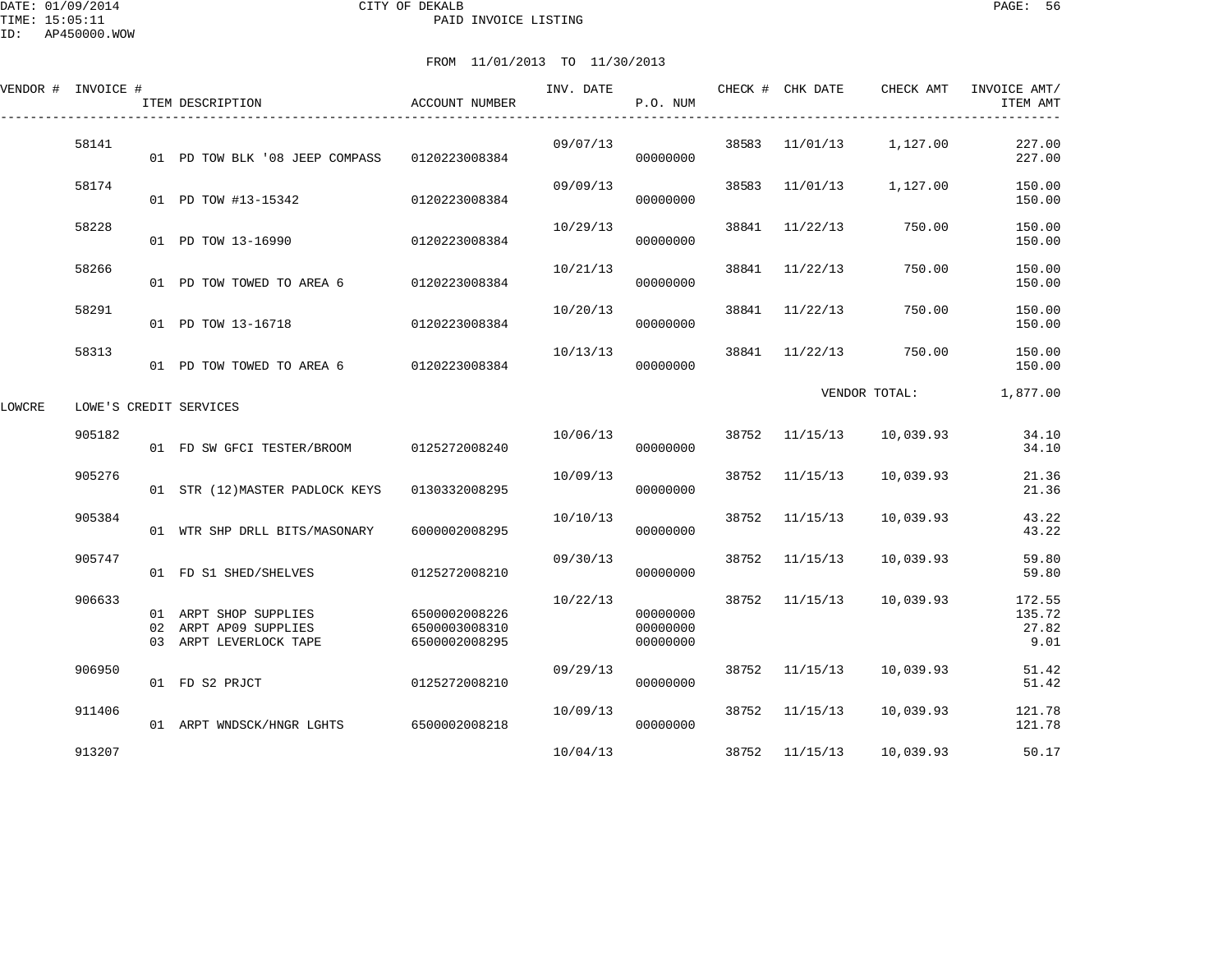|        | VENDOR # INVOICE # | ITEM DESCRIPTION                                                         | ACCOUNT NUMBER                                  | INV. DATE | P.O. NUM                         |       | CHECK # CHK DATE | CHECK AMT         | INVOICE AMT/<br>ITEM AMT          |
|--------|--------------------|--------------------------------------------------------------------------|-------------------------------------------------|-----------|----------------------------------|-------|------------------|-------------------|-----------------------------------|
|        | 58141              | 01 PD TOW BLK '08 JEEP COMPASS                                           | 0120223008384                                   | 09/07/13  | 00000000                         | 38583 |                  | 11/01/13 1,127.00 | 227.00<br>227.00                  |
|        | 58174              | 01 PD TOW #13-15342                                                      | 0120223008384                                   | 09/09/13  | 00000000                         | 38583 | 11/01/13         | 1,127.00          | 150.00<br>150.00                  |
|        | 58228              | 01 PD TOW 13-16990                                                       | 0120223008384                                   | 10/29/13  | 00000000                         | 38841 | 11/22/13         | 750.00            | 150.00<br>150.00                  |
|        | 58266              | 01 PD TOW TOWED TO AREA 6                                                | 0120223008384                                   | 10/21/13  | 00000000                         | 38841 | 11/22/13         | 750.00            | 150.00<br>150.00                  |
|        | 58291              | 01 PD TOW 13-16718                                                       | 0120223008384                                   | 10/20/13  | 00000000                         | 38841 | 11/22/13         | 750.00            | 150.00<br>150.00                  |
|        | 58313              | 01 PD TOW TOWED TO AREA 6 0120223008384                                  |                                                 | 10/13/13  | 00000000                         |       | 38841 11/22/13   | 750.00            | 150.00<br>150.00                  |
| LOWCRE |                    | LOWE'S CREDIT SERVICES                                                   |                                                 |           |                                  |       |                  | VENDOR TOTAL:     | 1,877.00                          |
|        | 905182             | 01 FD SW GFCI TESTER/BROOM 0125272008240                                 |                                                 | 10/06/13  | 00000000                         | 38752 | 11/15/13         | 10,039.93         | 34.10<br>34.10                    |
|        | 905276             | 01 STR (12) MASTER PADLOCK KEYS                                          | 0130332008295                                   | 10/09/13  | 00000000                         | 38752 | 11/15/13         | 10,039.93         | 21.36<br>21.36                    |
|        | 905384             | 01 WTR SHP DRLL BITS/MASONARY                                            | 6000002008295                                   | 10/10/13  | 00000000                         | 38752 | 11/15/13         | 10,039.93         | 43.22<br>43.22                    |
|        | 905747             | 01 FD S1 SHED/SHELVES                                                    | 0125272008210                                   | 09/30/13  | 00000000                         | 38752 | 11/15/13         | 10,039.93         | 59.80<br>59.80                    |
|        | 906633             | 01 ARPT SHOP SUPPLIES<br>02 ARPT AP09 SUPPLIES<br>03 ARPT LEVERLOCK TAPE | 6500002008226<br>6500003008310<br>6500002008295 | 10/22/13  | 00000000<br>00000000<br>00000000 |       | 38752 11/15/13   | 10,039.93         | 172.55<br>135.72<br>27.82<br>9.01 |
|        | 906950             | 01 FD S2 PRJCT                                                           | 0125272008210                                   | 09/29/13  | 00000000                         | 38752 | 11/15/13         | 10,039.93         | 51.42<br>51.42                    |
|        | 911406             | 01 ARPT WNDSCK/HNGR LGHTS                                                | 6500002008218                                   | 10/09/13  | 00000000                         | 38752 | 11/15/13         | 10,039.93         | 121.78<br>121.78                  |
|        | 913207             |                                                                          |                                                 | 10/04/13  |                                  |       | 38752 11/15/13   | 10,039.93         | 50.17                             |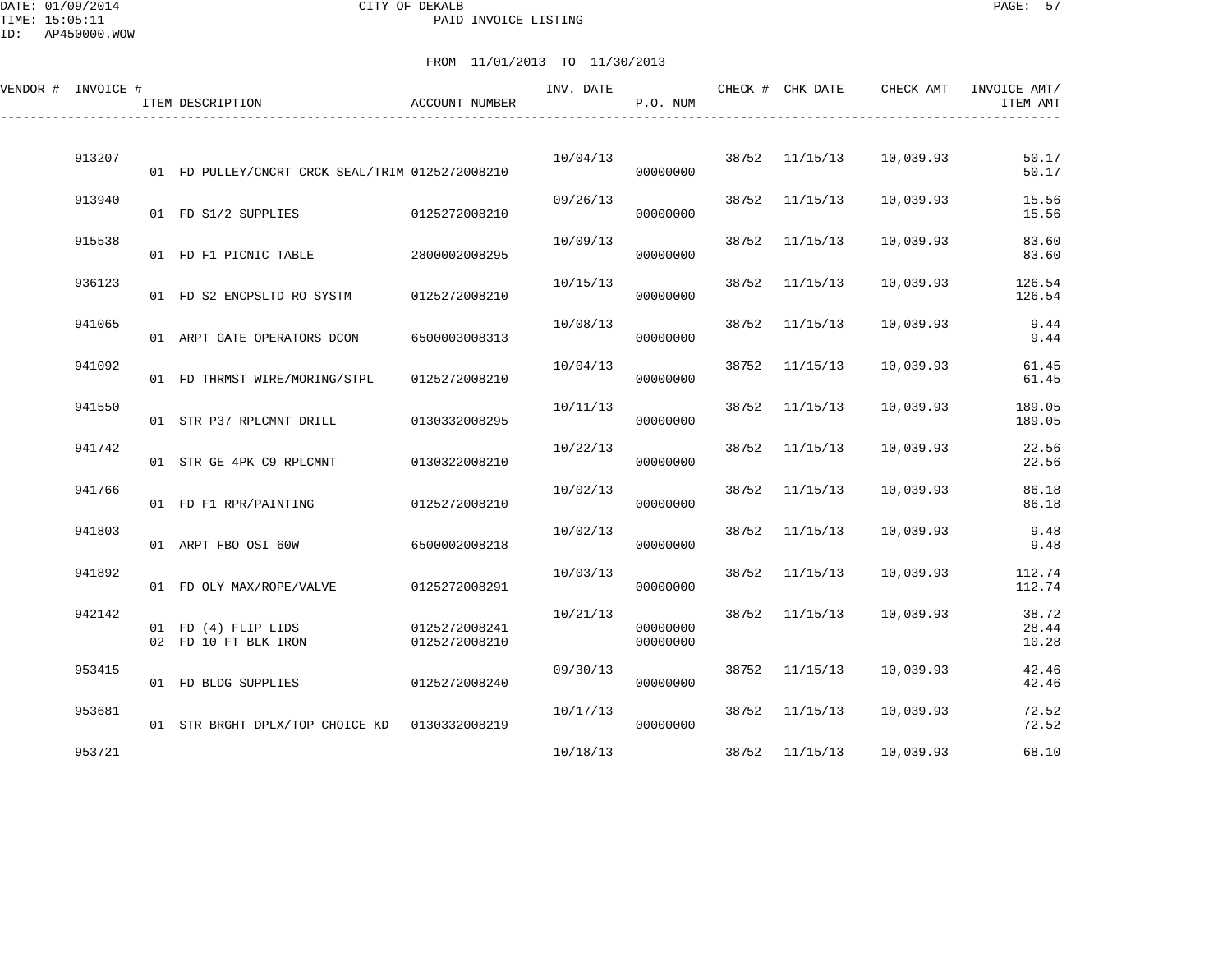DATE: 01/09/2014 CITY OF DEKALB PAGE: 57 PAID INVOICE LISTING

ID: AP450000.WOW

| VENDOR # INVOICE # | ITEM DESCRIPTION                                | <b>ACCOUNT NUMBER</b>          | INV. DATE | P.O. NUM             |       | CHECK # CHK DATE | CHECK AMT | INVOICE AMT/<br>ITEM AMT |
|--------------------|-------------------------------------------------|--------------------------------|-----------|----------------------|-------|------------------|-----------|--------------------------|
| 913207             | 01 FD PULLEY/CNCRT CRCK SEAL/TRIM 0125272008210 |                                | 10/04/13  | 00000000             | 38752 | 11/15/13         | 10,039.93 | 50.17<br>50.17           |
| 913940             | 01 FD S1/2 SUPPLIES                             | 0125272008210                  | 09/26/13  | 00000000             | 38752 | 11/15/13         | 10,039.93 | 15.56<br>15.56           |
| 915538             | 01 FD F1 PICNIC TABLE                           | 2800002008295                  | 10/09/13  | 00000000             | 38752 | 11/15/13         | 10,039.93 | 83.60<br>83.60           |
| 936123             | 01 FD S2 ENCPSLTD RO SYSTM                      | 0125272008210                  | 10/15/13  | 00000000             | 38752 | 11/15/13         | 10,039.93 | 126.54<br>126.54         |
| 941065             | 01 ARPT GATE OPERATORS DCON                     | 6500003008313                  | 10/08/13  | 00000000             | 38752 | 11/15/13         | 10,039.93 | 9.44<br>9.44             |
| 941092             | 01 FD THRMST WIRE/MORING/STPL                   | 0125272008210                  | 10/04/13  | 00000000             | 38752 | 11/15/13         | 10,039.93 | 61.45<br>61.45           |
| 941550             | 01 STR P37 RPLCMNT DRILL                        | 0130332008295                  | 10/11/13  | 00000000             | 38752 | 11/15/13         | 10,039.93 | 189.05<br>189.05         |
| 941742             | 01 STR GE 4PK C9 RPLCMNT                        | 0130322008210                  | 10/22/13  | 00000000             | 38752 | 11/15/13         | 10,039.93 | 22.56<br>22.56           |
| 941766             | 01 FD F1 RPR/PAINTING                           | 0125272008210                  | 10/02/13  | 00000000             | 38752 | 11/15/13         | 10,039.93 | 86.18<br>86.18           |
| 941803             | 01 ARPT FBO OSI 60W                             | 6500002008218                  | 10/02/13  | 00000000             | 38752 | 11/15/13         | 10,039.93 | 9.48<br>9.48             |
| 941892             | 01 FD OLY MAX/ROPE/VALVE                        | 0125272008291                  | 10/03/13  | 00000000             | 38752 | 11/15/13         | 10,039.93 | 112.74<br>112.74         |
| 942142             | 01 FD (4) FLIP LIDS<br>02 FD 10 FT BLK IRON     | 0125272008241<br>0125272008210 | 10/21/13  | 00000000<br>00000000 | 38752 | 11/15/13         | 10,039.93 | 38.72<br>28.44<br>10.28  |
| 953415             | 01 FD BLDG SUPPLIES                             | 0125272008240                  | 09/30/13  | 00000000             | 38752 | 11/15/13         | 10,039.93 | 42.46<br>42.46           |
| 953681             | 01 STR BRGHT DPLX/TOP CHOICE KD                 | 0130332008219                  | 10/17/13  | 00000000             | 38752 | 11/15/13         | 10,039.93 | 72.52<br>72.52           |
| 953721             |                                                 |                                | 10/18/13  |                      | 38752 | 11/15/13         | 10,039.93 | 68.10                    |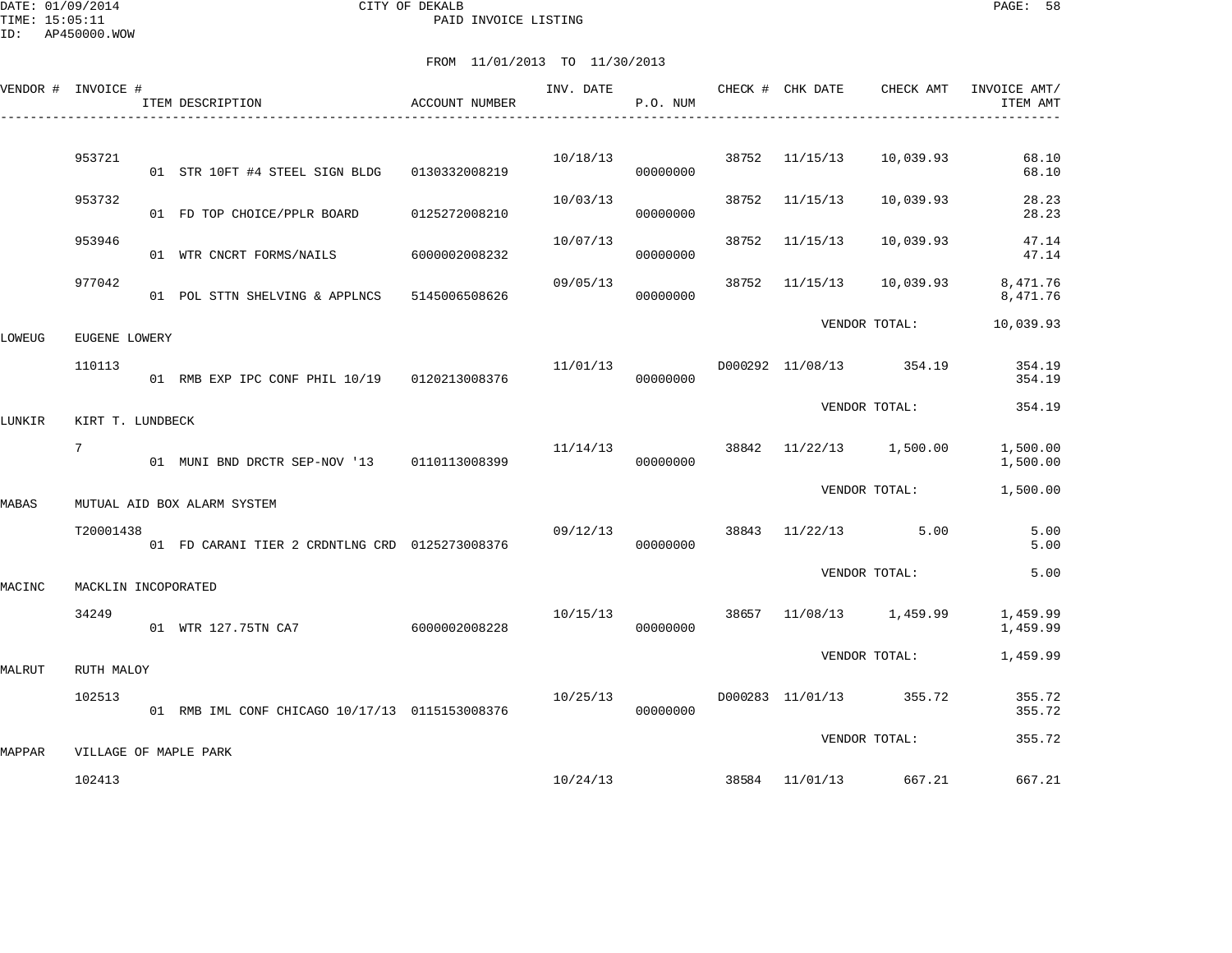DATE: 01/09/2014 CITY OF DEKALB PAGE: 58 PAID INVOICE LISTING

|        | VENDOR # INVOICE #  | ITEM DESCRIPTION                               | ACCOUNT NUMBER |          | P.O. NUM |       | INV. DATE CHECK # CHK DATE | CHECK AMT               | INVOICE AMT/<br>ITEM AMT |
|--------|---------------------|------------------------------------------------|----------------|----------|----------|-------|----------------------------|-------------------------|--------------------------|
|        |                     |                                                |                |          |          |       |                            |                         |                          |
|        | 953721              | 01 STR 10FT #4 STEEL SIGN BLDG                 | 0130332008219  | 10/18/13 | 00000000 |       | 38752 11/15/13             | 10,039.93               | 68.10<br>68.10           |
|        | 953732              | 01 FD TOP CHOICE/PPLR BOARD                    | 0125272008210  | 10/03/13 | 00000000 | 38752 | 11/15/13                   | 10,039.93               | 28.23<br>28.23           |
|        | 953946              | 01 WTR CNCRT FORMS/NAILS                       | 6000002008232  | 10/07/13 | 00000000 | 38752 | 11/15/13                   | 10,039.93               | 47.14<br>47.14           |
|        | 977042              | 01 POL STTN SHELVING & APPLNCS 5145006508626   |                | 09/05/13 | 00000000 |       | 38752 11/15/13             | 10,039.93               | 8,471.76<br>8,471.76     |
| LOWEUG | EUGENE LOWERY       |                                                |                |          |          |       |                            | VENDOR TOTAL:           | 10,039.93                |
|        | 110113              | 01 RMB EXP IPC CONF PHIL 10/19 0120213008376   |                | 11/01/13 | 00000000 |       |                            | D000292 11/08/13 354.19 | 354.19<br>354.19         |
| LUNKIR | KIRT T. LUNDBECK    |                                                |                |          |          |       |                            | VENDOR TOTAL:           | 354.19                   |
|        | $7\phantom{.}$      | 01 MUNI BND DRCTR SEP-NOV '13 0110113008399    |                | 11/14/13 | 00000000 |       |                            | 38842 11/22/13 1,500.00 | 1,500.00<br>1,500.00     |
|        |                     |                                                |                |          |          |       |                            | VENDOR TOTAL:           | 1,500.00                 |
| MABAS  |                     | MUTUAL AID BOX ALARM SYSTEM                    |                |          |          |       |                            |                         |                          |
|        | T20001438           | 01 FD CARANI TIER 2 CRDNTLNG CRD 0125273008376 |                | 09/12/13 | 00000000 |       |                            | 38843 11/22/13 5.00     | 5.00<br>5.00             |
| MACINC | MACKLIN INCOPORATED |                                                |                |          |          |       |                            | VENDOR TOTAL:           | 5.00                     |
|        | 34249               | 01 WTR 127.75TN CA7 6000002008228              |                | 10/15/13 | 00000000 |       |                            | 38657 11/08/13 1,459.99 | 1,459.99<br>1,459.99     |
| MALRUT | RUTH MALOY          |                                                |                |          |          |       |                            | VENDOR TOTAL:           | 1,459.99                 |
|        | 102513              | 01 RMB IML CONF CHICAGO 10/17/13 0115153008376 |                | 10/25/13 | 00000000 |       |                            | D000283 11/01/13 355.72 | 355.72<br>355.72         |
|        |                     |                                                |                |          |          |       |                            | VENDOR TOTAL:           | 355.72                   |
| MAPPAR |                     | VILLAGE OF MAPLE PARK                          |                |          |          |       |                            |                         |                          |
|        | 102413              |                                                |                | 10/24/13 |          |       |                            | 38584 11/01/13 667.21   | 667.21                   |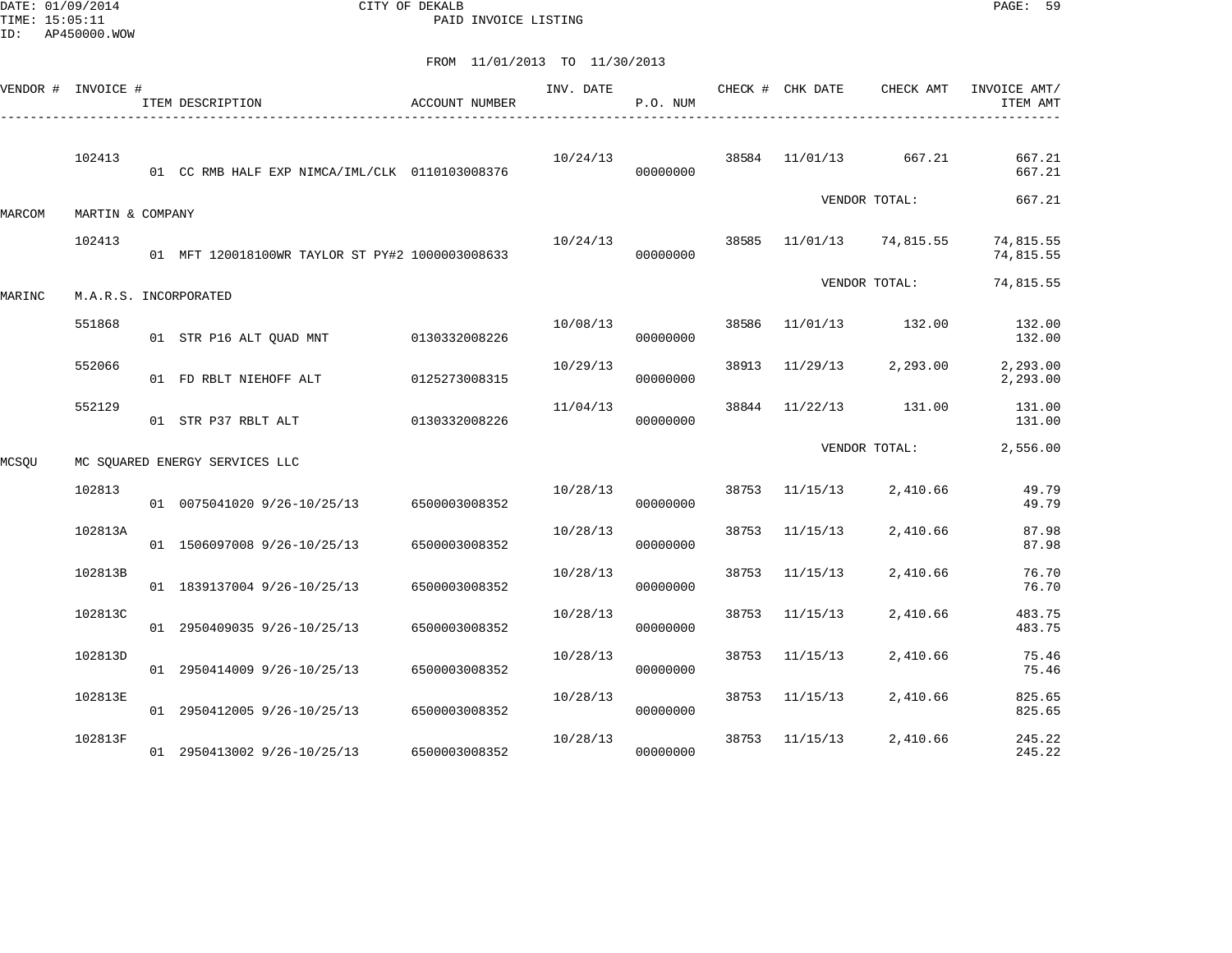DATE: 01/09/2014 CITY OF DEKALB PAGE: 59 PAID INVOICE LISTING

|        | VENDOR # INVOICE # | ITEM DESCRIPTION                                | ACCOUNT NUMBER | INV. DATE | P.O. NUM |       | CHECK # CHK DATE | CHECK AMT     | INVOICE AMT/<br>ITEM AMT |
|--------|--------------------|-------------------------------------------------|----------------|-----------|----------|-------|------------------|---------------|--------------------------|
|        | 102413             | 01 CC RMB HALF EXP NIMCA/IML/CLK 0110103008376  |                | 10/24/13  | 00000000 | 38584 | 11/01/13         | 667.21        | 667.21<br>667.21         |
| MARCOM | MARTIN & COMPANY   |                                                 |                |           |          |       |                  | VENDOR TOTAL: | 667.21                   |
|        | 102413             | 01 MFT 120018100WR TAYLOR ST PY#2 1000003008633 |                | 10/24/13  | 00000000 | 38585 | 11/01/13         | 74,815.55     | 74,815.55<br>74,815.55   |
| MARINC |                    | M.A.R.S. INCORPORATED                           |                |           |          |       |                  | VENDOR TOTAL: | 74,815.55                |
|        | 551868             | 01 STR P16 ALT QUAD MNT                         | 0130332008226  | 10/08/13  | 00000000 | 38586 | 11/01/13         | 132.00        | 132.00<br>132.00         |
|        | 552066             | 01 FD RBLT NIEHOFF ALT                          | 0125273008315  | 10/29/13  | 00000000 | 38913 | 11/29/13         | 2,293.00      | 2,293.00<br>2,293.00     |
|        | 552129             | 01 STR P37 RBLT ALT                             | 0130332008226  | 11/04/13  | 00000000 | 38844 | 11/22/13         | 131.00        | 131.00<br>131.00         |
| MCSQU  |                    | MC SOUARED ENERGY SERVICES LLC                  |                |           |          |       |                  | VENDOR TOTAL: | 2,556.00                 |
|        | 102813             | 01 0075041020 9/26-10/25/13                     | 6500003008352  | 10/28/13  | 00000000 | 38753 | 11/15/13         | 2,410.66      | 49.79<br>49.79           |
|        | 102813A            | 01 1506097008 9/26-10/25/13                     | 6500003008352  | 10/28/13  | 00000000 | 38753 | 11/15/13         | 2,410.66      | 87.98<br>87.98           |
|        | 102813B            | 01 1839137004 9/26-10/25/13                     | 6500003008352  | 10/28/13  | 00000000 | 38753 | 11/15/13         | 2,410.66      | 76.70<br>76.70           |
|        | 102813C            | 01 2950409035 9/26-10/25/13                     | 6500003008352  | 10/28/13  | 00000000 | 38753 | 11/15/13         | 2,410.66      | 483.75<br>483.75         |
|        | 102813D            | 01 2950414009 9/26-10/25/13                     | 6500003008352  | 10/28/13  | 00000000 | 38753 | 11/15/13         | 2,410.66      | 75.46<br>75.46           |
|        | 102813E            | 01 2950412005 9/26-10/25/13                     | 6500003008352  | 10/28/13  | 00000000 | 38753 | 11/15/13         | 2,410.66      | 825.65<br>825.65         |
|        | 102813F            | 01 2950413002 9/26-10/25/13                     | 6500003008352  | 10/28/13  | 00000000 | 38753 | 11/15/13         | 2,410.66      | 245.22<br>245.22         |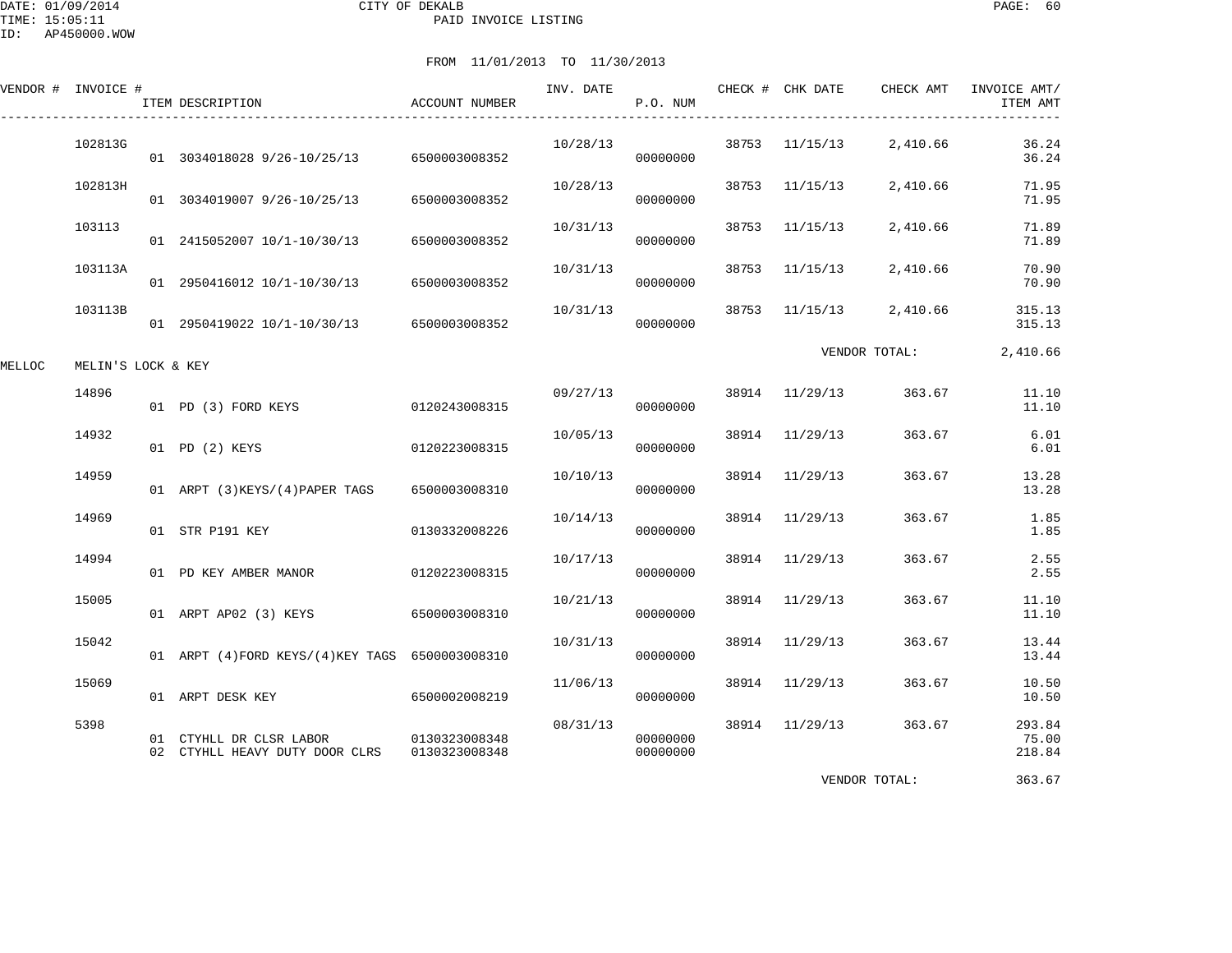DATE: 01/09/2014 CITY OF DEKALB PAGE: 60 PAID INVOICE LISTING

ID: AP450000.WOW

# FROM 11/01/2013 TO 11/30/2013

| VENDOR # INVOICE # |                    | ITEM DESCRIPTION                                          | ACCOUNT NUMBER                 | INV. DATE | P.O. NUM             |       | CHECK # CHK DATE | CHECK AMT     | INVOICE AMT/<br>ITEM AMT  |
|--------------------|--------------------|-----------------------------------------------------------|--------------------------------|-----------|----------------------|-------|------------------|---------------|---------------------------|
|                    | 102813G            | 01 3034018028 9/26-10/25/13 6500003008352                 |                                | 10/28/13  | 00000000             |       | 38753 11/15/13   | 2,410.66      | 36.24<br>36.24            |
|                    | 102813H            | 01 3034019007 9/26-10/25/13                               | 6500003008352                  | 10/28/13  | 00000000             |       | 38753 11/15/13   | 2,410.66      | 71.95<br>71.95            |
|                    | 103113             | 01 2415052007 10/1-10/30/13 6500003008352                 |                                | 10/31/13  | 00000000             | 38753 | 11/15/13         | 2,410.66      | 71.89<br>71.89            |
|                    | 103113A            | 01 2950416012 10/1-10/30/13                               | 6500003008352                  | 10/31/13  | 00000000             | 38753 | 11/15/13         | 2,410.66      | 70.90<br>70.90            |
|                    | 103113B            | 01 2950419022 10/1-10/30/13 6500003008352                 |                                | 10/31/13  | 00000000             |       | 38753 11/15/13   | 2,410.66      | 315.13<br>315.13          |
| MELLOC             | MELIN'S LOCK & KEY |                                                           |                                |           |                      |       |                  | VENDOR TOTAL: | 2,410.66                  |
|                    | 14896              | 01 PD (3) FORD KEYS                                       | 0120243008315                  | 09/27/13  | 00000000             |       | 38914 11/29/13   | 363.67        | 11.10<br>11.10            |
|                    | 14932              | 01 PD (2) KEYS                                            | 0120223008315                  | 10/05/13  | 00000000             |       | 38914 11/29/13   | 363.67        | 6.01<br>6.01              |
|                    | 14959              | 01 ARPT (3) KEYS/(4) PAPER TAGS                           | 6500003008310                  | 10/10/13  | 00000000             |       | 38914 11/29/13   | 363.67        | 13.28<br>13.28            |
|                    | 14969              | 01 STR P191 KEY                                           | 0130332008226                  | 10/14/13  | 00000000             |       | 38914 11/29/13   | 363.67        | 1.85<br>1.85              |
|                    | 14994              | 01 PD KEY AMBER MANOR                                     | 0120223008315                  | 10/17/13  | 00000000             |       | 38914 11/29/13   | 363.67        | 2.55<br>2.55              |
|                    | 15005              | 01 ARPT AP02 (3) KEYS                                     | 6500003008310                  | 10/21/13  | 00000000             | 38914 | 11/29/13         | 363.67        | 11.10<br>11.10            |
|                    | 15042              | 01 ARPT (4) FORD KEYS/(4) KEY TAGS 6500003008310          |                                | 10/31/13  | 00000000             | 38914 | 11/29/13         | 363.67        | 13.44<br>13.44            |
|                    | 15069              | 01 ARPT DESK KEY                                          | 6500002008219                  | 11/06/13  | 00000000             |       | 38914 11/29/13   | 363.67        | 10.50<br>10.50            |
|                    | 5398               | 01 CTYHLL DR CLSR LABOR<br>02 CTYHLL HEAVY DUTY DOOR CLRS | 0130323008348<br>0130323008348 | 08/31/13  | 00000000<br>00000000 |       | 38914 11/29/13   | 363.67        | 293.84<br>75.00<br>218.84 |

VENDOR TOTAL: 363.67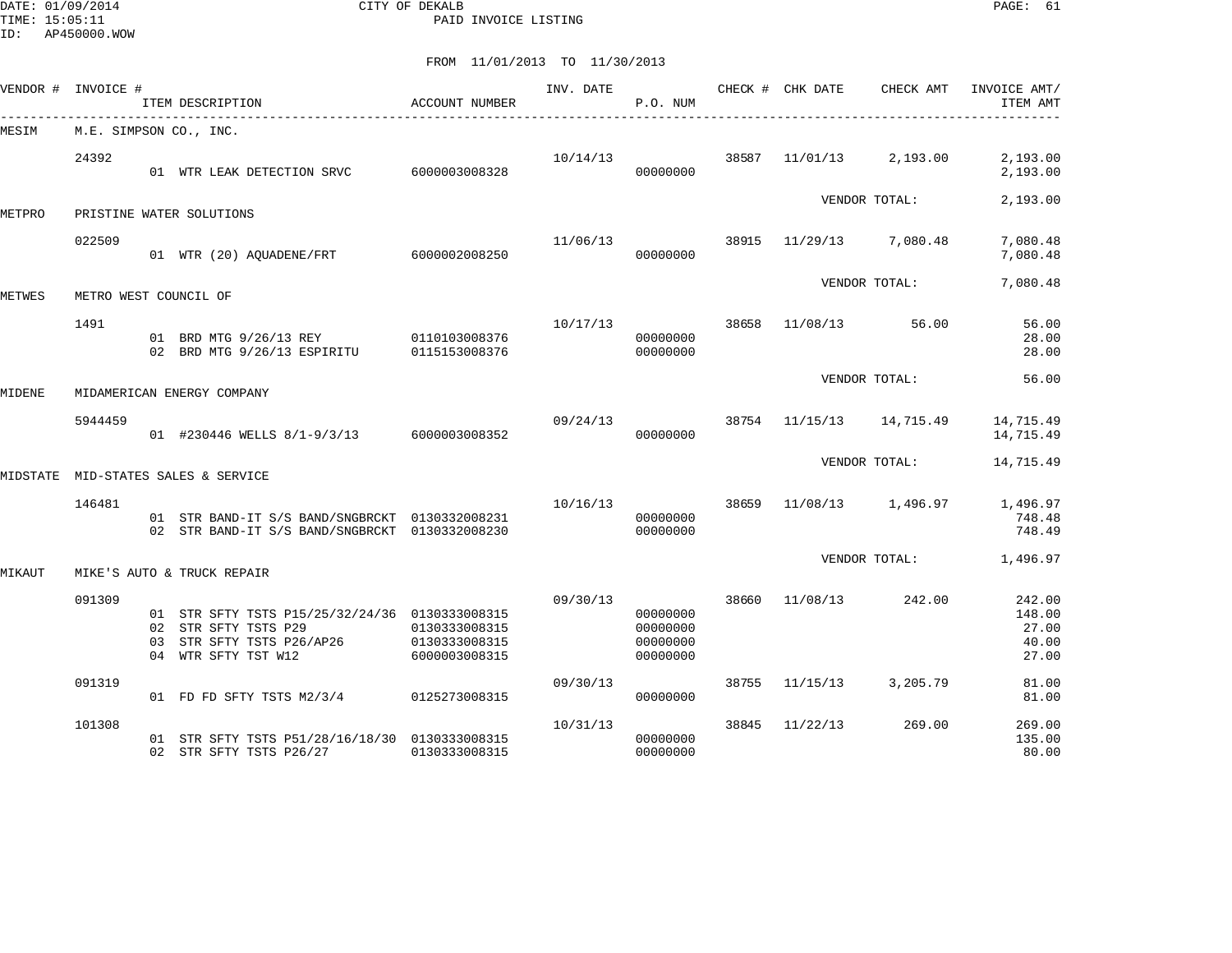DATE: 01/09/2014 CITY OF DEKALB PAGE: 61 PAID INVOICE LISTING

|        | VENDOR # INVOICE #    | ITEM DESCRIPTION                                                                                                           | ACCOUNT NUMBER                                  | INV. DATE | P.O. NUM                                     |       | CHECK # CHK DATE | CHECK AMT         | INVOICE AMT/<br>ITEM AMT                    |
|--------|-----------------------|----------------------------------------------------------------------------------------------------------------------------|-------------------------------------------------|-----------|----------------------------------------------|-------|------------------|-------------------|---------------------------------------------|
| MESIM  |                       | M.E. SIMPSON CO., INC.                                                                                                     |                                                 |           |                                              |       |                  |                   |                                             |
|        | 24392                 | 01 WTR LEAK DETECTION SRVC 6000003008328                                                                                   |                                                 | 10/14/13  | 00000000                                     | 38587 | 11/01/13         | 2,193.00          | 2,193.00<br>2,193.00                        |
| METPRO |                       | PRISTINE WATER SOLUTIONS                                                                                                   |                                                 |           |                                              |       |                  | VENDOR TOTAL:     | 2,193.00                                    |
|        | 022509                | 01 WTR (20) AQUADENE/FRT 6000002008250                                                                                     |                                                 | 11/06/13  | 00000000                                     | 38915 |                  | 11/29/13 7,080.48 | 7,080.48<br>7,080.48                        |
| METWES | METRO WEST COUNCIL OF |                                                                                                                            |                                                 |           |                                              |       |                  | VENDOR TOTAL:     | 7,080.48                                    |
|        | 1491                  | 01 BRD MTG 9/26/13 REY 0110103008376<br>02 BRD MTG 9/26/13 ESPIRITU                                                        | 0115153008376                                   |           | 10/17/13<br>00000000<br>00000000             | 38658 | 11/08/13         | 56.00             | 56.00<br>28.00<br>28.00                     |
| MIDENE |                       | MIDAMERICAN ENERGY COMPANY                                                                                                 |                                                 |           |                                              |       |                  | VENDOR TOTAL:     | 56.00                                       |
|        | 5944459               | 01 #230446 WELLS 8/1-9/3/13 6000003008352                                                                                  |                                                 | 09/24/13  | 00000000                                     |       | 38754 11/15/13   | 14,715.49         | 14,715.49<br>14,715.49                      |
|        |                       | MIDSTATE MID-STATES SALES & SERVICE                                                                                        |                                                 |           |                                              |       |                  | VENDOR TOTAL:     | 14,715.49                                   |
|        | 146481                | 01 STR BAND-IT S/S BAND/SNGBRCKT 0130332008231<br>02 STR BAND-IT S/S BAND/SNGBRCKT 0130332008230                           |                                                 | 10/16/13  | 00000000<br>00000000                         | 38659 |                  | 11/08/13 1,496.97 | 1,496.97<br>748.48<br>748.49                |
| MIKAUT |                       | MIKE'S AUTO & TRUCK REPAIR                                                                                                 |                                                 |           |                                              |       |                  | VENDOR TOTAL:     | 1,496.97                                    |
|        | 091309                | 01 STR SFTY TSTS P15/25/32/24/36 0130333008315<br>02 STR SFTY TSTS P29<br>03 STR SFTY TSTS P26/AP26<br>04 WTR SFTY TST W12 | 0130333008315<br>0130333008315<br>6000003008315 | 09/30/13  | 00000000<br>00000000<br>00000000<br>00000000 | 38660 | 11/08/13         | 242.00            | 242.00<br>148.00<br>27.00<br>40.00<br>27.00 |
|        | 091319                | 01 FD FD SFTY TSTS M2/3/4 0125273008315                                                                                    |                                                 | 09/30/13  | 00000000                                     | 38755 | 11/15/13         | 3,205.79          | 81.00<br>81.00                              |
|        | 101308                | 01 STR SFTY TSTS P51/28/16/18/30 0130333008315<br>02 STR SFTY TSTS P26/27                                                  | 0130333008315                                   | 10/31/13  | 00000000<br>00000000                         | 38845 | 11/22/13         | 269.00            | 269.00<br>135.00<br>80.00                   |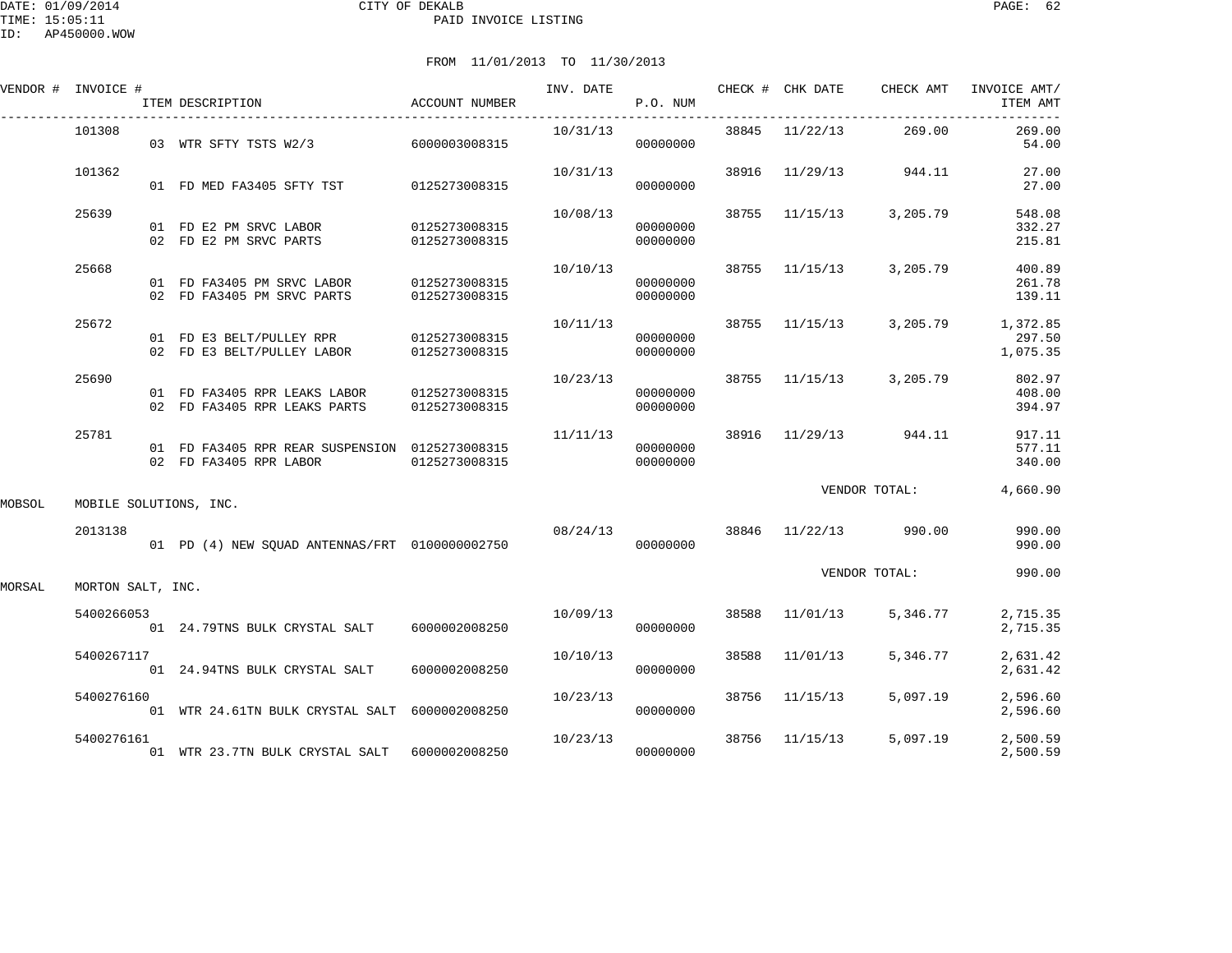| VENDOR # | INVOICE #                | ITEM DESCRIPTION                                                                       | ACCOUNT NUMBER |                                                | P.O. NUM             |  | INV. DATE 6 CHECK # CHK DATE CHECK AMT | INVOICE AMT/<br>ITEM AMT       |
|----------|--------------------------|----------------------------------------------------------------------------------------|----------------|------------------------------------------------|----------------------|--|----------------------------------------|--------------------------------|
|          | 101308                   | 03 WTR SFTY TSTS W2/3 6000003008315                                                    |                | $10/31/13$ 38845 $11/22/13$ 269.00<br>00000000 |                      |  |                                        | 269.00<br>54.00                |
|          | 101362                   | 01 FD MED FA3405 SFTY TST 0125273008315                                                |                | 00000000                                       |                      |  | $10/31/13$ 38916 $11/29/13$ 944.11     | 27.00<br>27.00                 |
|          | 25639                    | 01 FD E2 PM SRVC LABOR 0125273008315<br>02 FD E2 PM SRVC PARTS 0125273008315           |                |                                                | 00000000<br>00000000 |  | $10/08/13$ 38755 $11/15/13$ 3, 205.79  | 548.08<br>332.27<br>215.81     |
|          | 25668                    | 01 FD FA3405 PM SRVC LABOR 0125273008315<br>02 FD FA3405 PM SRVC PARTS                 | 0125273008315  | 10/10/13                                       | 00000000<br>00000000 |  | 38755 11/15/13 3,205.79                | 400.89<br>261.78<br>139.11     |
|          | 25672                    | 01 FD E3 BELT/PULLEY RPR 0125273008315<br>02 FD E3 BELT/PULLEY LABOR                   | 0125273008315  |                                                | 00000000<br>00000000 |  | $10/11/13$ 38755 11/15/13 3,205.79     | 1,372.85<br>297.50<br>1,075.35 |
|          | 25690                    | 01 FD FA3405 RPR LEAKS LABOR 0125273008315<br>02 FD FA3405 RPR LEAKS PARTS             | 0125273008315  |                                                | 00000000<br>00000000 |  | $10/23/13$ 38755 $11/15/13$ 3, 205.79  | 802.97<br>408.00<br>394.97     |
|          | 25781                    | 01 FD FA3405 RPR REAR SUSPENSION 0125273008315<br>02 FD FA3405 RPR LABOR 0125273008315 |                | 00000000                                       | 00000000             |  | $11/11/13$ 38916 $11/29/13$ 944.11     | 917.11<br>577.11<br>340.00     |
| MOBSOL   |                          | MOBILE SOLUTIONS, INC.                                                                 |                |                                                |                      |  | VENDOR TOTAL:                          | 4,660.90                       |
|          | 2013138                  |                                                                                        |                | $08/24/13$ 38846 11/22/13 990.00               |                      |  |                                        | 990.00<br>990.00               |
|          | MORSAL MORTON SALT. INC. |                                                                                        |                |                                                |                      |  | VENDOR TOTAL:                          | 990.00                         |

MORSAL MORTON SALT, INC.

| 5400266053<br>01 | 24.79TNS BULK CRYSTAL SALT    | 6000002008250 | 10/09/13 | 00000000 | 38588 | 11/01/13 | 5,346.77 | 2,715.35<br>2,715.35 |
|------------------|-------------------------------|---------------|----------|----------|-------|----------|----------|----------------------|
|                  |                               |               |          |          |       |          |          |                      |
| 5400267117       |                               |               | 10/10/13 |          | 38588 | 11/01/13 | 5,346.77 | 2,631.42             |
| 01               | 24.94TNS BULK CRYSTAL SALT    | 6000002008250 |          | 00000000 |       |          |          | 2,631.42             |
| 5400276160       |                               |               | 10/23/13 |          | 38756 | 11/15/13 | 5,097.19 | 2,596.60             |
| 01               | WTR 24.61TN BULK CRYSTAL SALT | 6000002008250 |          | 00000000 |       |          |          | 2,596.60             |
| 5400276161       |                               |               | 10/23/13 |          | 38756 | 11/15/13 | 5,097.19 | 2,500.59             |
| 01               | WTR 23.7TN BULK CRYSTAL SALT  | 6000002008250 |          | 00000000 |       |          |          | 2,500.59             |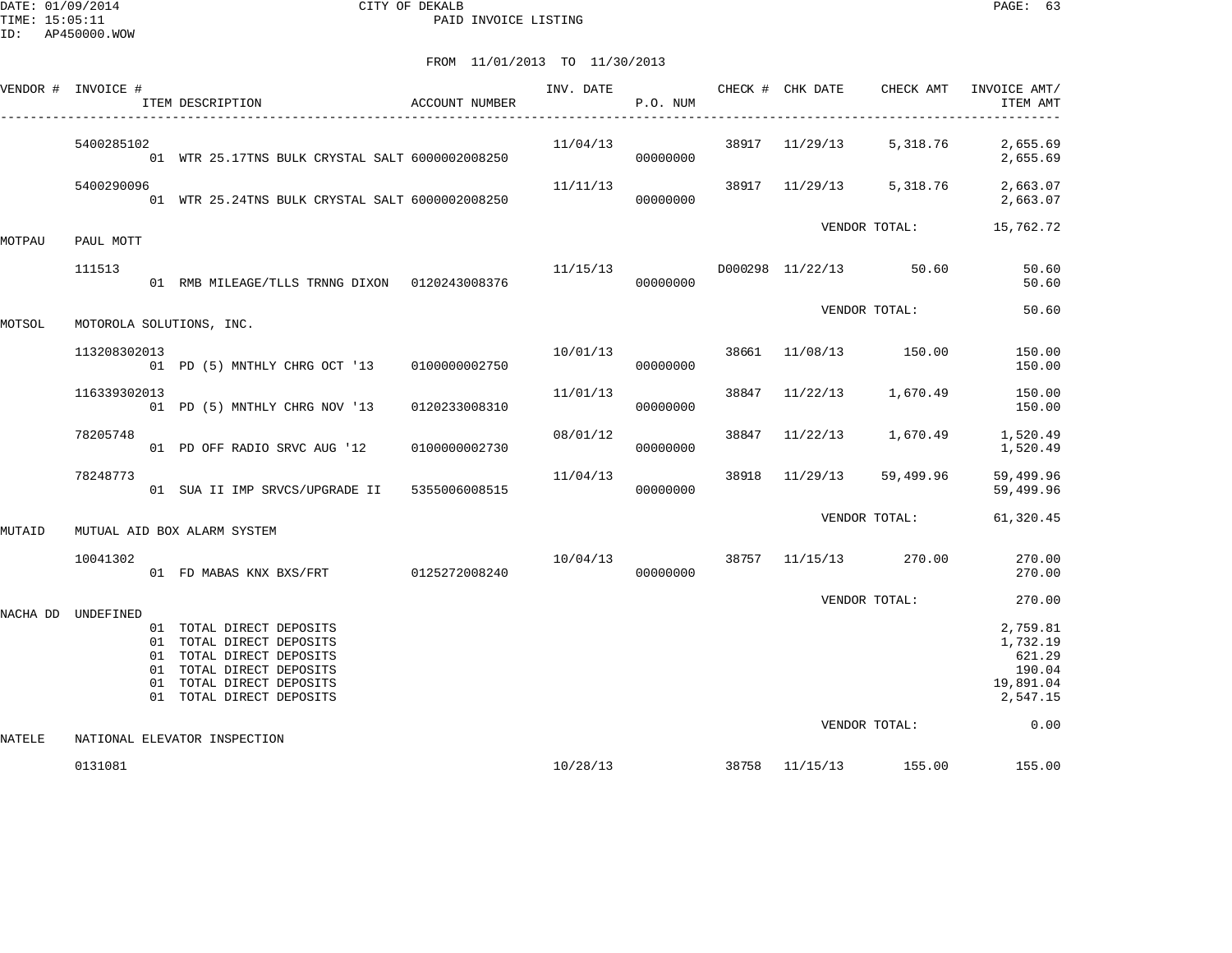DATE: 01/09/2014 CITY OF DEKALB PAGE: 63 PAID INVOICE LISTING

|          | VENDOR # INVOICE # | ITEM DESCRIPTION                                                                                                                                                     | ACCOUNT NUMBER |                                     | P.O. NUM             |       |                | INV. DATE <b>The CHECK # CHK DATE</b> CHECK AMT | INVOICE AMT/<br>ITEM AMT                                          |
|----------|--------------------|----------------------------------------------------------------------------------------------------------------------------------------------------------------------|----------------|-------------------------------------|----------------------|-------|----------------|-------------------------------------------------|-------------------------------------------------------------------|
|          | 5400285102         | 01 WTR 25.17TNS BULK CRYSTAL SALT 6000002008250                                                                                                                      |                |                                     | 00000000             |       |                |                                                 | $11/04/13$ 38917 $11/29/13$ 5,318.76 2,655.69<br>2,655.69         |
|          | 5400290096         | 01 WTR 25.24TNS BULK CRYSTAL SALT 6000002008250                                                                                                                      |                | 11/11/13                            | 00000000             |       |                | 38917 11/29/13 5,318.76                         | 2,663.07<br>2,663.07                                              |
| MOTPAU   | PAUL MOTT          |                                                                                                                                                                      |                |                                     |                      |       |                | VENDOR TOTAL:                                   | 15,762.72                                                         |
|          | 111513             | 01 RMB MILEAGE/TLLS TRNNG DIXON 0120243008376                                                                                                                        |                | $11/15/13$ D000298 $11/22/13$ 50.60 | 00000000             |       |                |                                                 | 50.60<br>50.60                                                    |
| MOTSOL   |                    | MOTOROLA SOLUTIONS, INC.                                                                                                                                             |                |                                     |                      |       |                | VENDOR TOTAL:                                   | 50.60                                                             |
|          | 113208302013       | 01 PD (5) MNTHLY CHRG OCT '13 0100000002750                                                                                                                          |                |                                     | 10/01/13<br>00000000 |       |                | 38661 11/08/13 150.00                           | 150.00<br>150.00                                                  |
|          | 116339302013       | 01 PD (5) MNTHLY CHRG NOV '13                                                                                                                                        | 0120233008310  | 11/01/13                            | 00000000             |       | 38847 11/22/13 | 1,670.49                                        | 150.00<br>150.00                                                  |
|          | 78205748           | 01 PD OFF RADIO SRVC AUG '12                                                                                                                                         | 0100000002730  | 08/01/12                            | 00000000             | 38847 |                | $11/22/13$ 1,670.49                             | 1,520.49<br>1,520.49                                              |
|          | 78248773           | 01 SUA II IMP SRVCS/UPGRADE II 5355006008515                                                                                                                         |                | 11/04/13                            | 00000000             |       | 38918 11/29/13 | 59,499.96                                       | 59,499.96<br>59,499.96                                            |
| MUTAID   |                    | MUTUAL AID BOX ALARM SYSTEM                                                                                                                                          |                |                                     |                      |       |                | VENDOR TOTAL:                                   | 61,320.45                                                         |
|          | 10041302           | 01 FD MABAS KNX BXS/FRT 0125272008240                                                                                                                                |                | 10/04/13                            | 00000000             |       |                | 38757 11/15/13 270.00                           | 270.00<br>270.00                                                  |
|          |                    |                                                                                                                                                                      |                |                                     |                      |       |                | VENDOR TOTAL:                                   | 270.00                                                            |
| NACHA DD | UNDEFINED          | 01 TOTAL DIRECT DEPOSITS<br>01 TOTAL DIRECT DEPOSITS<br>01 TOTAL DIRECT DEPOSITS<br>01 TOTAL DIRECT DEPOSITS<br>01 TOTAL DIRECT DEPOSITS<br>01 TOTAL DIRECT DEPOSITS |                |                                     |                      |       |                |                                                 | 2,759.81<br>1,732.19<br>621.29<br>190.04<br>19,891.04<br>2,547.15 |
| NATELE   |                    | NATIONAL ELEVATOR INSPECTION                                                                                                                                         |                |                                     |                      |       |                | VENDOR TOTAL:                                   | 0.00                                                              |
|          | 0131081            |                                                                                                                                                                      |                | 10/28/13                            |                      |       |                | 38758 11/15/13 155.00                           | 155.00                                                            |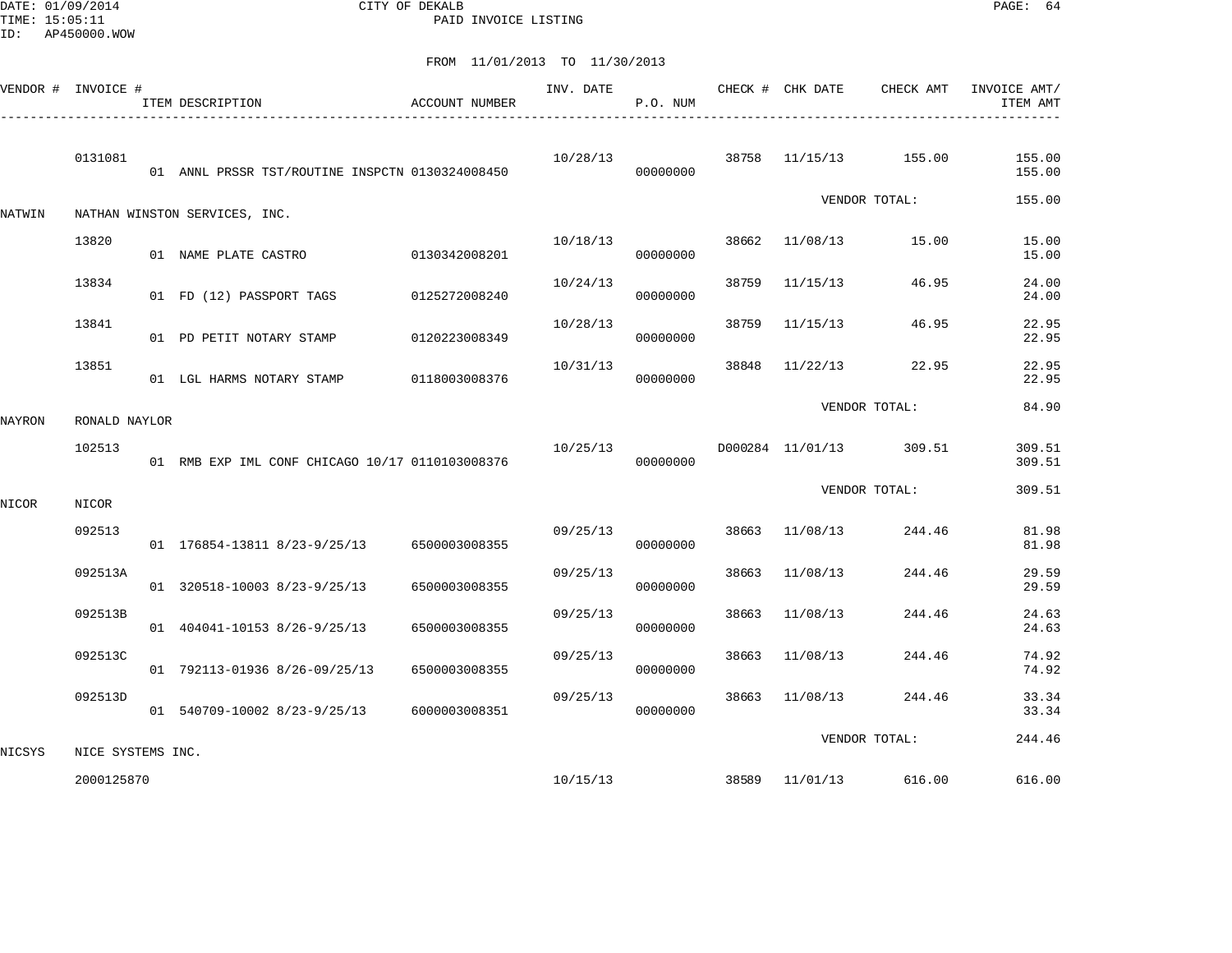DATE: 01/09/2014 CITY OF DEKALB PAGE: 64 PAID INVOICE LISTING

|        | VENDOR # INVOICE # | ITEM DESCRIPTION                                | <b>ACCOUNT NUMBER</b> | INV. DATE | P.O. NUM |       | CHECK # CHK DATE | CHECK AMT               | INVOICE AMT/<br>ITEM AMT |
|--------|--------------------|-------------------------------------------------|-----------------------|-----------|----------|-------|------------------|-------------------------|--------------------------|
|        | 0131081            | 01 ANNL PRSSR TST/ROUTINE INSPCTN 0130324008450 |                       | 10/28/13  | 00000000 |       |                  | 38758 11/15/13 155.00   | 155.00<br>155.00         |
| NATWIN |                    | NATHAN WINSTON SERVICES, INC.                   |                       |           |          |       |                  | VENDOR TOTAL:           | 155.00                   |
|        | 13820              | 01 NAME PLATE CASTRO 0130342008201              |                       | 10/18/13  | 00000000 | 38662 | 11/08/13         | 15.00                   | 15.00<br>15.00           |
|        | 13834              | 01 FD (12) PASSPORT TAGS 0125272008240          |                       | 10/24/13  | 00000000 |       | 38759 11/15/13   | 46.95                   | 24.00<br>24.00           |
|        | 13841              | 01 PD PETIT NOTARY STAMP 0120223008349          |                       | 10/28/13  | 00000000 | 38759 | 11/15/13         | 46.95                   | 22.95<br>22.95           |
|        | 13851              | 01 LGL HARMS NOTARY STAMP                       | 0118003008376         | 10/31/13  | 00000000 | 38848 |                  | 11/22/13 22.95          | 22.95<br>22.95           |
| NAYRON | RONALD NAYLOR      |                                                 |                       |           |          |       |                  | VENDOR TOTAL:           | 84.90                    |
|        | 102513             | 01 RMB EXP IML CONF CHICAGO 10/17 0110103008376 |                       | 10/25/13  | 00000000 |       |                  | D000284 11/01/13 309.51 | 309.51<br>309.51         |
| NICOR  | NICOR              |                                                 |                       |           |          |       |                  | VENDOR TOTAL:           | 309.51                   |
|        | 092513             | 01 176854-13811 8/23-9/25/13 6500003008355      |                       | 09/25/13  | 00000000 |       | 38663 11/08/13   | 244.46                  | 81.98<br>81.98           |
|        | 092513A            | 01 320518-10003 8/23-9/25/13                    | 6500003008355         | 09/25/13  | 00000000 | 38663 | 11/08/13         | 244.46                  | 29.59<br>29.59           |
|        | 092513B            | 01 404041-10153 8/26-9/25/13                    | 6500003008355         | 09/25/13  | 00000000 | 38663 | 11/08/13         | 244.46                  | 24.63<br>24.63           |
|        | 092513C            | 01 792113-01936 8/26-09/25/13                   | 6500003008355         | 09/25/13  | 00000000 | 38663 | 11/08/13         | 244.46                  | 74.92<br>74.92           |
|        | 092513D            | 01 540709-10002 8/23-9/25/13 6000003008351      |                       | 09/25/13  | 00000000 | 38663 | 11/08/13         | 244.46                  | 33.34<br>33.34           |
| NICSYS | NICE SYSTEMS INC.  |                                                 |                       |           |          |       |                  | VENDOR TOTAL:           | 244.46                   |
|        | 2000125870         |                                                 |                       |           | 10/15/13 |       |                  | 38589 11/01/13 616.00   | 616.00                   |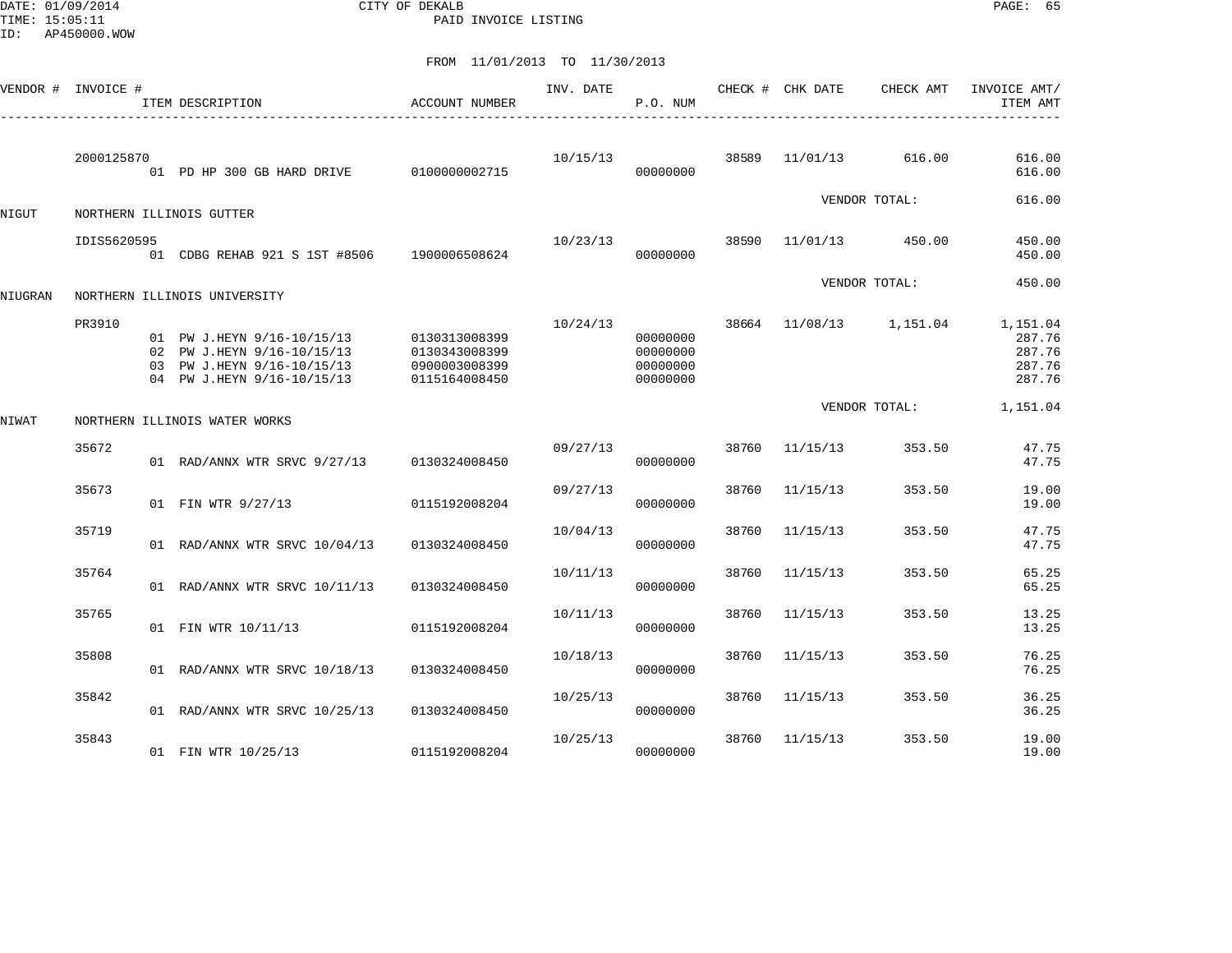DATE: 01/09/2014 CITY OF DEKALB PAGE: 65 PAID INVOICE LISTING

|         | VENDOR # INVOICE # | ITEM DESCRIPTION<br>------------------------------                                                                   | ACCOUNT NUMBER                                                   | INV. DATE | P.O. NUM                                     |       | CHECK # CHK DATE | CHECK AMT     | INVOICE AMT/<br>ITEM AMT                         |
|---------|--------------------|----------------------------------------------------------------------------------------------------------------------|------------------------------------------------------------------|-----------|----------------------------------------------|-------|------------------|---------------|--------------------------------------------------|
|         | 2000125870         | 01 PD HP 300 GB HARD DRIVE                                                                                           | 0100000002715                                                    | 10/15/13  | 00000000                                     | 38589 | 11/01/13         | 616.00        | 616.00<br>616.00                                 |
| NIGUT   |                    | NORTHERN ILLINOIS GUTTER                                                                                             |                                                                  |           |                                              |       |                  | VENDOR TOTAL: | 616.00                                           |
|         | IDIS5620595        | 01 CDBG REHAB 921 S 1ST #8506 1900006508624                                                                          |                                                                  | 10/23/13  | 00000000                                     | 38590 | 11/01/13         | 450.00        | 450.00<br>450.00                                 |
| NIUGRAN |                    | NORTHERN ILLINOIS UNIVERSITY                                                                                         |                                                                  |           |                                              |       |                  | VENDOR TOTAL: | 450.00                                           |
|         | PR3910             | 01 PW J.HEYN 9/16-10/15/13<br>02 PW J.HEYN 9/16-10/15/13<br>03 PW J.HEYN 9/16-10/15/13<br>04 PW J.HEYN 9/16-10/15/13 | 0130313008399<br>0130343008399<br>0900003008399<br>0115164008450 | 10/24/13  | 00000000<br>00000000<br>00000000<br>00000000 |       | 38664 11/08/13   | 1,151.04      | 1,151.04<br>287.76<br>287.76<br>287.76<br>287.76 |
| NIWAT   |                    | NORTHERN ILLINOIS WATER WORKS                                                                                        |                                                                  |           |                                              |       |                  | VENDOR TOTAL: | 1,151.04                                         |
|         | 35672              | 01 RAD/ANNX WTR SRVC 9/27/13                                                                                         | 0130324008450                                                    | 09/27/13  | 00000000                                     | 38760 | 11/15/13         | 353.50        | 47.75<br>47.75                                   |
|         | 35673              | 01 FIN WTR 9/27/13                                                                                                   | 0115192008204                                                    | 09/27/13  | 00000000                                     | 38760 | 11/15/13         | 353.50        | 19.00<br>19.00                                   |
|         | 35719              | 01 RAD/ANNX WTR SRVC 10/04/13                                                                                        | 0130324008450                                                    | 10/04/13  | 00000000                                     | 38760 | 11/15/13         | 353.50        | 47.75<br>47.75                                   |
|         | 35764              | 01 RAD/ANNX WTR SRVC 10/11/13                                                                                        | 0130324008450                                                    | 10/11/13  | 00000000                                     | 38760 | 11/15/13         | 353.50        | 65.25<br>65.25                                   |
|         | 35765              | 01 FIN WTR 10/11/13                                                                                                  | 0115192008204                                                    | 10/11/13  | 00000000                                     | 38760 | 11/15/13         | 353.50        | 13.25<br>13.25                                   |
|         | 35808              | 01 RAD/ANNX WTR SRVC 10/18/13                                                                                        | 0130324008450                                                    | 10/18/13  | 00000000                                     | 38760 | 11/15/13         | 353.50        | 76.25<br>76.25                                   |
|         | 35842              | 01 RAD/ANNX WTR SRVC 10/25/13                                                                                        | 0130324008450                                                    | 10/25/13  | 00000000                                     | 38760 | 11/15/13         | 353.50        | 36.25<br>36.25                                   |
|         | 35843              | 01 FIN WTR 10/25/13                                                                                                  | 0115192008204                                                    | 10/25/13  | 00000000                                     | 38760 | 11/15/13         | 353.50        | 19.00<br>19.00                                   |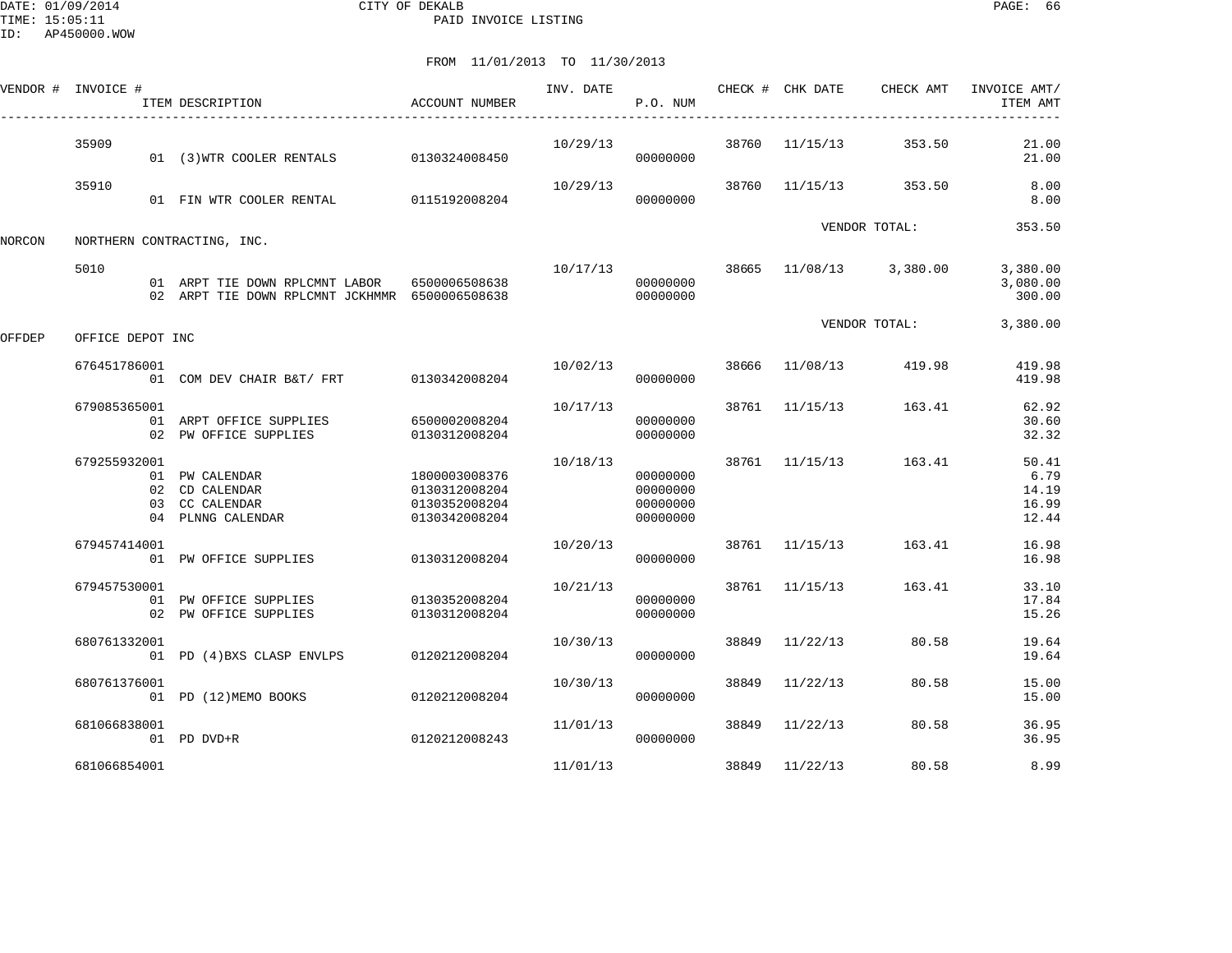DATE: 01/09/2014 CITY OF DEKALB PAGE: 66 PAID INVOICE LISTING

|        | VENDOR # INVOICE # | ITEM DESCRIPTION                                                                 | ACCOUNT NUMBER                                                   | INV. DATE | P.O. NUM                                     |       | CHECK # CHK DATE | CHECK AMT               | INVOICE AMT/<br>ITEM AMT                 |
|--------|--------------------|----------------------------------------------------------------------------------|------------------------------------------------------------------|-----------|----------------------------------------------|-------|------------------|-------------------------|------------------------------------------|
|        | 35909              | 01 (3) WTR COOLER RENTALS 0130324008450                                          |                                                                  | 10/29/13  | 00000000                                     | 38760 | 11/15/13         | 353.50                  | 21.00<br>21.00                           |
|        | 35910              | 01 FIN WTR COOLER RENTAL 0115192008204                                           |                                                                  | 10/29/13  | 00000000                                     | 38760 | 11/15/13         | 353.50                  | 8.00<br>8.00                             |
| NORCON |                    | NORTHERN CONTRACTING, INC.                                                       |                                                                  |           |                                              |       |                  | VENDOR TOTAL:           | 353.50                                   |
|        | 5010               | 01 ARPT TIE DOWN RPLCMNT LABOR<br>02 ARPT TIE DOWN RPLCMNT JCKHMMR 6500006508638 | 6500006508638                                                    | 10/17/13  | 00000000<br>00000000                         |       |                  | 38665 11/08/13 3,380.00 | 3,380.00<br>3,080.00<br>300.00           |
| OFFDEP | OFFICE DEPOT INC   |                                                                                  |                                                                  |           |                                              |       |                  | VENDOR TOTAL:           | 3,380.00                                 |
|        | 676451786001       | 01 COM DEV CHAIR B&T/ FRT 0130342008204                                          |                                                                  | 10/02/13  | 00000000                                     | 38666 | 11/08/13         | 419.98                  | 419.98<br>419.98                         |
|        | 679085365001       | 01 ARPT OFFICE SUPPLIES<br>02 PW OFFICE SUPPLIES                                 | 6500002008204<br>0130312008204                                   | 10/17/13  | 00000000<br>00000000                         |       | 38761 11/15/13   | 163.41                  | 62.92<br>30.60<br>32.32                  |
|        | 679255932001       | 01 PW CALENDAR<br>02 CD CALENDAR<br>03 CC CALENDAR<br>04 PLNNG CALENDAR          | 1800003008376<br>0130312008204<br>0130352008204<br>0130342008204 | 10/18/13  | 00000000<br>00000000<br>00000000<br>00000000 |       | 38761 11/15/13   | 163.41                  | 50.41<br>6.79<br>14.19<br>16.99<br>12.44 |
|        | 679457414001       | 01 PW OFFICE SUPPLIES                                                            | 0130312008204                                                    | 10/20/13  | 00000000                                     |       | 38761 11/15/13   | 163.41                  | 16.98<br>16.98                           |
|        | 679457530001       | 01 PW OFFICE SUPPLIES<br>02 PW OFFICE SUPPLIES                                   | 0130352008204<br>0130312008204                                   | 10/21/13  | 00000000<br>00000000                         | 38761 | 11/15/13         | 163.41                  | 33.10<br>17.84<br>15.26                  |
|        | 680761332001       | 01 PD (4) BXS CLASP ENVLPS                                                       | 0120212008204                                                    | 10/30/13  | 00000000                                     | 38849 | 11/22/13         | 80.58                   | 19.64<br>19.64                           |
|        | 680761376001       | 01 PD (12)MEMO BOOKS                                                             | 0120212008204                                                    | 10/30/13  | 00000000                                     | 38849 | 11/22/13         | 80.58                   | 15.00<br>15.00                           |
|        | 681066838001       | 01 PD DVD+R                                                                      | 0120212008243                                                    | 11/01/13  | 00000000                                     | 38849 | 11/22/13         | 80.58                   | 36.95<br>36.95                           |
|        | 681066854001       |                                                                                  |                                                                  | 11/01/13  |                                              | 38849 | 11/22/13         | 80.58                   | 8.99                                     |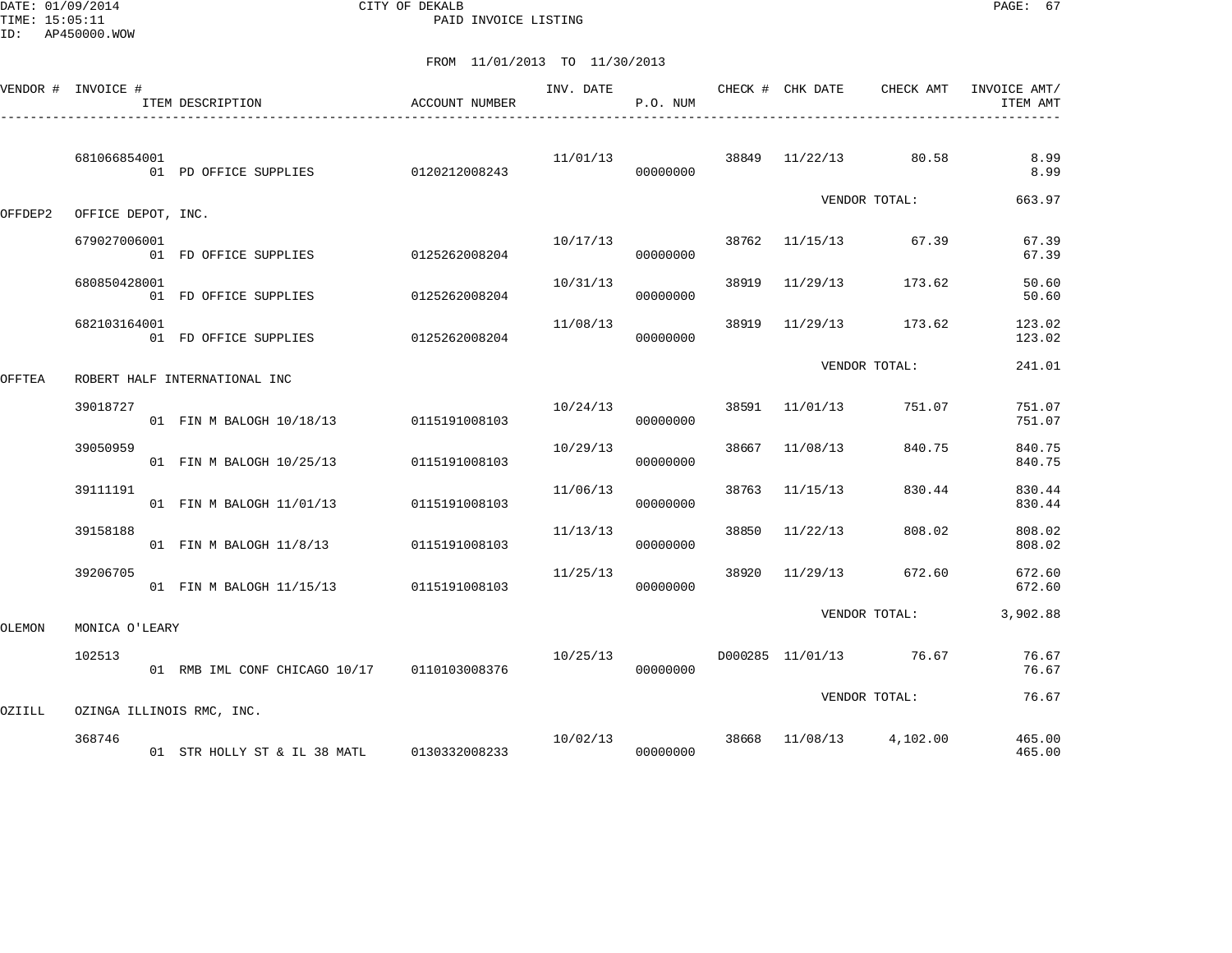DATE: 01/09/2014 CITY OF DEKALB PAGE: 67 PAID INVOICE LISTING

|         | VENDOR # INVOICE # | ITEM DESCRIPTION                            | <b>ACCOUNT NUMBER</b> | INV. DATE | P.O. NUM |       | CHECK # CHK DATE | CHECK AMT                            | INVOICE AMT/<br>ITEM AMT |
|---------|--------------------|---------------------------------------------|-----------------------|-----------|----------|-------|------------------|--------------------------------------|--------------------------|
|         | 681066854001       | 01 PD OFFICE SUPPLIES 0120212008243         |                       | 11/01/13  | 00000000 |       |                  | 38849 11/22/13 80.58                 | 8.99<br>8.99             |
| OFFDEP2 | OFFICE DEPOT, INC. |                                             |                       |           |          |       |                  | VENDOR TOTAL:                        | 663.97                   |
|         | 679027006001       | 01 FD OFFICE SUPPLIES                       | 0125262008204         | 10/17/13  | 00000000 |       | 38762 11/15/13   | 67.39                                | 67.39<br>67.39           |
|         | 680850428001       | 01 FD OFFICE SUPPLIES                       | 0125262008204         | 10/31/13  | 00000000 | 38919 | 11/29/13         | 173.62                               | 50.60<br>50.60           |
|         | 682103164001       | 01 FD OFFICE SUPPLIES                       | 0125262008204         | 11/08/13  | 00000000 | 38919 | 11/29/13         | 173.62                               | 123.02<br>123.02         |
| OFFTEA  |                    | ROBERT HALF INTERNATIONAL INC               |                       |           |          |       |                  | VENDOR TOTAL:                        | 241.01                   |
|         | 39018727           | 01 FIN M BALOGH 10/18/13                    | 0115191008103         | 10/24/13  | 00000000 |       | 38591 11/01/13   | 751.07                               | 751.07<br>751.07         |
|         | 39050959           | 01 FIN M BALOGH 10/25/13                    | 0115191008103         | 10/29/13  | 00000000 | 38667 | 11/08/13         | 840.75                               | 840.75<br>840.75         |
|         | 39111191           | 01 FIN M BALOGH 11/01/13                    | 0115191008103         | 11/06/13  | 00000000 | 38763 | 11/15/13         | 830.44                               | 830.44<br>830.44         |
|         | 39158188           | 01 FIN M BALOGH 11/8/13                     | 0115191008103         | 11/13/13  | 00000000 | 38850 | 11/22/13         | 808.02                               | 808.02<br>808.02         |
|         | 39206705           | 01 FIN M BALOGH 11/15/13 0115191008103      |                       | 11/25/13  | 00000000 | 38920 | 11/29/13         | 672.60                               | 672.60<br>672.60         |
| OLEMON  | MONICA O'LEARY     |                                             |                       |           |          |       |                  | VENDOR TOTAL:                        | 3,902.88                 |
|         | 102513             | 01 RMB IML CONF CHICAGO 10/17 0110103008376 |                       | 10/25/13  | 00000000 |       |                  | D000285 11/01/13 76.67               | 76.67<br>76.67           |
| OZIILL  |                    | OZINGA ILLINOIS RMC, INC.                   |                       |           |          |       |                  | VENDOR TOTAL:                        | 76.67                    |
|         | 368746             | 01 STR HOLLY ST & IL 38 MATL 0130332008233  |                       |           | 00000000 |       |                  | $10/02/13$ 38668 $11/08/13$ 4,102.00 | 465.00<br>465.00         |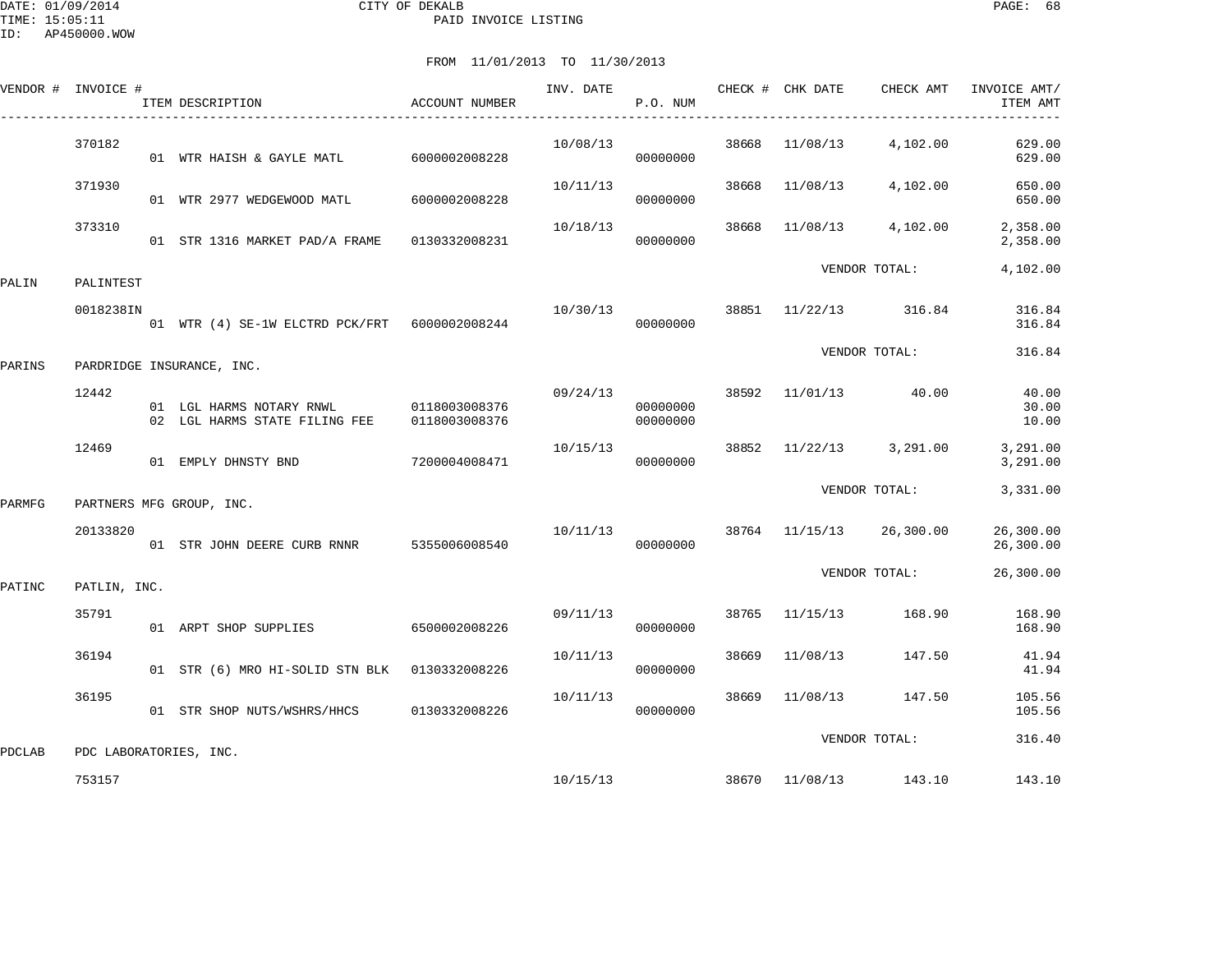DATE: 01/09/2014 CITY OF DEKALB PAGE: 68 PAID INVOICE LISTING

|        | VENDOR # INVOICE # | ITEM DESCRIPTION                                          | ACCOUNT NUMBER                 | INV. DATE | P.O. NUM             |       | CHECK # CHK DATE | CHECK AMT                | INVOICE AMT/<br>ITEM AMT |
|--------|--------------------|-----------------------------------------------------------|--------------------------------|-----------|----------------------|-------|------------------|--------------------------|--------------------------|
|        | 370182             | 01 WTR HAISH & GAYLE MATL                                 | 6000002008228                  | 10/08/13  | 00000000             | 38668 | 11/08/13         | 4,102.00                 | 629.00<br>629.00         |
|        | 371930             | 01 WTR 2977 WEDGEWOOD MATL                                | 6000002008228                  | 10/11/13  | 00000000             | 38668 | 11/08/13         | 4,102.00                 | 650.00<br>650.00         |
|        | 373310             | 01 STR 1316 MARKET PAD/A FRAME 0130332008231              |                                | 10/18/13  | 00000000             | 38668 | 11/08/13         | 4,102.00                 | 2,358.00<br>2,358.00     |
| PALIN  | PALINTEST          |                                                           |                                |           |                      |       |                  | VENDOR TOTAL:            | 4,102.00                 |
|        | 0018238IN          | 01 WTR (4) SE-1W ELCTRD PCK/FRT 6000002008244             |                                | 10/30/13  | 00000000             | 38851 | 11/22/13         | 316.84                   | 316.84<br>316.84         |
| PARINS |                    | PARDRIDGE INSURANCE, INC.                                 |                                |           |                      |       |                  | VENDOR TOTAL:            | 316.84                   |
|        | 12442              | 01 LGL HARMS NOTARY RNWL<br>02 LGL HARMS STATE FILING FEE | 0118003008376<br>0118003008376 | 09/24/13  | 00000000<br>00000000 |       |                  | 38592 11/01/13 40.00     | 40.00<br>30.00<br>10.00  |
|        | 12469              | 01 EMPLY DHNSTY BND                                       | 7200004008471                  | 10/15/13  | 00000000             | 38852 | 11/22/13         | 3,291.00                 | 3,291.00<br>3,291.00     |
| PARMFG |                    | PARTNERS MFG GROUP, INC.                                  |                                |           |                      |       |                  | VENDOR TOTAL:            | 3,331.00                 |
|        | 20133820           | 01 STR JOHN DEERE CURB RNNR                               | 5355006008540                  | 10/11/13  | 00000000             |       |                  | 38764 11/15/13 26,300.00 | 26,300.00<br>26,300.00   |
| PATINC | PATLIN, INC.       |                                                           |                                |           |                      |       |                  | VENDOR TOTAL:            | 26,300.00                |
|        | 35791              | 01 ARPT SHOP SUPPLIES                                     | 6500002008226                  | 09/11/13  | 00000000             | 38765 | 11/15/13         | 168.90                   | 168.90<br>168.90         |
|        | 36194              | 01 STR (6) MRO HI-SOLID STN BLK 0130332008226             |                                | 10/11/13  | 00000000             | 38669 | 11/08/13         | 147.50                   | 41.94<br>41.94           |
|        | 36195              | 01 STR SHOP NUTS/WSHRS/HHCS 0130332008226                 |                                | 10/11/13  | 00000000             | 38669 | 11/08/13         | 147.50                   | 105.56<br>105.56         |
| PDCLAB |                    | PDC LABORATORIES, INC.                                    |                                |           |                      |       |                  | VENDOR TOTAL:            | 316.40                   |
|        | 753157             |                                                           |                                | 10/15/13  |                      |       |                  | 38670 11/08/13 143.10    | 143.10                   |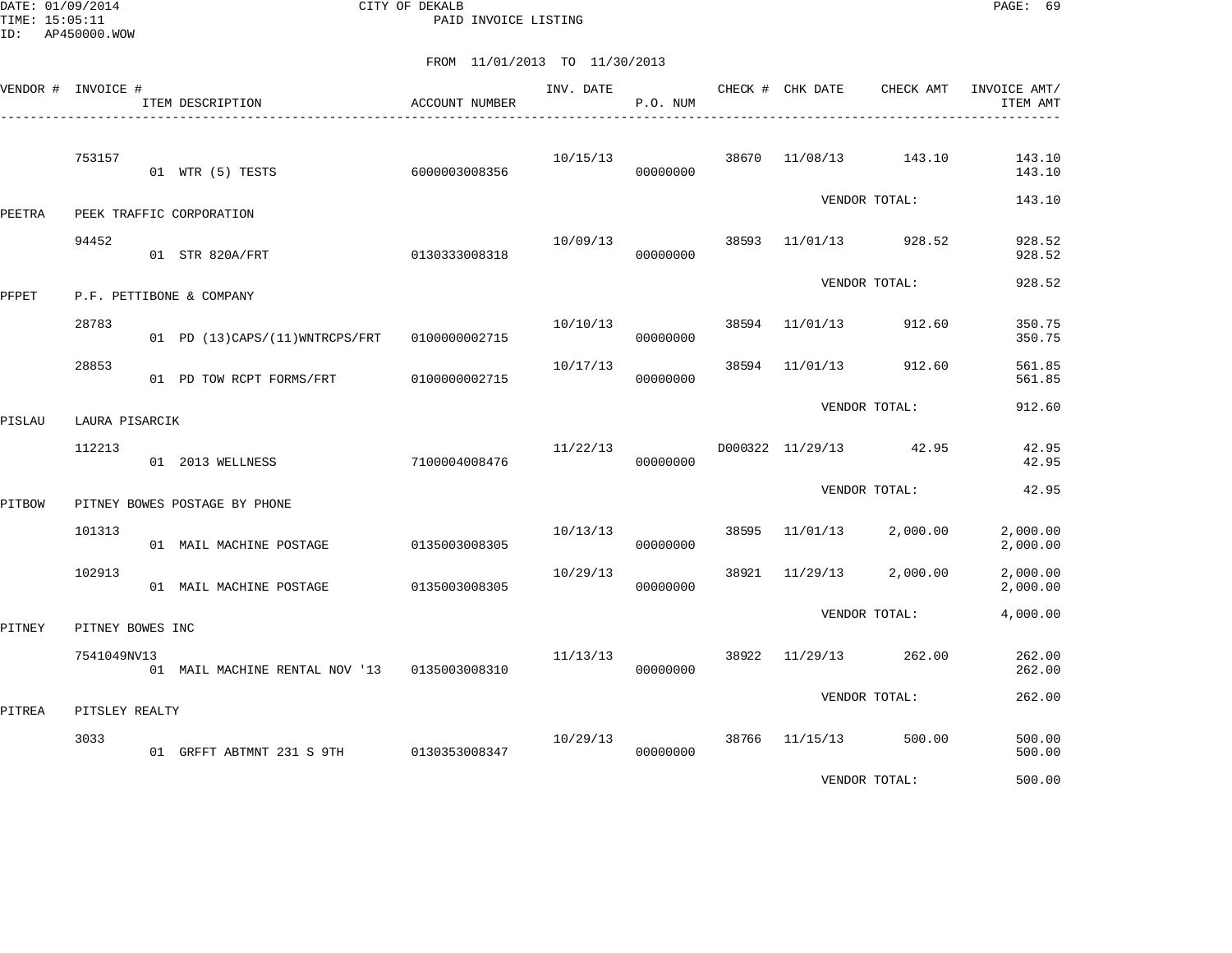DATE: 01/09/2014 CITY OF DEKALB PAGE: 69 PAID INVOICE LISTING

|        | VENDOR # INVOICE # | ITEM DESCRIPTION<br>______________________________ | <b>ACCOUNT NUMBER</b> | INV. DATE | P.O. NUM |       | CHECK # CHK DATE | CHECK AMT     | INVOICE AMT/<br>ITEM AMT |
|--------|--------------------|----------------------------------------------------|-----------------------|-----------|----------|-------|------------------|---------------|--------------------------|
|        | 753157             | 01 WTR (5) TESTS                                   | 6000003008356         | 10/15/13  | 00000000 | 38670 | 11/08/13         | 143.10        | 143.10<br>143.10         |
| PEETRA |                    | PEEK TRAFFIC CORPORATION                           |                       |           |          |       |                  | VENDOR TOTAL: | 143.10                   |
|        | 94452              | 01 STR 820A/FRT                                    | 0130333008318         | 10/09/13  | 00000000 |       | 38593 11/01/13   | 928.52        | 928.52<br>928.52         |
| PFPET  |                    | P.F. PETTIBONE & COMPANY                           |                       |           |          |       |                  | VENDOR TOTAL: | 928.52                   |
|        | 28783              | 01 PD (13)CAPS/(11)WNTRCPS/FRT                     | 0100000002715         | 10/10/13  | 00000000 | 38594 | 11/01/13         | 912.60        | 350.75<br>350.75         |
|        | 28853              | 01 PD TOW RCPT FORMS/FRT                           | 0100000002715         | 10/17/13  | 00000000 | 38594 | 11/01/13         | 912.60        | 561.85<br>561.85         |
| PISLAU | LAURA PISARCIK     |                                                    |                       |           |          |       |                  | VENDOR TOTAL: | 912.60                   |
|        | 112213             | 01 2013 WELLNESS                                   | 7100004008476         | 11/22/13  | 00000000 |       | D000322 11/29/13 | 42.95         | 42.95<br>42.95           |
| PITBOW |                    | PITNEY BOWES POSTAGE BY PHONE                      |                       |           |          |       |                  | VENDOR TOTAL: | 42.95                    |
|        | 101313             | 01 MAIL MACHINE POSTAGE                            | 0135003008305         | 10/13/13  | 00000000 | 38595 | 11/01/13         | 2,000.00      | 2,000.00<br>2,000.00     |
|        | 102913             | 01 MAIL MACHINE POSTAGE                            | 0135003008305         | 10/29/13  | 00000000 | 38921 | 11/29/13         | 2,000.00      | 2,000.00<br>2,000.00     |
| PITNEY | PITNEY BOWES INC   |                                                    |                       |           |          |       |                  | VENDOR TOTAL: | 4,000.00                 |
|        | 7541049NV13        | 01 MAIL MACHINE RENTAL NOV '13                     | 0135003008310         | 11/13/13  | 00000000 | 38922 | 11/29/13         | 262.00        | 262.00<br>262.00         |
| PITREA | PITSLEY REALTY     |                                                    |                       |           |          |       |                  | VENDOR TOTAL: | 262.00                   |
|        | 3033               | 01 GRFFT ABTMNT 231 S 9TH 0130353008347            |                       | 10/29/13  | 00000000 |       | 38766 11/15/13   | 500.00        | 500.00<br>500.00         |
|        |                    |                                                    |                       |           |          |       |                  | VENDOR TOTAL: | 500.00                   |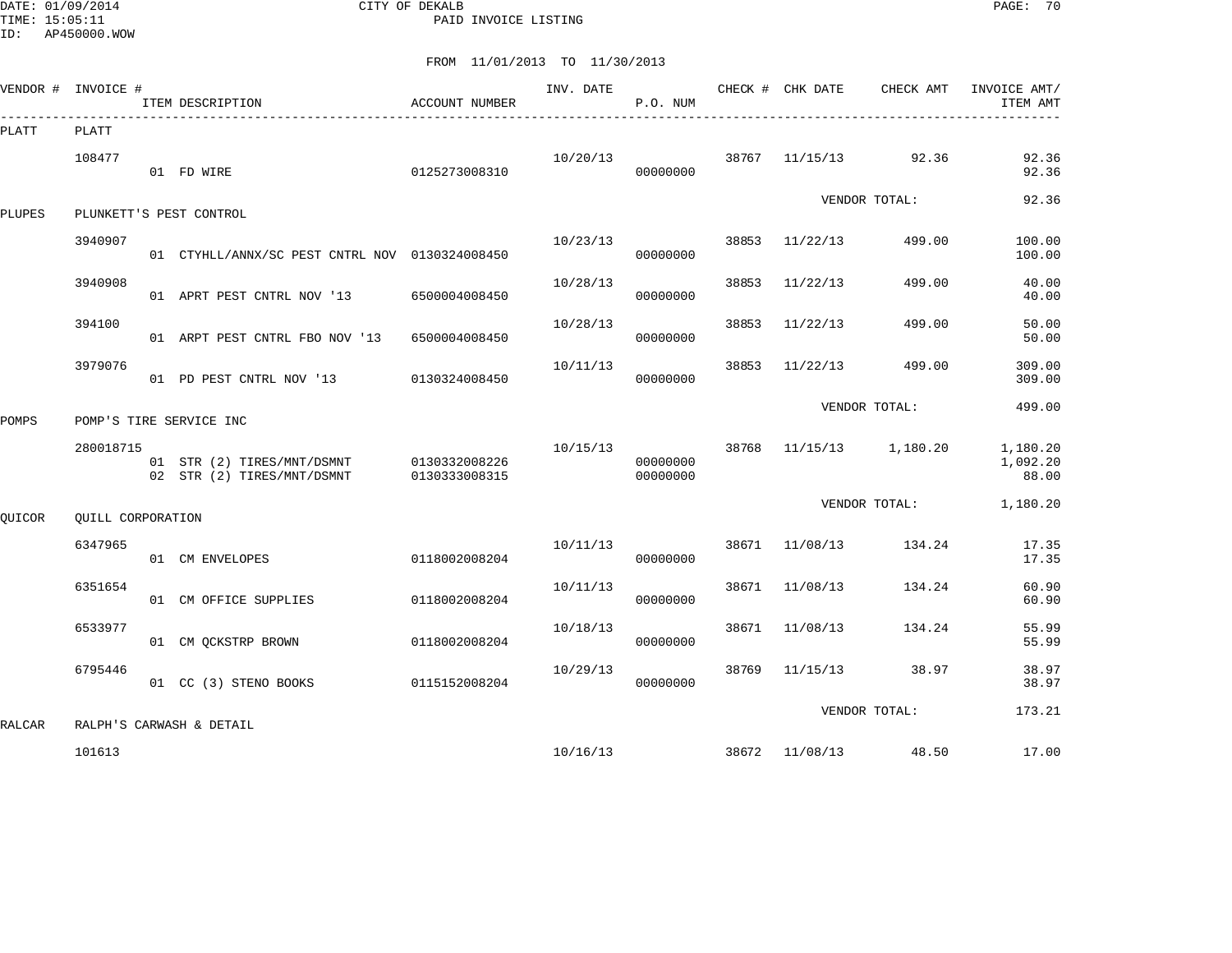DATE: 01/09/2014 CITY OF DEKALB PAGE: 70 PAID INVOICE LISTING

|               | VENDOR # INVOICE # | ITEM DESCRIPTION                                         | ACCOUNT NUMBER                 | INV. DATE | P.O. NUM             |       | CHECK # CHK DATE | CHECK AMT           | INVOICE AMT/<br>ITEM AMT      |
|---------------|--------------------|----------------------------------------------------------|--------------------------------|-----------|----------------------|-------|------------------|---------------------|-------------------------------|
| PLATT         | PLATT              |                                                          |                                |           |                      |       |                  |                     |                               |
|               | 108477             | 01 FD WIRE                                               | 0125273008310                  | 10/20/13  | 00000000             | 38767 | 11/15/13         | 92.36               | 92.36<br>92.36                |
| <b>PLUPES</b> |                    | PLUNKETT'S PEST CONTROL                                  |                                |           |                      |       |                  | VENDOR TOTAL:       | 92.36                         |
|               | 3940907            | 01 CTYHLL/ANNX/SC PEST CNTRL NOV 0130324008450           |                                | 10/23/13  | 00000000             | 38853 | 11/22/13         | 499.00              | 100.00<br>100.00              |
|               | 3940908            | 01 APRT PEST CNTRL NOV '13                               | 6500004008450                  | 10/28/13  | 00000000             | 38853 | 11/22/13         | 499.00              | 40.00<br>40.00                |
|               | 394100             | 01 ARPT PEST CNTRL FBO NOV '13                           | 6500004008450                  | 10/28/13  | 00000000             | 38853 | 11/22/13         | 499.00              | 50.00<br>50.00                |
|               | 3979076            | 01 PD PEST CNTRL NOV '13                                 | 0130324008450                  | 10/11/13  | 00000000             | 38853 | 11/22/13         | 499.00              | 309.00<br>309.00              |
| POMPS         |                    | POMP'S TIRE SERVICE INC                                  |                                |           |                      |       |                  | VENDOR TOTAL:       | 499.00                        |
|               | 280018715          | 01 STR (2) TIRES/MNT/DSMNT<br>02 STR (2) TIRES/MNT/DSMNT | 0130332008226<br>0130333008315 | 10/15/13  | 00000000<br>00000000 | 38768 |                  | $11/15/13$ 1,180.20 | 1,180.20<br>1,092.20<br>88.00 |
| QUICOR        | QUILL CORPORATION  |                                                          |                                |           |                      |       |                  | VENDOR TOTAL:       | 1,180.20                      |
|               | 6347965            | 01 CM ENVELOPES                                          | 0118002008204                  | 10/11/13  | 00000000             | 38671 | 11/08/13         | 134.24              | 17.35<br>17.35                |
|               | 6351654            | 01 CM OFFICE SUPPLIES                                    | 0118002008204                  | 10/11/13  | 00000000             | 38671 | 11/08/13         | 134.24              | 60.90<br>60.90                |
|               | 6533977            | 01 CM QCKSTRP BROWN                                      | 0118002008204                  | 10/18/13  | 00000000             | 38671 | 11/08/13         | 134.24              | 55.99<br>55.99                |
|               | 6795446            | 01 CC (3) STENO BOOKS                                    | 0115152008204                  | 10/29/13  | 00000000             | 38769 | 11/15/13         | 38.97               | 38.97<br>38.97                |
| RALCAR        |                    | RALPH'S CARWASH & DETAIL                                 |                                |           |                      |       |                  | VENDOR TOTAL:       | 173.21                        |
|               | 101613             |                                                          |                                | 10/16/13  |                      |       | 38672 11/08/13   | 48.50               | 17.00                         |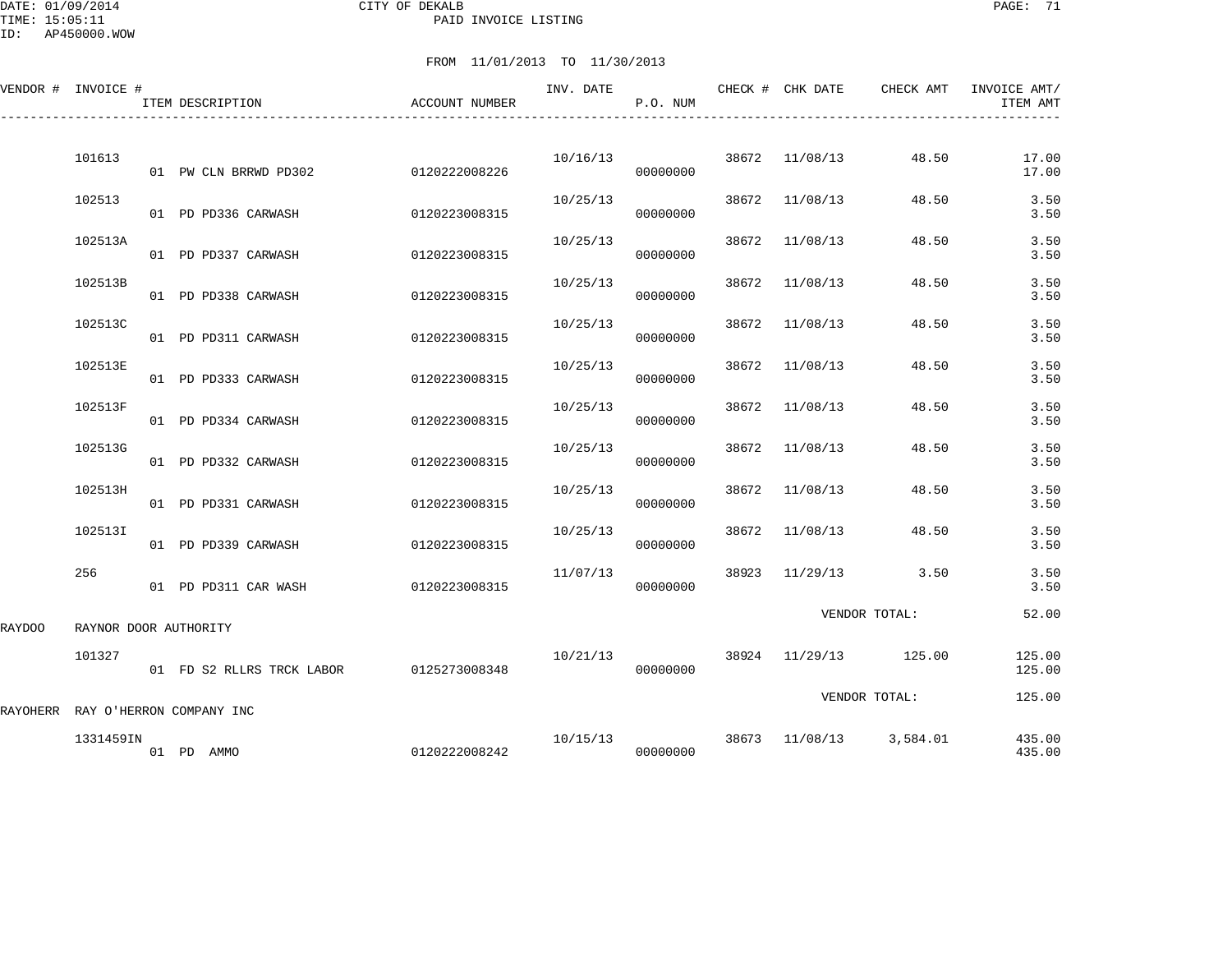DATE: 01/09/2014 CITY OF DEKALB PAGE: 71 PAID INVOICE LISTING

ID: AP450000.WOW

|        | VENDOR # INVOICE #                | ITEM DESCRIPTION     |                           | ACCOUNT NUMBER | INV. DATE | P.O. NUM |       | CHECK # CHK DATE | CHECK AMT             | INVOICE AMT/<br>ITEM AMT |
|--------|-----------------------------------|----------------------|---------------------------|----------------|-----------|----------|-------|------------------|-----------------------|--------------------------|
|        | 101613                            |                      | 01 PW CLN BRRWD PD302     | 0120222008226  | 10/16/13  | 00000000 |       | 38672 11/08/13   | 48.50                 | 17.00<br>17.00           |
|        | 102513                            | 01 PD PD336 CARWASH  |                           | 0120223008315  | 10/25/13  | 00000000 | 38672 | 11/08/13         | 48.50                 | 3.50<br>3.50             |
|        | 102513A                           | 01 PD PD337 CARWASH  |                           | 0120223008315  | 10/25/13  | 00000000 | 38672 | 11/08/13         | 48.50                 | 3.50<br>3.50             |
|        | 102513B                           | 01 PD PD338 CARWASH  |                           | 0120223008315  | 10/25/13  | 00000000 | 38672 | 11/08/13         | 48.50                 | 3.50<br>3.50             |
|        | 102513C                           | 01 PD PD311 CARWASH  |                           | 0120223008315  | 10/25/13  | 00000000 | 38672 | 11/08/13         | 48.50                 | 3.50<br>3.50             |
|        | 102513E                           | 01 PD PD333 CARWASH  |                           | 0120223008315  | 10/25/13  | 00000000 | 38672 | 11/08/13         | 48.50                 | 3.50<br>3.50             |
|        | 102513F                           | 01 PD PD334 CARWASH  |                           | 0120223008315  | 10/25/13  | 00000000 | 38672 | 11/08/13         | 48.50                 | 3.50<br>3.50             |
|        | 102513G                           | 01 PD PD332 CARWASH  |                           | 0120223008315  | 10/25/13  | 00000000 | 38672 | 11/08/13         | 48.50                 | 3.50<br>3.50             |
|        | 102513H                           | 01 PD PD331 CARWASH  |                           | 0120223008315  | 10/25/13  | 00000000 | 38672 | 11/08/13         | 48.50                 | 3.50<br>3.50             |
|        | 102513I                           | 01 PD PD339 CARWASH  |                           | 0120223008315  | 10/25/13  | 00000000 | 38672 | 11/08/13         | 48.50                 | 3.50<br>3.50             |
|        | 256                               | 01 PD PD311 CAR WASH |                           | 0120223008315  | 11/07/13  | 00000000 | 38923 |                  | $11/29/13$ 3.50       | 3.50<br>3.50             |
| RAYDOO | RAYNOR DOOR AUTHORITY             |                      |                           |                |           |          |       |                  | VENDOR TOTAL:         | 52.00                    |
|        | 101327                            |                      | 01 FD S2 RLLRS TRCK LABOR | 0125273008348  | 10/21/13  | 00000000 |       |                  | 38924 11/29/13 125.00 | 125.00<br>125.00         |
|        | RAYOHERR RAY O'HERRON COMPANY INC |                      |                           |                |           |          |       |                  | VENDOR TOTAL:         | 125.00                   |
|        | 1331459IN                         | 01 PD AMMO           |                           | 0120222008242  | 10/15/13  | 00000000 |       | 38673 11/08/13   | 3,584.01              | 435.00<br>435.00         |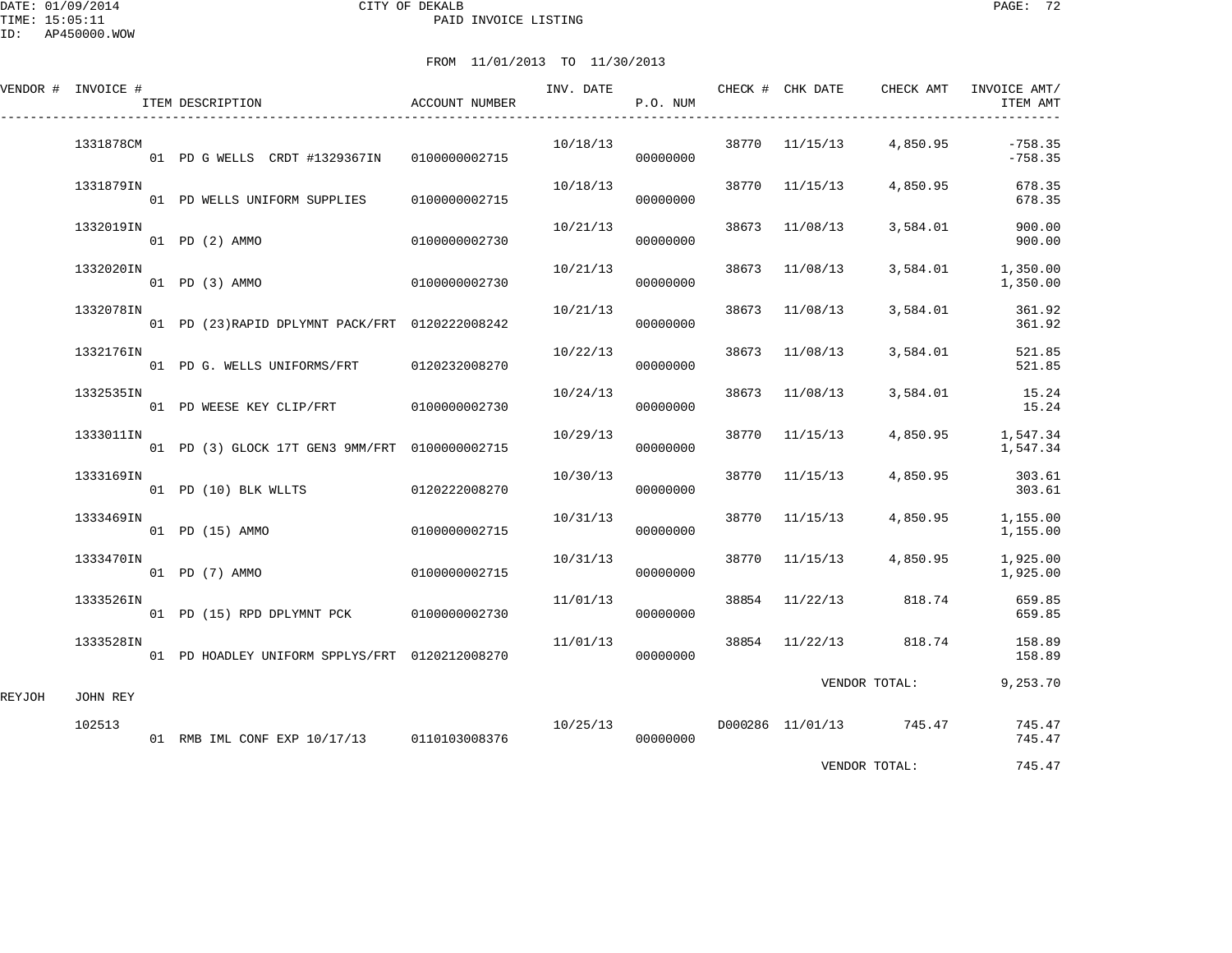DATE: 01/09/2014 CITY OF DEKALB PAGE: 72 PAID INVOICE LISTING

ID: AP450000.WOW

|        | VENDOR # INVOICE # |  | ITEM DESCRIPTION                                | ACCOUNT NUMBER | INV. DATE | P.O. NUM |               | CHECK # CHK DATE | CHECK AMT               | INVOICE AMT/<br>ITEM AMT |
|--------|--------------------|--|-------------------------------------------------|----------------|-----------|----------|---------------|------------------|-------------------------|--------------------------|
|        | 1331878CM          |  | 01 PD G WELLS CRDT #1329367IN                   | 0100000002715  | 10/18/13  | 00000000 |               | 38770 11/15/13   | 4,850.95                | $-758.35$<br>$-758.35$   |
|        | 1331879IN          |  | 01 PD WELLS UNIFORM SUPPLIES                    | 0100000002715  | 10/18/13  | 00000000 | 38770         | 11/15/13         | 4,850.95                | 678.35<br>678.35         |
|        | 1332019IN          |  | 01 PD (2) AMMO                                  | 0100000002730  | 10/21/13  | 00000000 | 38673         | 11/08/13         | 3,584.01                | 900.00<br>900.00         |
|        | 1332020IN          |  | 01 PD (3) AMMO                                  | 0100000002730  | 10/21/13  | 00000000 | 38673         | 11/08/13         | 3,584.01                | 1,350.00<br>1,350.00     |
|        | 1332078IN          |  | 01 PD (23) RAPID DPLYMNT PACK/FRT 0120222008242 |                | 10/21/13  | 00000000 | 38673         | 11/08/13         | 3,584.01                | 361.92<br>361.92         |
|        | 1332176IN          |  | 01 PD G. WELLS UNIFORMS/FRT                     | 0120232008270  | 10/22/13  | 00000000 | 38673         | 11/08/13         | 3,584.01                | 521.85<br>521.85         |
|        | 1332535IN          |  | 01 PD WEESE KEY CLIP/FRT 0100000002730          |                | 10/24/13  | 00000000 | 38673         | 11/08/13         | 3,584.01                | 15.24<br>15.24           |
|        | 1333011IN          |  | 01 PD (3) GLOCK 17T GEN3 9MM/FRT 0100000002715  |                | 10/29/13  | 00000000 | 38770         | 11/15/13         | 4,850.95                | 1,547.34<br>1,547.34     |
|        | 1333169IN          |  | 01 PD (10) BLK WLLTS                            | 0120222008270  | 10/30/13  | 00000000 | 38770         | 11/15/13         | 4,850.95                | 303.61<br>303.61         |
|        | 1333469IN          |  | 01 PD (15) AMMO                                 | 0100000002715  | 10/31/13  | 00000000 | 38770         | 11/15/13         | 4,850.95                | 1,155.00<br>1,155.00     |
|        | 1333470IN          |  | 01 PD (7) AMMO                                  | 0100000002715  | 10/31/13  | 00000000 | 38770         | 11/15/13         | 4,850.95                | 1,925.00<br>1,925.00     |
|        | 1333526IN          |  | 01 PD (15) RPD DPLYMNT PCK 0100000002730        |                | 11/01/13  | 00000000 | 38854         | 11/22/13         | 818.74                  | 659.85<br>659.85         |
|        | 1333528IN          |  | 01 PD HOADLEY UNIFORM SPPLYS/FRT 0120212008270  |                | 11/01/13  | 00000000 | 38854         | 11/22/13         | 818.74                  | 158.89<br>158.89         |
| REYJOH | JOHN REY           |  |                                                 |                |           |          | VENDOR TOTAL: |                  | 9,253.70                |                          |
|        | 102513             |  | 01 RMB IML CONF EXP 10/17/13 0110103008376      |                | 10/25/13  | 00000000 |               |                  | D000286 11/01/13 745.47 | 745.47<br>745.47         |
|        |                    |  |                                                 |                |           |          |               |                  | VENDOR TOTAL:           | 745.47                   |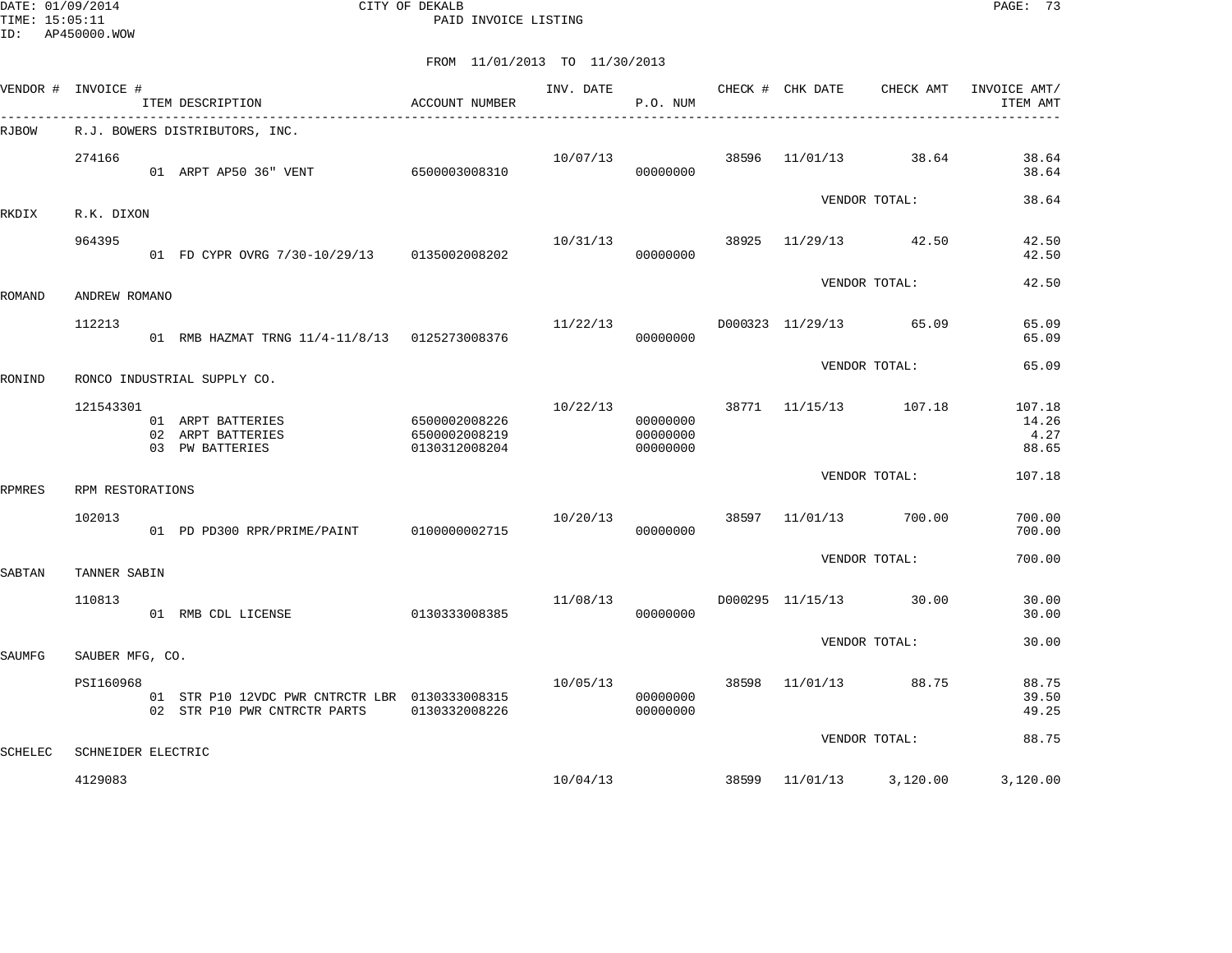DATE: 01/09/2014 CITY OF DEKALB PAGE: 73 PAID INVOICE LISTING

| VENDOR # INVOICE # |                    | ITEM DESCRIPTION                                                               | ACCOUNT NUMBER                                  | INV. DATE | P.O. NUM                         |       | CHECK # CHK DATE | CHECK AMT     | INVOICE AMT/<br>ITEM AMT         |
|--------------------|--------------------|--------------------------------------------------------------------------------|-------------------------------------------------|-----------|----------------------------------|-------|------------------|---------------|----------------------------------|
| RJBOW              |                    | R.J. BOWERS DISTRIBUTORS, INC.                                                 |                                                 |           |                                  |       |                  |               |                                  |
|                    | 274166             | 01 ARPT AP50 36" VENT                                                          | 6500003008310                                   | 10/07/13  | 00000000                         | 38596 | 11/01/13         | 38.64         | 38.64<br>38.64                   |
| RKDIX              | R.K. DIXON         |                                                                                |                                                 |           |                                  |       |                  | VENDOR TOTAL: | 38.64                            |
|                    | 964395             | 01 FD CYPR OVRG 7/30-10/29/13 0135002008202                                    |                                                 | 10/31/13  | 00000000                         | 38925 | 11/29/13         | 42.50         | 42.50<br>42.50                   |
| ROMAND             | ANDREW ROMANO      |                                                                                |                                                 |           |                                  |       |                  | VENDOR TOTAL: | 42.50                            |
|                    | 112213             | 01 RMB HAZMAT TRNG 11/4-11/8/13 0125273008376                                  |                                                 | 11/22/13  | 00000000                         |       | D000323 11/29/13 | 65.09         | 65.09<br>65.09                   |
| RONIND             |                    | RONCO INDUSTRIAL SUPPLY CO.                                                    |                                                 |           |                                  |       |                  | VENDOR TOTAL: | 65.09                            |
|                    | 121543301          | 01 ARPT BATTERIES<br>02 ARPT BATTERIES<br>03 PW BATTERIES                      | 6500002008226<br>6500002008219<br>0130312008204 | 10/22/13  | 00000000<br>00000000<br>00000000 | 38771 | 11/15/13         | 107.18        | 107.18<br>14.26<br>4.27<br>88.65 |
| RPMRES             | RPM RESTORATIONS   |                                                                                |                                                 |           |                                  |       |                  | VENDOR TOTAL: | 107.18                           |
|                    | 102013             | 01 PD PD300 RPR/PRIME/PAINT                                                    | 0100000002715                                   | 10/20/13  | 00000000                         | 38597 | 11/01/13         | 700.00        | 700.00<br>700.00                 |
| SABTAN             | TANNER SABIN       |                                                                                |                                                 |           |                                  |       |                  | VENDOR TOTAL: | 700.00                           |
|                    | 110813             | 01 RMB CDL LICENSE                                                             | 0130333008385                                   | 11/08/13  | 00000000                         |       | D000295 11/15/13 | 30.00         | 30.00<br>30.00                   |
| SAUMFG             | SAUBER MFG, CO.    |                                                                                |                                                 |           |                                  |       |                  | VENDOR TOTAL: | 30.00                            |
|                    | PSI160968          | 01 STR P10 12VDC PWR CNTRCTR LBR 0130333008315<br>02 STR P10 PWR CNTRCTR PARTS | 0130332008226                                   | 10/05/13  | 00000000<br>00000000             | 38598 | 11/01/13         | 88.75         | 88.75<br>39.50<br>49.25          |
| <b>SCHELEC</b>     | SCHNEIDER ELECTRIC |                                                                                |                                                 |           |                                  |       |                  | VENDOR TOTAL: | 88.75                            |
|                    | 4129083            |                                                                                |                                                 | 10/04/13  |                                  | 38599 | 11/01/13         | 3,120.00      | 3,120.00                         |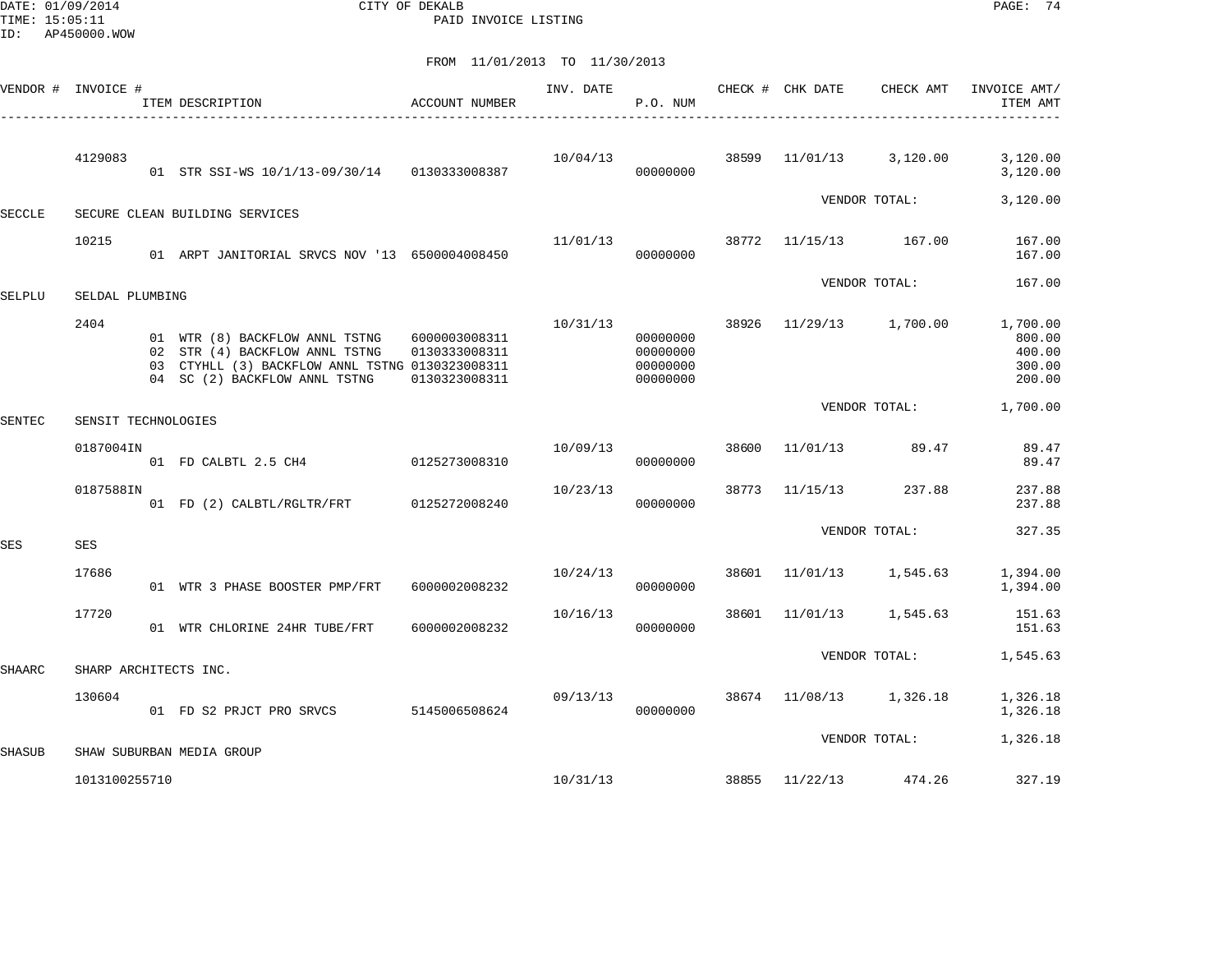DATE: 01/09/2014 CITY OF DEKALB PAGE: 74 PAID INVOICE LISTING

|               | VENDOR # INVOICE #    | ACCOUNT NUMBER<br>ITEM DESCRIPTION                                                                                                                                 |                                | INV. DATE | P.O. NUM                                     |       | CHECK # CHK DATE | CHECK AMT               | INVOICE AMT/<br>ITEM AMT                         |
|---------------|-----------------------|--------------------------------------------------------------------------------------------------------------------------------------------------------------------|--------------------------------|-----------|----------------------------------------------|-------|------------------|-------------------------|--------------------------------------------------|
|               | 4129083               | 01 STR SSI-WS 10/1/13-09/30/14 0130333008387                                                                                                                       |                                | 10/04/13  | 00000000                                     | 38599 | 11/01/13         | 3,120.00                | 3,120.00<br>3,120.00                             |
| <b>SECCLE</b> |                       | SECURE CLEAN BUILDING SERVICES                                                                                                                                     |                                |           |                                              |       |                  | VENDOR TOTAL:           | 3,120.00                                         |
|               | 10215                 | 01 ARPT JANITORIAL SRVCS NOV '13 6500004008450                                                                                                                     |                                | 11/01/13  | 00000000                                     | 38772 |                  | 11/15/13 167.00         | 167.00<br>167.00                                 |
| SELPLU        | SELDAL PLUMBING       |                                                                                                                                                                    |                                |           |                                              |       |                  | VENDOR TOTAL:           | 167.00                                           |
|               | 2404                  | 01 WTR (8) BACKFLOW ANNL TSTNG 6000003008311<br>02 STR (4) BACKFLOW ANNL TSTNG<br>03 CTYHLL (3) BACKFLOW ANNL TSTNG 0130323008311<br>04 SC (2) BACKFLOW ANNL TSTNG | 0130333008311<br>0130323008311 | 10/31/13  | 00000000<br>00000000<br>00000000<br>00000000 | 38926 |                  | 11/29/13 1,700.00       | 1,700.00<br>800.00<br>400.00<br>300.00<br>200.00 |
| <b>SENTEC</b> | SENSIT TECHNOLOGIES   |                                                                                                                                                                    |                                |           |                                              |       |                  | VENDOR TOTAL:           | 1,700.00                                         |
|               | 0187004IN             | 01 FD CALBTL 2.5 CH4 0125273008310                                                                                                                                 |                                | 10/09/13  | 00000000                                     |       | 38600 11/01/13   | 89.47                   | 89.47<br>89.47                                   |
|               | 0187588IN             | 01 FD (2) CALBTL/RGLTR/FRT 0125272008240                                                                                                                           |                                | 10/23/13  | 00000000                                     | 38773 | 11/15/13         | 237.88                  | 237.88<br>237.88                                 |
| <b>SES</b>    | SES                   |                                                                                                                                                                    |                                |           |                                              |       |                  | VENDOR TOTAL:           | 327.35                                           |
|               | 17686                 | 01 WTR 3 PHASE BOOSTER PMP/FRT                                                                                                                                     | 6000002008232                  | 10/24/13  | 00000000                                     | 38601 |                  | 11/01/13 1,545.63       | 1,394.00<br>1,394.00                             |
|               | 17720                 | 01 WTR CHLORINE 24HR TUBE/FRT                                                                                                                                      | 6000002008232                  | 10/16/13  | 00000000                                     | 38601 | 11/01/13         | 1,545.63                | 151.63<br>151.63                                 |
| <b>SHAARC</b> | SHARP ARCHITECTS INC. |                                                                                                                                                                    |                                |           |                                              |       |                  | VENDOR TOTAL:           | 1,545.63                                         |
|               | 130604                | 01 FD S2 PRJCT PRO SRVCS 5145006508624                                                                                                                             |                                | 09/13/13  | 00000000                                     |       |                  | 38674 11/08/13 1,326.18 | 1,326.18<br>1,326.18                             |
| <b>SHASUB</b> |                       | SHAW SUBURBAN MEDIA GROUP                                                                                                                                          |                                |           |                                              |       |                  | VENDOR TOTAL:           | 1,326.18                                         |
|               | 1013100255710         |                                                                                                                                                                    |                                | 10/31/13  |                                              |       |                  | 38855 11/22/13 474.26   | 327.19                                           |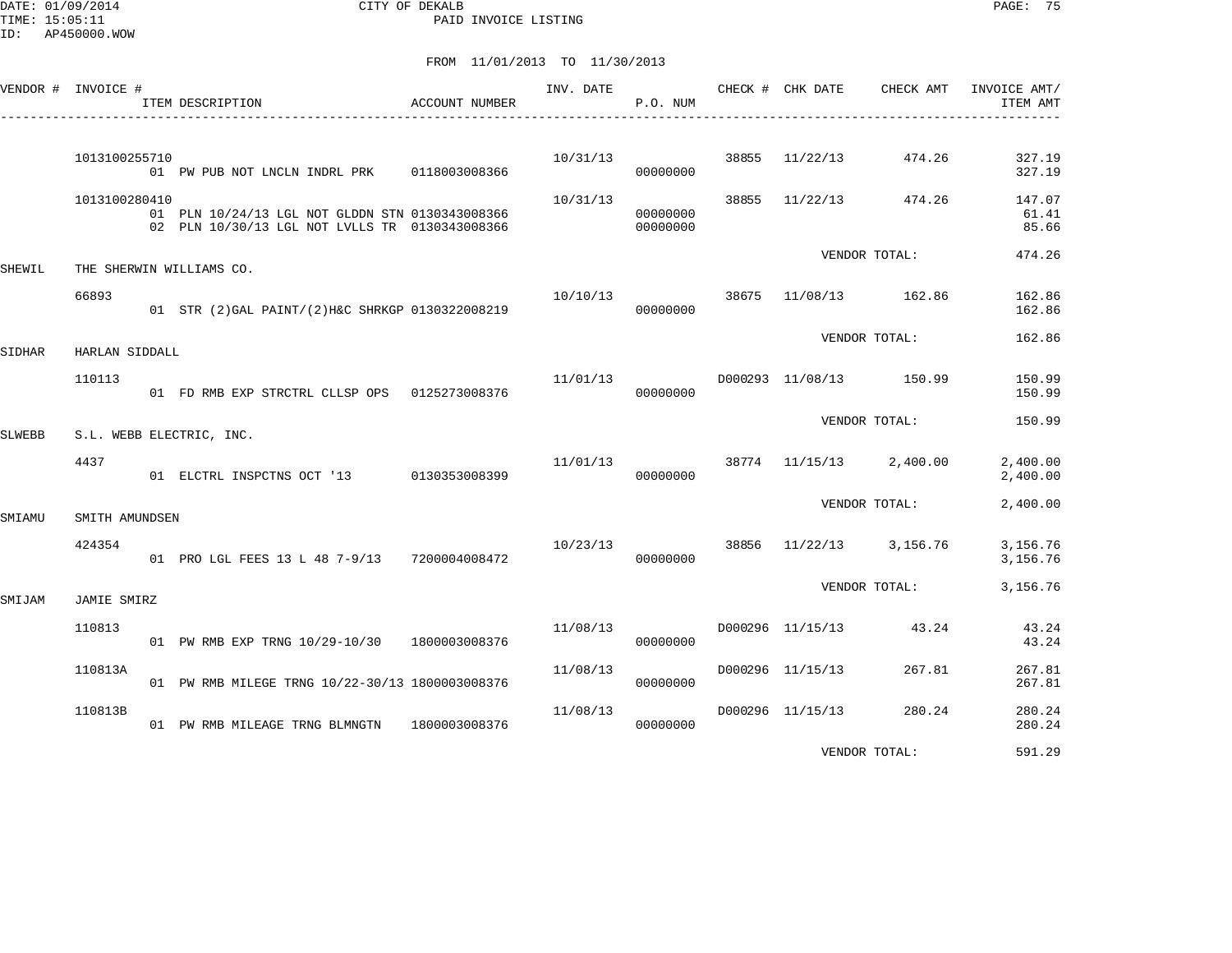DATE: 01/09/2014 CITY OF DEKALB PAGE: 75 PAID INVOICE LISTING

|        | VENDOR # INVOICE # | ACCOUNT NUMBER<br>ITEM DESCRIPTION                                                                | INV. DATE                            | P.O. NUM             | CHECK # CHK DATE        | CHECK AMT             | INVOICE AMT/<br>ITEM AMT |
|--------|--------------------|---------------------------------------------------------------------------------------------------|--------------------------------------|----------------------|-------------------------|-----------------------|--------------------------|
|        | 1013100255710      | 01 PW PUB NOT LNCLN INDRL PRK 0118003008366                                                       | 10/31/13                             | 00000000             | 38855 11/22/13 474.26   |                       | 327.19<br>327.19         |
|        | 1013100280410      | 01 PLN 10/24/13 LGL NOT GLDDN STN 0130343008366<br>02 PLN 10/30/13 LGL NOT LVLLS TR 0130343008366 | 10/31/13                             | 00000000<br>00000000 |                         | 38855 11/22/13 474.26 | 147.07<br>61.41<br>85.66 |
| SHEWIL |                    | THE SHERWIN WILLIAMS CO.                                                                          |                                      |                      |                         | VENDOR TOTAL:         | 474.26                   |
|        | 66893              | 01 STR (2) GAL PAINT/(2) H&C SHRKGP 0130322008219                                                 | $10/10/13$ 38675 $11/08/13$ 162.86   | 00000000             |                         |                       | 162.86<br>162.86         |
| SIDHAR | HARLAN SIDDALL     |                                                                                                   |                                      |                      |                         | VENDOR TOTAL:         | 162.86                   |
|        | 110113             | 01 FD RMB EXP STRCTRL CLLSP OPS 0125273008376                                                     | 11/01/13                             | 00000000             | D000293 11/08/13 150.99 |                       | 150.99<br>150.99         |
| SLWEBB |                    | S.L. WEBB ELECTRIC, INC.                                                                          |                                      |                      |                         | VENDOR TOTAL:         | 150.99                   |
|        | 4437               | 01 ELCTRL INSPCTNS OCT '13 0130353008399                                                          | $11/01/13$ 38774 $11/15/13$ 2,400.00 | 00000000             |                         |                       | 2,400.00<br>2,400.00     |
| SMIAMU | SMITH AMUNDSEN     |                                                                                                   |                                      |                      |                         | VENDOR TOTAL:         | 2,400.00                 |
|        | 424354             | 01 PRO LGL FEES 13 L 48 7-9/13 7200004008472                                                      | 10/23/13                             | 00000000             | 38856 11/22/13 3,156.76 |                       | 3,156.76<br>3,156.76     |
| SMIJAM | <b>JAMIE SMIRZ</b> |                                                                                                   |                                      |                      |                         | VENDOR TOTAL:         | 3,156.76                 |
|        | 110813             | 01 PW RMB EXP TRNG 10/29-10/30 1800003008376                                                      | 11/08/13                             | 00000000             | D000296 11/15/13 43.24  |                       | 43.24<br>43.24           |
|        | 110813A            | 01 PW RMB MILEGE TRNG 10/22-30/13 1800003008376                                                   | 11/08/13                             | 00000000             | D000296 11/15/13        | 267.81                | 267.81<br>267.81         |
|        | 110813B            | 01 PW RMB MILEAGE TRNG BLMNGTN 1800003008376                                                      | 11/08/13                             | 00000000             | D000296 11/15/13        | 280.24                | 280.24<br>280.24         |
|        |                    |                                                                                                   |                                      |                      |                         | VENDOR TOTAL:         | 591.29                   |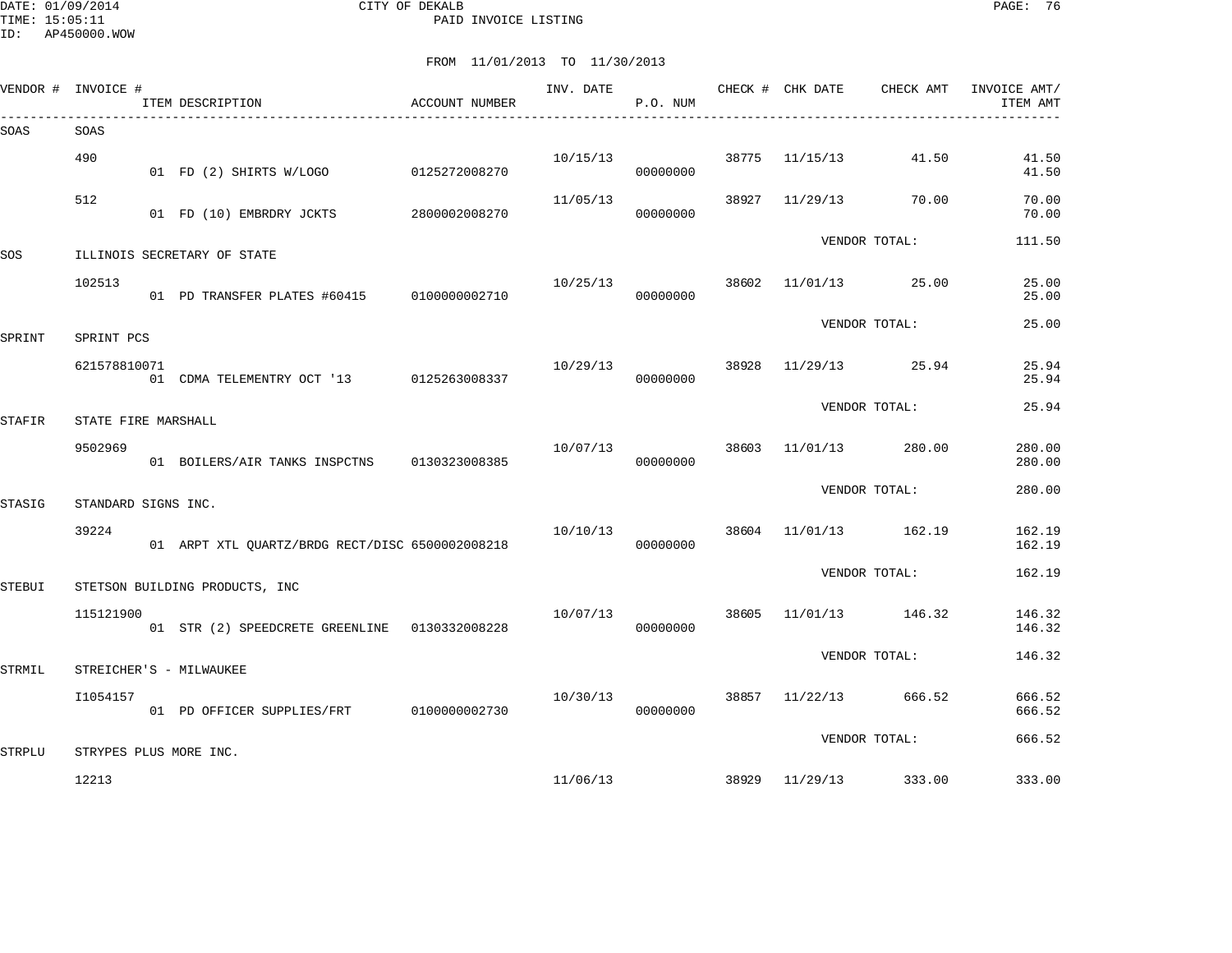| VENDOR # INVOICE # |                     | ITEM DESCRIPTION                                | ACCOUNT NUMBER | INV. DATE | P.O. NUM |       | CHECK # CHK DATE | CHECK AMT             | INVOICE AMT/<br>ITEM AMT |
|--------------------|---------------------|-------------------------------------------------|----------------|-----------|----------|-------|------------------|-----------------------|--------------------------|
| SOAS               | SOAS                |                                                 |                |           |          |       |                  |                       |                          |
|                    | 490                 | 01 FD (2) SHIRTS W/LOGO                         | 0125272008270  | 10/15/13  | 00000000 |       | 38775 11/15/13   | 41.50                 | 41.50<br>41.50           |
|                    | 512                 | 01 FD (10) EMBRDRY JCKTS 2800002008270          |                | 11/05/13  | 00000000 | 38927 | 11/29/13         | 70.00                 | 70.00<br>70.00           |
| SOS                |                     | ILLINOIS SECRETARY OF STATE                     |                |           |          |       |                  | VENDOR TOTAL:         | 111.50                   |
|                    | 102513              | 01 PD TRANSFER PLATES #60415 0100000002710      |                | 10/25/13  | 00000000 |       |                  | 38602 11/01/13 25.00  | 25.00<br>25.00           |
| SPRINT             | SPRINT PCS          |                                                 |                |           |          |       |                  | VENDOR TOTAL:         | 25.00                    |
|                    | 621578810071        | 01 CDMA TELEMENTRY OCT '13 0125263008337        |                | 10/29/13  | 00000000 | 38928 |                  | $11/29/13$ 25.94      | 25.94<br>25.94           |
| <b>STAFIR</b>      | STATE FIRE MARSHALL |                                                 |                |           |          |       |                  | VENDOR TOTAL:         | 25.94                    |
|                    | 9502969             | 01 BOILERS/AIR TANKS INSPCTNS                   | 0130323008385  | 10/07/13  | 00000000 | 38603 | 11/01/13         | 280.00                | 280.00<br>280.00         |
| STASIG             | STANDARD SIGNS INC. |                                                 |                |           |          |       |                  | VENDOR TOTAL:         | 280.00                   |
|                    | 39224               | 01 ARPT XTL OUARTZ/BRDG RECT/DISC 6500002008218 |                | 10/10/13  | 00000000 |       |                  | 38604 11/01/13 162.19 | 162.19<br>162.19         |
| STEBUI             |                     | STETSON BUILDING PRODUCTS, INC                  |                |           |          |       |                  | VENDOR TOTAL:         | 162.19                   |
|                    | 115121900           | 01 STR (2) SPEEDCRETE GREENLINE   0130332008228 |                | 10/07/13  | 00000000 | 38605 |                  | 11/01/13 146.32       | 146.32<br>146.32         |
| STRMIL             |                     | STREICHER'S - MILWAUKEE                         |                |           |          |       |                  | VENDOR TOTAL:         | 146.32                   |
|                    | I1054157            | 01 PD OFFICER SUPPLIES/FRT 0100000002730        |                | 10/30/13  | 00000000 |       |                  | 38857 11/22/13 666.52 | 666.52<br>666.52         |
| <b>STRPLU</b>      |                     | STRYPES PLUS MORE INC.                          |                |           |          |       |                  | VENDOR TOTAL:         | 666.52                   |
|                    | 12213               |                                                 |                | 11/06/13  |          |       |                  | 38929 11/29/13 333.00 | 333.00                   |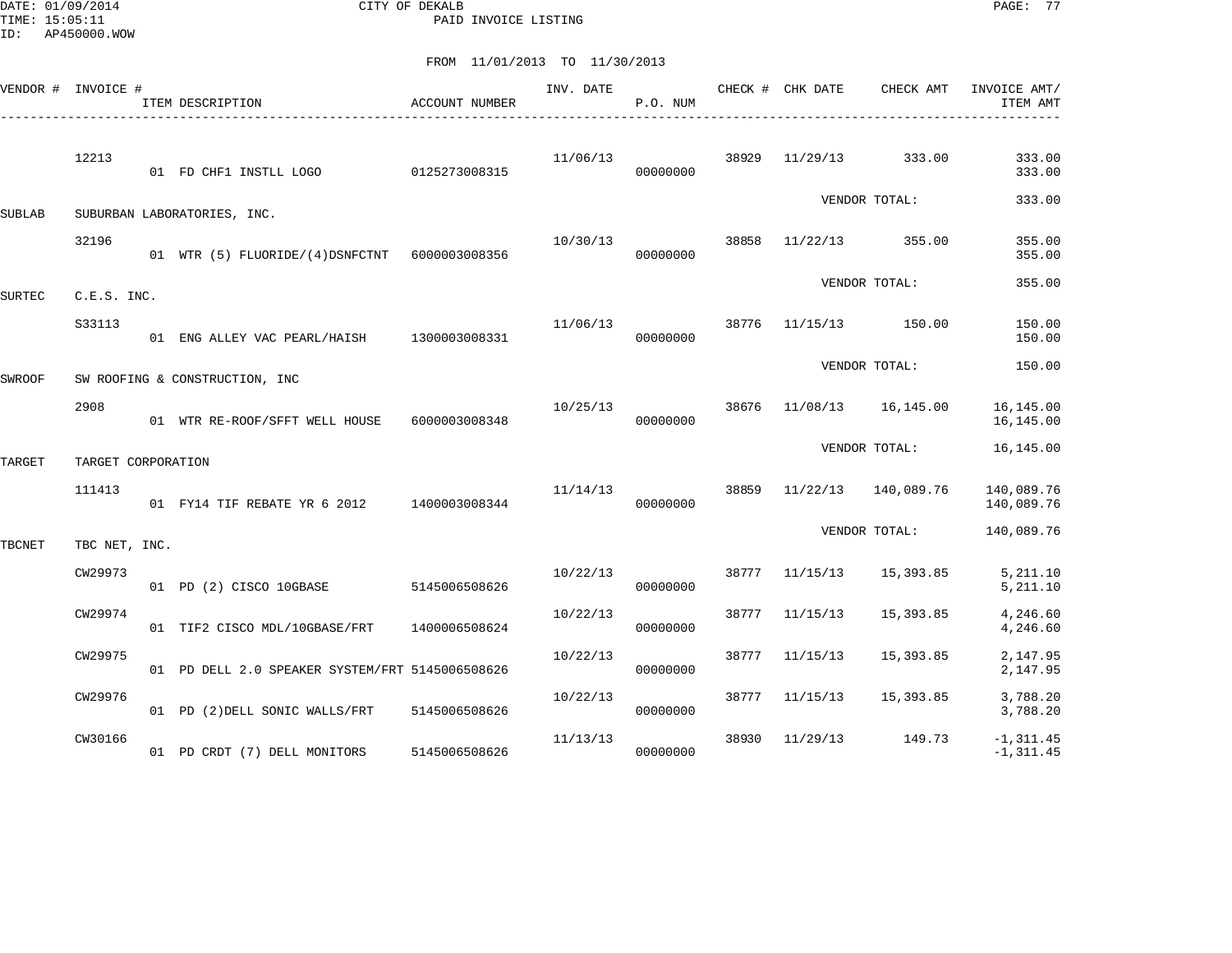DATE: 01/09/2014 CITY OF DEKALB PAGE: 77 PAID INVOICE LISTING

|               | VENDOR # INVOICE # | ITEM DESCRIPTION                                | ACCOUNT NUMBER | INV. DATE | P.O. NUM |       | CHECK # CHK DATE | CHECK AMT     | INVOICE AMT/<br>ITEM AMT     |
|---------------|--------------------|-------------------------------------------------|----------------|-----------|----------|-------|------------------|---------------|------------------------------|
|               | 12213              | 01 FD CHF1 INSTLL LOGO                          | 0125273008315  | 11/06/13  | 00000000 | 38929 | 11/29/13         | 333.00        | 333.00<br>333.00             |
| SUBLAB        |                    | SUBURBAN LABORATORIES, INC.                     |                |           |          |       |                  | VENDOR TOTAL: | 333.00                       |
|               | 32196              | 01 WTR (5) FLUORIDE/(4)DSNFCTNT 6000003008356   |                | 10/30/13  | 00000000 | 38858 | 11/22/13         | 355.00        | 355.00<br>355.00             |
| <b>SURTEC</b> | C.E.S. INC.        |                                                 |                |           |          |       |                  | VENDOR TOTAL: | 355.00                       |
|               | S33113             | 01 ENG ALLEY VAC PEARL/HAISH                    | 1300003008331  | 11/06/13  | 00000000 | 38776 | 11/15/13         | 150.00        | 150.00<br>150.00             |
| SWROOF        |                    | SW ROOFING & CONSTRUCTION, INC                  |                |           |          |       |                  | VENDOR TOTAL: | 150.00                       |
|               | 2908               | 01 WTR RE-ROOF/SFFT WELL HOUSE                  | 6000003008348  | 10/25/13  | 00000000 | 38676 | 11/08/13         | 16,145.00     | 16,145.00<br>16,145.00       |
| TARGET        | TARGET CORPORATION |                                                 |                |           |          |       |                  | VENDOR TOTAL: | 16,145.00                    |
|               | 111413             | 01 FY14 TIF REBATE YR 6 2012                    | 1400003008344  | 11/14/13  | 00000000 | 38859 | 11/22/13         | 140,089.76    | 140,089.76<br>140,089.76     |
| TBCNET        | TBC NET, INC.      |                                                 |                |           |          |       |                  | VENDOR TOTAL: | 140,089.76                   |
|               | CW29973            | 01 PD (2) CISCO 10GBASE                         | 5145006508626  | 10/22/13  | 00000000 | 38777 | 11/15/13         | 15,393.85     | 5,211.10<br>5,211.10         |
|               | CW29974            | 01 TIF2 CISCO MDL/10GBASE/FRT                   | 1400006508624  | 10/22/13  | 00000000 | 38777 | 11/15/13         | 15,393.85     | 4,246.60<br>4,246.60         |
|               | CW29975            | 01 PD DELL 2.0 SPEAKER SYSTEM/FRT 5145006508626 |                | 10/22/13  | 00000000 | 38777 | 11/15/13         | 15,393.85     | 2,147.95<br>2,147.95         |
|               | CW29976            | 01 PD (2) DELL SONIC WALLS/FRT                  | 5145006508626  | 10/22/13  | 00000000 | 38777 | 11/15/13         | 15,393.85     | 3,788.20<br>3,788.20         |
|               | CW30166            | 01 PD CRDT (7) DELL MONITORS                    | 5145006508626  | 11/13/13  | 00000000 | 38930 | 11/29/13         | 149.73        | $-1, 311.45$<br>$-1, 311.45$ |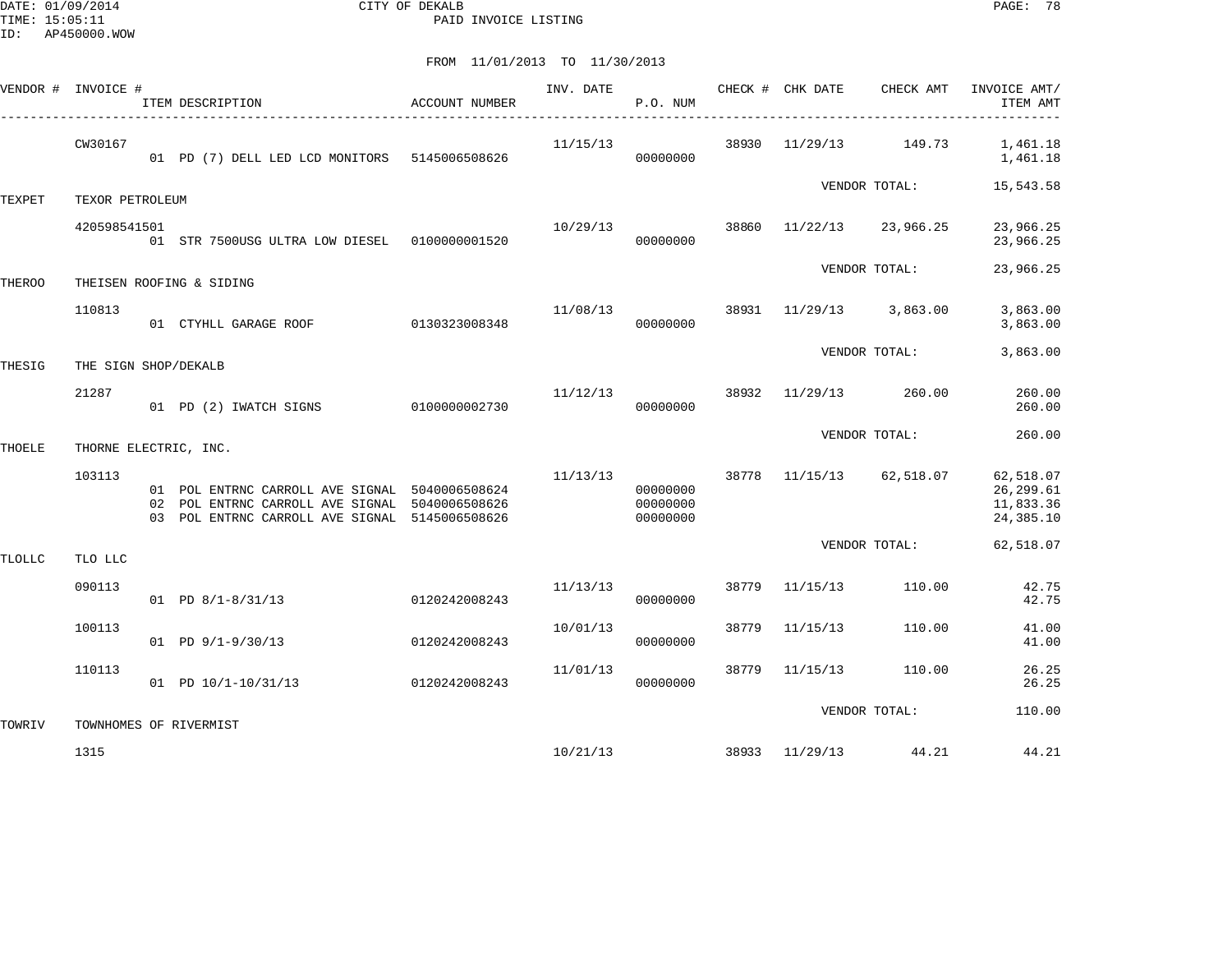DATE: 01/09/2014 CITY OF DEKALB PAGE: 78 PAID INVOICE LISTING

| VENDOR # INVOICE # |                      | ITEM DESCRIPTION<br>______________________                                                                                                         | ACCOUNT NUMBER | INV. DATE      | P.O. NUM                         |       | CHECK # CHK DATE | CHECK AMT                | INVOICE AMT/<br>ITEM AMT                           |
|--------------------|----------------------|----------------------------------------------------------------------------------------------------------------------------------------------------|----------------|----------------|----------------------------------|-------|------------------|--------------------------|----------------------------------------------------|
|                    | CW30167              | 01 PD (7) DELL LED LCD MONITORS 5145006508626                                                                                                      |                | 11/15/13       | 00000000                         |       | 38930 11/29/13   | 149.73                   | 1,461.18<br>1,461.18                               |
| TEXPET             | TEXOR PETROLEUM      |                                                                                                                                                    |                |                |                                  |       |                  | VENDOR TOTAL:            | 15,543.58                                          |
|                    | 420598541501         | 01 STR 7500USG ULTRA LOW DIESEL   0100000001520                                                                                                    |                | 10/29/13       | 00000000                         | 38860 |                  | 11/22/13 23,966.25       | 23,966.25<br>23,966.25                             |
| THEROO             |                      | THEISEN ROOFING & SIDING                                                                                                                           |                |                |                                  |       |                  | VENDOR TOTAL:            | 23,966.25                                          |
|                    | 110813               | 01 CTYHLL GARAGE ROOF 0130323008348                                                                                                                |                | 11/08/13       | 00000000                         |       |                  | 38931 11/29/13 3,863.00  | 3,863.00<br>3,863.00                               |
| THESIG             | THE SIGN SHOP/DEKALB |                                                                                                                                                    |                |                |                                  |       |                  | VENDOR TOTAL:            | 3,863.00                                           |
|                    | 21287                | 01 PD (2) IWATCH SIGNS                                                                                                                             | 0100000002730  | 11/12/13 38932 | 00000000                         |       | 11/29/13         | 260.00                   | 260.00<br>260.00                                   |
| THOELE             |                      | THORNE ELECTRIC, INC.                                                                                                                              |                |                |                                  |       |                  | VENDOR TOTAL:            | 260.00                                             |
|                    | 103113               | 01 POL ENTRNC CARROLL AVE SIGNAL 5040006508624<br>02 POL ENTRNC CARROLL AVE SIGNAL 5040006508626<br>03 POL ENTRNC CARROLL AVE SIGNAL 5145006508626 |                | 11/13/13       | 00000000<br>00000000<br>00000000 |       |                  | 38778 11/15/13 62,518.07 | 62,518.07<br>26, 299.61<br>11,833.36<br>24, 385.10 |
| TLOLLC             | TLO LLC              |                                                                                                                                                    |                |                |                                  |       |                  | VENDOR TOTAL:            | 62,518.07                                          |
|                    | 090113               | $01$ PD $8/1 - 8/31/13$                                                                                                                            | 0120242008243  | 11/13/13       | 00000000                         |       | 38779 11/15/13   | 110.00                   | 42.75<br>42.75                                     |
|                    | 100113               | $01$ PD $9/1-9/30/13$                                                                                                                              | 0120242008243  | 10/01/13       | 00000000                         | 38779 | 11/15/13         | 110.00                   | 41.00<br>41.00                                     |
|                    | 110113               | 01 PD 10/1-10/31/13                                                                                                                                | 0120242008243  | 11/01/13       | 00000000                         | 38779 | 11/15/13         | 110.00                   | 26.25<br>26.25                                     |
| TOWRIV             |                      | TOWNHOMES OF RIVERMIST                                                                                                                             |                |                |                                  |       |                  | VENDOR TOTAL:            | 110.00                                             |
|                    | 1315                 |                                                                                                                                                    |                |                | 10/21/13                         |       |                  | 38933 11/29/13 44.21     | 44.21                                              |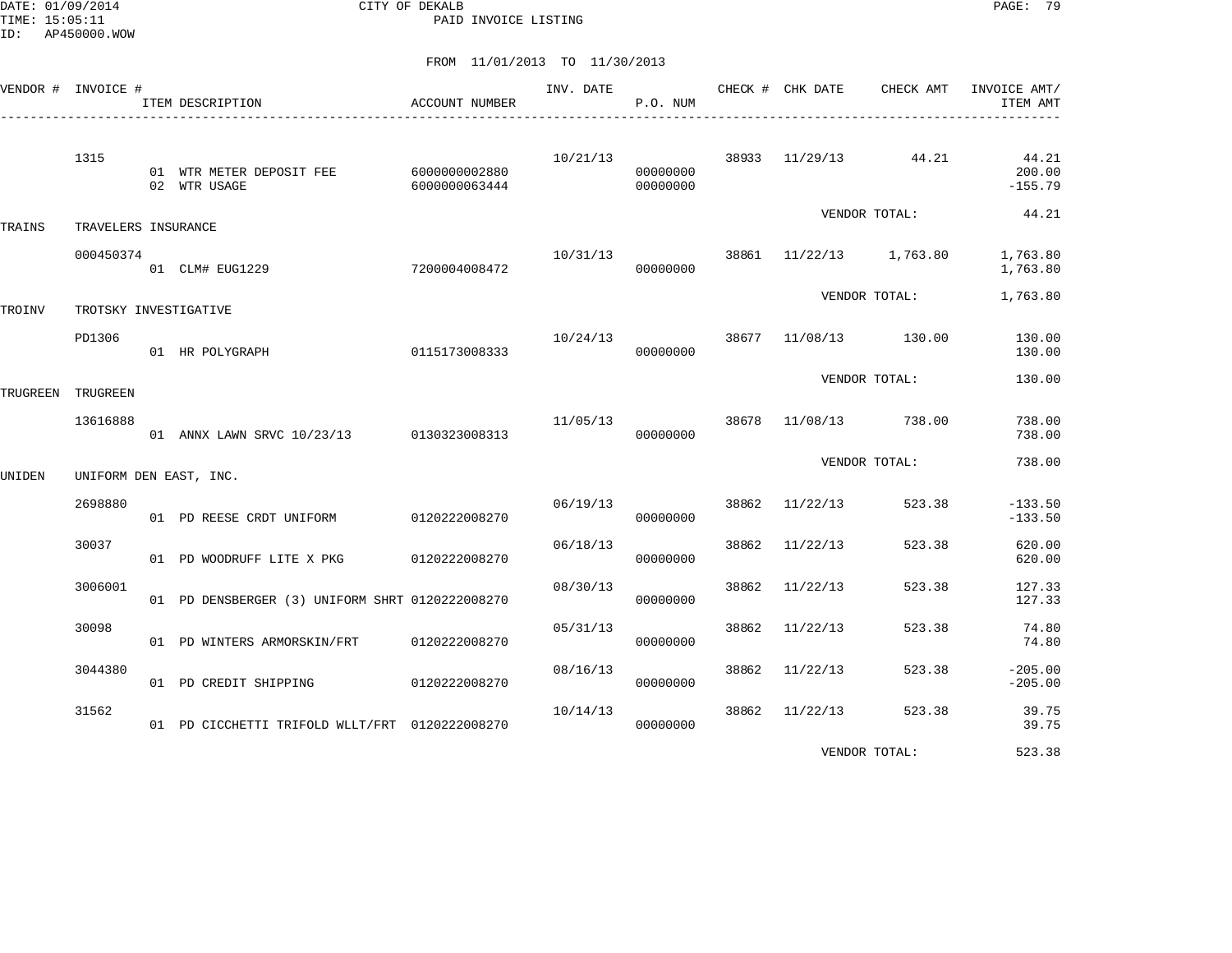DATE: 01/09/2014 CITY OF DEKALB PAGE: 79 PAID INVOICE LISTING

FROM 11/01/2013 TO 11/30/2013

|        | VENDOR # INVOICE #    | ACCOUNT NUMBER<br>ITEM DESCRIPTION                     |               | INV. DATE CHECK # CHK DATE | P.O. NUM             |       |                         |                      | CHECK AMT INVOICE AMT/<br>ITEM AMT |
|--------|-----------------------|--------------------------------------------------------|---------------|----------------------------|----------------------|-------|-------------------------|----------------------|------------------------------------|
|        | 1315                  | 01 WTR METER DEPOSIT FEE 6000000002880<br>02 WTR USAGE | 6000000063444 | 10/21/13                   | 00000000<br>00000000 |       |                         | 38933 11/29/13 44.21 | 44.21<br>200.00<br>$-155.79$       |
| TRAINS | TRAVELERS INSURANCE   |                                                        |               |                            |                      |       |                         | VENDOR TOTAL:        | 44.21                              |
|        | 000450374             | 01 CLM# EUG1229                                        | 7200004008472 | 10/31/13                   | 00000000             |       | 38861 11/22/13 1,763.80 |                      | 1,763.80<br>1,763.80               |
| TROINV | TROTSKY INVESTIGATIVE |                                                        |               |                            |                      |       |                         | VENDOR TOTAL:        | 1,763.80                           |
|        | PD1306                | 01 HR POLYGRAPH                                        | 0115173008333 | 10/24/13                   | 00000000             |       | 38677 11/08/13 130.00   |                      | 130.00<br>130.00                   |
|        | TRUGREEN TRUGREEN     |                                                        |               |                            |                      |       |                         | VENDOR TOTAL:        | 130.00                             |
|        | 13616888              | 01 ANNX LAWN SRVC 10/23/13 0130323008313               |               | 11/05/13 38678             | 00000000             |       | 11/08/13 738.00         |                      | 738.00<br>738.00                   |
| UNIDEN |                       | UNIFORM DEN EAST, INC.                                 |               |                            |                      |       |                         | VENDOR TOTAL:        | 738.00                             |
|        | 2698880               | 01 PD REESE CRDT UNIFORM 0120222008270                 |               | 06/19/13                   | 00000000             |       | 38862 11/22/13          | 523.38               | $-133.50$<br>$-133.50$             |
|        | 30037                 | 01 PD WOODRUFF LITE X PKG 0120222008270                |               | 06/18/13                   | 00000000             | 38862 | 11/22/13                | 523.38               | 620.00<br>620.00                   |
|        | 3006001               | 01 PD DENSBERGER (3) UNIFORM SHRT 0120222008270        |               | 08/30/13                   | 00000000             | 38862 | 11/22/13                | 523.38               | 127.33<br>127.33                   |
|        | 30098                 | 01 PD WINTERS ARMORSKIN/FRT 0120222008270              |               | 05/31/13                   | 00000000             | 38862 | 11/22/13                | 523.38               | 74.80<br>74.80                     |
|        | 3044380               | 01 PD CREDIT SHIPPING 0120222008270                    |               | 08/16/13                   | 00000000             | 38862 | 11/22/13                | 523.38               | $-205.00$<br>$-205.00$             |
|        | 31562                 | 01 PD CICCHETTI TRIFOLD WLLT/FRT 0120222008270         |               | 10/14/13                   | 00000000             | 38862 | 11/22/13                | 523.38               | 39.75<br>39.75                     |
|        |                       |                                                        |               |                            |                      |       |                         |                      |                                    |

VENDOR TOTAL: 523.38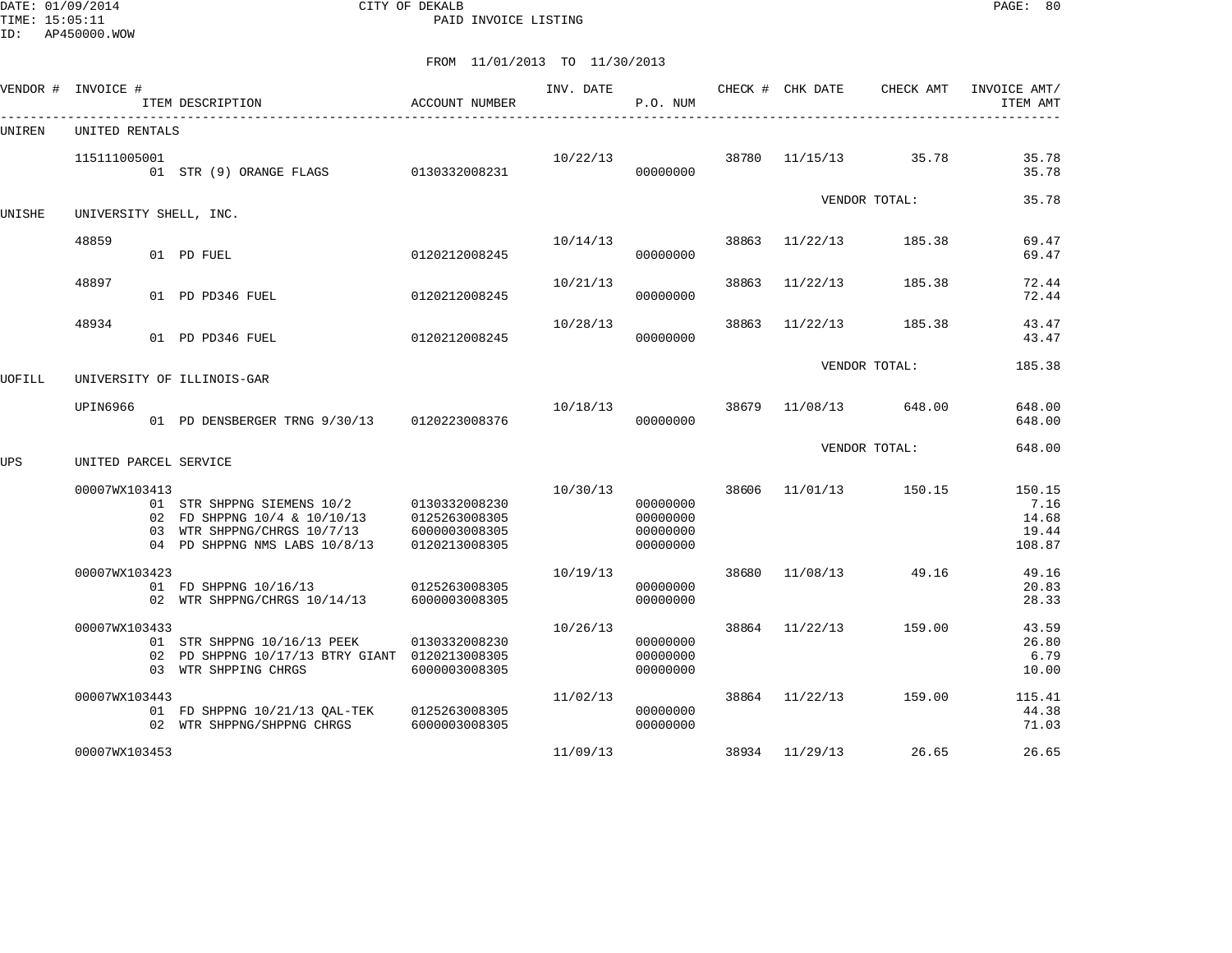DATE: 01/09/2014 CITY OF DEKALB PAGE: 80 PAID INVOICE LISTING

|        | VENDOR # INVOICE #     | ITEM DESCRIPTION                                                                                                           | ACCOUNT NUMBER                                                   | INV. DATE | P.O. NUM                                     |       | CHECK # CHK DATE | CHECK AMT     | INVOICE AMT/<br>ITEM AMT                   |
|--------|------------------------|----------------------------------------------------------------------------------------------------------------------------|------------------------------------------------------------------|-----------|----------------------------------------------|-------|------------------|---------------|--------------------------------------------|
| UNIREN | UNITED RENTALS         |                                                                                                                            |                                                                  |           |                                              |       |                  |               |                                            |
|        | 115111005001           | 01 STR (9) ORANGE FLAGS                                                                                                    | 0130332008231                                                    | 10/22/13  | 00000000                                     | 38780 | 11/15/13         | 35.78         | 35.78<br>35.78                             |
| UNISHE | UNIVERSITY SHELL, INC. |                                                                                                                            |                                                                  |           |                                              |       |                  | VENDOR TOTAL: | 35.78                                      |
|        | 48859                  | 01 PD FUEL                                                                                                                 | 0120212008245                                                    | 10/14/13  | 00000000                                     | 38863 | 11/22/13         | 185.38        | 69.47<br>69.47                             |
|        | 48897                  | 01 PD PD346 FUEL                                                                                                           | 0120212008245                                                    | 10/21/13  | 00000000                                     | 38863 | 11/22/13         | 185.38        | 72.44<br>72.44                             |
|        | 48934                  | 01 PD PD346 FUEL                                                                                                           | 0120212008245                                                    | 10/28/13  | 00000000                                     | 38863 | 11/22/13         | 185.38        | 43.47<br>43.47                             |
| UOFILL |                        | UNIVERSITY OF ILLINOIS-GAR                                                                                                 |                                                                  |           |                                              |       |                  | VENDOR TOTAL: | 185.38                                     |
|        | UPIN6966               | 01 PD DENSBERGER TRNG 9/30/13                                                                                              | 0120223008376                                                    | 10/18/13  | 00000000                                     | 38679 | 11/08/13         | 648.00        | 648.00<br>648.00                           |
| UPS    | UNITED PARCEL SERVICE  |                                                                                                                            |                                                                  |           |                                              |       |                  | VENDOR TOTAL: | 648.00                                     |
|        | 00007WX103413          | 01 STR SHPPNG SIEMENS 10/2<br>02 FD SHPPNG 10/4 & 10/10/13<br>03 WTR SHPPNG/CHRGS 10/7/13<br>04 PD SHPPNG NMS LABS 10/8/13 | 0130332008230<br>0125263008305<br>6000003008305<br>0120213008305 | 10/30/13  | 00000000<br>00000000<br>00000000<br>00000000 | 38606 | 11/01/13         | 150.15        | 150.15<br>7.16<br>14.68<br>19.44<br>108.87 |
|        | 00007WX103423          | 01 FD SHPPNG 10/16/13<br>02 WTR SHPPNG/CHRGS 10/14/13                                                                      | 0125263008305<br>6000003008305                                   | 10/19/13  | 00000000<br>00000000                         | 38680 | 11/08/13         | 49.16         | 49.16<br>20.83<br>28.33                    |
|        | 00007WX103433          | 01 STR SHPPNG 10/16/13 PEEK<br>02 PD SHPPNG 10/17/13 BTRY GIANT 0120213008305<br>03 WTR SHPPING CHRGS                      | 0130332008230<br>6000003008305                                   | 10/26/13  | 00000000<br>00000000<br>00000000             | 38864 | 11/22/13         | 159.00        | 43.59<br>26.80<br>6.79<br>10.00            |
|        | 00007WX103443          | 01 FD SHPPNG 10/21/13 QAL-TEK<br>02 WTR SHPPNG/SHPPNG CHRGS                                                                | 0125263008305<br>6000003008305                                   | 11/02/13  | 00000000<br>00000000                         |       | 38864 11/22/13   | 159.00        | 115.41<br>44.38<br>71.03                   |
|        | 00007WX103453          |                                                                                                                            |                                                                  | 11/09/13  |                                              |       | 38934 11/29/13   | 26.65         | 26.65                                      |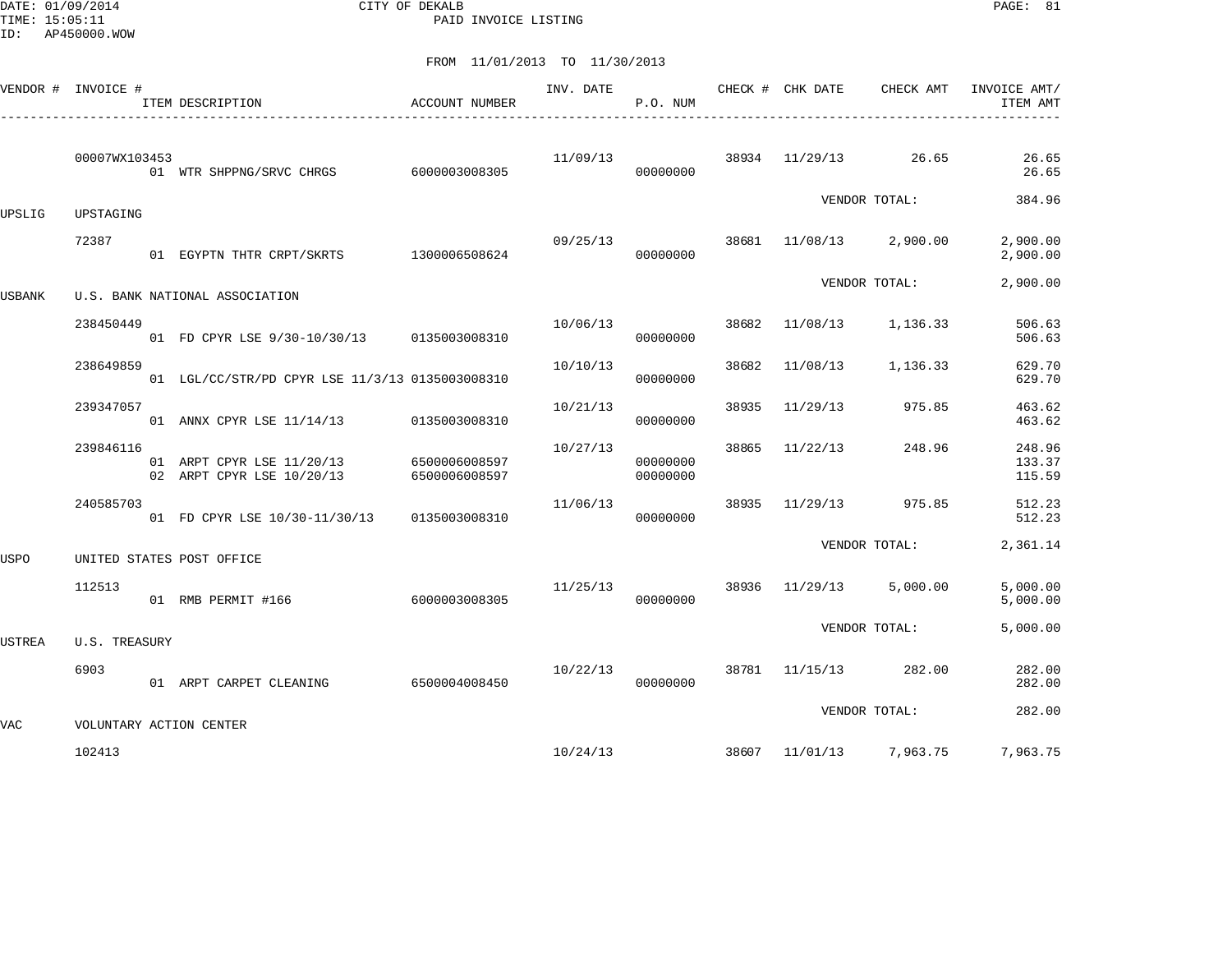DATE: 01/09/2014 CITY OF DEKALB PAGE: 81 PAID INVOICE LISTING

| VENDOR #      | INVOICE #     | ITEM DESCRIPTION                                       | ACCOUNT NUMBER                 | INV. DATE | P.O. NUM             |       | CHECK # CHK DATE | CHECK AMT     | INVOICE AMT/<br>ITEM AMT   |
|---------------|---------------|--------------------------------------------------------|--------------------------------|-----------|----------------------|-------|------------------|---------------|----------------------------|
|               | 00007WX103453 | 01 WTR SHPPNG/SRVC CHRGS 6000003008305                 |                                | 11/09/13  | 00000000             | 38934 | 11/29/13         | 26.65         | 26.65<br>26.65             |
| UPSLIG        | UPSTAGING     |                                                        |                                |           |                      |       |                  | VENDOR TOTAL: | 384.96                     |
|               | 72387         | 01 EGYPTN THTR CRPT/SKRTS 1300006508624                |                                | 09/25/13  | 00000000             | 38681 | 11/08/13         | 2,900.00      | 2,900.00<br>2,900.00       |
| USBANK        |               | U.S. BANK NATIONAL ASSOCIATION                         |                                |           |                      |       |                  | VENDOR TOTAL: | 2,900.00                   |
|               | 238450449     | 01 FD CPYR LSE 9/30-10/30/13 0135003008310             |                                | 10/06/13  | 00000000             | 38682 | 11/08/13         | 1,136.33      | 506.63<br>506.63           |
|               | 238649859     | 01 LGL/CC/STR/PD CPYR LSE 11/3/13 0135003008310        |                                | 10/10/13  | 00000000             | 38682 | 11/08/13         | 1,136.33      | 629.70<br>629.70           |
|               | 239347057     | 01 ANNX CPYR LSE 11/14/13                              | 0135003008310                  | 10/21/13  | 00000000             | 38935 | 11/29/13         | 975.85        | 463.62<br>463.62           |
|               | 239846116     | 01 ARPT CPYR LSE 11/20/13<br>02 ARPT CPYR LSE 10/20/13 | 6500006008597<br>6500006008597 | 10/27/13  | 00000000<br>00000000 | 38865 | 11/22/13         | 248.96        | 248.96<br>133.37<br>115.59 |
|               | 240585703     | 01 FD CPYR LSE 10/30-11/30/13                          | 0135003008310                  | 11/06/13  | 00000000             | 38935 | 11/29/13         | 975.85        | 512.23<br>512.23           |
| USPO          |               | UNITED STATES POST OFFICE                              |                                |           |                      |       |                  | VENDOR TOTAL: | 2,361.14                   |
|               | 112513        | 01 RMB PERMIT #166                                     | 6000003008305                  | 11/25/13  | 00000000             | 38936 | 11/29/13         | 5,000.00      | 5,000.00<br>5,000.00       |
| <b>USTREA</b> | U.S. TREASURY |                                                        |                                |           |                      |       |                  | VENDOR TOTAL: | 5,000.00                   |
|               | 6903          | 01 ARPT CARPET CLEANING                                | 6500004008450                  | 10/22/13  | 00000000             |       | 38781 11/15/13   | 282.00        | 282.00<br>282.00           |
| VAC           |               | VOLUNTARY ACTION CENTER                                |                                |           |                      |       |                  | VENDOR TOTAL: | 282.00                     |
|               | 102413        |                                                        |                                | 10/24/13  |                      |       | 38607 11/01/13   | 7,963.75      | 7,963.75                   |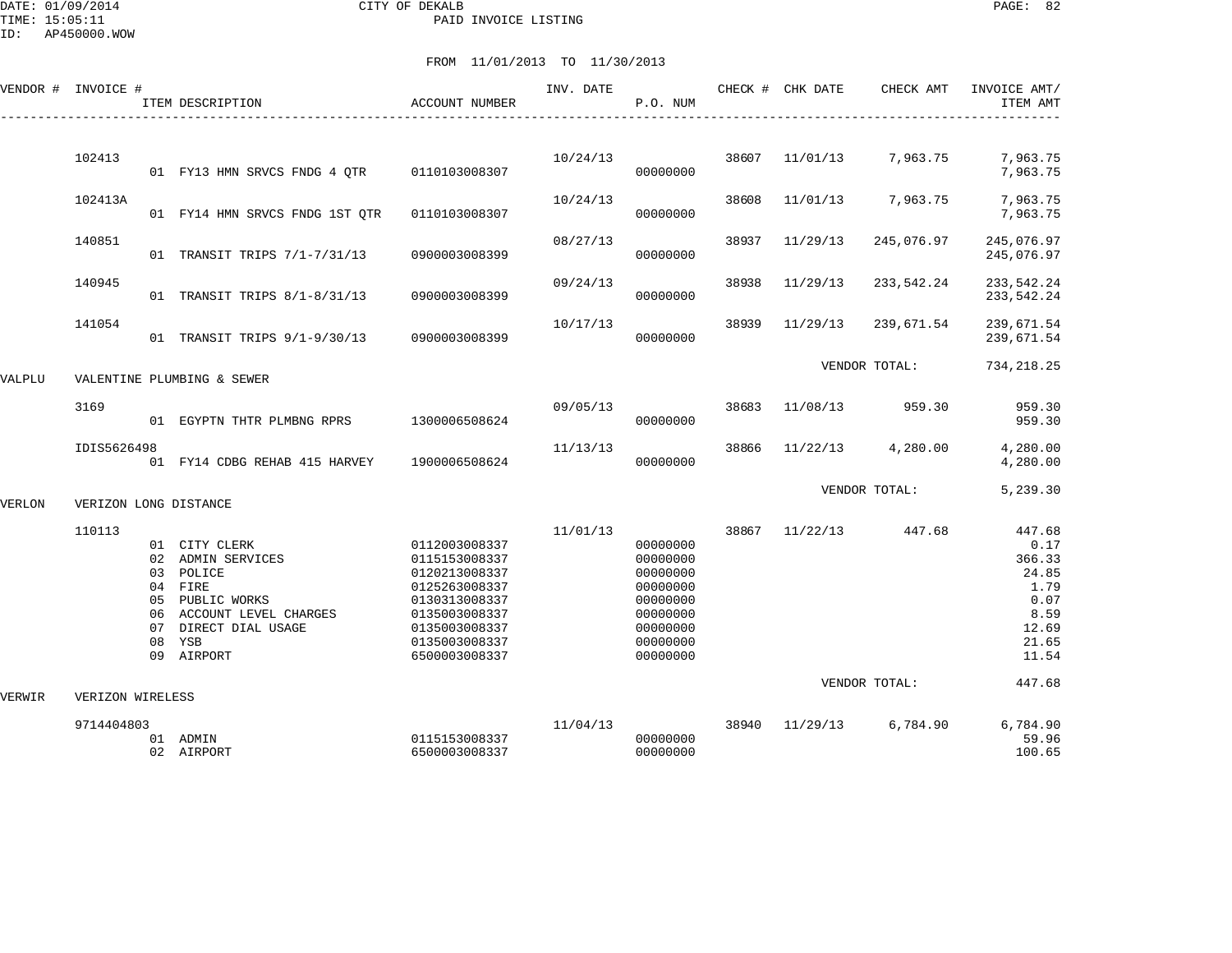|        | VENDOR # INVOICE #    |                                              | ITEM DESCRIPTION                                                                                                                  | ACCOUNT NUMBER                                                                                                                                        | INV. DATE | P.O. NUM                                                                                                 |       | CHECK # CHK DATE | CHECK AMT               | INVOICE AMT/<br>ITEM AMT                                                                       |
|--------|-----------------------|----------------------------------------------|-----------------------------------------------------------------------------------------------------------------------------------|-------------------------------------------------------------------------------------------------------------------------------------------------------|-----------|----------------------------------------------------------------------------------------------------------|-------|------------------|-------------------------|------------------------------------------------------------------------------------------------|
|        | 102413                |                                              |                                                                                                                                   |                                                                                                                                                       | 10/24/13  |                                                                                                          | 38607 | 11/01/13         | 7,963.75                | 7,963.75                                                                                       |
|        |                       |                                              | 01 FY13 HMN SRVCS FNDG 4 QTR                                                                                                      | 0110103008307                                                                                                                                         |           | 00000000                                                                                                 |       |                  |                         | 7,963.75                                                                                       |
|        | 102413A               |                                              | 01 FY14 HMN SRVCS FNDG 1ST QTR                                                                                                    | 0110103008307                                                                                                                                         | 10/24/13  | 00000000                                                                                                 | 38608 | 11/01/13         | 7,963.75                | 7,963.75<br>7,963.75                                                                           |
|        | 140851                |                                              | 01 TRANSIT TRIPS 7/1-7/31/13                                                                                                      | 0900003008399                                                                                                                                         | 08/27/13  | 00000000                                                                                                 | 38937 | 11/29/13         | 245,076.97              | 245,076.97<br>245,076.97                                                                       |
|        | 140945                |                                              | 01 TRANSIT TRIPS 8/1-8/31/13                                                                                                      | 0900003008399                                                                                                                                         | 09/24/13  | 00000000                                                                                                 | 38938 | 11/29/13         | 233,542.24              | 233, 542. 24<br>233, 542. 24                                                                   |
|        | 141054                |                                              | 01 TRANSIT TRIPS 9/1-9/30/13                                                                                                      | 0900003008399                                                                                                                                         | 10/17/13  | 00000000                                                                                                 | 38939 | 11/29/13         | 239,671.54              | 239,671.54<br>239,671.54                                                                       |
| VALPLU |                       |                                              | VALENTINE PLUMBING & SEWER                                                                                                        |                                                                                                                                                       |           |                                                                                                          |       |                  | VENDOR TOTAL:           | 734, 218.25                                                                                    |
|        | 3169                  |                                              | 01 EGYPTN THTR PLMBNG RPRS                                                                                                        | 1300006508624                                                                                                                                         | 09/05/13  | 00000000                                                                                                 | 38683 | 11/08/13         | 959.30                  | 959.30<br>959.30                                                                               |
|        | IDIS5626498           |                                              | 01 FY14 CDBG REHAB 415 HARVEY                                                                                                     | 1900006508624                                                                                                                                         | 11/13/13  | 00000000                                                                                                 | 38866 | 11/22/13         | 4,280.00                | 4,280.00<br>4,280.00                                                                           |
| VERLON | VERIZON LONG DISTANCE |                                              |                                                                                                                                   |                                                                                                                                                       |           |                                                                                                          |       |                  | VENDOR TOTAL:           | 5,239.30                                                                                       |
|        | 110113                | 02<br>03<br>04<br>05<br>06<br>07<br>08<br>09 | 01 CITY CLERK<br>ADMIN SERVICES<br>POLICE<br>FIRE<br>PUBLIC WORKS<br>ACCOUNT LEVEL CHARGES<br>DIRECT DIAL USAGE<br>YSB<br>AIRPORT | 0112003008337<br>0115153008337<br>0120213008337<br>0125263008337<br>0130313008337<br>0135003008337<br>0135003008337<br>0135003008337<br>6500003008337 | 11/01/13  | 00000000<br>00000000<br>00000000<br>00000000<br>00000000<br>00000000<br>00000000<br>00000000<br>00000000 | 38867 | 11/22/13         | 447.68<br>VENDOR TOTAL: | 447.68<br>0.17<br>366.33<br>24.85<br>1.79<br>0.07<br>8.59<br>12.69<br>21.65<br>11.54<br>447.68 |
| VERWIR | VERIZON WIRELESS      |                                              |                                                                                                                                   |                                                                                                                                                       |           |                                                                                                          |       |                  |                         |                                                                                                |
|        | 9714404803            |                                              | 01 ADMIN<br>02 AIRPORT                                                                                                            | 0115153008337<br>6500003008337                                                                                                                        | 11/04/13  | 00000000<br>00000000                                                                                     | 38940 | 11/29/13         | 6,784.90                | 6,784.90<br>59.96<br>100.65                                                                    |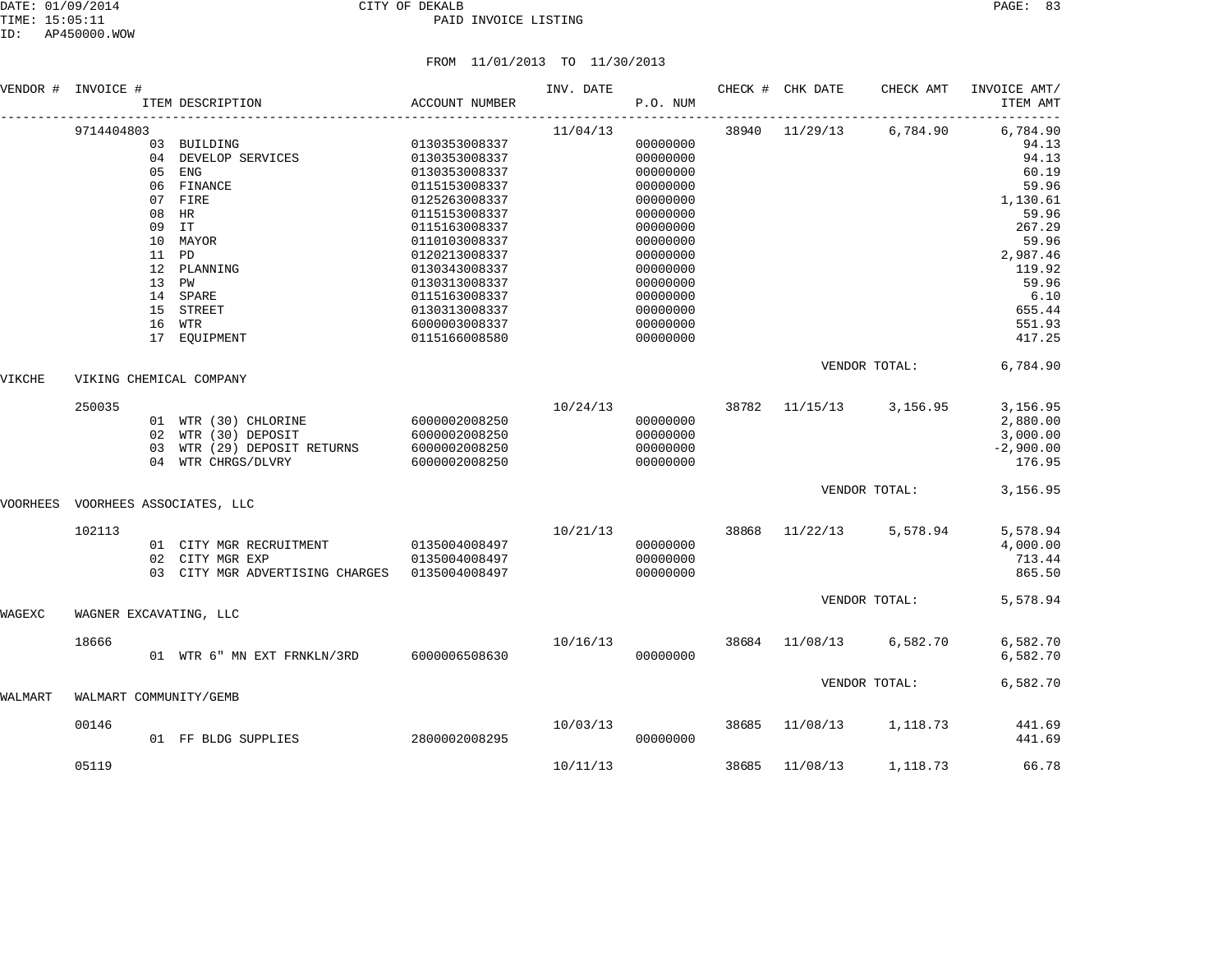|          | VENDOR # INVOICE #     |                            | ITEM DESCRIPTION                                                                                                                                                | ACCOUNT NUMBER                                                                                                                                                                                                                                              | INV. DATE | P.O. NUM                                                                                                                                                                         |       | CHECK # CHK DATE | CHECK AMT                 | INVOICE AMT/<br>ITEM AMT                                                                                                                                  |
|----------|------------------------|----------------------------|-----------------------------------------------------------------------------------------------------------------------------------------------------------------|-------------------------------------------------------------------------------------------------------------------------------------------------------------------------------------------------------------------------------------------------------------|-----------|----------------------------------------------------------------------------------------------------------------------------------------------------------------------------------|-------|------------------|---------------------------|-----------------------------------------------------------------------------------------------------------------------------------------------------------|
|          | 9714404803             | 09<br>11 PD<br>13 PW<br>15 | 03 BUILDING<br>04 DEVELOP SERVICES<br>05 ENG<br>06 FINANCE<br>07 FIRE<br>08 HR<br>IT<br>10 MAYOR<br>12 PLANNING<br>14 SPARE<br>STREET<br>16 WTR<br>17 EQUIPMENT | 0130353008337<br>0130353008337<br>0130353008337<br>0115153008337<br>0125263008337<br>0115153008337<br>0115163008337<br>0110103008337<br>0120213008337<br>0130343008337<br>0130313008337<br>0115163008337<br>0130313008337<br>6000003008337<br>0115166008580 | 11/04/13  | 00000000<br>00000000<br>00000000<br>00000000<br>00000000<br>00000000<br>00000000<br>00000000<br>00000000<br>00000000<br>00000000<br>00000000<br>00000000<br>00000000<br>00000000 |       | 38940 11/29/13   | 6,784.90                  | 6,784.90<br>94.13<br>94.13<br>60.19<br>59.96<br>1,130.61<br>59.96<br>267.29<br>59.96<br>2,987.46<br>119.92<br>59.96<br>6.10<br>655.44<br>551.93<br>417.25 |
| VIKCHE   |                        |                            | VIKING CHEMICAL COMPANY                                                                                                                                         |                                                                                                                                                                                                                                                             |           |                                                                                                                                                                                  |       |                  | VENDOR TOTAL:             | 6,784.90                                                                                                                                                  |
|          | 250035                 | 02<br>03<br>04             | 01 WTR (30) CHLORINE<br>WTR (30) DEPOSIT<br>WTR (29) DEPOSIT RETURNS<br>WTR CHRGS/DLVRY                                                                         | 6000002008250<br>6000002008250<br>6000002008250<br>6000002008250                                                                                                                                                                                            | 10/24/13  | 00000000<br>00000000<br>00000000<br>00000000                                                                                                                                     | 38782 | 11/15/13         | 3,156.95                  | 3,156.95<br>2,880.00<br>3,000.00<br>$-2,900.00$<br>176.95                                                                                                 |
| VOORHEES |                        |                            | VOORHEES ASSOCIATES, LLC                                                                                                                                        |                                                                                                                                                                                                                                                             |           |                                                                                                                                                                                  |       |                  | VENDOR TOTAL:             | 3,156.95                                                                                                                                                  |
|          | 102113                 |                            | 01 CITY MGR RECRUITMENT<br>02 CITY MGR EXP<br>03 CITY MGR ADVERTISING CHARGES 0135004008497                                                                     | 0135004008497<br>0135004008497                                                                                                                                                                                                                              | 10/21/13  | 00000000<br>00000000<br>00000000                                                                                                                                                 | 38868 | 11/22/13         | 5,578.94<br>VENDOR TOTAL: | 5,578.94<br>4,000.00<br>713.44<br>865.50<br>5,578.94                                                                                                      |
| WAGEXC   | WAGNER EXCAVATING, LLC |                            |                                                                                                                                                                 |                                                                                                                                                                                                                                                             |           |                                                                                                                                                                                  |       |                  |                           |                                                                                                                                                           |
|          | 18666                  |                            | 01 WTR 6" MN EXT FRNKLN/3RD                                                                                                                                     | 6000006508630                                                                                                                                                                                                                                               | 10/16/13  | 00000000                                                                                                                                                                         | 38684 | 11/08/13         | 6,582.70                  | 6,582.70<br>6,582.70                                                                                                                                      |
| WALMART  | WALMART COMMUNITY/GEMB |                            |                                                                                                                                                                 |                                                                                                                                                                                                                                                             |           |                                                                                                                                                                                  |       |                  | VENDOR TOTAL:             | 6,582.70                                                                                                                                                  |
|          | 00146                  |                            | 01 FF BLDG SUPPLIES                                                                                                                                             | 2800002008295                                                                                                                                                                                                                                               | 10/03/13  | 00000000                                                                                                                                                                         | 38685 | 11/08/13         | 1,118.73                  | 441.69<br>441.69                                                                                                                                          |
|          | 05119                  |                            |                                                                                                                                                                 |                                                                                                                                                                                                                                                             | 10/11/13  |                                                                                                                                                                                  | 38685 | 11/08/13         | 1,118.73                  | 66.78                                                                                                                                                     |
|          |                        |                            |                                                                                                                                                                 |                                                                                                                                                                                                                                                             |           |                                                                                                                                                                                  |       |                  |                           |                                                                                                                                                           |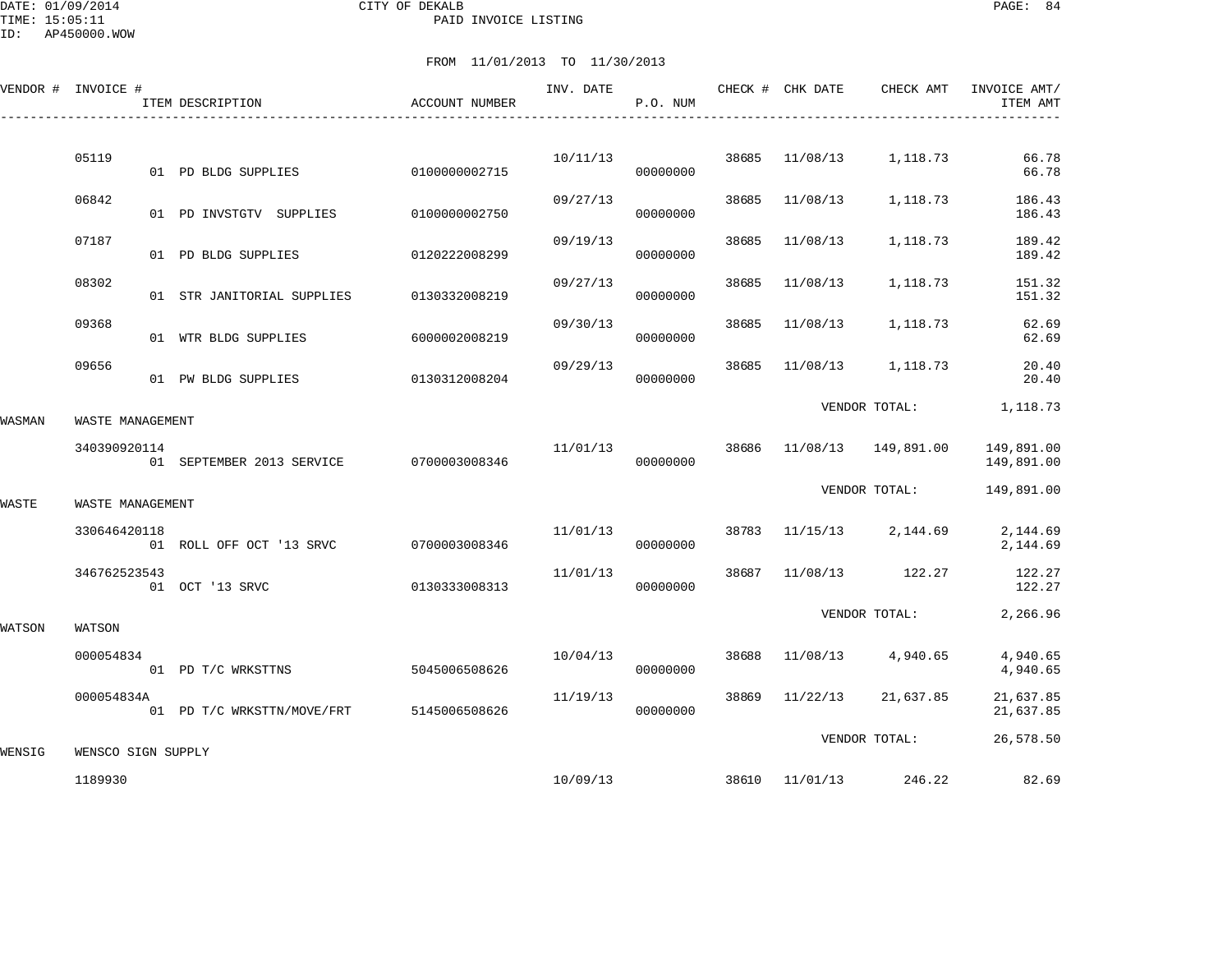DATE: 01/09/2014 CITY OF DEKALB PAGE: 84 PAID INVOICE LISTING

ID: AP450000.WOW

|        | VENDOR # INVOICE # | ITEM DESCRIPTION                        | ACCOUNT NUMBER | INV. DATE | P.O. NUM |       | CHECK # CHK DATE | CHECK AMT            | INVOICE AMT/<br>ITEM AMT |
|--------|--------------------|-----------------------------------------|----------------|-----------|----------|-------|------------------|----------------------|--------------------------|
|        |                    |                                         |                |           |          |       |                  |                      |                          |
|        | 05119              | 01 PD BLDG SUPPLIES                     | 0100000002715  | 10/11/13  | 00000000 | 38685 | 11/08/13         | 1,118.73             | 66.78<br>66.78           |
|        | 06842              | 01 PD INVSTGTV SUPPLIES                 | 0100000002750  | 09/27/13  | 00000000 | 38685 | 11/08/13         | 1,118.73             | 186.43<br>186.43         |
|        | 07187              | 01 PD BLDG SUPPLIES                     | 0120222008299  | 09/19/13  | 00000000 | 38685 | 11/08/13         | 1,118.73             | 189.42<br>189.42         |
|        | 08302              | 01 STR JANITORIAL SUPPLIES              | 0130332008219  | 09/27/13  | 00000000 | 38685 | 11/08/13         | 1,118.73             | 151.32<br>151.32         |
|        | 09368              | 01 WTR BLDG SUPPLIES                    | 6000002008219  | 09/30/13  | 00000000 | 38685 | 11/08/13         | 1,118.73             | 62.69<br>62.69           |
|        | 09656              | 01 PW BLDG SUPPLIES                     | 0130312008204  | 09/29/13  | 00000000 | 38685 | 11/08/13         | 1,118.73             | 20.40<br>20.40           |
| WASMAN | WASTE MANAGEMENT   |                                         |                |           |          |       |                  | VENDOR TOTAL:        | 1,118.73                 |
|        | 340390920114       | 01 SEPTEMBER 2013 SERVICE 0700003008346 |                | 11/01/13  | 00000000 | 38686 |                  | 11/08/13  149,891.00 | 149,891.00<br>149,891.00 |
| WASTE  | WASTE MANAGEMENT   |                                         |                |           |          |       |                  | VENDOR TOTAL:        | 149,891.00               |
|        | 330646420118       | 01 ROLL OFF OCT '13 SRVC                | 0700003008346  | 11/01/13  | 00000000 | 38783 |                  | 11/15/13 2,144.69    | 2,144.69<br>2,144.69     |
|        | 346762523543       | 01 OCT '13 SRVC                         | 0130333008313  | 11/01/13  | 00000000 | 38687 |                  | 11/08/13 122.27      | 122.27<br>122.27         |
| WATSON | WATSON             |                                         |                |           |          |       |                  | VENDOR TOTAL:        | 2,266.96                 |
|        | 000054834          | 01 PD T/C WRKSTTNS                      | 5045006508626  | 10/04/13  | 00000000 | 38688 | 11/08/13         | 4,940.65             | 4,940.65<br>4,940.65     |
|        | 000054834A         | 01 PD T/C WRKSTTN/MOVE/FRT              | 5145006508626  | 11/19/13  | 00000000 | 38869 | 11/22/13         | 21,637.85            | 21,637.85<br>21,637.85   |
| WENSIG | WENSCO SIGN SUPPLY |                                         |                |           |          |       |                  | VENDOR TOTAL:        | 26,578.50                |
|        | 1189930            |                                         |                | 10/09/13  |          |       | 38610 11/01/13   | 246.22               | 82.69                    |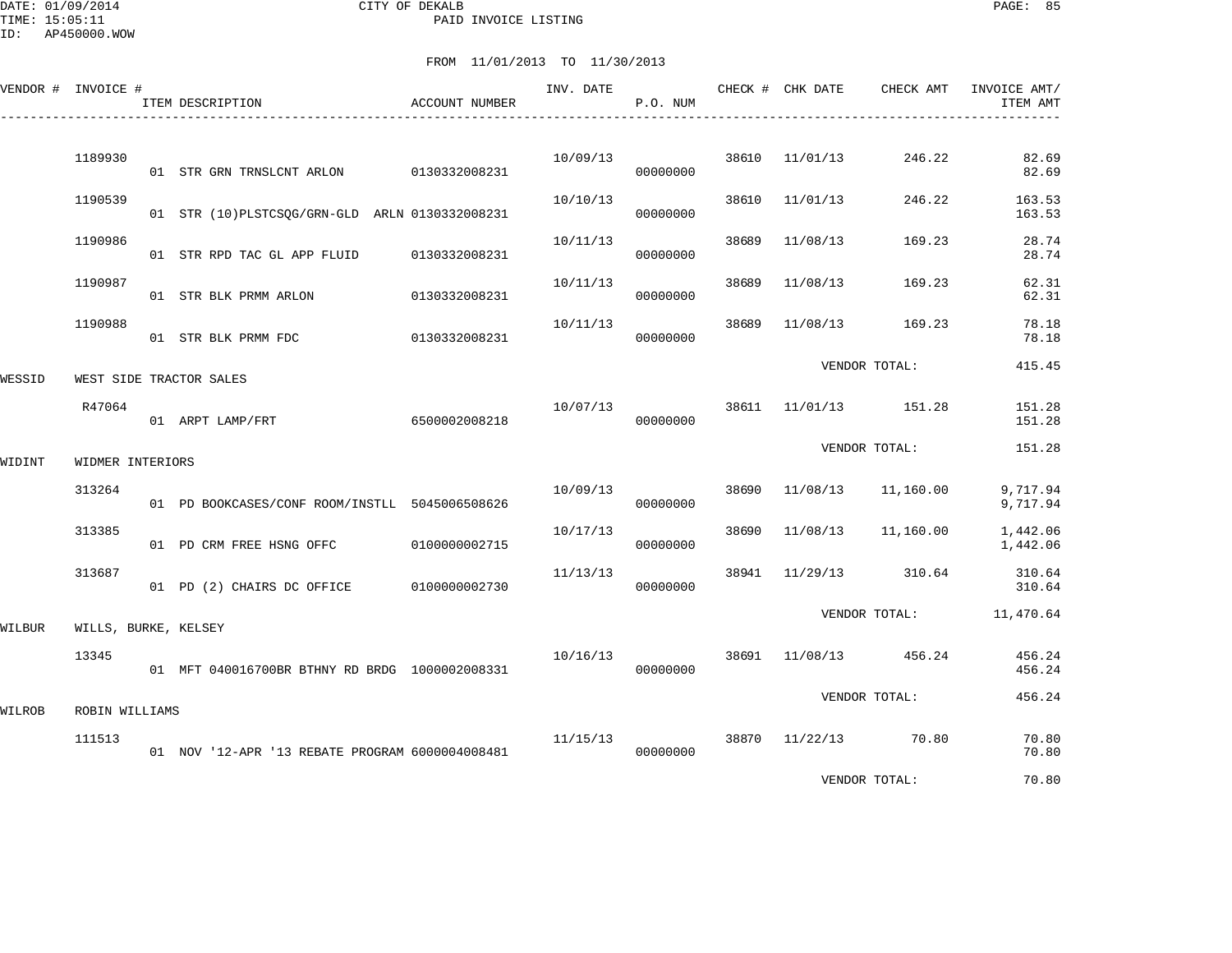DATE: 01/09/2014 CITY OF DEKALB PAGE: 85 PAID INVOICE LISTING

|        | VENDOR # INVOICE #   |  | ITEM DESCRIPTION                                | <b>ACCOUNT NUMBER</b> | INV. DATE | P.O. NUM |               | CHECK # CHK DATE | CHECK AMT             | INVOICE AMT/<br>ITEM AMT |
|--------|----------------------|--|-------------------------------------------------|-----------------------|-----------|----------|---------------|------------------|-----------------------|--------------------------|
|        | 1189930              |  | 01 STR GRN TRNSLCNT ARLON 0130332008231         |                       | 10/09/13  | 00000000 | 38610         | 11/01/13         | 246.22                | 82.69<br>82.69           |
|        | 1190539              |  | 01 STR (10) PLSTCSQG/GRN-GLD ARLN 0130332008231 |                       | 10/10/13  | 00000000 | 38610         | 11/01/13         | 246.22                | 163.53<br>163.53         |
|        | 1190986              |  | 01 STR RPD TAC GL APP FLUID 0130332008231       |                       | 10/11/13  | 00000000 | 38689         | 11/08/13         | 169.23                | 28.74<br>28.74           |
|        | 1190987              |  | 01 STR BLK PRMM ARLON                           | 0130332008231         | 10/11/13  | 00000000 | 38689         | 11/08/13         | 169.23                | 62.31<br>62.31           |
|        | 1190988              |  | 01 STR BLK PRMM FDC                             | 0130332008231         | 10/11/13  | 00000000 | 38689         | 11/08/13         | 169.23                | 78.18<br>78.18           |
| WESSID |                      |  | WEST SIDE TRACTOR SALES                         |                       |           |          | VENDOR TOTAL: | 415.45           |                       |                          |
|        | R47064               |  | 01 ARPT LAMP/FRT                                | 6500002008218         | 10/07/13  | 00000000 |               |                  | 38611 11/01/13 151.28 | 151.28<br>151.28         |
| WIDINT | WIDMER INTERIORS     |  |                                                 |                       |           |          |               | VENDOR TOTAL:    | 151.28                |                          |
|        | 313264               |  | 01 PD BOOKCASES/CONF ROOM/INSTLL 5045006508626  |                       | 10/09/13  | 00000000 | 38690         | 11/08/13         | 11,160.00             | 9,717.94<br>9,717.94     |
|        | 313385               |  | 01 PD CRM FREE HSNG OFFC                        | 0100000002715         | 10/17/13  | 00000000 | 38690         | 11/08/13         | 11,160.00             | 1,442.06<br>1,442.06     |
|        | 313687               |  | 01 PD (2) CHAIRS DC OFFICE 0100000002730        |                       | 11/13/13  | 00000000 | 38941         | 11/29/13         | 310.64                | 310.64<br>310.64         |
| WILBUR | WILLS, BURKE, KELSEY |  |                                                 |                       |           |          |               | VENDOR TOTAL:    |                       | 11,470.64                |
|        | 13345                |  | 01 MFT 040016700BR BTHNY RD BRDG 1000002008331  |                       | 10/16/13  | 00000000 |               |                  | 38691 11/08/13 456.24 | 456.24<br>456.24         |
| WILROB | ROBIN WILLIAMS       |  |                                                 |                       |           |          |               | VENDOR TOTAL:    |                       | 456.24                   |
|        | 111513               |  | 01 NOV '12-APR '13 REBATE PROGRAM 6000004008481 |                       | 11/15/13  | 00000000 |               |                  | 38870 11/22/13 70.80  | 70.80<br>70.80           |
|        |                      |  |                                                 |                       |           |          |               |                  | VENDOR TOTAL:         | 70.80                    |